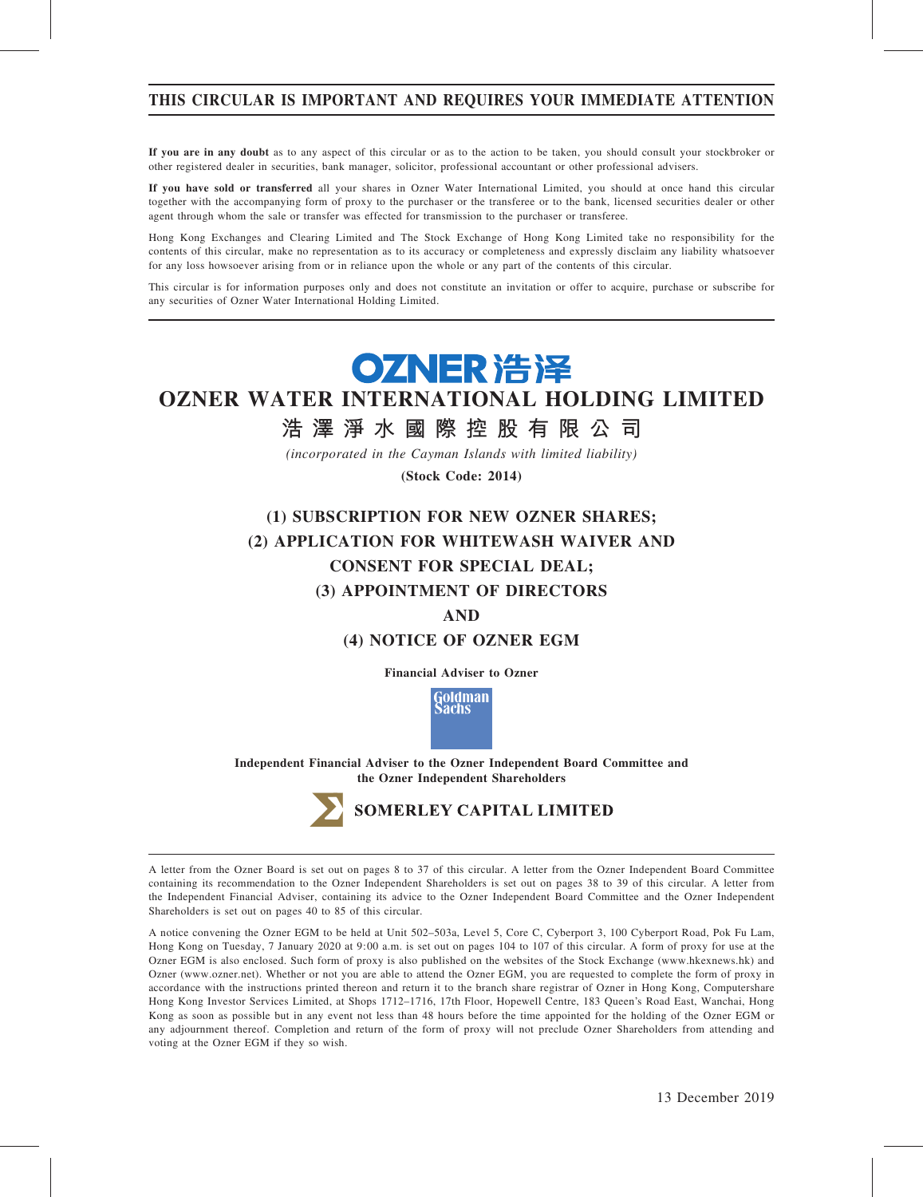# THIS CIRCULAR IS IMPORTANT AND REQUIRES YOUR IMMEDIATE ATTENTION

If you are in any doubt as to any aspect of this circular or as to the action to be taken, you should consult your stockbroker or other registered dealer in securities, bank manager, solicitor, professional accountant or other professional advisers.

If you have sold or transferred all your shares in Ozner Water International Limited, you should at once hand this circular together with the accompanying form of proxy to the purchaser or the transferee or to the bank, licensed securities dealer or other agent through whom the sale or transfer was effected for transmission to the purchaser or transferee.

Hong Kong Exchanges and Clearing Limited and The Stock Exchange of Hong Kong Limited take no responsibility for the contents of this circular, make no representation as to its accuracy or completeness and expressly disclaim any liability whatsoever for any loss howsoever arising from or in reliance upon the whole or any part of the contents of this circular.

This circular is for information purposes only and does not constitute an invitation or offer to acquire, purchase or subscribe for any securities of Ozner Water International Holding Limited.

# OZNER 浩泽

# OZNER WATER INTERNATIONAL HOLDING LIMITED

# 浩 澤 淨 水 國 際 控 股 有 限 公 司

(incorporated in the Cayman Islands with limited liability)

(Stock Code: 2014)

# (1) SUBSCRIPTION FOR NEW OZNER SHARES; (2) APPLICATION FOR WHITEWASH WAIVER AND CONSENT FOR SPECIAL DEAL; (3) APPOINTMENT OF DIRECTORS

# AND

# (4) NOTICE OF OZNER EGM

Financial Adviser to Ozner

Goldman achs

Independent Financial Adviser to the Ozner Independent Board Committee and the Ozner Independent Shareholders



# SOMERLEY CAPITAL LIMITED

A letter from the Ozner Board is set out on pages 8 to 37 of this circular. A letter from the Ozner Independent Board Committee containing its recommendation to the Ozner Independent Shareholders is set out on pages 38 to 39 of this circular. A letter from the Independent Financial Adviser, containing its advice to the Ozner Independent Board Committee and the Ozner Independent Shareholders is set out on pages 40 to 85 of this circular.

A notice convening the Ozner EGM to be held at Unit 502–503a, Level 5, Core C, Cyberport 3, 100 Cyberport Road, Pok Fu Lam, Hong Kong on Tuesday, 7 January 2020 at 9:00 a.m. is set out on pages 104 to 107 of this circular. A form of proxy for use at the Ozner EGM is also enclosed. Such form of proxy is also published on the websites of the Stock Exchange (www.hkexnews.hk) and Ozner (www.ozner.net). Whether or not you are able to attend the Ozner EGM, you are requested to complete the form of proxy in accordance with the instructions printed thereon and return it to the branch share registrar of Ozner in Hong Kong, Computershare Hong Kong Investor Services Limited, at Shops 1712–1716, 17th Floor, Hopewell Centre, 183 Queen's Road East, Wanchai, Hong Kong as soon as possible but in any event not less than 48 hours before the time appointed for the holding of the Ozner EGM or any adjournment thereof. Completion and return of the form of proxy will not preclude Ozner Shareholders from attending and voting at the Ozner EGM if they so wish.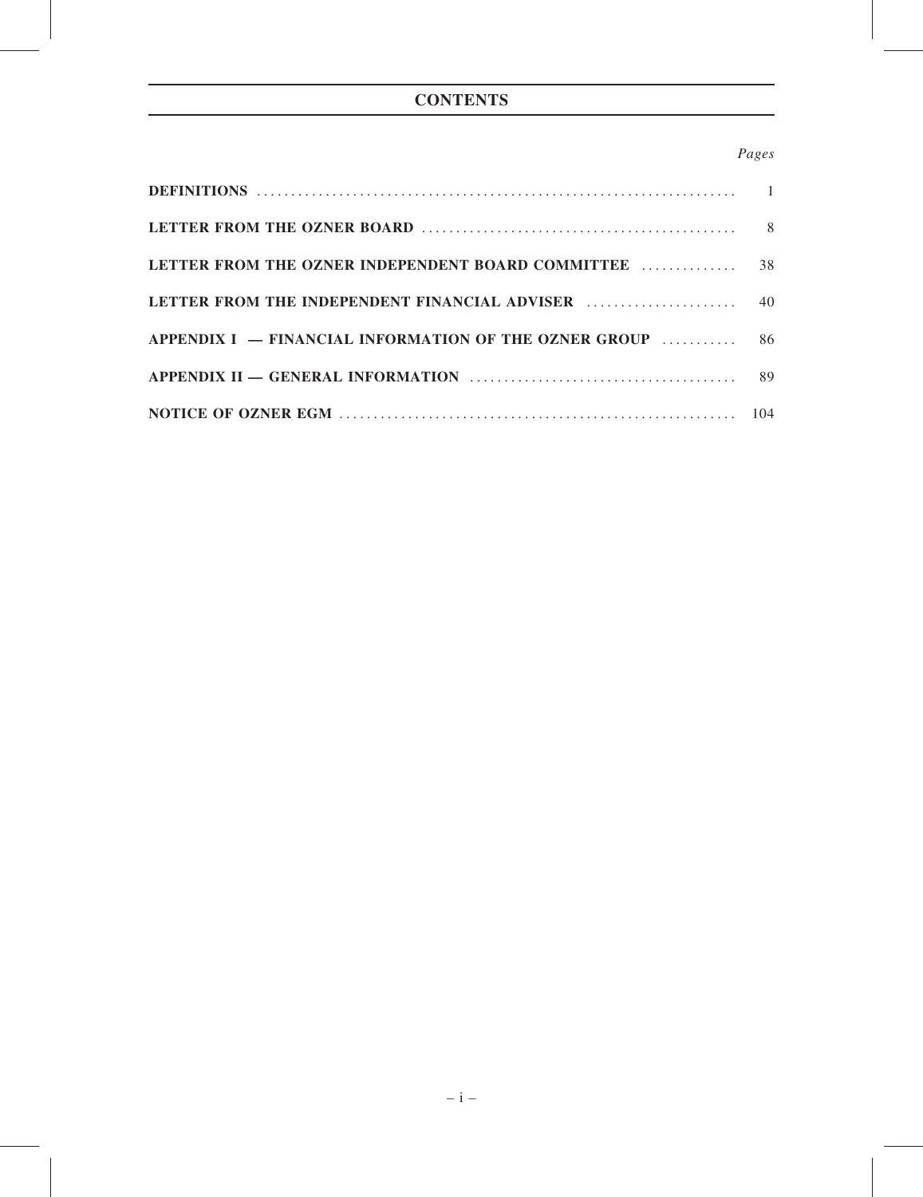# Pages

| DEFINITIONS $\ldots$ $\ldots$ $\ldots$ $\ldots$ $\ldots$ $\ldots$ $\ldots$ $\ldots$ $\ldots$ $\ldots$ $\ldots$ $\ldots$ $\ldots$ |    |
|----------------------------------------------------------------------------------------------------------------------------------|----|
|                                                                                                                                  |    |
| LETTER FROM THE OZNER INDEPENDENT BOARD COMMITTEE                                                                                | 38 |
|                                                                                                                                  |    |
| APPENDIX I – FINANCIAL INFORMATION OF THE OZNER GROUP  86                                                                        |    |
|                                                                                                                                  |    |
|                                                                                                                                  |    |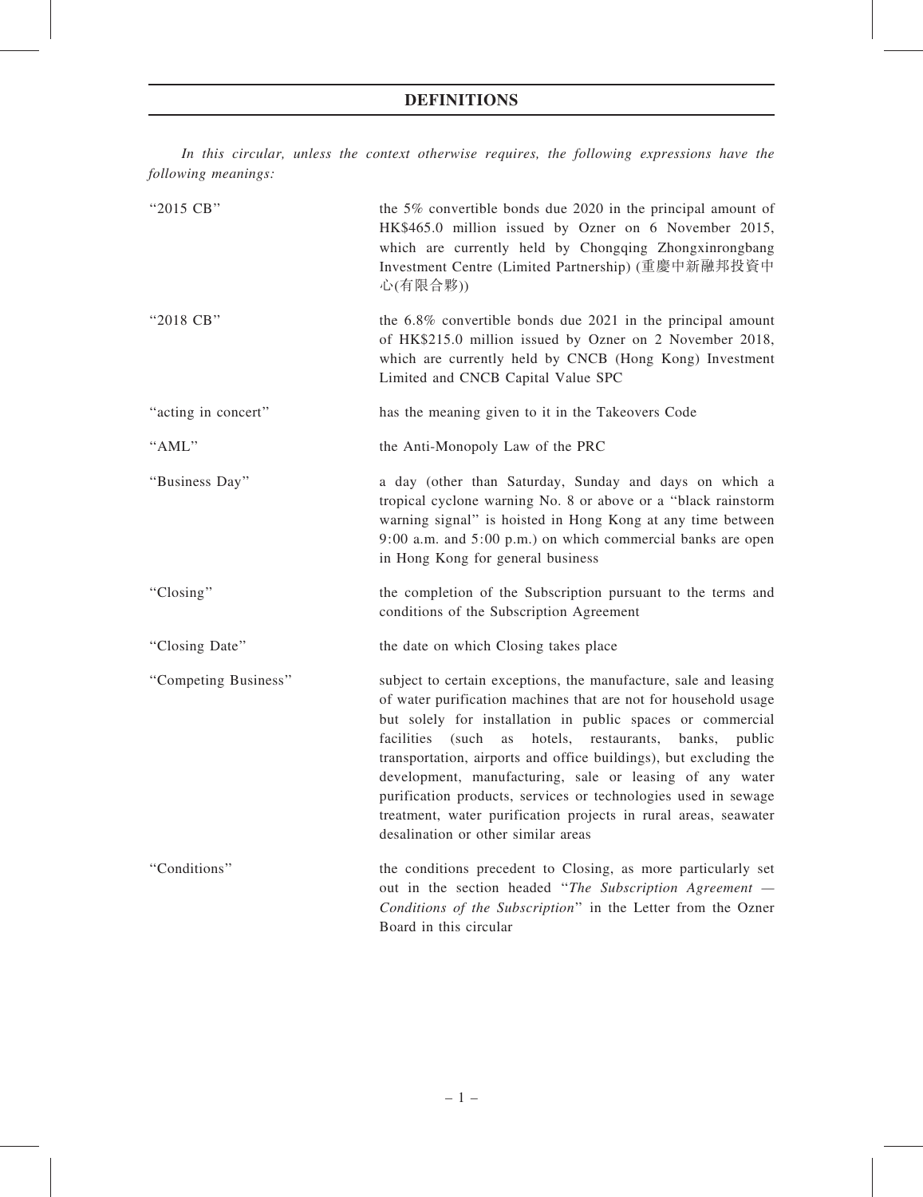In this circular, unless the context otherwise requires, the following expressions have the following meanings:

| "2015 CB"            | the 5% convertible bonds due 2020 in the principal amount of<br>HK\$465.0 million issued by Ozner on 6 November 2015,<br>which are currently held by Chongqing Zhongxinrongbang<br>Investment Centre (Limited Partnership) (重慶中新融邦投資中<br>心(有限合夥))                                                                                                                                                                                                                                                                                                                                       |
|----------------------|-----------------------------------------------------------------------------------------------------------------------------------------------------------------------------------------------------------------------------------------------------------------------------------------------------------------------------------------------------------------------------------------------------------------------------------------------------------------------------------------------------------------------------------------------------------------------------------------|
| "2018 CB"            | the 6.8% convertible bonds due 2021 in the principal amount<br>of HK\$215.0 million issued by Ozner on 2 November 2018,<br>which are currently held by CNCB (Hong Kong) Investment<br>Limited and CNCB Capital Value SPC                                                                                                                                                                                                                                                                                                                                                                |
| "acting in concert"  | has the meaning given to it in the Takeovers Code                                                                                                                                                                                                                                                                                                                                                                                                                                                                                                                                       |
| "AML"                | the Anti-Monopoly Law of the PRC                                                                                                                                                                                                                                                                                                                                                                                                                                                                                                                                                        |
| "Business Day"       | a day (other than Saturday, Sunday and days on which a<br>tropical cyclone warning No. 8 or above or a "black rainstorm<br>warning signal" is hoisted in Hong Kong at any time between<br>$9:00$ a.m. and $5:00$ p.m.) on which commercial banks are open<br>in Hong Kong for general business                                                                                                                                                                                                                                                                                          |
| "Closing"            | the completion of the Subscription pursuant to the terms and<br>conditions of the Subscription Agreement                                                                                                                                                                                                                                                                                                                                                                                                                                                                                |
| "Closing Date"       | the date on which Closing takes place                                                                                                                                                                                                                                                                                                                                                                                                                                                                                                                                                   |
| "Competing Business" | subject to certain exceptions, the manufacture, sale and leasing<br>of water purification machines that are not for household usage<br>but solely for installation in public spaces or commercial<br>(such<br>hotels, restaurants,<br>facilities<br>as<br>banks,<br>public<br>transportation, airports and office buildings), but excluding the<br>development, manufacturing, sale or leasing of any water<br>purification products, services or technologies used in sewage<br>treatment, water purification projects in rural areas, seawater<br>desalination or other similar areas |
| "Conditions"         | the conditions precedent to Closing, as more particularly set<br>out in the section headed "The Subscription Agreement —<br>Conditions of the Subscription" in the Letter from the Ozner<br>Board in this circular                                                                                                                                                                                                                                                                                                                                                                      |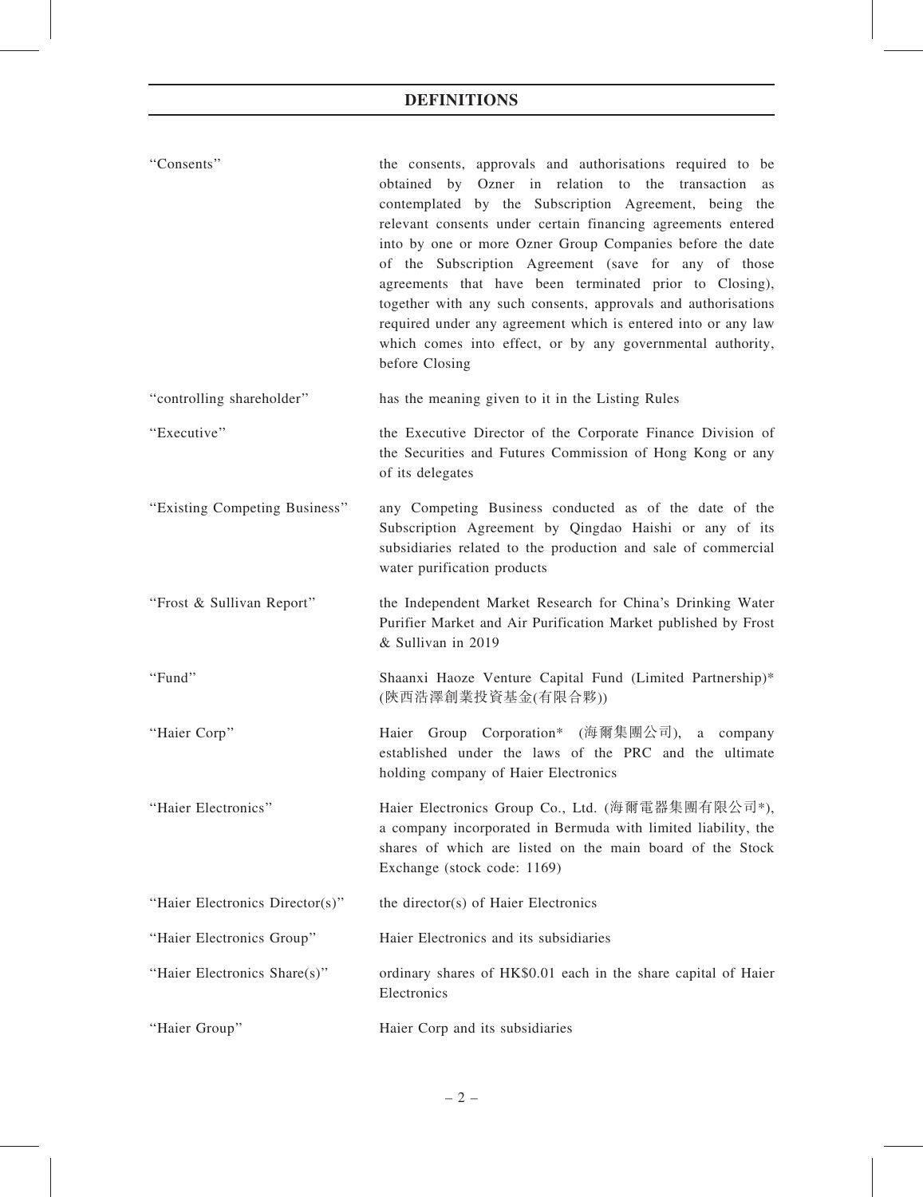| "Consents"                      | the consents, approvals and authorisations required to be<br>obtained by Ozner in relation to the transaction<br>as<br>contemplated by the Subscription Agreement, being the<br>relevant consents under certain financing agreements entered<br>into by one or more Ozner Group Companies before the date<br>of the Subscription Agreement (save for any of those<br>agreements that have been terminated prior to Closing),<br>together with any such consents, approvals and authorisations<br>required under any agreement which is entered into or any law<br>which comes into effect, or by any governmental authority,<br>before Closing |  |  |
|---------------------------------|------------------------------------------------------------------------------------------------------------------------------------------------------------------------------------------------------------------------------------------------------------------------------------------------------------------------------------------------------------------------------------------------------------------------------------------------------------------------------------------------------------------------------------------------------------------------------------------------------------------------------------------------|--|--|
| "controlling shareholder"       | has the meaning given to it in the Listing Rules                                                                                                                                                                                                                                                                                                                                                                                                                                                                                                                                                                                               |  |  |
| "Executive"                     | the Executive Director of the Corporate Finance Division of<br>the Securities and Futures Commission of Hong Kong or any<br>of its delegates                                                                                                                                                                                                                                                                                                                                                                                                                                                                                                   |  |  |
| "Existing Competing Business"   | any Competing Business conducted as of the date of the<br>Subscription Agreement by Qingdao Haishi or any of its<br>subsidiaries related to the production and sale of commercial<br>water purification products                                                                                                                                                                                                                                                                                                                                                                                                                               |  |  |
| "Frost & Sullivan Report"       | the Independent Market Research for China's Drinking Water<br>Purifier Market and Air Purification Market published by Frost<br>& Sullivan in 2019                                                                                                                                                                                                                                                                                                                                                                                                                                                                                             |  |  |
| "Fund"                          | Shaanxi Haoze Venture Capital Fund (Limited Partnership)*<br>(陝西浩澤創業投資基金(有限合夥))                                                                                                                                                                                                                                                                                                                                                                                                                                                                                                                                                                |  |  |
| "Haier Corp"                    | Haier Group Corporation* (海爾集團公司), a company<br>established under the laws of the PRC and the ultimate<br>holding company of Haier Electronics                                                                                                                                                                                                                                                                                                                                                                                                                                                                                                 |  |  |
| "Haier Electronics"             | Haier Electronics Group Co., Ltd. (海爾電器集團有限公司*),<br>a company incorporated in Bermuda with limited liability, the<br>shares of which are listed on the main board of the Stock<br>Exchange (stock code: 1169)                                                                                                                                                                                                                                                                                                                                                                                                                                  |  |  |
| "Haier Electronics Director(s)" | the director(s) of Haier Electronics                                                                                                                                                                                                                                                                                                                                                                                                                                                                                                                                                                                                           |  |  |
| "Haier Electronics Group"       | Haier Electronics and its subsidiaries                                                                                                                                                                                                                                                                                                                                                                                                                                                                                                                                                                                                         |  |  |
| "Haier Electronics Share(s)"    | ordinary shares of HK\$0.01 each in the share capital of Haier<br>Electronics                                                                                                                                                                                                                                                                                                                                                                                                                                                                                                                                                                  |  |  |
| "Haier Group"                   | Haier Corp and its subsidiaries                                                                                                                                                                                                                                                                                                                                                                                                                                                                                                                                                                                                                |  |  |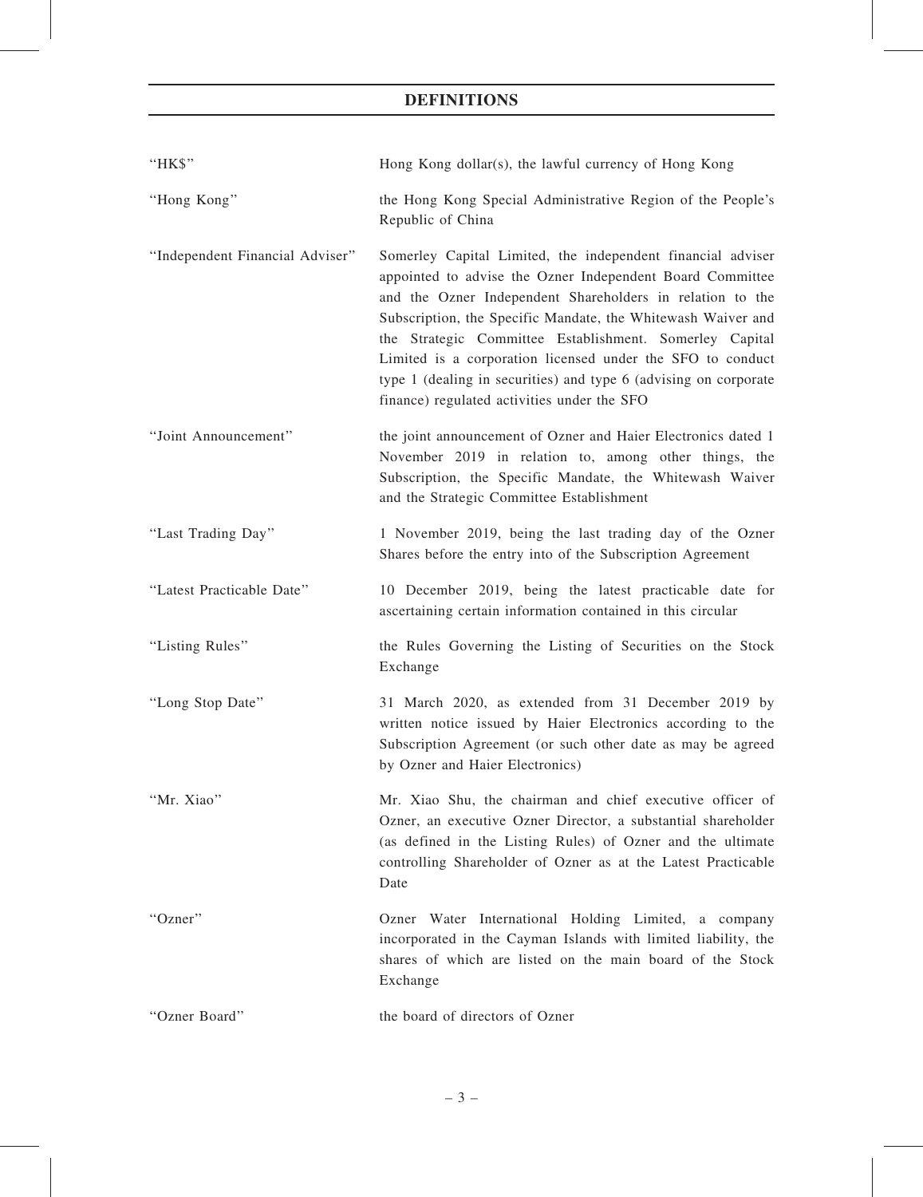| "HK\$"                          | Hong Kong dollar(s), the lawful currency of Hong Kong                                                                                                                                                                                                                                                                                                                                                                                                                                             |
|---------------------------------|---------------------------------------------------------------------------------------------------------------------------------------------------------------------------------------------------------------------------------------------------------------------------------------------------------------------------------------------------------------------------------------------------------------------------------------------------------------------------------------------------|
| "Hong Kong"                     | the Hong Kong Special Administrative Region of the People's<br>Republic of China                                                                                                                                                                                                                                                                                                                                                                                                                  |
| "Independent Financial Adviser" | Somerley Capital Limited, the independent financial adviser<br>appointed to advise the Ozner Independent Board Committee<br>and the Ozner Independent Shareholders in relation to the<br>Subscription, the Specific Mandate, the Whitewash Waiver and<br>the Strategic Committee Establishment. Somerley Capital<br>Limited is a corporation licensed under the SFO to conduct<br>type 1 (dealing in securities) and type 6 (advising on corporate<br>finance) regulated activities under the SFO |
| "Joint Announcement"            | the joint announcement of Ozner and Haier Electronics dated 1<br>November 2019 in relation to, among other things, the<br>Subscription, the Specific Mandate, the Whitewash Waiver<br>and the Strategic Committee Establishment                                                                                                                                                                                                                                                                   |
| "Last Trading Day"              | 1 November 2019, being the last trading day of the Ozner<br>Shares before the entry into of the Subscription Agreement                                                                                                                                                                                                                                                                                                                                                                            |
| "Latest Practicable Date"       | 10 December 2019, being the latest practicable date for<br>ascertaining certain information contained in this circular                                                                                                                                                                                                                                                                                                                                                                            |
| "Listing Rules"                 | the Rules Governing the Listing of Securities on the Stock<br>Exchange                                                                                                                                                                                                                                                                                                                                                                                                                            |
| "Long Stop Date"                | 31 March 2020, as extended from 31 December 2019 by<br>written notice issued by Haier Electronics according to the<br>Subscription Agreement (or such other date as may be agreed<br>by Ozner and Haier Electronics)                                                                                                                                                                                                                                                                              |
| "Mr. Xiao"                      | Mr. Xiao Shu, the chairman and chief executive officer of<br>Ozner, an executive Ozner Director, a substantial shareholder<br>(as defined in the Listing Rules) of Ozner and the ultimate<br>controlling Shareholder of Ozner as at the Latest Practicable<br>Date                                                                                                                                                                                                                                |
| "Ozner"                         | Ozner Water International Holding Limited, a company<br>incorporated in the Cayman Islands with limited liability, the<br>shares of which are listed on the main board of the Stock<br>Exchange                                                                                                                                                                                                                                                                                                   |
| "Ozner Board"                   | the board of directors of Ozner                                                                                                                                                                                                                                                                                                                                                                                                                                                                   |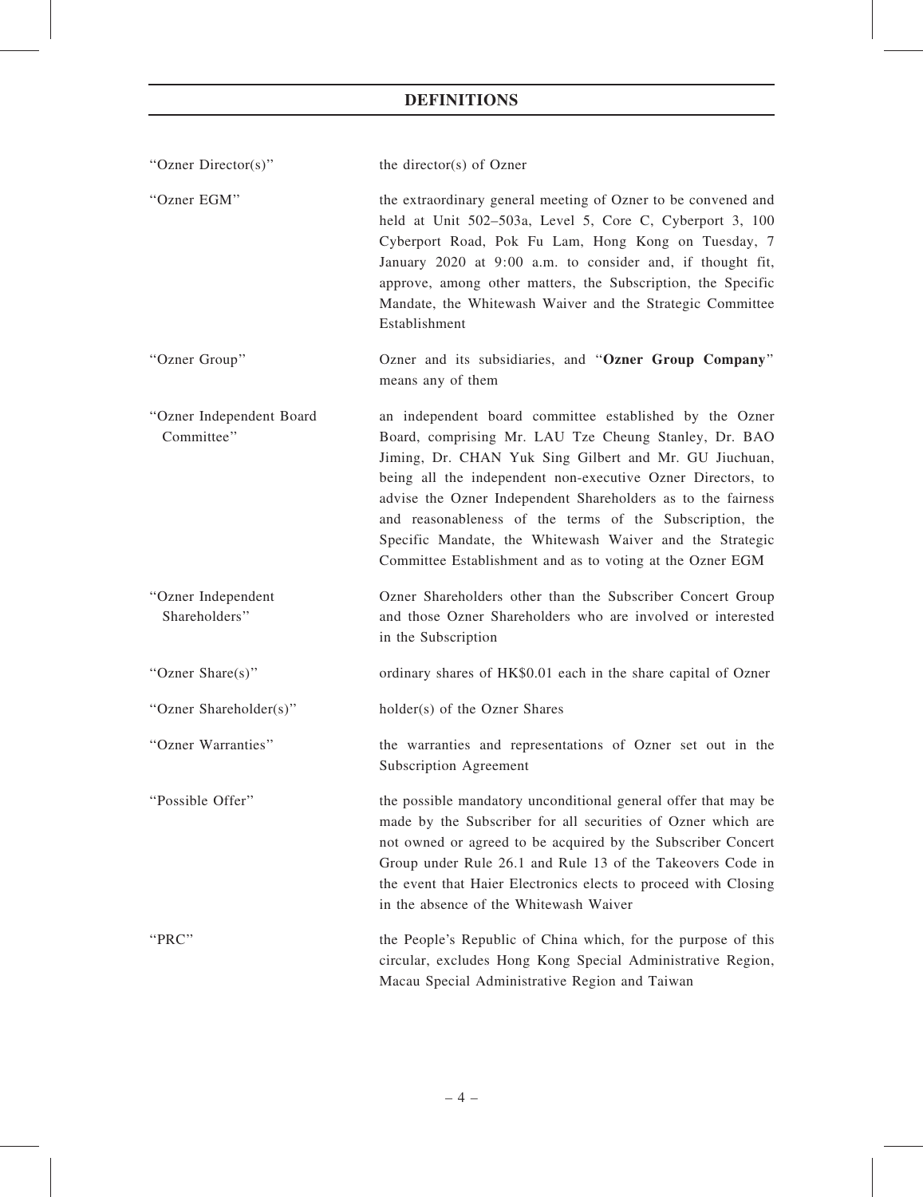| "Ozner Director(s)"                    | the director(s) of Ozner                                                                                                                                                                                                                                                                                                                                                                                                                                                                       |
|----------------------------------------|------------------------------------------------------------------------------------------------------------------------------------------------------------------------------------------------------------------------------------------------------------------------------------------------------------------------------------------------------------------------------------------------------------------------------------------------------------------------------------------------|
| "Ozner EGM"                            | the extraordinary general meeting of Ozner to be convened and<br>held at Unit 502-503a, Level 5, Core C, Cyberport 3, 100<br>Cyberport Road, Pok Fu Lam, Hong Kong on Tuesday, 7<br>January 2020 at 9:00 a.m. to consider and, if thought fit,<br>approve, among other matters, the Subscription, the Specific<br>Mandate, the Whitewash Waiver and the Strategic Committee<br>Establishment                                                                                                   |
| "Ozner Group"                          | Ozner and its subsidiaries, and "Ozner Group Company"<br>means any of them                                                                                                                                                                                                                                                                                                                                                                                                                     |
| "Ozner Independent Board<br>Committee" | an independent board committee established by the Ozner<br>Board, comprising Mr. LAU Tze Cheung Stanley, Dr. BAO<br>Jiming, Dr. CHAN Yuk Sing Gilbert and Mr. GU Jiuchuan,<br>being all the independent non-executive Ozner Directors, to<br>advise the Ozner Independent Shareholders as to the fairness<br>and reasonableness of the terms of the Subscription, the<br>Specific Mandate, the Whitewash Waiver and the Strategic<br>Committee Establishment and as to voting at the Ozner EGM |
| "Ozner Independent<br>Shareholders"    | Ozner Shareholders other than the Subscriber Concert Group<br>and those Ozner Shareholders who are involved or interested<br>in the Subscription                                                                                                                                                                                                                                                                                                                                               |
| "Ozner Share(s)"                       | ordinary shares of HK\$0.01 each in the share capital of Ozner                                                                                                                                                                                                                                                                                                                                                                                                                                 |
| "Ozner Shareholder(s)"                 | holder(s) of the Ozner Shares                                                                                                                                                                                                                                                                                                                                                                                                                                                                  |
| "Ozner Warranties"                     | the warranties and representations of Ozner set out in the<br>Subscription Agreement                                                                                                                                                                                                                                                                                                                                                                                                           |
| "Possible Offer"                       | the possible mandatory unconditional general offer that may be<br>made by the Subscriber for all securities of Ozner which are<br>not owned or agreed to be acquired by the Subscriber Concert<br>Group under Rule 26.1 and Rule 13 of the Takeovers Code in<br>the event that Haier Electronics elects to proceed with Closing<br>in the absence of the Whitewash Waiver                                                                                                                      |
| "PRC"                                  | the People's Republic of China which, for the purpose of this<br>circular, excludes Hong Kong Special Administrative Region,<br>Macau Special Administrative Region and Taiwan                                                                                                                                                                                                                                                                                                                 |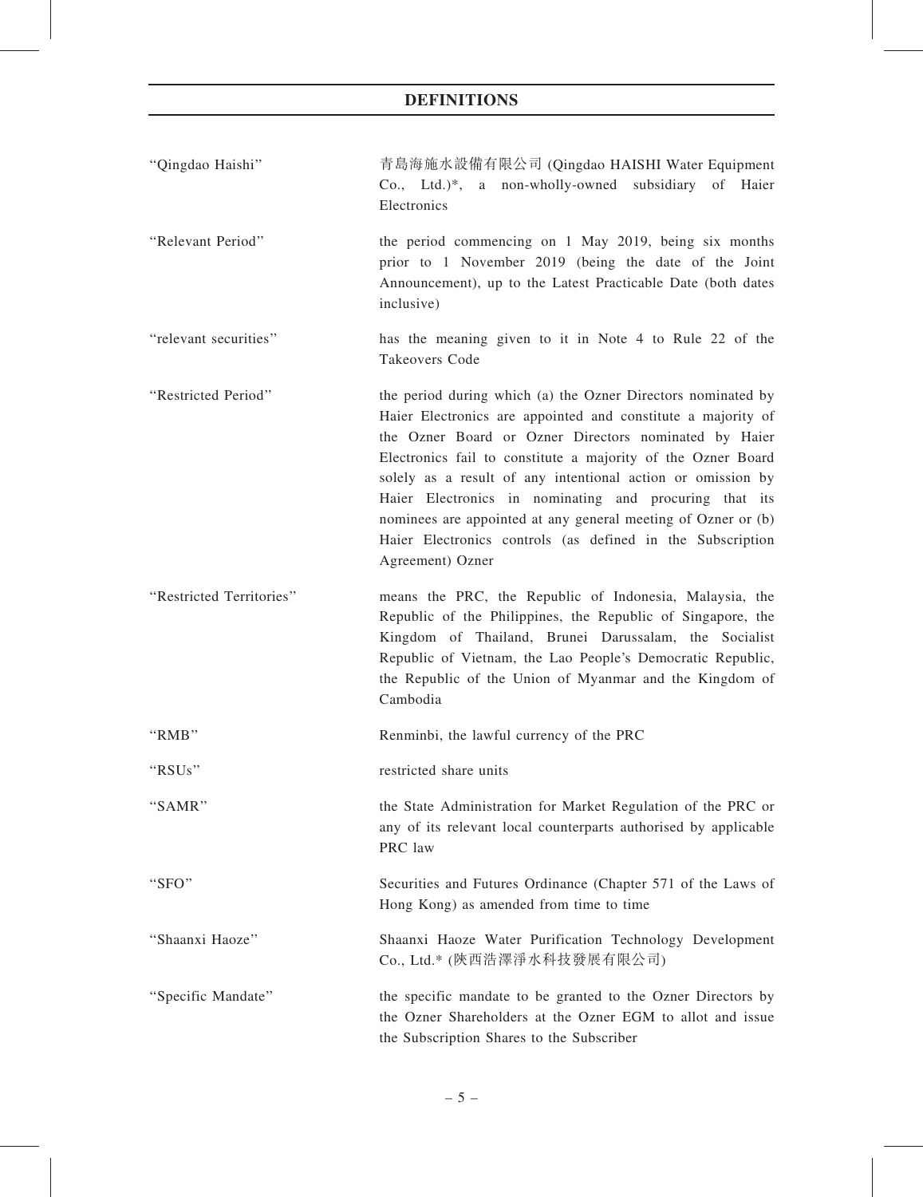- ''Qingdao Haishi'' 青島海施水設備有限公司 (Qingdao HAISHI Water Equipment Co., Ltd.)\*, a non-wholly-owned subsidiary of Haier **Electronics**
- ''Relevant Period'' the period commencing on 1 May 2019, being six months prior to 1 November 2019 (being the date of the Joint Announcement), up to the Latest Practicable Date (both dates inclusive)
- ''relevant securities'' has the meaning given to it in Note 4 to Rule 22 of the Takeovers Code
- ''Restricted Period'' the period during which (a) the Ozner Directors nominated by Haier Electronics are appointed and constitute a majority of the Ozner Board or Ozner Directors nominated by Haier Electronics fail to constitute a majority of the Ozner Board solely as a result of any intentional action or omission by Haier Electronics in nominating and procuring that its nominees are appointed at any general meeting of Ozner or (b) Haier Electronics controls (as defined in the Subscription Agreement) Ozner
- ''Restricted Territories'' means the PRC, the Republic of Indonesia, Malaysia, the Republic of the Philippines, the Republic of Singapore, the Kingdom of Thailand, Brunei Darussalam, the Socialist Republic of Vietnam, the Lao People's Democratic Republic, the Republic of the Union of Myanmar and the Kingdom of Cambodia
- ''RMB'' Renminbi, the lawful currency of the PRC
- ''RSUs'' restricted share units
- ''SAMR'' the State Administration for Market Regulation of the PRC or any of its relevant local counterparts authorised by applicable PRC law
- ''SFO'' Securities and Futures Ordinance (Chapter 571 of the Laws of Hong Kong) as amended from time to time
- ''Shaanxi Haoze'' Shaanxi Haoze Water Purification Technology Development Co., Ltd.\* (陝西浩澤淨水科技發展有限公司)
- ''Specific Mandate'' the specific mandate to be granted to the Ozner Directors by the Ozner Shareholders at the Ozner EGM to allot and issue the Subscription Shares to the Subscriber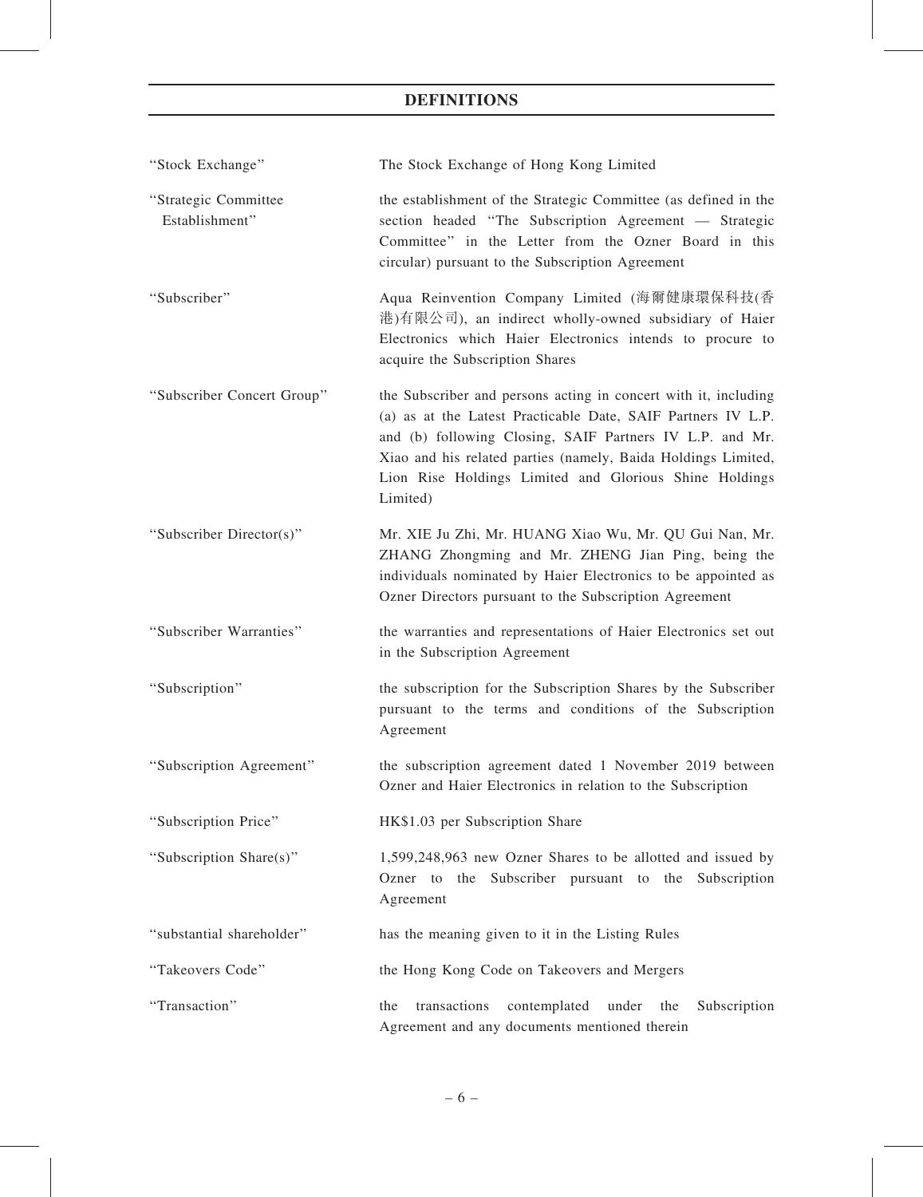| "Stock Exchange"                       | The Stock Exchange of Hong Kong Limited                                                                                                                                                                                                                                                                                            |  |  |
|----------------------------------------|------------------------------------------------------------------------------------------------------------------------------------------------------------------------------------------------------------------------------------------------------------------------------------------------------------------------------------|--|--|
| "Strategic Committee<br>Establishment" | the establishment of the Strategic Committee (as defined in the<br>section headed "The Subscription Agreement - Strategic<br>Committee" in the Letter from the Ozner Board in this<br>circular) pursuant to the Subscription Agreement                                                                                             |  |  |
| "Subscriber"                           | Aqua Reinvention Company Limited (海爾健康環保科技(香<br>港)有限公司), an indirect wholly-owned subsidiary of Haier<br>Electronics which Haier Electronics intends to procure to<br>acquire the Subscription Shares                                                                                                                              |  |  |
| "Subscriber Concert Group"             | the Subscriber and persons acting in concert with it, including<br>(a) as at the Latest Practicable Date, SAIF Partners IV L.P.<br>and (b) following Closing, SAIF Partners IV L.P. and Mr.<br>Xiao and his related parties (namely, Baida Holdings Limited,<br>Lion Rise Holdings Limited and Glorious Shine Holdings<br>Limited) |  |  |
| "Subscriber Director(s)"               | Mr. XIE Ju Zhi, Mr. HUANG Xiao Wu, Mr. QU Gui Nan, Mr.<br>ZHANG Zhongming and Mr. ZHENG Jian Ping, being the<br>individuals nominated by Haier Electronics to be appointed as<br>Ozner Directors pursuant to the Subscription Agreement                                                                                            |  |  |
| "Subscriber Warranties"                | the warranties and representations of Haier Electronics set out<br>in the Subscription Agreement                                                                                                                                                                                                                                   |  |  |
| "Subscription"                         | the subscription for the Subscription Shares by the Subscriber<br>pursuant to the terms and conditions of the Subscription<br>Agreement                                                                                                                                                                                            |  |  |
| "Subscription Agreement"               | the subscription agreement dated 1 November 2019 between<br>Ozner and Haier Electronics in relation to the Subscription                                                                                                                                                                                                            |  |  |
| "Subscription Price"                   | HK\$1.03 per Subscription Share                                                                                                                                                                                                                                                                                                    |  |  |
| "Subscription Share(s)"                | 1,599,248,963 new Ozner Shares to be allotted and issued by<br>Ozner to the Subscriber pursuant to the Subscription<br>Agreement                                                                                                                                                                                                   |  |  |
| "substantial shareholder"              | has the meaning given to it in the Listing Rules                                                                                                                                                                                                                                                                                   |  |  |
| "Takeovers Code"                       | the Hong Kong Code on Takeovers and Mergers                                                                                                                                                                                                                                                                                        |  |  |
| "Transaction"                          | transactions<br>contemplated<br>under the<br>Subscription<br>the<br>Agreement and any documents mentioned therein                                                                                                                                                                                                                  |  |  |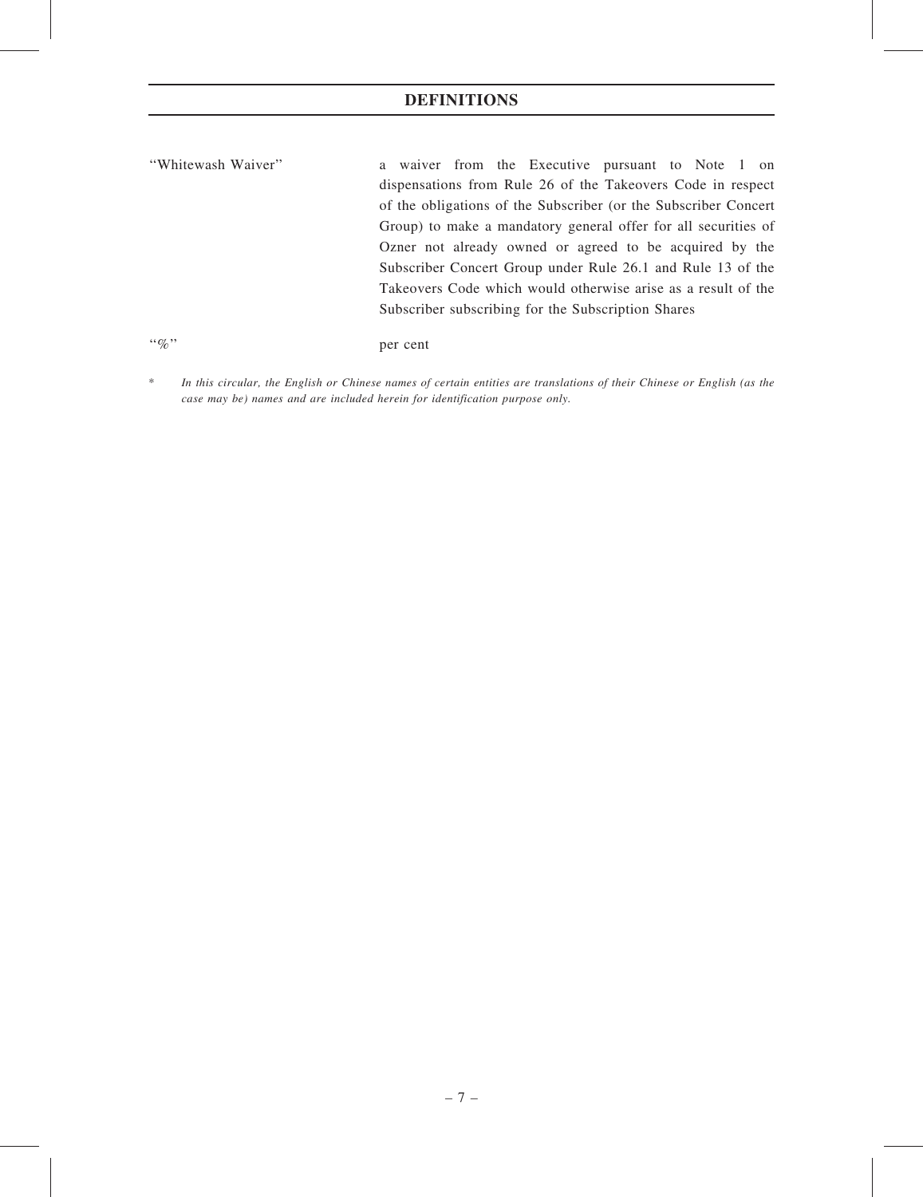''Whitewash Waiver'' a waiver from the Executive pursuant to Note 1 on dispensations from Rule 26 of the Takeovers Code in respect of the obligations of the Subscriber (or the Subscriber Concert Group) to make a mandatory general offer for all securities of Ozner not already owned or agreed to be acquired by the Subscriber Concert Group under Rule 26.1 and Rule 13 of the Takeovers Code which would otherwise arise as a result of the Subscriber subscribing for the Subscription Shares

''%'' per cent

\* In this circular, the English or Chinese names of certain entities are translations of their Chinese or English (as the case may be) names and are included herein for identification purpose only.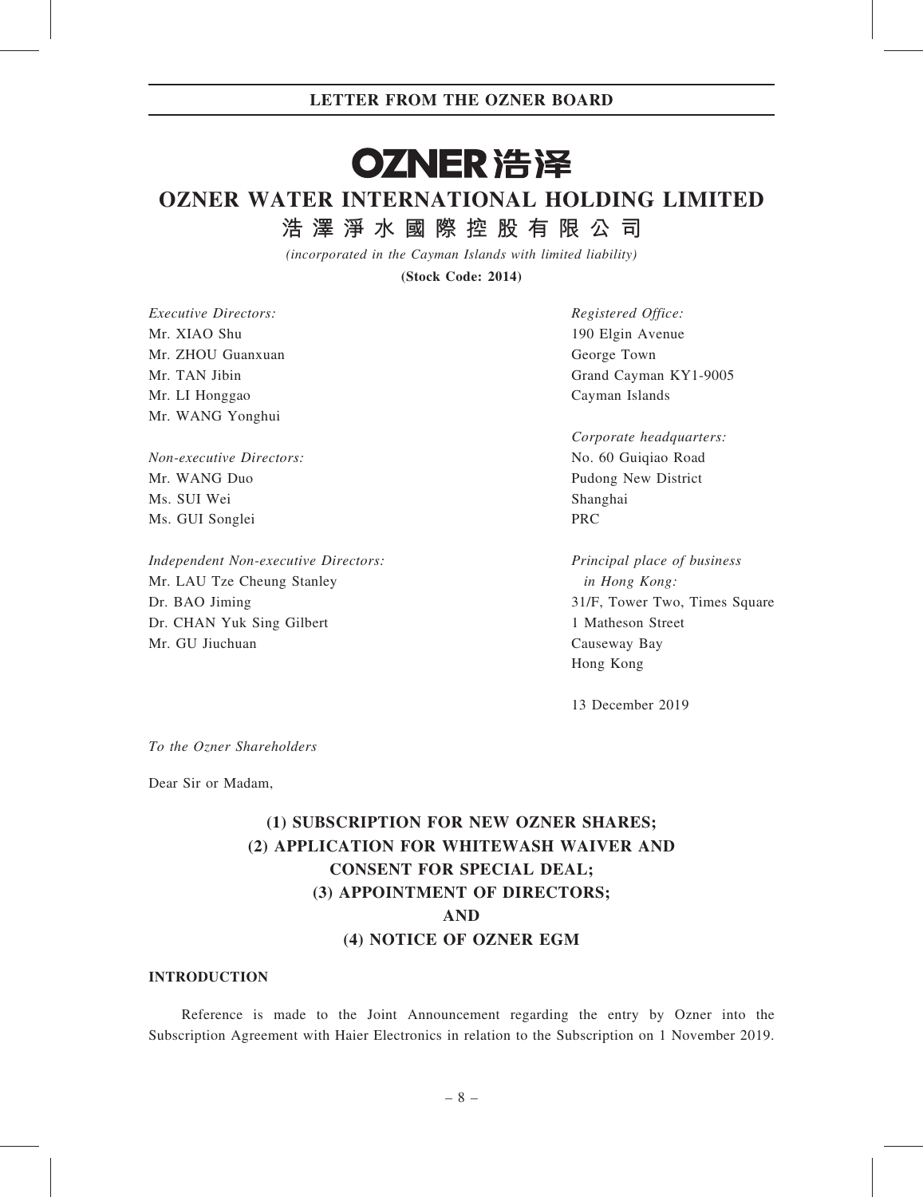# OZNER 浩泽

# OZNER WATER INTERNATIONAL HOLDING LIMITED

浩 澤 淨 水 國 際 控 股 有 限 公 司

(incorporated in the Cayman Islands with limited liability)

(Stock Code: 2014)

Executive Directors: Mr. XIAO Shu Mr. ZHOU Guanxuan Mr. TAN Jibin Mr. LI Honggao Mr. WANG Yonghui

Non-executive Directors: Mr. WANG Duo Ms. SUI Wei Ms. GUI Songlei

Independent Non-executive Directors: Mr. LAU Tze Cheung Stanley Dr. BAO Jiming Dr. CHAN Yuk Sing Gilbert Mr. GU Jiuchuan

Registered Office: 190 Elgin Avenue George Town Grand Cayman KY1-9005 Cayman Islands

Corporate headquarters: No. 60 Guiqiao Road Pudong New District Shanghai PRC

Principal place of business in Hong Kong: 31/F, Tower Two, Times Square 1 Matheson Street Causeway Bay Hong Kong

13 December 2019

To the Ozner Shareholders

Dear Sir or Madam,

# (1) SUBSCRIPTION FOR NEW OZNER SHARES; (2) APPLICATION FOR WHITEWASH WAIVER AND CONSENT FOR SPECIAL DEAL; (3) APPOINTMENT OF DIRECTORS; AND (4) NOTICE OF OZNER EGM

### INTRODUCTION

Reference is made to the Joint Announcement regarding the entry by Ozner into the Subscription Agreement with Haier Electronics in relation to the Subscription on 1 November 2019.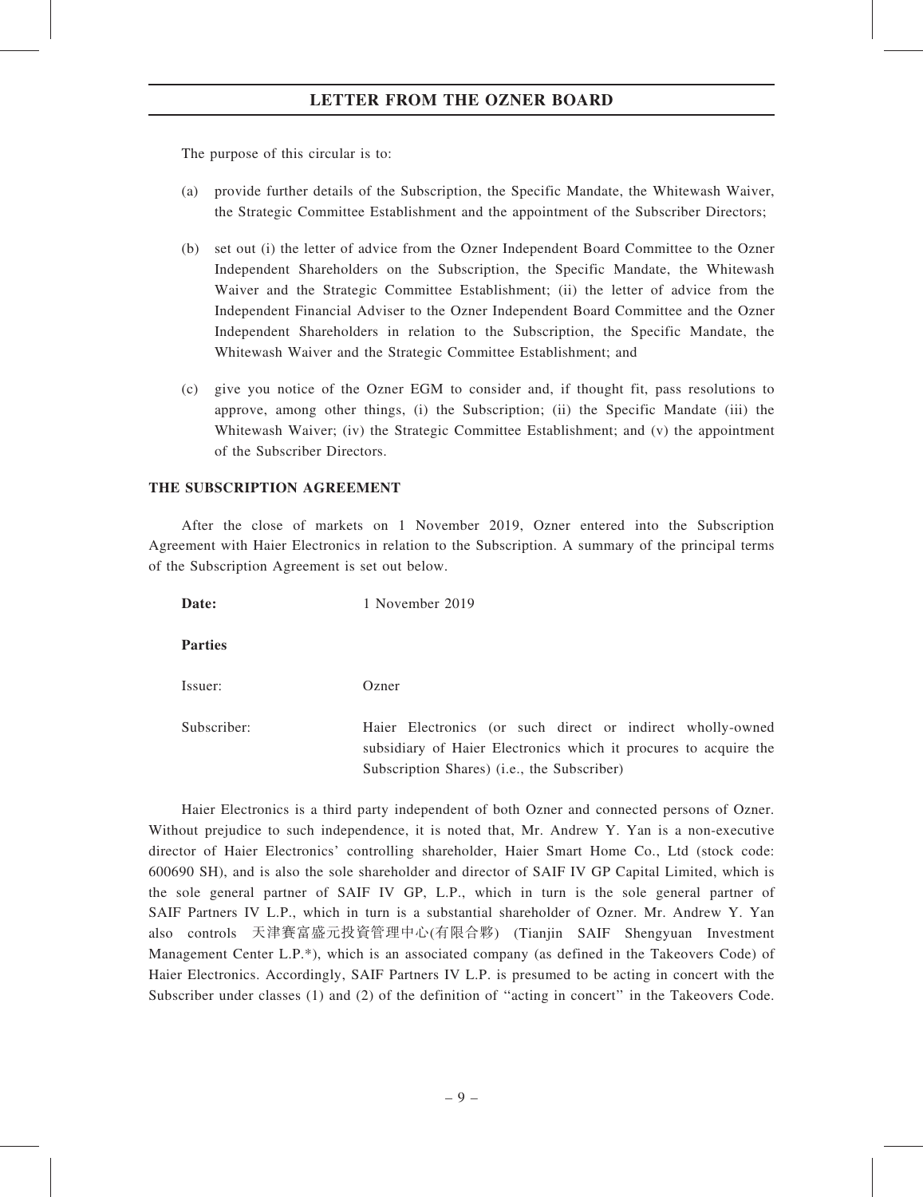The purpose of this circular is to:

- (a) provide further details of the Subscription, the Specific Mandate, the Whitewash Waiver, the Strategic Committee Establishment and the appointment of the Subscriber Directors;
- (b) set out (i) the letter of advice from the Ozner Independent Board Committee to the Ozner Independent Shareholders on the Subscription, the Specific Mandate, the Whitewash Waiver and the Strategic Committee Establishment; (ii) the letter of advice from the Independent Financial Adviser to the Ozner Independent Board Committee and the Ozner Independent Shareholders in relation to the Subscription, the Specific Mandate, the Whitewash Waiver and the Strategic Committee Establishment; and
- (c) give you notice of the Ozner EGM to consider and, if thought fit, pass resolutions to approve, among other things, (i) the Subscription; (ii) the Specific Mandate (iii) the Whitewash Waiver; (iv) the Strategic Committee Establishment; and (v) the appointment of the Subscriber Directors.

#### THE SUBSCRIPTION AGREEMENT

After the close of markets on 1 November 2019, Ozner entered into the Subscription Agreement with Haier Electronics in relation to the Subscription. A summary of the principal terms of the Subscription Agreement is set out below.

Date: 1 November 2019

Parties

Issuer: Ozner

Subscriber: Haier Electronics (or such direct or indirect wholly-owned subsidiary of Haier Electronics which it procures to acquire the Subscription Shares) (i.e., the Subscriber)

Haier Electronics is a third party independent of both Ozner and connected persons of Ozner. Without prejudice to such independence, it is noted that, Mr. Andrew Y. Yan is a non-executive director of Haier Electronics' controlling shareholder, Haier Smart Home Co., Ltd (stock code: 600690 SH), and is also the sole shareholder and director of SAIF IV GP Capital Limited, which is the sole general partner of SAIF IV GP, L.P., which in turn is the sole general partner of SAIF Partners IV L.P., which in turn is a substantial shareholder of Ozner. Mr. Andrew Y. Yan also controls 天津賽富盛元投資管理中心(有限合夥) (Tianjin SAIF Shengyuan Investment Management Center L.P.\*), which is an associated company (as defined in the Takeovers Code) of Haier Electronics. Accordingly, SAIF Partners IV L.P. is presumed to be acting in concert with the Subscriber under classes (1) and (2) of the definition of ''acting in concert'' in the Takeovers Code.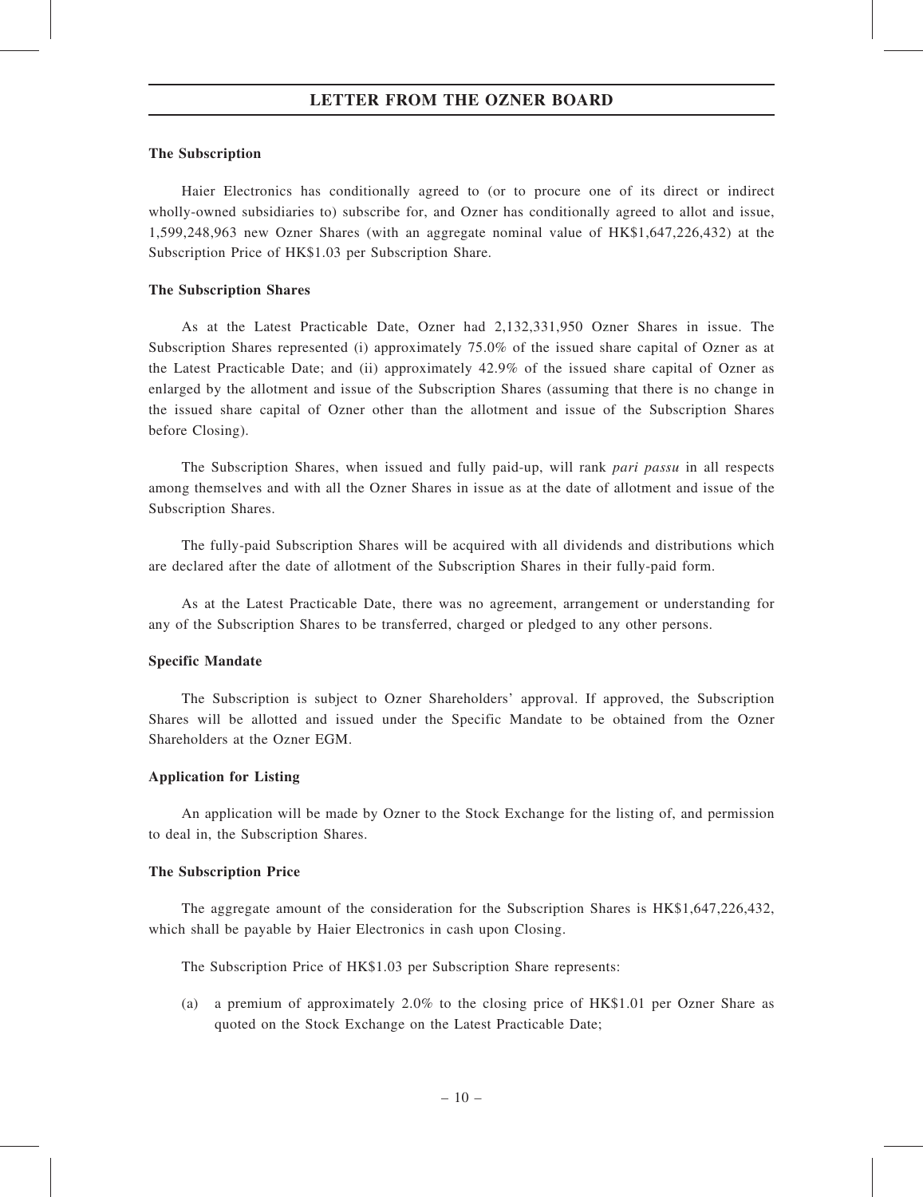#### The Subscription

Haier Electronics has conditionally agreed to (or to procure one of its direct or indirect wholly-owned subsidiaries to) subscribe for, and Ozner has conditionally agreed to allot and issue, 1,599,248,963 new Ozner Shares (with an aggregate nominal value of HK\$1,647,226,432) at the Subscription Price of HK\$1.03 per Subscription Share.

#### The Subscription Shares

As at the Latest Practicable Date, Ozner had 2,132,331,950 Ozner Shares in issue. The Subscription Shares represented (i) approximately 75.0% of the issued share capital of Ozner as at the Latest Practicable Date; and (ii) approximately 42.9% of the issued share capital of Ozner as enlarged by the allotment and issue of the Subscription Shares (assuming that there is no change in the issued share capital of Ozner other than the allotment and issue of the Subscription Shares before Closing).

The Subscription Shares, when issued and fully paid-up, will rank *pari passu* in all respects among themselves and with all the Ozner Shares in issue as at the date of allotment and issue of the Subscription Shares.

The fully-paid Subscription Shares will be acquired with all dividends and distributions which are declared after the date of allotment of the Subscription Shares in their fully-paid form.

As at the Latest Practicable Date, there was no agreement, arrangement or understanding for any of the Subscription Shares to be transferred, charged or pledged to any other persons.

#### Specific Mandate

The Subscription is subject to Ozner Shareholders' approval. If approved, the Subscription Shares will be allotted and issued under the Specific Mandate to be obtained from the Ozner Shareholders at the Ozner EGM.

#### Application for Listing

An application will be made by Ozner to the Stock Exchange for the listing of, and permission to deal in, the Subscription Shares.

#### The Subscription Price

The aggregate amount of the consideration for the Subscription Shares is HK\$1,647,226,432, which shall be payable by Haier Electronics in cash upon Closing.

The Subscription Price of HK\$1.03 per Subscription Share represents:

(a) a premium of approximately 2.0% to the closing price of HK\$1.01 per Ozner Share as quoted on the Stock Exchange on the Latest Practicable Date;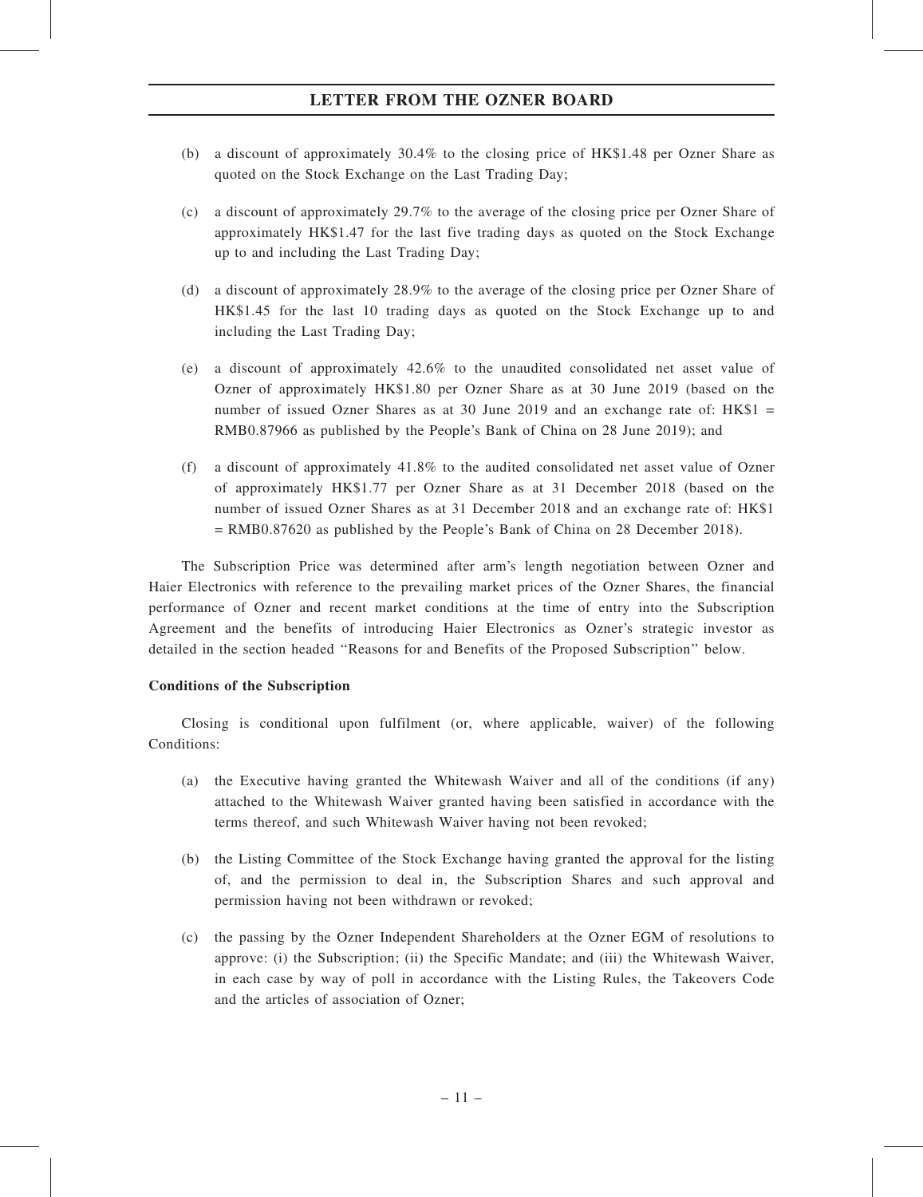- (b) a discount of approximately 30.4% to the closing price of HK\$1.48 per Ozner Share as quoted on the Stock Exchange on the Last Trading Day;
- (c) a discount of approximately 29.7% to the average of the closing price per Ozner Share of approximately HK\$1.47 for the last five trading days as quoted on the Stock Exchange up to and including the Last Trading Day;
- (d) a discount of approximately 28.9% to the average of the closing price per Ozner Share of HK\$1.45 for the last 10 trading days as quoted on the Stock Exchange up to and including the Last Trading Day;
- (e) a discount of approximately 42.6% to the unaudited consolidated net asset value of Ozner of approximately HK\$1.80 per Ozner Share as at 30 June 2019 (based on the number of issued Ozner Shares as at 30 June 2019 and an exchange rate of: HK\$1 = RMB0.87966 as published by the People's Bank of China on 28 June 2019); and
- (f) a discount of approximately 41.8% to the audited consolidated net asset value of Ozner of approximately HK\$1.77 per Ozner Share as at 31 December 2018 (based on the number of issued Ozner Shares as at 31 December 2018 and an exchange rate of: HK\$1 = RMB0.87620 as published by the People's Bank of China on 28 December 2018).

The Subscription Price was determined after arm's length negotiation between Ozner and Haier Electronics with reference to the prevailing market prices of the Ozner Shares, the financial performance of Ozner and recent market conditions at the time of entry into the Subscription Agreement and the benefits of introducing Haier Electronics as Ozner's strategic investor as detailed in the section headed ''Reasons for and Benefits of the Proposed Subscription'' below.

## Conditions of the Subscription

Closing is conditional upon fulfilment (or, where applicable, waiver) of the following Conditions:

- (a) the Executive having granted the Whitewash Waiver and all of the conditions (if any) attached to the Whitewash Waiver granted having been satisfied in accordance with the terms thereof, and such Whitewash Waiver having not been revoked;
- (b) the Listing Committee of the Stock Exchange having granted the approval for the listing of, and the permission to deal in, the Subscription Shares and such approval and permission having not been withdrawn or revoked;
- (c) the passing by the Ozner Independent Shareholders at the Ozner EGM of resolutions to approve: (i) the Subscription; (ii) the Specific Mandate; and (iii) the Whitewash Waiver, in each case by way of poll in accordance with the Listing Rules, the Takeovers Code and the articles of association of Ozner;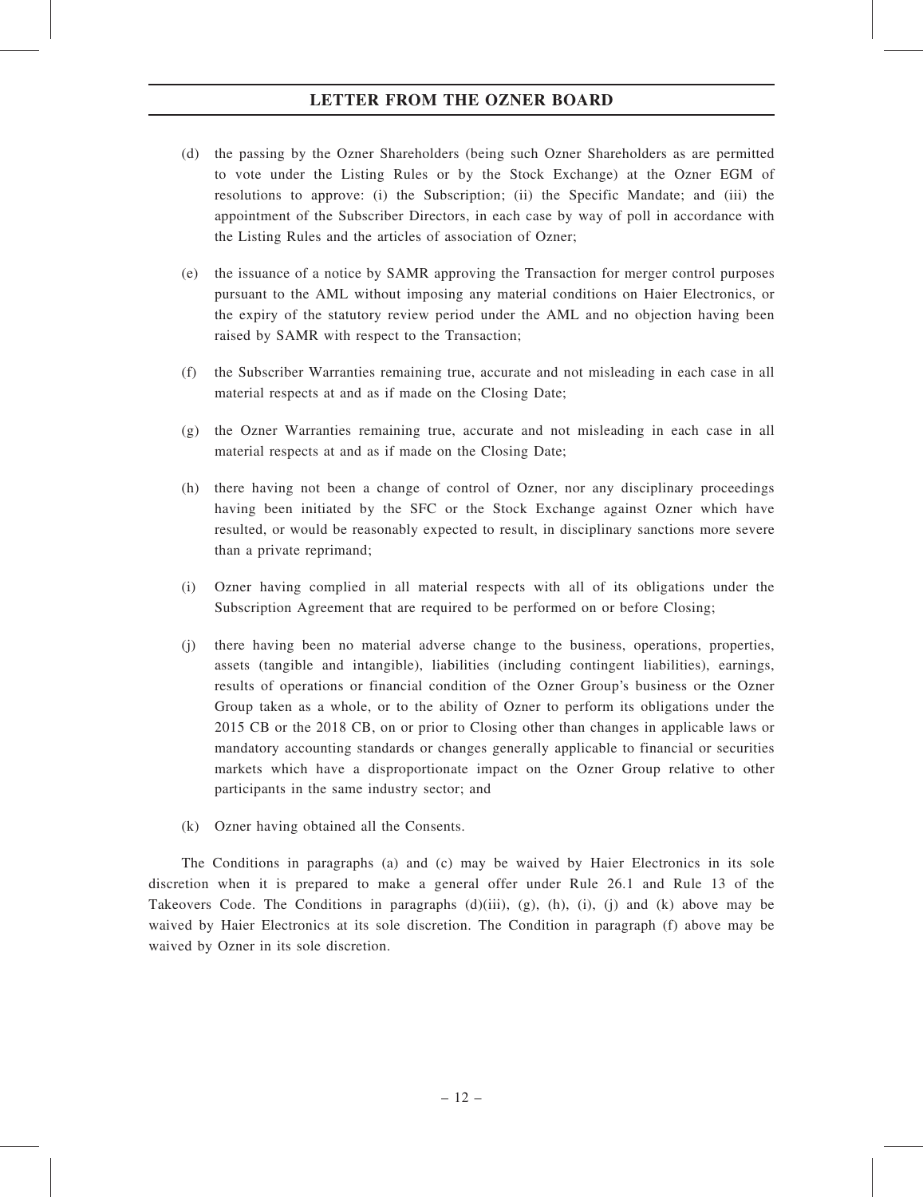- (d) the passing by the Ozner Shareholders (being such Ozner Shareholders as are permitted to vote under the Listing Rules or by the Stock Exchange) at the Ozner EGM of resolutions to approve: (i) the Subscription; (ii) the Specific Mandate; and (iii) the appointment of the Subscriber Directors, in each case by way of poll in accordance with the Listing Rules and the articles of association of Ozner;
- (e) the issuance of a notice by SAMR approving the Transaction for merger control purposes pursuant to the AML without imposing any material conditions on Haier Electronics, or the expiry of the statutory review period under the AML and no objection having been raised by SAMR with respect to the Transaction;
- (f) the Subscriber Warranties remaining true, accurate and not misleading in each case in all material respects at and as if made on the Closing Date;
- (g) the Ozner Warranties remaining true, accurate and not misleading in each case in all material respects at and as if made on the Closing Date;
- (h) there having not been a change of control of Ozner, nor any disciplinary proceedings having been initiated by the SFC or the Stock Exchange against Ozner which have resulted, or would be reasonably expected to result, in disciplinary sanctions more severe than a private reprimand;
- (i) Ozner having complied in all material respects with all of its obligations under the Subscription Agreement that are required to be performed on or before Closing;
- (j) there having been no material adverse change to the business, operations, properties, assets (tangible and intangible), liabilities (including contingent liabilities), earnings, results of operations or financial condition of the Ozner Group's business or the Ozner Group taken as a whole, or to the ability of Ozner to perform its obligations under the 2015 CB or the 2018 CB, on or prior to Closing other than changes in applicable laws or mandatory accounting standards or changes generally applicable to financial or securities markets which have a disproportionate impact on the Ozner Group relative to other participants in the same industry sector; and
- (k) Ozner having obtained all the Consents.

The Conditions in paragraphs (a) and (c) may be waived by Haier Electronics in its sole discretion when it is prepared to make a general offer under Rule 26.1 and Rule 13 of the Takeovers Code. The Conditions in paragraphs  $(d)(iii)$ ,  $(g)$ ,  $(h)$ ,  $(i)$ ,  $(j)$  and  $(k)$  above may be waived by Haier Electronics at its sole discretion. The Condition in paragraph (f) above may be waived by Ozner in its sole discretion.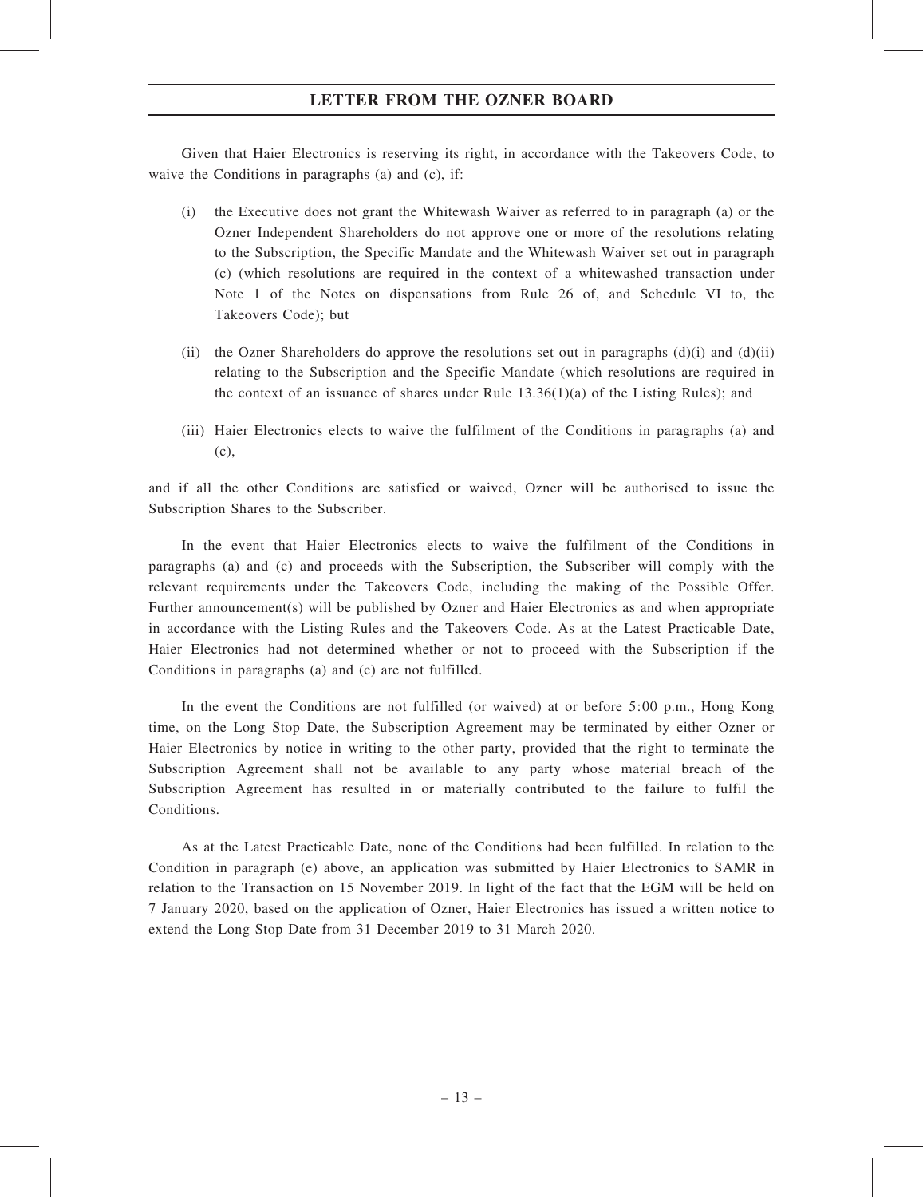Given that Haier Electronics is reserving its right, in accordance with the Takeovers Code, to waive the Conditions in paragraphs (a) and (c), if:

- (i) the Executive does not grant the Whitewash Waiver as referred to in paragraph (a) or the Ozner Independent Shareholders do not approve one or more of the resolutions relating to the Subscription, the Specific Mandate and the Whitewash Waiver set out in paragraph (c) (which resolutions are required in the context of a whitewashed transaction under Note 1 of the Notes on dispensations from Rule 26 of, and Schedule VI to, the Takeovers Code); but
- (ii) the Ozner Shareholders do approve the resolutions set out in paragraphs  $(d)(i)$  and  $(d)(ii)$ relating to the Subscription and the Specific Mandate (which resolutions are required in the context of an issuance of shares under Rule  $13.36(1)(a)$  of the Listing Rules); and
- (iii) Haier Electronics elects to waive the fulfilment of the Conditions in paragraphs (a) and (c),

and if all the other Conditions are satisfied or waived, Ozner will be authorised to issue the Subscription Shares to the Subscriber.

In the event that Haier Electronics elects to waive the fulfilment of the Conditions in paragraphs (a) and (c) and proceeds with the Subscription, the Subscriber will comply with the relevant requirements under the Takeovers Code, including the making of the Possible Offer. Further announcement(s) will be published by Ozner and Haier Electronics as and when appropriate in accordance with the Listing Rules and the Takeovers Code. As at the Latest Practicable Date, Haier Electronics had not determined whether or not to proceed with the Subscription if the Conditions in paragraphs (a) and (c) are not fulfilled.

In the event the Conditions are not fulfilled (or waived) at or before 5:00 p.m., Hong Kong time, on the Long Stop Date, the Subscription Agreement may be terminated by either Ozner or Haier Electronics by notice in writing to the other party, provided that the right to terminate the Subscription Agreement shall not be available to any party whose material breach of the Subscription Agreement has resulted in or materially contributed to the failure to fulfil the Conditions.

As at the Latest Practicable Date, none of the Conditions had been fulfilled. In relation to the Condition in paragraph (e) above, an application was submitted by Haier Electronics to SAMR in relation to the Transaction on 15 November 2019. In light of the fact that the EGM will be held on 7 January 2020, based on the application of Ozner, Haier Electronics has issued a written notice to extend the Long Stop Date from 31 December 2019 to 31 March 2020.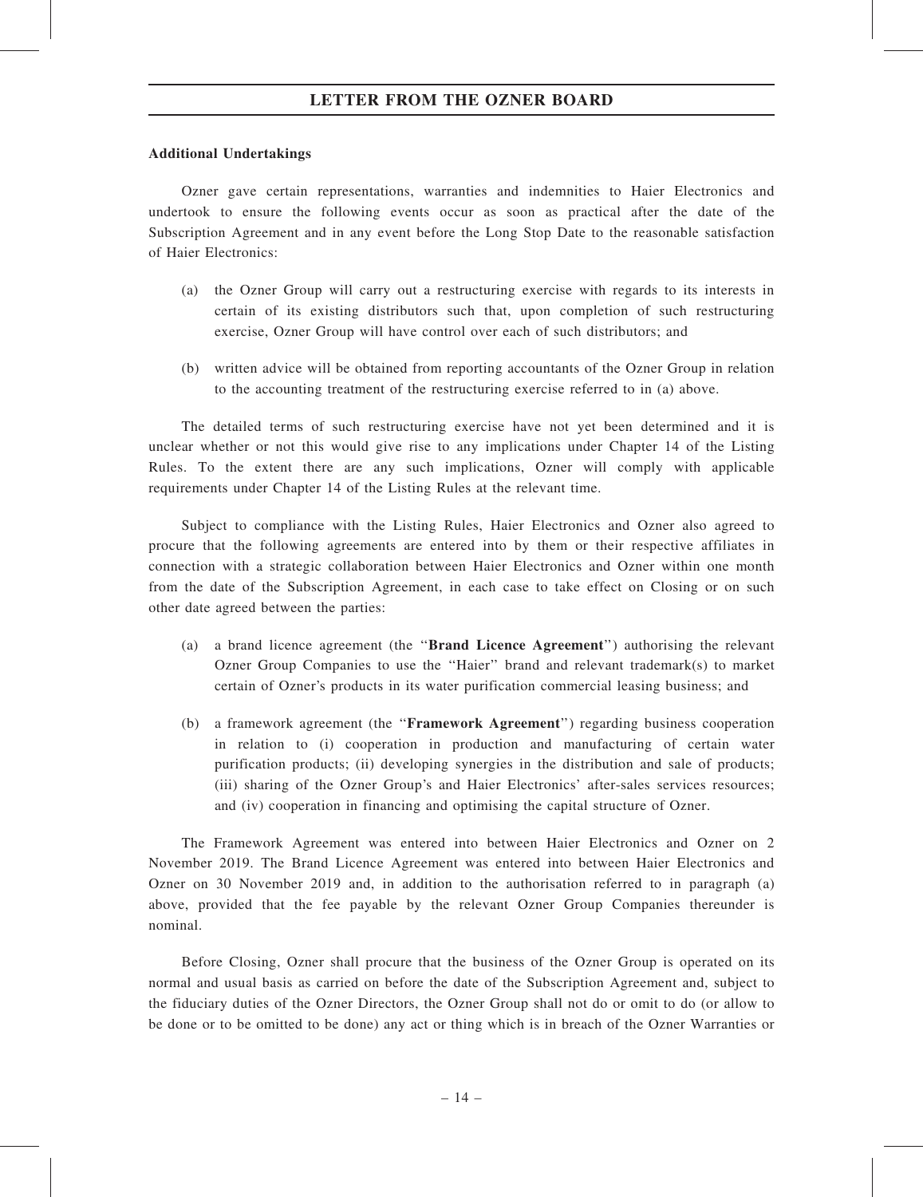#### Additional Undertakings

Ozner gave certain representations, warranties and indemnities to Haier Electronics and undertook to ensure the following events occur as soon as practical after the date of the Subscription Agreement and in any event before the Long Stop Date to the reasonable satisfaction of Haier Electronics:

- (a) the Ozner Group will carry out a restructuring exercise with regards to its interests in certain of its existing distributors such that, upon completion of such restructuring exercise, Ozner Group will have control over each of such distributors; and
- (b) written advice will be obtained from reporting accountants of the Ozner Group in relation to the accounting treatment of the restructuring exercise referred to in (a) above.

The detailed terms of such restructuring exercise have not yet been determined and it is unclear whether or not this would give rise to any implications under Chapter 14 of the Listing Rules. To the extent there are any such implications, Ozner will comply with applicable requirements under Chapter 14 of the Listing Rules at the relevant time.

Subject to compliance with the Listing Rules, Haier Electronics and Ozner also agreed to procure that the following agreements are entered into by them or their respective affiliates in connection with a strategic collaboration between Haier Electronics and Ozner within one month from the date of the Subscription Agreement, in each case to take effect on Closing or on such other date agreed between the parties:

- (a) a brand licence agreement (the ''Brand Licence Agreement'') authorising the relevant Ozner Group Companies to use the ''Haier'' brand and relevant trademark(s) to market certain of Ozner's products in its water purification commercial leasing business; and
- (b) a framework agreement (the ''Framework Agreement'') regarding business cooperation in relation to (i) cooperation in production and manufacturing of certain water purification products; (ii) developing synergies in the distribution and sale of products; (iii) sharing of the Ozner Group's and Haier Electronics' after-sales services resources; and (iv) cooperation in financing and optimising the capital structure of Ozner.

The Framework Agreement was entered into between Haier Electronics and Ozner on 2 November 2019. The Brand Licence Agreement was entered into between Haier Electronics and Ozner on 30 November 2019 and, in addition to the authorisation referred to in paragraph (a) above, provided that the fee payable by the relevant Ozner Group Companies thereunder is nominal.

Before Closing, Ozner shall procure that the business of the Ozner Group is operated on its normal and usual basis as carried on before the date of the Subscription Agreement and, subject to the fiduciary duties of the Ozner Directors, the Ozner Group shall not do or omit to do (or allow to be done or to be omitted to be done) any act or thing which is in breach of the Ozner Warranties or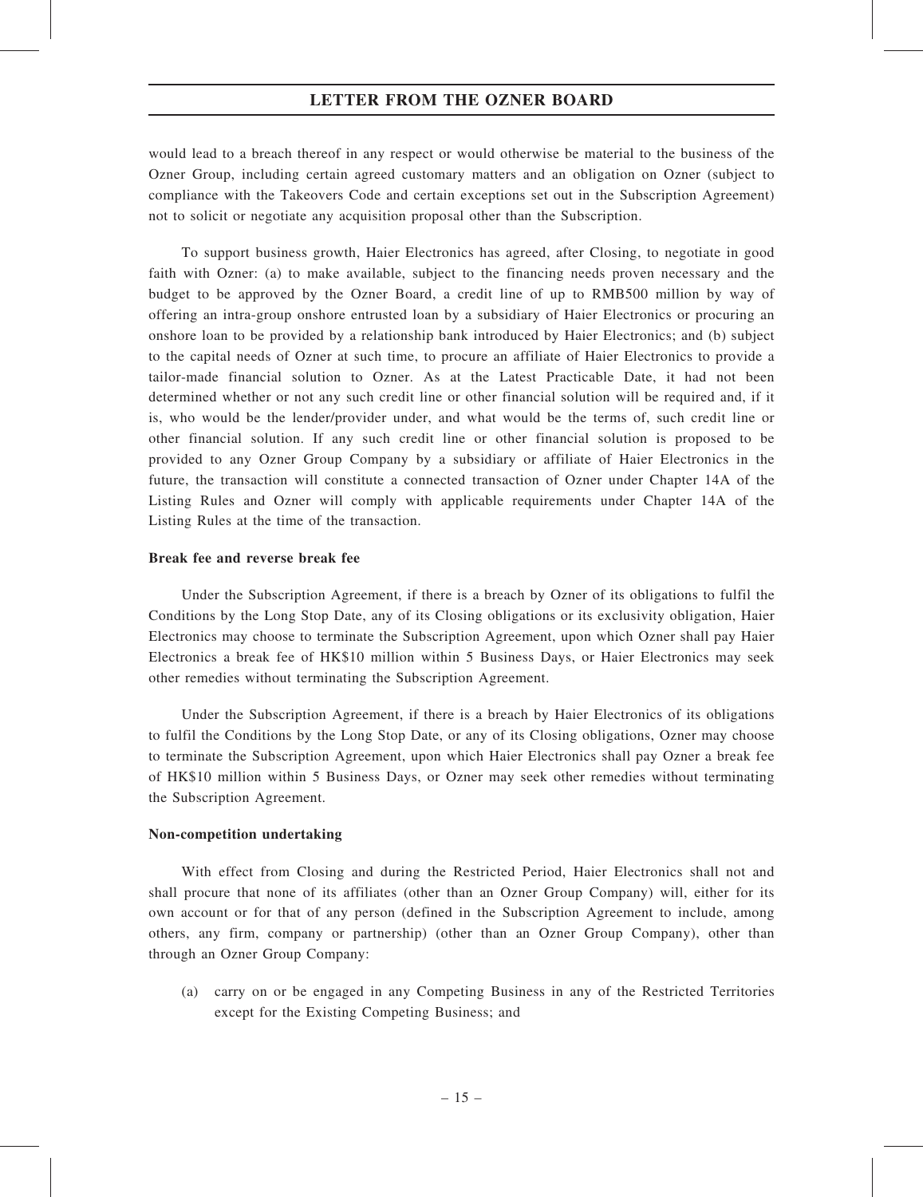would lead to a breach thereof in any respect or would otherwise be material to the business of the Ozner Group, including certain agreed customary matters and an obligation on Ozner (subject to compliance with the Takeovers Code and certain exceptions set out in the Subscription Agreement) not to solicit or negotiate any acquisition proposal other than the Subscription.

To support business growth, Haier Electronics has agreed, after Closing, to negotiate in good faith with Ozner: (a) to make available, subject to the financing needs proven necessary and the budget to be approved by the Ozner Board, a credit line of up to RMB500 million by way of offering an intra-group onshore entrusted loan by a subsidiary of Haier Electronics or procuring an onshore loan to be provided by a relationship bank introduced by Haier Electronics; and (b) subject to the capital needs of Ozner at such time, to procure an affiliate of Haier Electronics to provide a tailor-made financial solution to Ozner. As at the Latest Practicable Date, it had not been determined whether or not any such credit line or other financial solution will be required and, if it is, who would be the lender/provider under, and what would be the terms of, such credit line or other financial solution. If any such credit line or other financial solution is proposed to be provided to any Ozner Group Company by a subsidiary or affiliate of Haier Electronics in the future, the transaction will constitute a connected transaction of Ozner under Chapter 14A of the Listing Rules and Ozner will comply with applicable requirements under Chapter 14A of the Listing Rules at the time of the transaction.

#### Break fee and reverse break fee

Under the Subscription Agreement, if there is a breach by Ozner of its obligations to fulfil the Conditions by the Long Stop Date, any of its Closing obligations or its exclusivity obligation, Haier Electronics may choose to terminate the Subscription Agreement, upon which Ozner shall pay Haier Electronics a break fee of HK\$10 million within 5 Business Days, or Haier Electronics may seek other remedies without terminating the Subscription Agreement.

Under the Subscription Agreement, if there is a breach by Haier Electronics of its obligations to fulfil the Conditions by the Long Stop Date, or any of its Closing obligations, Ozner may choose to terminate the Subscription Agreement, upon which Haier Electronics shall pay Ozner a break fee of HK\$10 million within 5 Business Days, or Ozner may seek other remedies without terminating the Subscription Agreement.

#### Non-competition undertaking

With effect from Closing and during the Restricted Period, Haier Electronics shall not and shall procure that none of its affiliates (other than an Ozner Group Company) will, either for its own account or for that of any person (defined in the Subscription Agreement to include, among others, any firm, company or partnership) (other than an Ozner Group Company), other than through an Ozner Group Company:

(a) carry on or be engaged in any Competing Business in any of the Restricted Territories except for the Existing Competing Business; and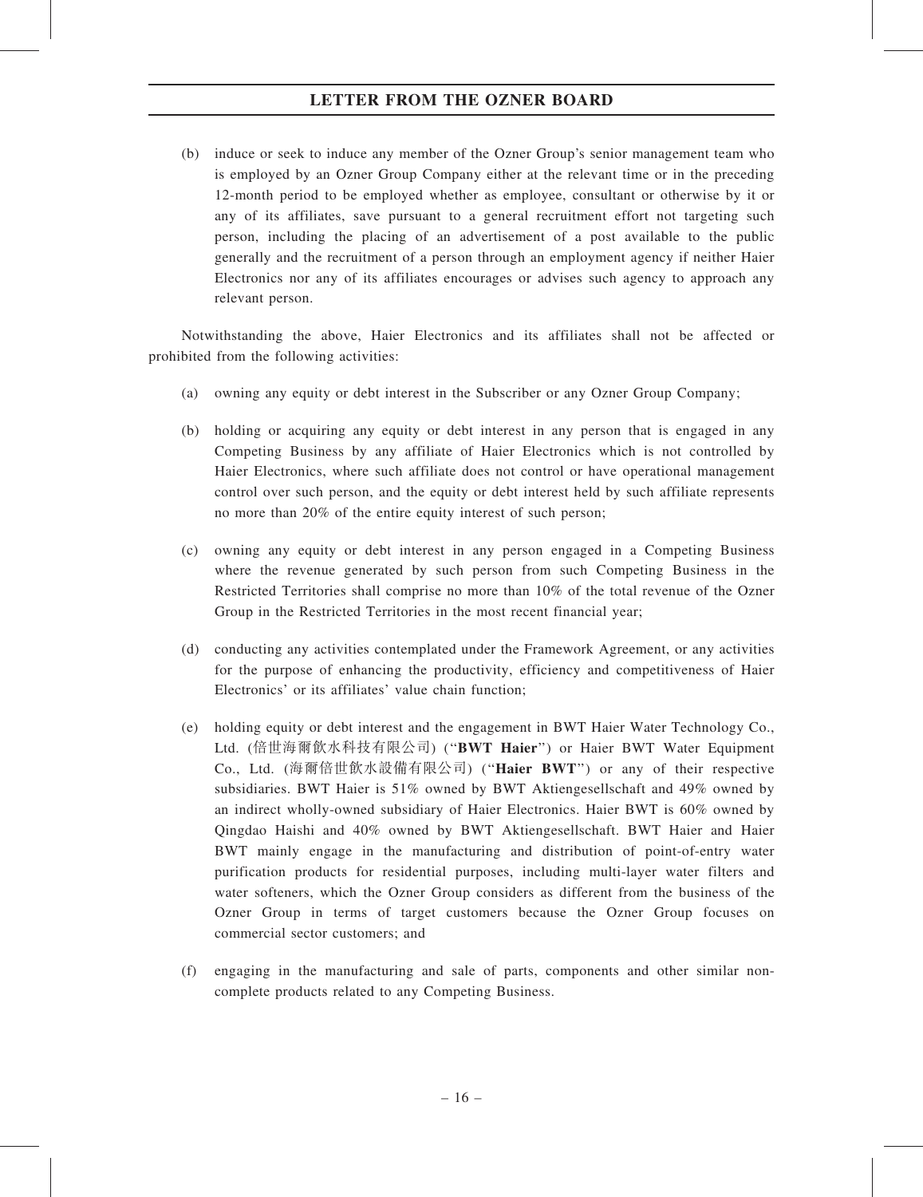(b) induce or seek to induce any member of the Ozner Group's senior management team who is employed by an Ozner Group Company either at the relevant time or in the preceding 12-month period to be employed whether as employee, consultant or otherwise by it or any of its affiliates, save pursuant to a general recruitment effort not targeting such person, including the placing of an advertisement of a post available to the public generally and the recruitment of a person through an employment agency if neither Haier Electronics nor any of its affiliates encourages or advises such agency to approach any relevant person.

Notwithstanding the above, Haier Electronics and its affiliates shall not be affected or prohibited from the following activities:

- (a) owning any equity or debt interest in the Subscriber or any Ozner Group Company;
- (b) holding or acquiring any equity or debt interest in any person that is engaged in any Competing Business by any affiliate of Haier Electronics which is not controlled by Haier Electronics, where such affiliate does not control or have operational management control over such person, and the equity or debt interest held by such affiliate represents no more than 20% of the entire equity interest of such person;
- (c) owning any equity or debt interest in any person engaged in a Competing Business where the revenue generated by such person from such Competing Business in the Restricted Territories shall comprise no more than 10% of the total revenue of the Ozner Group in the Restricted Territories in the most recent financial year;
- (d) conducting any activities contemplated under the Framework Agreement, or any activities for the purpose of enhancing the productivity, efficiency and competitiveness of Haier Electronics' or its affiliates' value chain function;
- (e) holding equity or debt interest and the engagement in BWT Haier Water Technology Co., Ltd. (倍世海爾飲水科技有限公司) ("BWT Haier") or Haier BWT Water Equipment Co., Ltd. (海爾倍世飲水設備有限公司) (''Haier BWT'') or any of their respective subsidiaries. BWT Haier is 51% owned by BWT Aktiengesellschaft and 49% owned by an indirect wholly-owned subsidiary of Haier Electronics. Haier BWT is 60% owned by Qingdao Haishi and 40% owned by BWT Aktiengesellschaft. BWT Haier and Haier BWT mainly engage in the manufacturing and distribution of point-of-entry water purification products for residential purposes, including multi-layer water filters and water softeners, which the Ozner Group considers as different from the business of the Ozner Group in terms of target customers because the Ozner Group focuses on commercial sector customers; and
- (f) engaging in the manufacturing and sale of parts, components and other similar noncomplete products related to any Competing Business.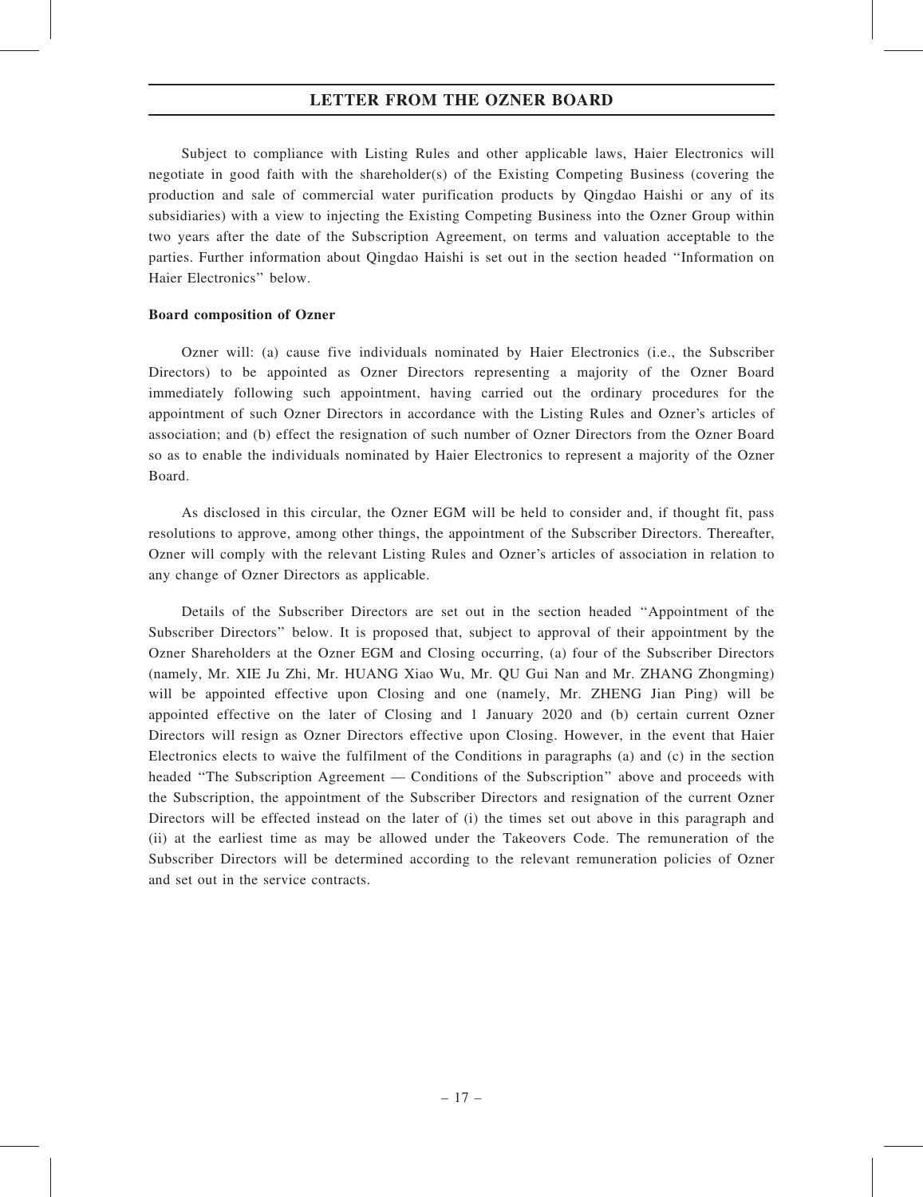Subject to compliance with Listing Rules and other applicable laws, Haier Electronics will negotiate in good faith with the shareholder(s) of the Existing Competing Business (covering the production and sale of commercial water purification products by Qingdao Haishi or any of its subsidiaries) with a view to injecting the Existing Competing Business into the Ozner Group within two years after the date of the Subscription Agreement, on terms and valuation acceptable to the parties. Further information about Qingdao Haishi is set out in the section headed ''Information on Haier Electronics'' below.

#### Board composition of Ozner

Ozner will: (a) cause five individuals nominated by Haier Electronics (i.e., the Subscriber Directors) to be appointed as Ozner Directors representing a majority of the Ozner Board immediately following such appointment, having carried out the ordinary procedures for the appointment of such Ozner Directors in accordance with the Listing Rules and Ozner's articles of association; and (b) effect the resignation of such number of Ozner Directors from the Ozner Board so as to enable the individuals nominated by Haier Electronics to represent a majority of the Ozner Board.

As disclosed in this circular, the Ozner EGM will be held to consider and, if thought fit, pass resolutions to approve, among other things, the appointment of the Subscriber Directors. Thereafter, Ozner will comply with the relevant Listing Rules and Ozner's articles of association in relation to any change of Ozner Directors as applicable.

Details of the Subscriber Directors are set out in the section headed ''Appointment of the Subscriber Directors'' below. It is proposed that, subject to approval of their appointment by the Ozner Shareholders at the Ozner EGM and Closing occurring, (a) four of the Subscriber Directors (namely, Mr. XIE Ju Zhi, Mr. HUANG Xiao Wu, Mr. QU Gui Nan and Mr. ZHANG Zhongming) will be appointed effective upon Closing and one (namely, Mr. ZHENG Jian Ping) will be appointed effective on the later of Closing and 1 January 2020 and (b) certain current Ozner Directors will resign as Ozner Directors effective upon Closing. However, in the event that Haier Electronics elects to waive the fulfilment of the Conditions in paragraphs (a) and (c) in the section headed ''The Subscription Agreement — Conditions of the Subscription'' above and proceeds with the Subscription, the appointment of the Subscriber Directors and resignation of the current Ozner Directors will be effected instead on the later of (i) the times set out above in this paragraph and (ii) at the earliest time as may be allowed under the Takeovers Code. The remuneration of the Subscriber Directors will be determined according to the relevant remuneration policies of Ozner and set out in the service contracts.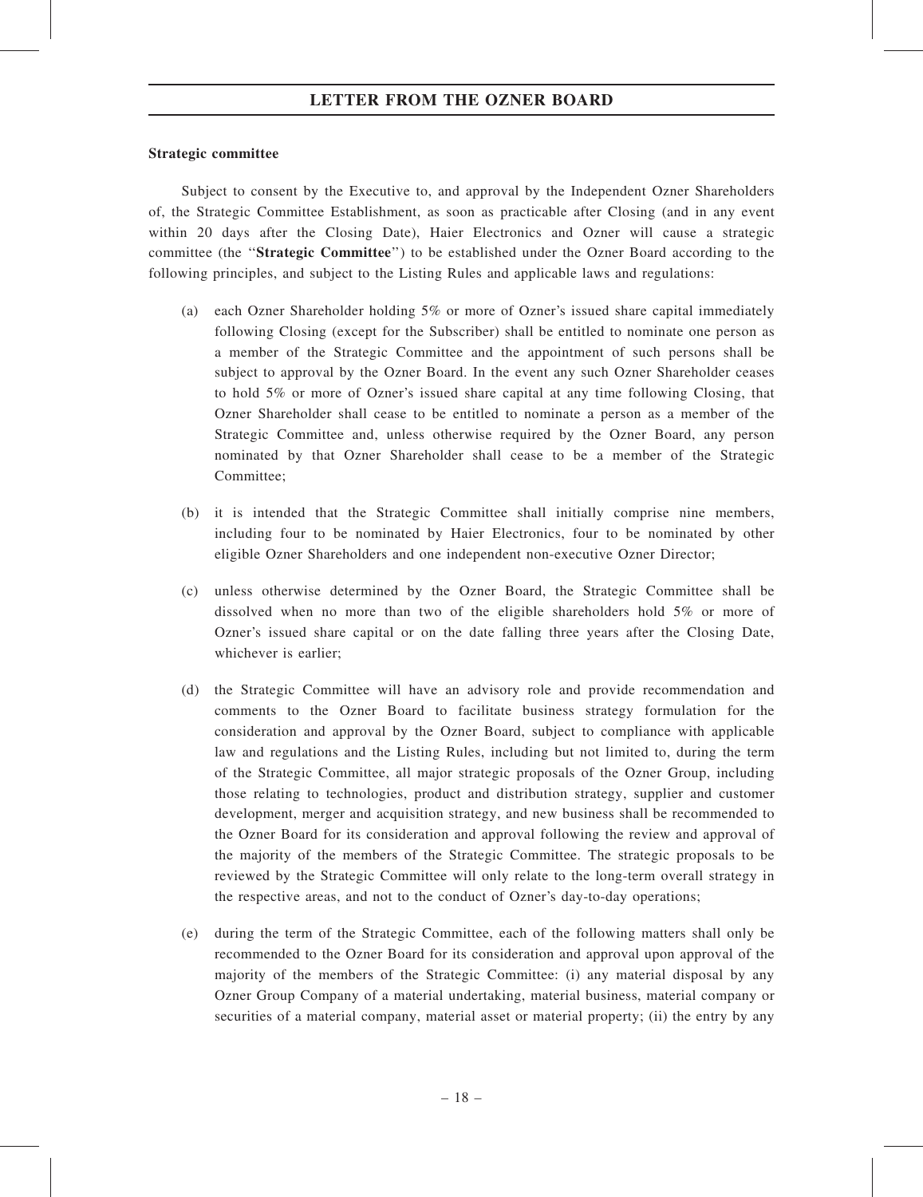#### Strategic committee

Subject to consent by the Executive to, and approval by the Independent Ozner Shareholders of, the Strategic Committee Establishment, as soon as practicable after Closing (and in any event within 20 days after the Closing Date), Haier Electronics and Ozner will cause a strategic committee (the ''Strategic Committee'') to be established under the Ozner Board according to the following principles, and subject to the Listing Rules and applicable laws and regulations:

- (a) each Ozner Shareholder holding 5% or more of Ozner's issued share capital immediately following Closing (except for the Subscriber) shall be entitled to nominate one person as a member of the Strategic Committee and the appointment of such persons shall be subject to approval by the Ozner Board. In the event any such Ozner Shareholder ceases to hold 5% or more of Ozner's issued share capital at any time following Closing, that Ozner Shareholder shall cease to be entitled to nominate a person as a member of the Strategic Committee and, unless otherwise required by the Ozner Board, any person nominated by that Ozner Shareholder shall cease to be a member of the Strategic Committee;
- (b) it is intended that the Strategic Committee shall initially comprise nine members, including four to be nominated by Haier Electronics, four to be nominated by other eligible Ozner Shareholders and one independent non-executive Ozner Director;
- (c) unless otherwise determined by the Ozner Board, the Strategic Committee shall be dissolved when no more than two of the eligible shareholders hold 5% or more of Ozner's issued share capital or on the date falling three years after the Closing Date, whichever is earlier;
- (d) the Strategic Committee will have an advisory role and provide recommendation and comments to the Ozner Board to facilitate business strategy formulation for the consideration and approval by the Ozner Board, subject to compliance with applicable law and regulations and the Listing Rules, including but not limited to, during the term of the Strategic Committee, all major strategic proposals of the Ozner Group, including those relating to technologies, product and distribution strategy, supplier and customer development, merger and acquisition strategy, and new business shall be recommended to the Ozner Board for its consideration and approval following the review and approval of the majority of the members of the Strategic Committee. The strategic proposals to be reviewed by the Strategic Committee will only relate to the long-term overall strategy in the respective areas, and not to the conduct of Ozner's day-to-day operations;
- (e) during the term of the Strategic Committee, each of the following matters shall only be recommended to the Ozner Board for its consideration and approval upon approval of the majority of the members of the Strategic Committee: (i) any material disposal by any Ozner Group Company of a material undertaking, material business, material company or securities of a material company, material asset or material property; (ii) the entry by any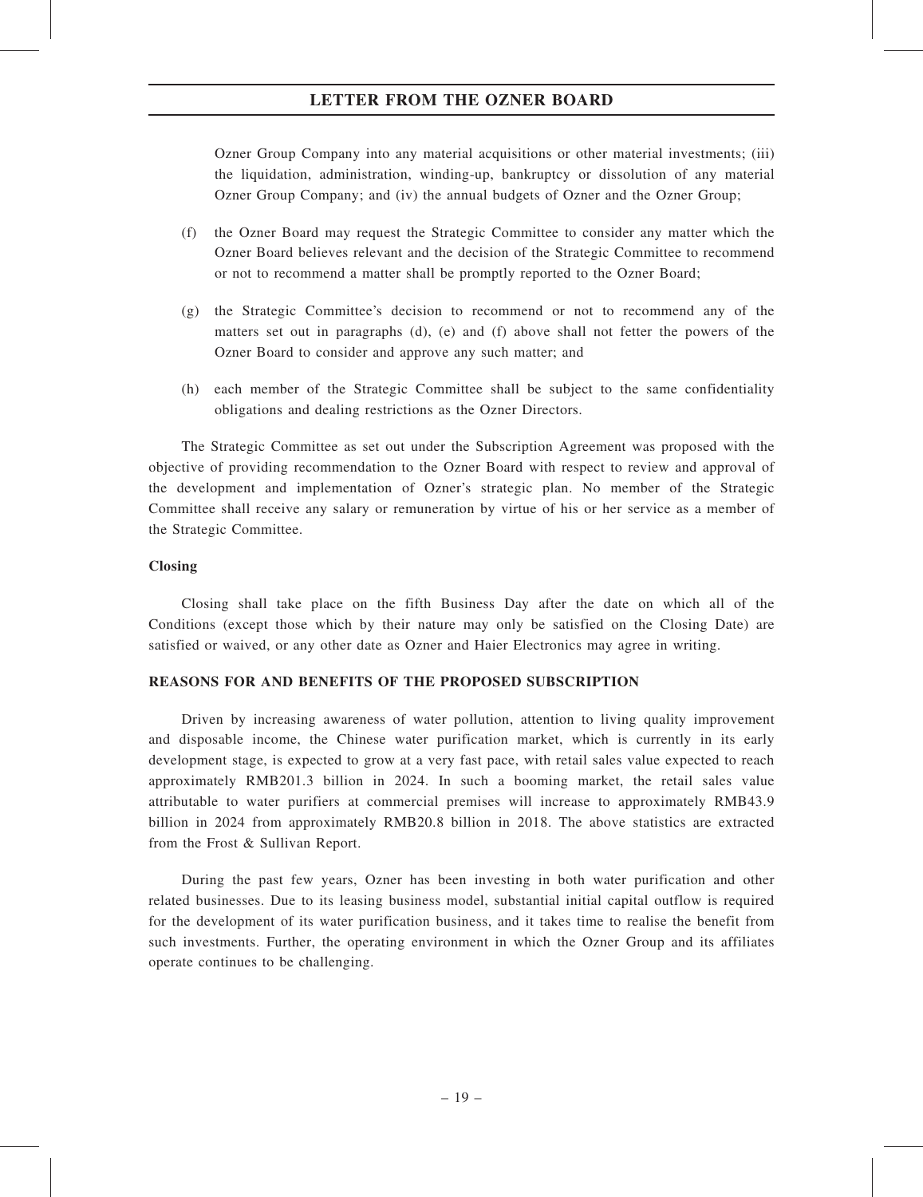Ozner Group Company into any material acquisitions or other material investments; (iii) the liquidation, administration, winding-up, bankruptcy or dissolution of any material Ozner Group Company; and (iv) the annual budgets of Ozner and the Ozner Group;

- (f) the Ozner Board may request the Strategic Committee to consider any matter which the Ozner Board believes relevant and the decision of the Strategic Committee to recommend or not to recommend a matter shall be promptly reported to the Ozner Board;
- (g) the Strategic Committee's decision to recommend or not to recommend any of the matters set out in paragraphs (d), (e) and (f) above shall not fetter the powers of the Ozner Board to consider and approve any such matter; and
- (h) each member of the Strategic Committee shall be subject to the same confidentiality obligations and dealing restrictions as the Ozner Directors.

The Strategic Committee as set out under the Subscription Agreement was proposed with the objective of providing recommendation to the Ozner Board with respect to review and approval of the development and implementation of Ozner's strategic plan. No member of the Strategic Committee shall receive any salary or remuneration by virtue of his or her service as a member of the Strategic Committee.

#### Closing

Closing shall take place on the fifth Business Day after the date on which all of the Conditions (except those which by their nature may only be satisfied on the Closing Date) are satisfied or waived, or any other date as Ozner and Haier Electronics may agree in writing.

#### REASONS FOR AND BENEFITS OF THE PROPOSED SUBSCRIPTION

Driven by increasing awareness of water pollution, attention to living quality improvement and disposable income, the Chinese water purification market, which is currently in its early development stage, is expected to grow at a very fast pace, with retail sales value expected to reach approximately RMB201.3 billion in 2024. In such a booming market, the retail sales value attributable to water purifiers at commercial premises will increase to approximately RMB43.9 billion in 2024 from approximately RMB20.8 billion in 2018. The above statistics are extracted from the Frost & Sullivan Report.

During the past few years, Ozner has been investing in both water purification and other related businesses. Due to its leasing business model, substantial initial capital outflow is required for the development of its water purification business, and it takes time to realise the benefit from such investments. Further, the operating environment in which the Ozner Group and its affiliates operate continues to be challenging.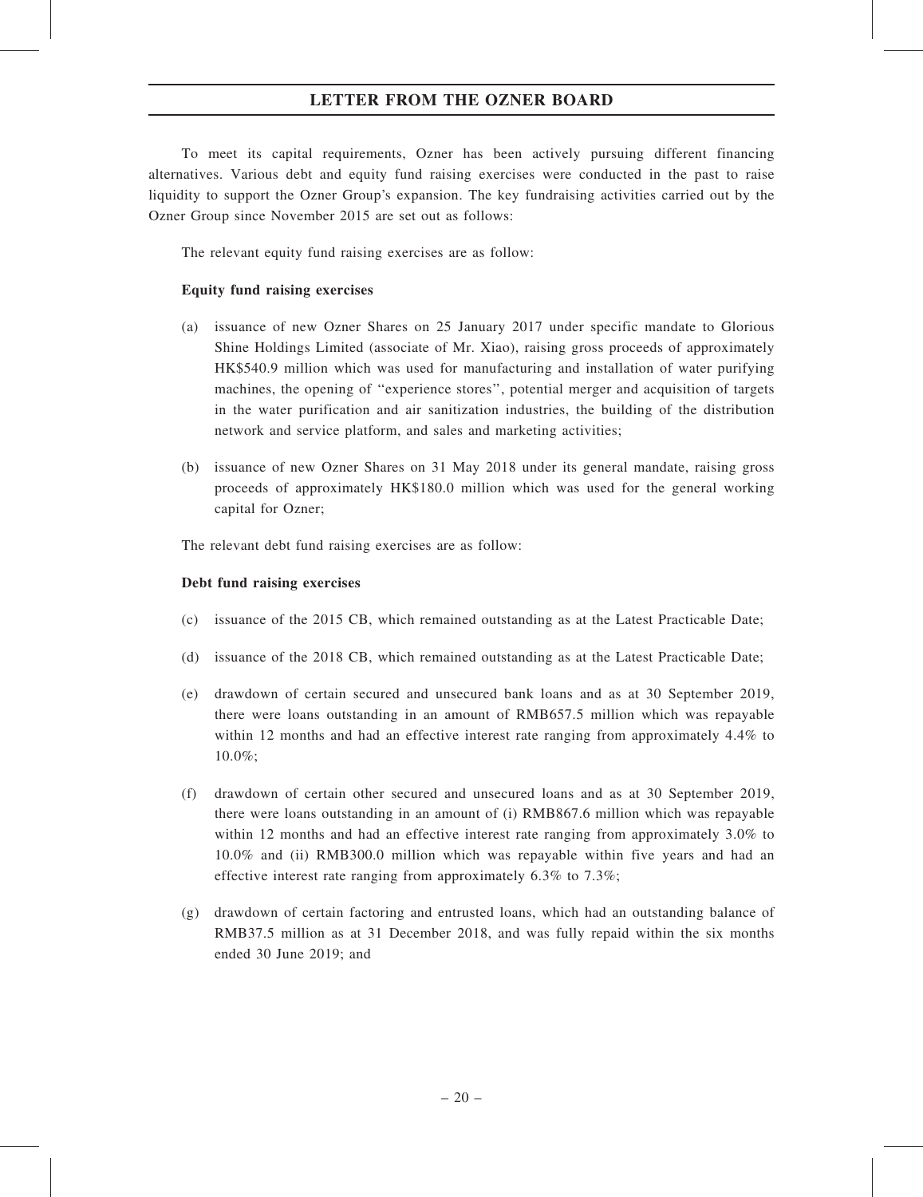To meet its capital requirements, Ozner has been actively pursuing different financing alternatives. Various debt and equity fund raising exercises were conducted in the past to raise liquidity to support the Ozner Group's expansion. The key fundraising activities carried out by the Ozner Group since November 2015 are set out as follows:

The relevant equity fund raising exercises are as follow:

# Equity fund raising exercises

- (a) issuance of new Ozner Shares on 25 January 2017 under specific mandate to Glorious Shine Holdings Limited (associate of Mr. Xiao), raising gross proceeds of approximately HK\$540.9 million which was used for manufacturing and installation of water purifying machines, the opening of ''experience stores'', potential merger and acquisition of targets in the water purification and air sanitization industries, the building of the distribution network and service platform, and sales and marketing activities;
- (b) issuance of new Ozner Shares on 31 May 2018 under its general mandate, raising gross proceeds of approximately HK\$180.0 million which was used for the general working capital for Ozner;

The relevant debt fund raising exercises are as follow:

## Debt fund raising exercises

- (c) issuance of the 2015 CB, which remained outstanding as at the Latest Practicable Date;
- (d) issuance of the 2018 CB, which remained outstanding as at the Latest Practicable Date;
- (e) drawdown of certain secured and unsecured bank loans and as at 30 September 2019, there were loans outstanding in an amount of RMB657.5 million which was repayable within 12 months and had an effective interest rate ranging from approximately 4.4% to 10.0%;
- (f) drawdown of certain other secured and unsecured loans and as at 30 September 2019, there were loans outstanding in an amount of (i) RMB867.6 million which was repayable within 12 months and had an effective interest rate ranging from approximately 3.0% to 10.0% and (ii) RMB300.0 million which was repayable within five years and had an effective interest rate ranging from approximately  $6.3\%$  to  $7.3\%$ ;
- (g) drawdown of certain factoring and entrusted loans, which had an outstanding balance of RMB37.5 million as at 31 December 2018, and was fully repaid within the six months ended 30 June 2019; and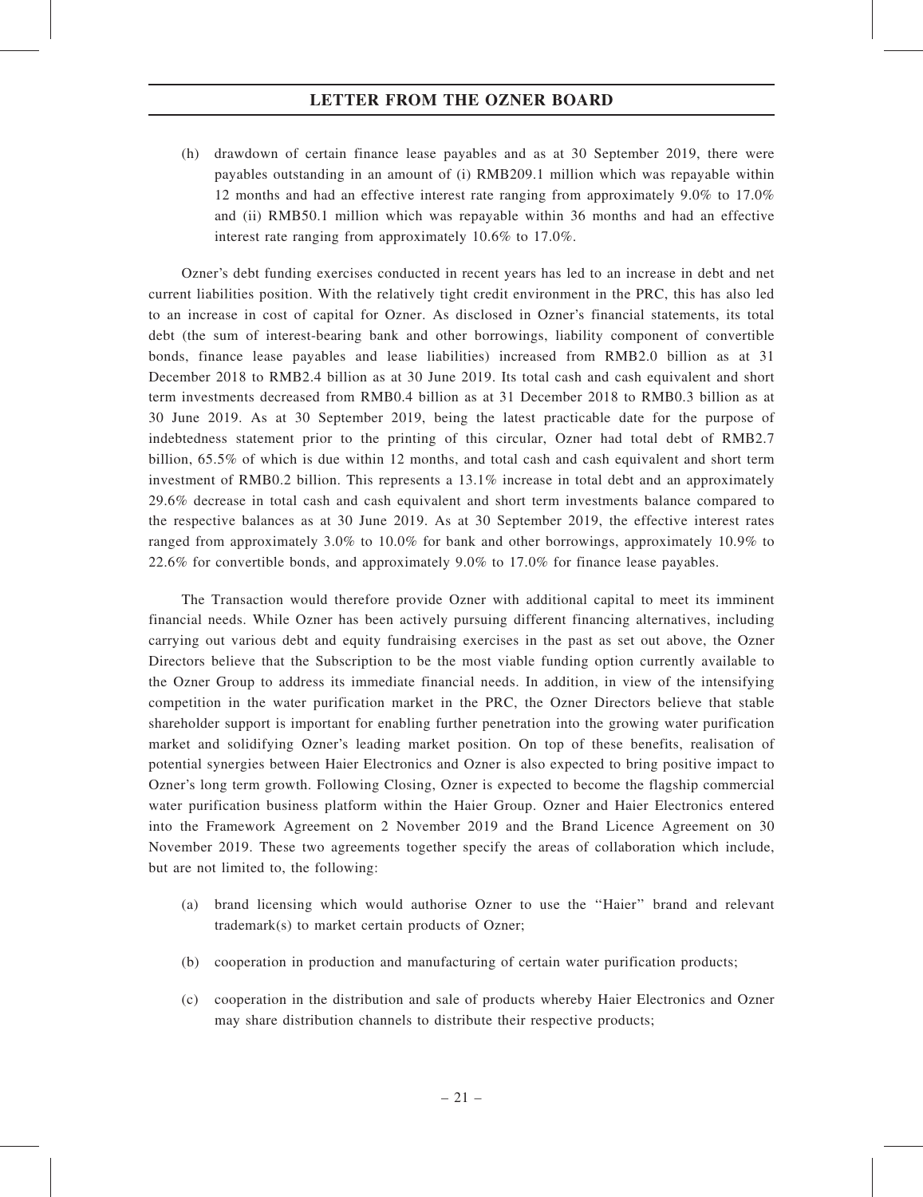(h) drawdown of certain finance lease payables and as at 30 September 2019, there were payables outstanding in an amount of (i) RMB209.1 million which was repayable within 12 months and had an effective interest rate ranging from approximately 9.0% to 17.0% and (ii) RMB50.1 million which was repayable within 36 months and had an effective interest rate ranging from approximately 10.6% to 17.0%.

Ozner's debt funding exercises conducted in recent years has led to an increase in debt and net current liabilities position. With the relatively tight credit environment in the PRC, this has also led to an increase in cost of capital for Ozner. As disclosed in Ozner's financial statements, its total debt (the sum of interest-bearing bank and other borrowings, liability component of convertible bonds, finance lease payables and lease liabilities) increased from RMB2.0 billion as at 31 December 2018 to RMB2.4 billion as at 30 June 2019. Its total cash and cash equivalent and short term investments decreased from RMB0.4 billion as at 31 December 2018 to RMB0.3 billion as at 30 June 2019. As at 30 September 2019, being the latest practicable date for the purpose of indebtedness statement prior to the printing of this circular, Ozner had total debt of RMB2.7 billion, 65.5% of which is due within 12 months, and total cash and cash equivalent and short term investment of RMB0.2 billion. This represents a 13.1% increase in total debt and an approximately 29.6% decrease in total cash and cash equivalent and short term investments balance compared to the respective balances as at 30 June 2019. As at 30 September 2019, the effective interest rates ranged from approximately 3.0% to 10.0% for bank and other borrowings, approximately 10.9% to 22.6% for convertible bonds, and approximately 9.0% to 17.0% for finance lease payables.

The Transaction would therefore provide Ozner with additional capital to meet its imminent financial needs. While Ozner has been actively pursuing different financing alternatives, including carrying out various debt and equity fundraising exercises in the past as set out above, the Ozner Directors believe that the Subscription to be the most viable funding option currently available to the Ozner Group to address its immediate financial needs. In addition, in view of the intensifying competition in the water purification market in the PRC, the Ozner Directors believe that stable shareholder support is important for enabling further penetration into the growing water purification market and solidifying Ozner's leading market position. On top of these benefits, realisation of potential synergies between Haier Electronics and Ozner is also expected to bring positive impact to Ozner's long term growth. Following Closing, Ozner is expected to become the flagship commercial water purification business platform within the Haier Group. Ozner and Haier Electronics entered into the Framework Agreement on 2 November 2019 and the Brand Licence Agreement on 30 November 2019. These two agreements together specify the areas of collaboration which include, but are not limited to, the following:

- (a) brand licensing which would authorise Ozner to use the ''Haier'' brand and relevant trademark(s) to market certain products of Ozner;
- (b) cooperation in production and manufacturing of certain water purification products;
- (c) cooperation in the distribution and sale of products whereby Haier Electronics and Ozner may share distribution channels to distribute their respective products;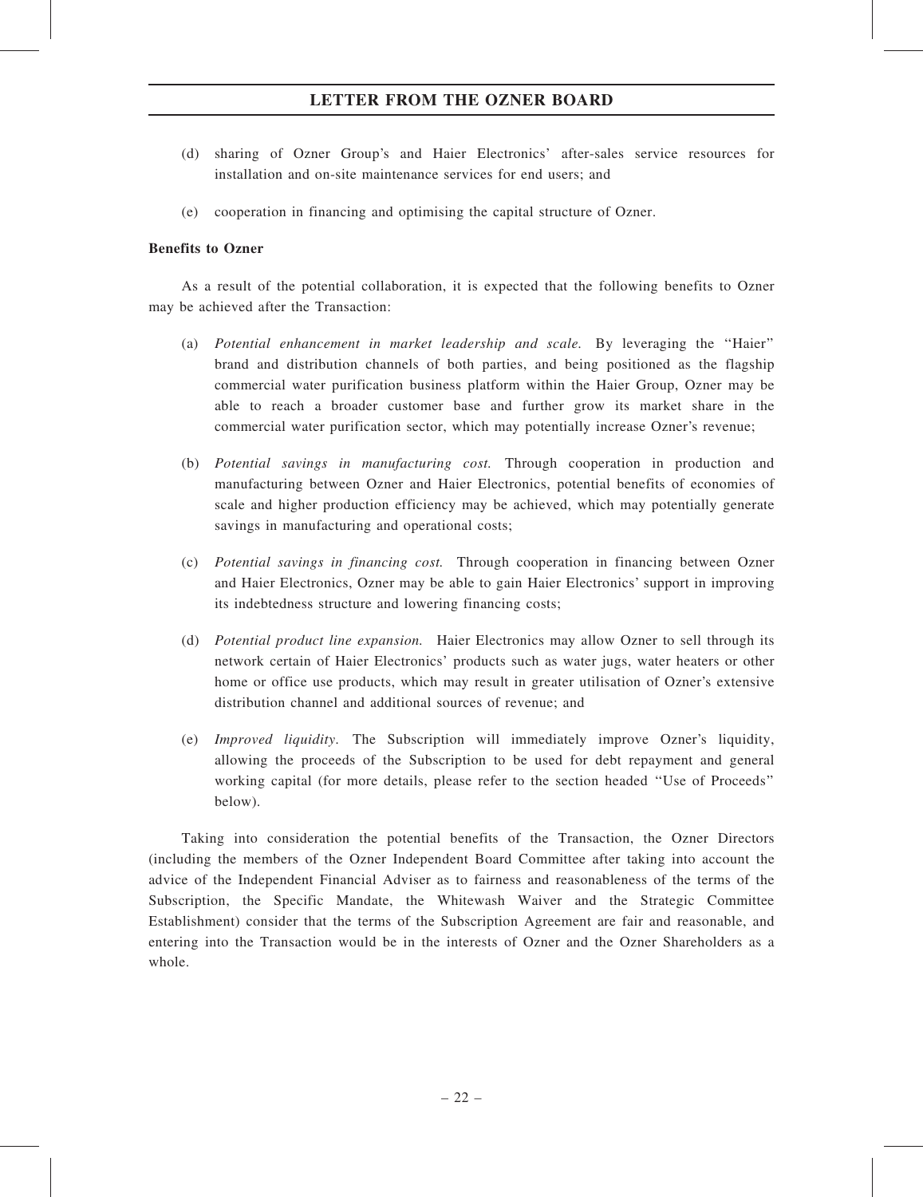- (d) sharing of Ozner Group's and Haier Electronics' after-sales service resources for installation and on-site maintenance services for end users; and
- (e) cooperation in financing and optimising the capital structure of Ozner.

#### Benefits to Ozner

As a result of the potential collaboration, it is expected that the following benefits to Ozner may be achieved after the Transaction:

- (a) Potential enhancement in market leadership and scale. By leveraging the ''Haier'' brand and distribution channels of both parties, and being positioned as the flagship commercial water purification business platform within the Haier Group, Ozner may be able to reach a broader customer base and further grow its market share in the commercial water purification sector, which may potentially increase Ozner's revenue;
- (b) Potential savings in manufacturing cost. Through cooperation in production and manufacturing between Ozner and Haier Electronics, potential benefits of economies of scale and higher production efficiency may be achieved, which may potentially generate savings in manufacturing and operational costs;
- (c) Potential savings in financing cost. Through cooperation in financing between Ozner and Haier Electronics, Ozner may be able to gain Haier Electronics' support in improving its indebtedness structure and lowering financing costs;
- (d) Potential product line expansion. Haier Electronics may allow Ozner to sell through its network certain of Haier Electronics' products such as water jugs, water heaters or other home or office use products, which may result in greater utilisation of Ozner's extensive distribution channel and additional sources of revenue; and
- (e) Improved liquidity. The Subscription will immediately improve Ozner's liquidity, allowing the proceeds of the Subscription to be used for debt repayment and general working capital (for more details, please refer to the section headed ''Use of Proceeds'' below).

Taking into consideration the potential benefits of the Transaction, the Ozner Directors (including the members of the Ozner Independent Board Committee after taking into account the advice of the Independent Financial Adviser as to fairness and reasonableness of the terms of the Subscription, the Specific Mandate, the Whitewash Waiver and the Strategic Committee Establishment) consider that the terms of the Subscription Agreement are fair and reasonable, and entering into the Transaction would be in the interests of Ozner and the Ozner Shareholders as a whole.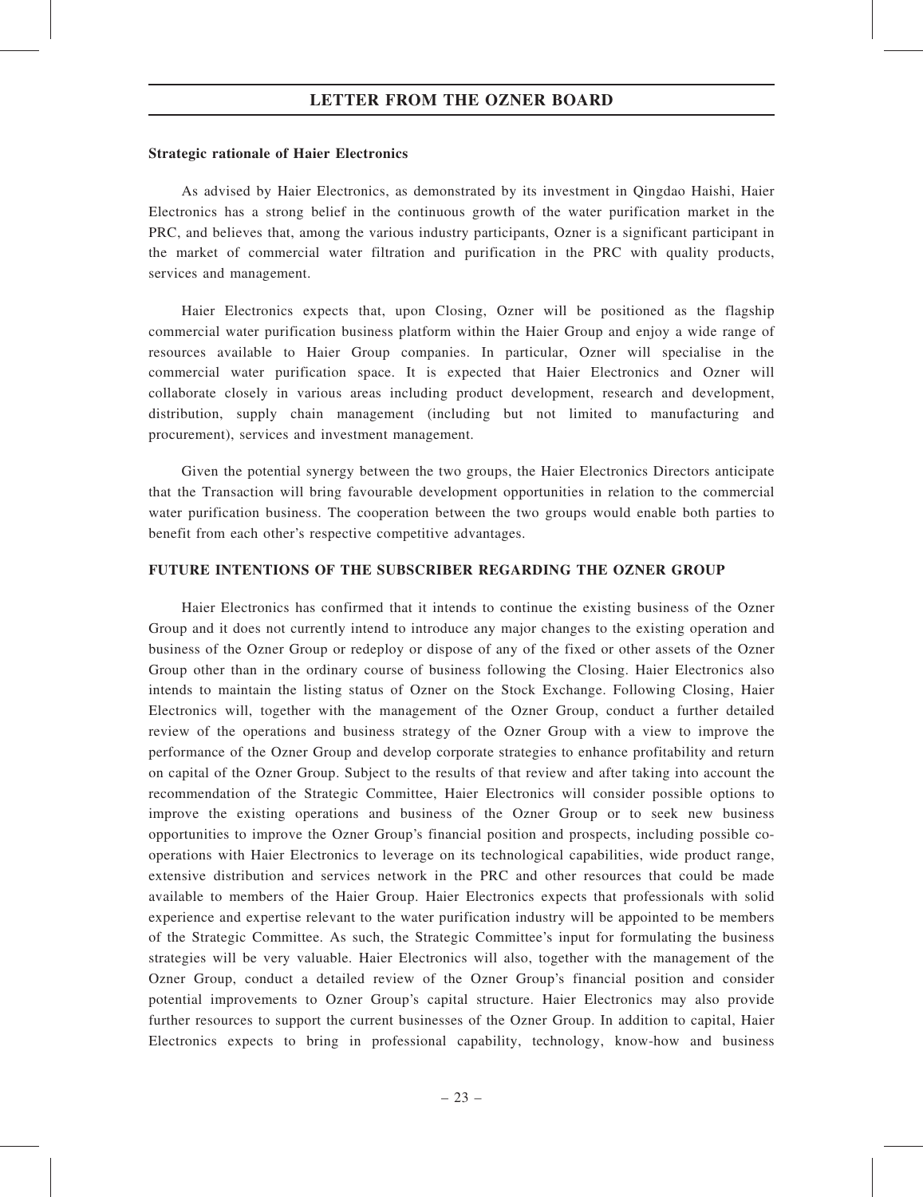#### Strategic rationale of Haier Electronics

As advised by Haier Electronics, as demonstrated by its investment in Qingdao Haishi, Haier Electronics has a strong belief in the continuous growth of the water purification market in the PRC, and believes that, among the various industry participants, Ozner is a significant participant in the market of commercial water filtration and purification in the PRC with quality products, services and management.

Haier Electronics expects that, upon Closing, Ozner will be positioned as the flagship commercial water purification business platform within the Haier Group and enjoy a wide range of resources available to Haier Group companies. In particular, Ozner will specialise in the commercial water purification space. It is expected that Haier Electronics and Ozner will collaborate closely in various areas including product development, research and development, distribution, supply chain management (including but not limited to manufacturing and procurement), services and investment management.

Given the potential synergy between the two groups, the Haier Electronics Directors anticipate that the Transaction will bring favourable development opportunities in relation to the commercial water purification business. The cooperation between the two groups would enable both parties to benefit from each other's respective competitive advantages.

#### FUTURE INTENTIONS OF THE SUBSCRIBER REGARDING THE OZNER GROUP

Haier Electronics has confirmed that it intends to continue the existing business of the Ozner Group and it does not currently intend to introduce any major changes to the existing operation and business of the Ozner Group or redeploy or dispose of any of the fixed or other assets of the Ozner Group other than in the ordinary course of business following the Closing. Haier Electronics also intends to maintain the listing status of Ozner on the Stock Exchange. Following Closing, Haier Electronics will, together with the management of the Ozner Group, conduct a further detailed review of the operations and business strategy of the Ozner Group with a view to improve the performance of the Ozner Group and develop corporate strategies to enhance profitability and return on capital of the Ozner Group. Subject to the results of that review and after taking into account the recommendation of the Strategic Committee, Haier Electronics will consider possible options to improve the existing operations and business of the Ozner Group or to seek new business opportunities to improve the Ozner Group's financial position and prospects, including possible cooperations with Haier Electronics to leverage on its technological capabilities, wide product range, extensive distribution and services network in the PRC and other resources that could be made available to members of the Haier Group. Haier Electronics expects that professionals with solid experience and expertise relevant to the water purification industry will be appointed to be members of the Strategic Committee. As such, the Strategic Committee's input for formulating the business strategies will be very valuable. Haier Electronics will also, together with the management of the Ozner Group, conduct a detailed review of the Ozner Group's financial position and consider potential improvements to Ozner Group's capital structure. Haier Electronics may also provide further resources to support the current businesses of the Ozner Group. In addition to capital, Haier Electronics expects to bring in professional capability, technology, know-how and business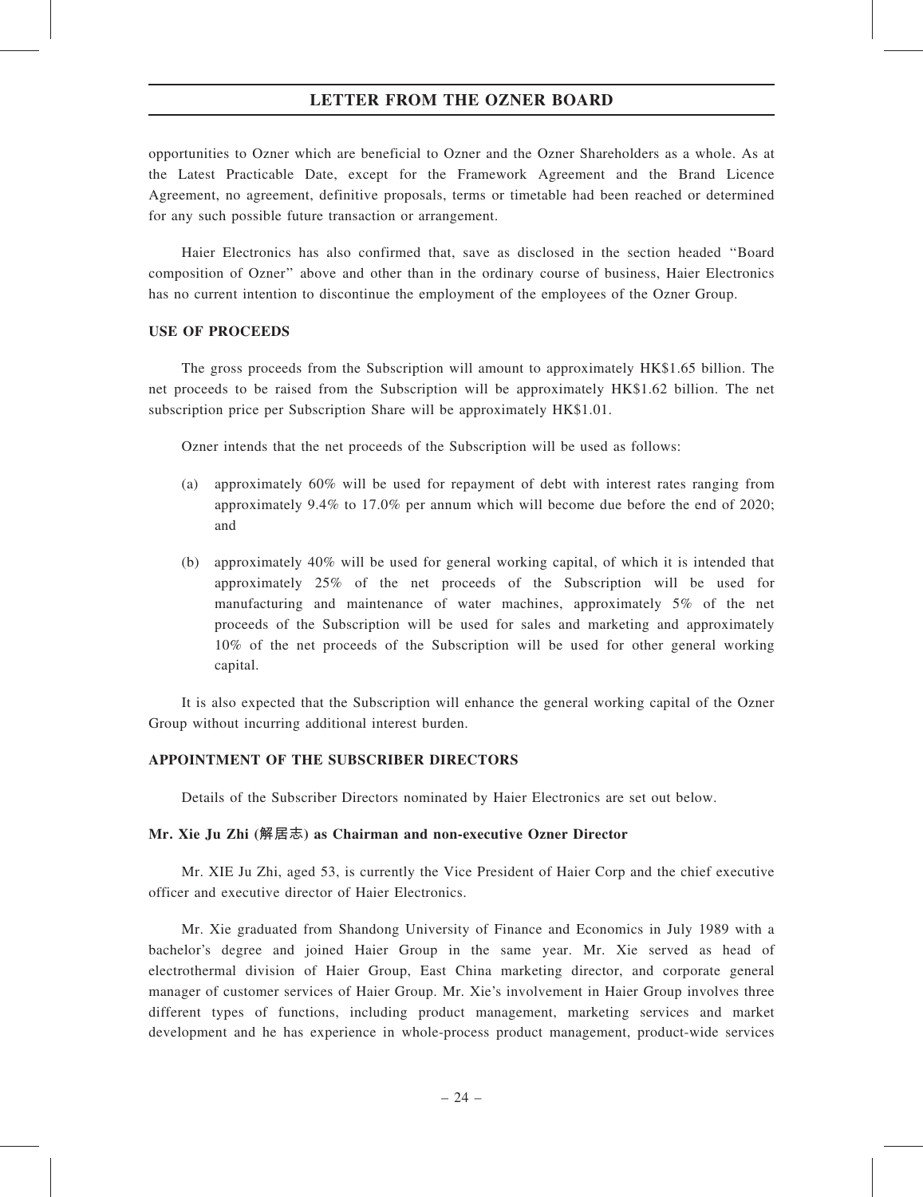opportunities to Ozner which are beneficial to Ozner and the Ozner Shareholders as a whole. As at the Latest Practicable Date, except for the Framework Agreement and the Brand Licence Agreement, no agreement, definitive proposals, terms or timetable had been reached or determined for any such possible future transaction or arrangement.

Haier Electronics has also confirmed that, save as disclosed in the section headed ''Board composition of Ozner'' above and other than in the ordinary course of business, Haier Electronics has no current intention to discontinue the employment of the employees of the Ozner Group.

# USE OF PROCEEDS

The gross proceeds from the Subscription will amount to approximately HK\$1.65 billion. The net proceeds to be raised from the Subscription will be approximately HK\$1.62 billion. The net subscription price per Subscription Share will be approximately HK\$1.01.

Ozner intends that the net proceeds of the Subscription will be used as follows:

- (a) approximately 60% will be used for repayment of debt with interest rates ranging from approximately 9.4% to 17.0% per annum which will become due before the end of 2020; and
- (b) approximately 40% will be used for general working capital, of which it is intended that approximately 25% of the net proceeds of the Subscription will be used for manufacturing and maintenance of water machines, approximately 5% of the net proceeds of the Subscription will be used for sales and marketing and approximately 10% of the net proceeds of the Subscription will be used for other general working capital.

It is also expected that the Subscription will enhance the general working capital of the Ozner Group without incurring additional interest burden.

#### APPOINTMENT OF THE SUBSCRIBER DIRECTORS

Details of the Subscriber Directors nominated by Haier Electronics are set out below.

#### Mr. Xie Ju Zhi (解居志) as Chairman and non-executive Ozner Director

Mr. XIE Ju Zhi, aged 53, is currently the Vice President of Haier Corp and the chief executive officer and executive director of Haier Electronics.

Mr. Xie graduated from Shandong University of Finance and Economics in July 1989 with a bachelor's degree and joined Haier Group in the same year. Mr. Xie served as head of electrothermal division of Haier Group, East China marketing director, and corporate general manager of customer services of Haier Group. Mr. Xie's involvement in Haier Group involves three different types of functions, including product management, marketing services and market development and he has experience in whole-process product management, product-wide services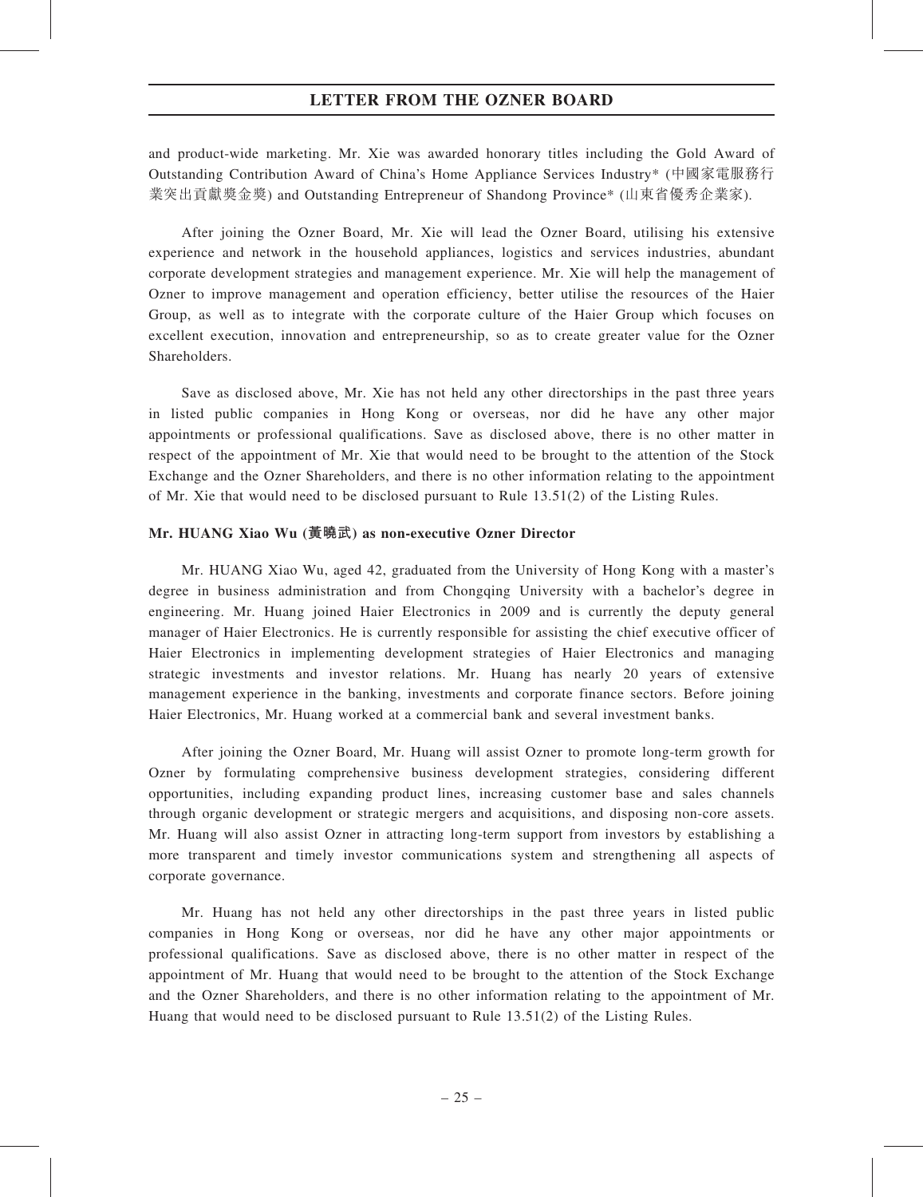and product-wide marketing. Mr. Xie was awarded honorary titles including the Gold Award of Outstanding Contribution Award of China's Home Appliance Services Industry\* (中國家電服務行 業突出貢獻獎金獎) and Outstanding Entrepreneur of Shandong Province\* (山東省優秀企業家).

After joining the Ozner Board, Mr. Xie will lead the Ozner Board, utilising his extensive experience and network in the household appliances, logistics and services industries, abundant corporate development strategies and management experience. Mr. Xie will help the management of Ozner to improve management and operation efficiency, better utilise the resources of the Haier Group, as well as to integrate with the corporate culture of the Haier Group which focuses on excellent execution, innovation and entrepreneurship, so as to create greater value for the Ozner Shareholders.

Save as disclosed above, Mr. Xie has not held any other directorships in the past three years in listed public companies in Hong Kong or overseas, nor did he have any other major appointments or professional qualifications. Save as disclosed above, there is no other matter in respect of the appointment of Mr. Xie that would need to be brought to the attention of the Stock Exchange and the Ozner Shareholders, and there is no other information relating to the appointment of Mr. Xie that would need to be disclosed pursuant to Rule 13.51(2) of the Listing Rules.

#### Mr. HUANG Xiao Wu (黃曉武) as non-executive Ozner Director

Mr. HUANG Xiao Wu, aged 42, graduated from the University of Hong Kong with a master's degree in business administration and from Chongqing University with a bachelor's degree in engineering. Mr. Huang joined Haier Electronics in 2009 and is currently the deputy general manager of Haier Electronics. He is currently responsible for assisting the chief executive officer of Haier Electronics in implementing development strategies of Haier Electronics and managing strategic investments and investor relations. Mr. Huang has nearly 20 years of extensive management experience in the banking, investments and corporate finance sectors. Before joining Haier Electronics, Mr. Huang worked at a commercial bank and several investment banks.

After joining the Ozner Board, Mr. Huang will assist Ozner to promote long-term growth for Ozner by formulating comprehensive business development strategies, considering different opportunities, including expanding product lines, increasing customer base and sales channels through organic development or strategic mergers and acquisitions, and disposing non-core assets. Mr. Huang will also assist Ozner in attracting long-term support from investors by establishing a more transparent and timely investor communications system and strengthening all aspects of corporate governance.

Mr. Huang has not held any other directorships in the past three years in listed public companies in Hong Kong or overseas, nor did he have any other major appointments or professional qualifications. Save as disclosed above, there is no other matter in respect of the appointment of Mr. Huang that would need to be brought to the attention of the Stock Exchange and the Ozner Shareholders, and there is no other information relating to the appointment of Mr. Huang that would need to be disclosed pursuant to Rule 13.51(2) of the Listing Rules.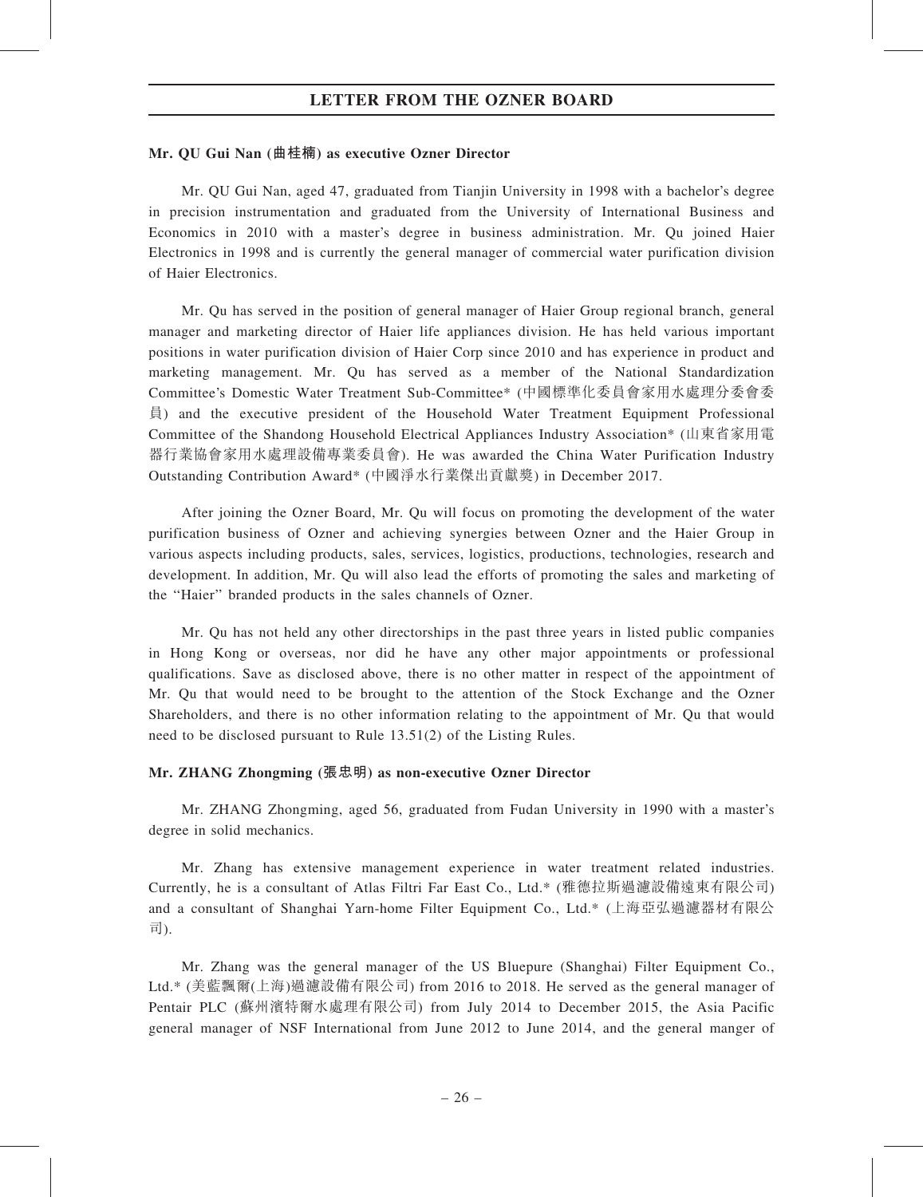#### Mr. QU Gui Nan (曲桂楠) as executive Ozner Director

Mr. QU Gui Nan, aged 47, graduated from Tianjin University in 1998 with a bachelor's degree in precision instrumentation and graduated from the University of International Business and Economics in 2010 with a master's degree in business administration. Mr. Qu joined Haier Electronics in 1998 and is currently the general manager of commercial water purification division of Haier Electronics.

Mr. Qu has served in the position of general manager of Haier Group regional branch, general manager and marketing director of Haier life appliances division. He has held various important positions in water purification division of Haier Corp since 2010 and has experience in product and marketing management. Mr. Qu has served as a member of the National Standardization Committee's Domestic Water Treatment Sub-Committee\* (中國標準化委員會家用水處理分委會委 員) and the executive president of the Household Water Treatment Equipment Professional Committee of the Shandong Household Electrical Appliances Industry Association\* (山東省家用電 器行業協會家用水處理設備專業委員會). He was awarded the China Water Purification Industry Outstanding Contribution Award\* (中國淨水行業傑出貢獻獎) in December 2017.

After joining the Ozner Board, Mr. Qu will focus on promoting the development of the water purification business of Ozner and achieving synergies between Ozner and the Haier Group in various aspects including products, sales, services, logistics, productions, technologies, research and development. In addition, Mr. Qu will also lead the efforts of promoting the sales and marketing of the ''Haier'' branded products in the sales channels of Ozner.

Mr. Qu has not held any other directorships in the past three years in listed public companies in Hong Kong or overseas, nor did he have any other major appointments or professional qualifications. Save as disclosed above, there is no other matter in respect of the appointment of Mr. Qu that would need to be brought to the attention of the Stock Exchange and the Ozner Shareholders, and there is no other information relating to the appointment of Mr. Qu that would need to be disclosed pursuant to Rule 13.51(2) of the Listing Rules.

#### Mr. ZHANG Zhongming (張忠明) as non-executive Ozner Director

Mr. ZHANG Zhongming, aged 56, graduated from Fudan University in 1990 with a master's degree in solid mechanics.

Mr. Zhang has extensive management experience in water treatment related industries. Currently, he is a consultant of Atlas Filtri Far East Co., Ltd.\* (雅德拉斯過濾設備遠東有限公司) and a consultant of Shanghai Yarn-home Filter Equipment Co., Ltd.\* (上海亞弘過濾器材有限公 司).

Mr. Zhang was the general manager of the US Bluepure (Shanghai) Filter Equipment Co., Ltd.\* (美藍飄爾(上海)過濾設備有限公司) from 2016 to 2018. He served as the general manager of Pentair PLC (蘇州濱特爾水處理有限公司) from July 2014 to December 2015, the Asia Pacific general manager of NSF International from June 2012 to June 2014, and the general manger of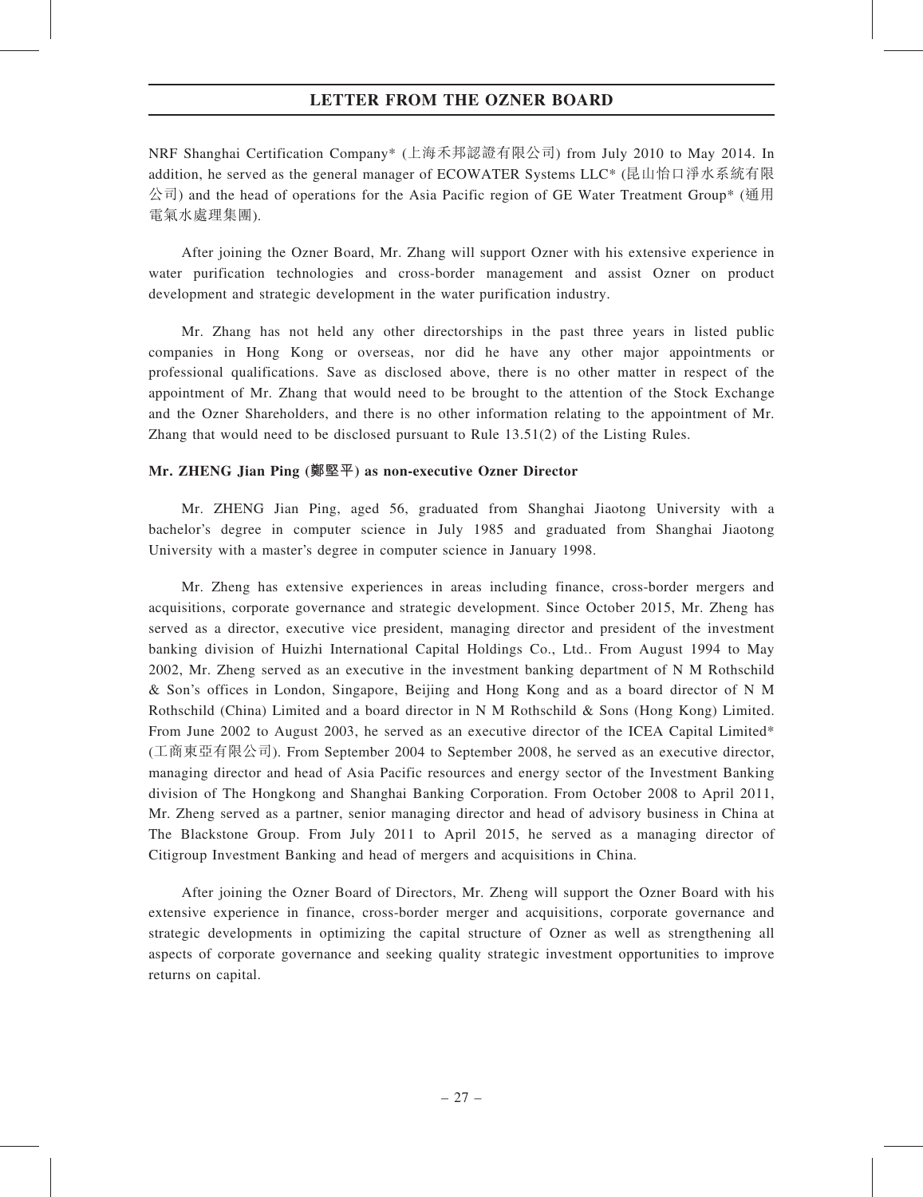NRF Shanghai Certification Company\* (上海禾邦認證有限公司) from July 2010 to May 2014. In addition, he served as the general manager of ECOWATER Systems LLC\* (昆山怡口淨水系統有限  $\triangle$ 司) and the head of operations for the Asia Pacific region of GE Water Treatment Group\* (通用) 電氣水處理集團).

After joining the Ozner Board, Mr. Zhang will support Ozner with his extensive experience in water purification technologies and cross-border management and assist Ozner on product development and strategic development in the water purification industry.

Mr. Zhang has not held any other directorships in the past three years in listed public companies in Hong Kong or overseas, nor did he have any other major appointments or professional qualifications. Save as disclosed above, there is no other matter in respect of the appointment of Mr. Zhang that would need to be brought to the attention of the Stock Exchange and the Ozner Shareholders, and there is no other information relating to the appointment of Mr. Zhang that would need to be disclosed pursuant to Rule 13.51(2) of the Listing Rules.

#### Mr. ZHENG Jian Ping (鄭堅平) as non-executive Ozner Director

Mr. ZHENG Jian Ping, aged 56, graduated from Shanghai Jiaotong University with a bachelor's degree in computer science in July 1985 and graduated from Shanghai Jiaotong University with a master's degree in computer science in January 1998.

Mr. Zheng has extensive experiences in areas including finance, cross-border mergers and acquisitions, corporate governance and strategic development. Since October 2015, Mr. Zheng has served as a director, executive vice president, managing director and president of the investment banking division of Huizhi International Capital Holdings Co., Ltd.. From August 1994 to May 2002, Mr. Zheng served as an executive in the investment banking department of N M Rothschild & Son's offices in London, Singapore, Beijing and Hong Kong and as a board director of N M Rothschild (China) Limited and a board director in N M Rothschild & Sons (Hong Kong) Limited. From June 2002 to August 2003, he served as an executive director of the ICEA Capital Limited\* (工商東亞有限公司). From September 2004 to September 2008, he served as an executive director, managing director and head of Asia Pacific resources and energy sector of the Investment Banking division of The Hongkong and Shanghai Banking Corporation. From October 2008 to April 2011, Mr. Zheng served as a partner, senior managing director and head of advisory business in China at The Blackstone Group. From July 2011 to April 2015, he served as a managing director of Citigroup Investment Banking and head of mergers and acquisitions in China.

After joining the Ozner Board of Directors, Mr. Zheng will support the Ozner Board with his extensive experience in finance, cross-border merger and acquisitions, corporate governance and strategic developments in optimizing the capital structure of Ozner as well as strengthening all aspects of corporate governance and seeking quality strategic investment opportunities to improve returns on capital.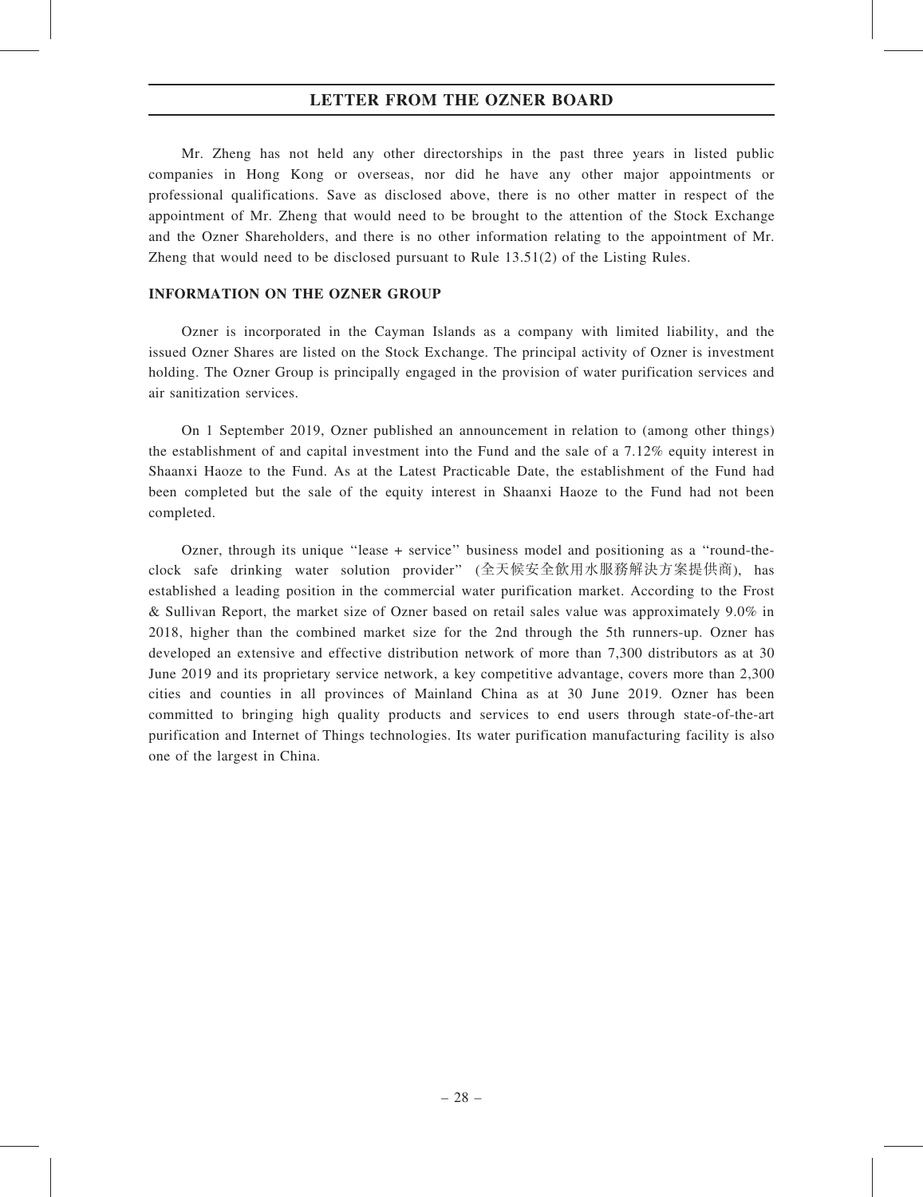Mr. Zheng has not held any other directorships in the past three years in listed public companies in Hong Kong or overseas, nor did he have any other major appointments or professional qualifications. Save as disclosed above, there is no other matter in respect of the appointment of Mr. Zheng that would need to be brought to the attention of the Stock Exchange and the Ozner Shareholders, and there is no other information relating to the appointment of Mr. Zheng that would need to be disclosed pursuant to Rule 13.51(2) of the Listing Rules.

#### INFORMATION ON THE OZNER GROUP

Ozner is incorporated in the Cayman Islands as a company with limited liability, and the issued Ozner Shares are listed on the Stock Exchange. The principal activity of Ozner is investment holding. The Ozner Group is principally engaged in the provision of water purification services and air sanitization services.

On 1 September 2019, Ozner published an announcement in relation to (among other things) the establishment of and capital investment into the Fund and the sale of a 7.12% equity interest in Shaanxi Haoze to the Fund. As at the Latest Practicable Date, the establishment of the Fund had been completed but the sale of the equity interest in Shaanxi Haoze to the Fund had not been completed.

Ozner, through its unique ''lease + service'' business model and positioning as a ''round-theclock safe drinking water solution provider'' (全天候安全飲用水服務解決方案提供商), has established a leading position in the commercial water purification market. According to the Frost & Sullivan Report, the market size of Ozner based on retail sales value was approximately 9.0% in 2018, higher than the combined market size for the 2nd through the 5th runners-up. Ozner has developed an extensive and effective distribution network of more than 7,300 distributors as at 30 June 2019 and its proprietary service network, a key competitive advantage, covers more than 2,300 cities and counties in all provinces of Mainland China as at 30 June 2019. Ozner has been committed to bringing high quality products and services to end users through state-of-the-art purification and Internet of Things technologies. Its water purification manufacturing facility is also one of the largest in China.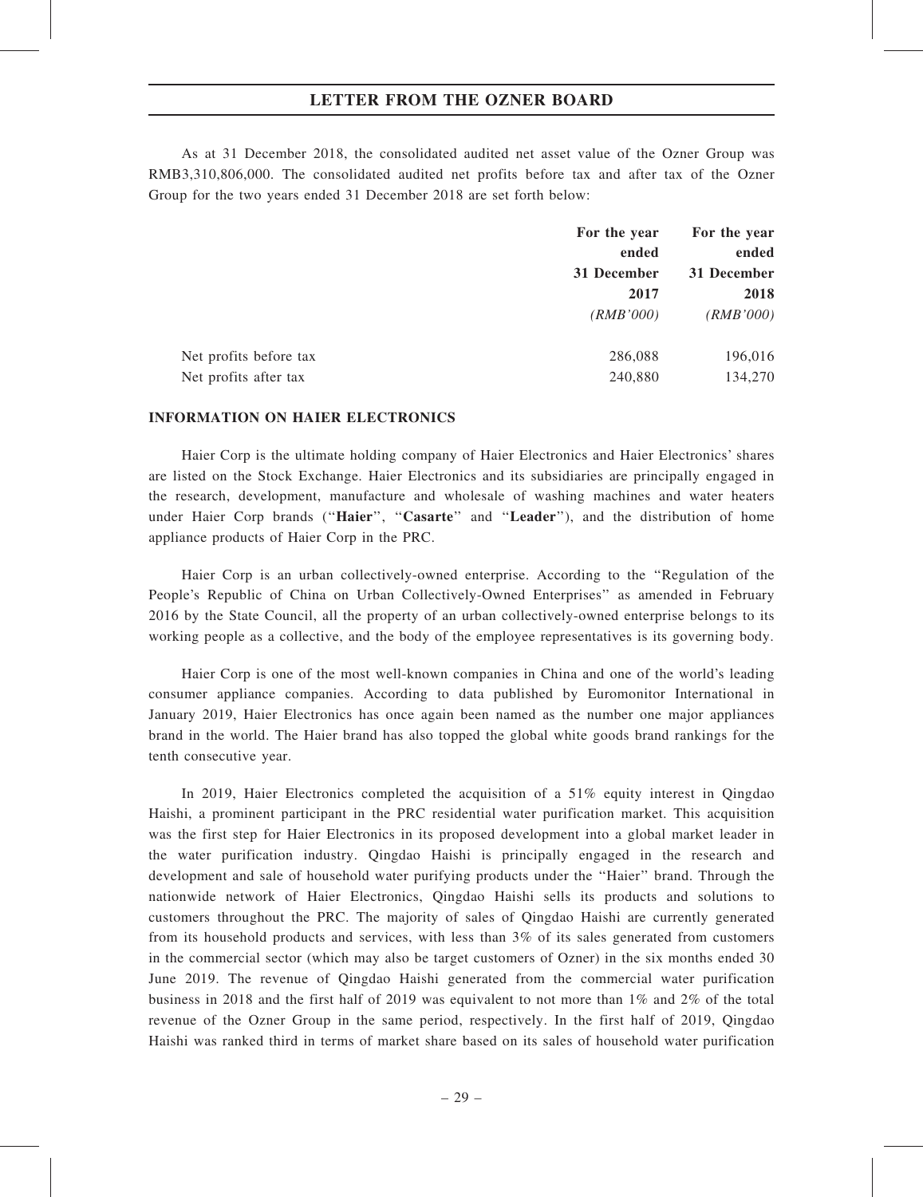As at 31 December 2018, the consolidated audited net asset value of the Ozner Group was RMB3,310,806,000. The consolidated audited net profits before tax and after tax of the Ozner Group for the two years ended 31 December 2018 are set forth below:

|                        | For the year | For the year |
|------------------------|--------------|--------------|
|                        | ended        | ended        |
|                        | 31 December  | 31 December  |
|                        | 2017         | 2018         |
|                        | (RMB'000)    | (RMB'000)    |
| Net profits before tax | 286,088      | 196,016      |
| Net profits after tax  | 240,880      | 134,270      |

#### INFORMATION ON HAIER ELECTRONICS

Haier Corp is the ultimate holding company of Haier Electronics and Haier Electronics' shares are listed on the Stock Exchange. Haier Electronics and its subsidiaries are principally engaged in the research, development, manufacture and wholesale of washing machines and water heaters under Haier Corp brands ("Haier", "Casarte" and "Leader"), and the distribution of home appliance products of Haier Corp in the PRC.

Haier Corp is an urban collectively-owned enterprise. According to the ''Regulation of the People's Republic of China on Urban Collectively-Owned Enterprises'' as amended in February 2016 by the State Council, all the property of an urban collectively-owned enterprise belongs to its working people as a collective, and the body of the employee representatives is its governing body.

Haier Corp is one of the most well-known companies in China and one of the world's leading consumer appliance companies. According to data published by Euromonitor International in January 2019, Haier Electronics has once again been named as the number one major appliances brand in the world. The Haier brand has also topped the global white goods brand rankings for the tenth consecutive year.

In 2019, Haier Electronics completed the acquisition of a 51% equity interest in Qingdao Haishi, a prominent participant in the PRC residential water purification market. This acquisition was the first step for Haier Electronics in its proposed development into a global market leader in the water purification industry. Qingdao Haishi is principally engaged in the research and development and sale of household water purifying products under the ''Haier'' brand. Through the nationwide network of Haier Electronics, Qingdao Haishi sells its products and solutions to customers throughout the PRC. The majority of sales of Qingdao Haishi are currently generated from its household products and services, with less than 3% of its sales generated from customers in the commercial sector (which may also be target customers of Ozner) in the six months ended 30 June 2019. The revenue of Qingdao Haishi generated from the commercial water purification business in 2018 and the first half of 2019 was equivalent to not more than 1% and 2% of the total revenue of the Ozner Group in the same period, respectively. In the first half of 2019, Qingdao Haishi was ranked third in terms of market share based on its sales of household water purification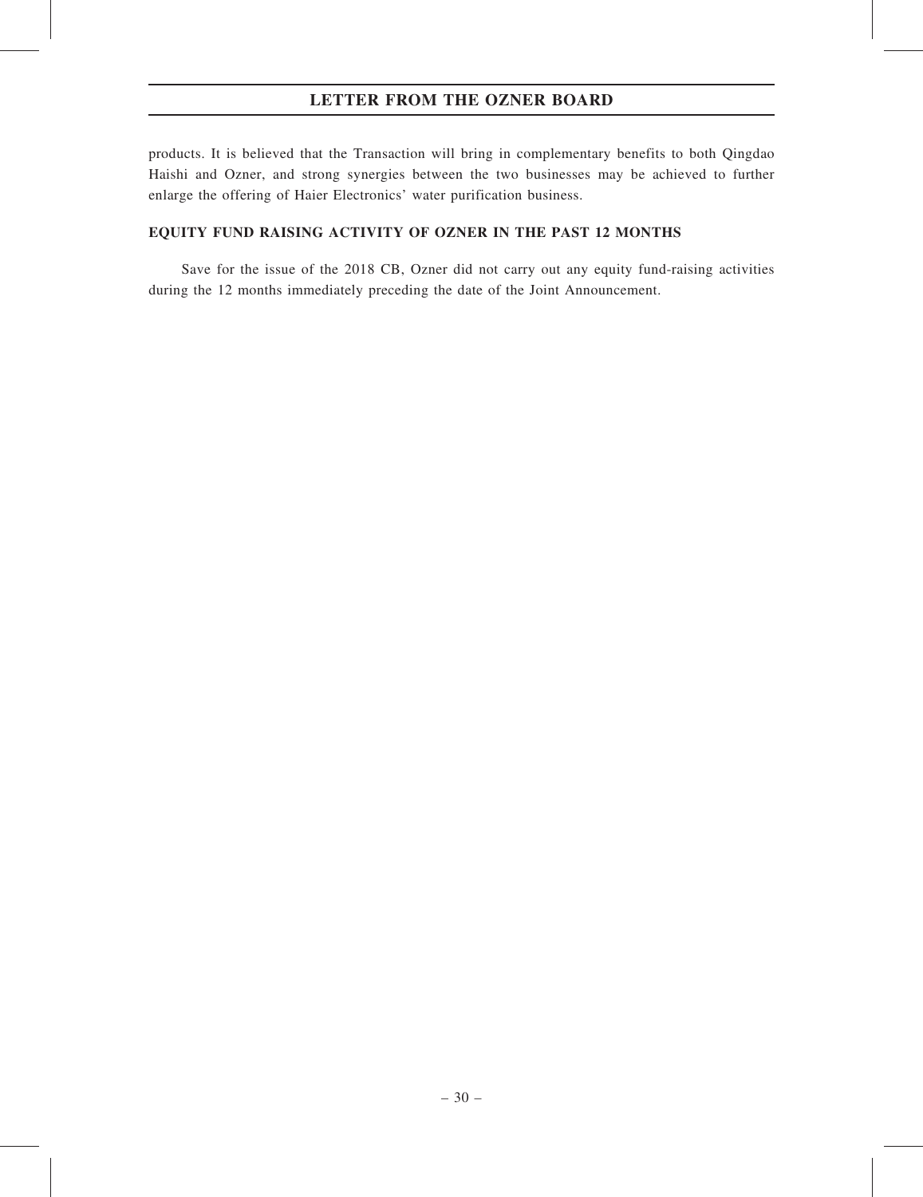products. It is believed that the Transaction will bring in complementary benefits to both Qingdao Haishi and Ozner, and strong synergies between the two businesses may be achieved to further enlarge the offering of Haier Electronics' water purification business.

## EQUITY FUND RAISING ACTIVITY OF OZNER IN THE PAST 12 MONTHS

Save for the issue of the 2018 CB, Ozner did not carry out any equity fund-raising activities during the 12 months immediately preceding the date of the Joint Announcement.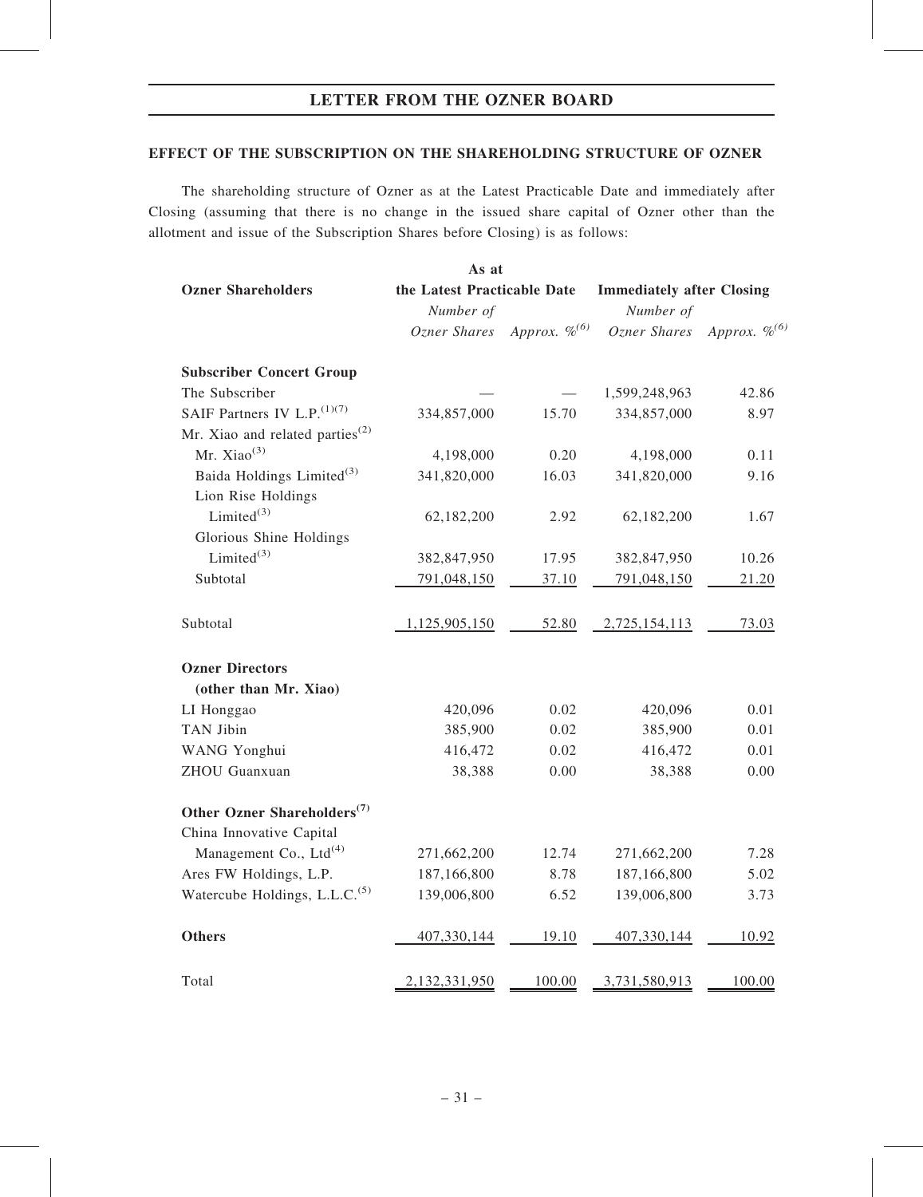#### EFFECT OF THE SUBSCRIPTION ON THE SHAREHOLDING STRUCTURE OF OZNER

The shareholding structure of Ozner as at the Latest Practicable Date and immediately after Closing (assuming that there is no change in the issued share capital of Ozner other than the allotment and issue of the Subscription Shares before Closing) is as follows:

| As at                                                    |                             |                    |                                  |                    |
|----------------------------------------------------------|-----------------------------|--------------------|----------------------------------|--------------------|
| <b>Ozner Shareholders</b>                                | the Latest Practicable Date |                    | <b>Immediately after Closing</b> |                    |
|                                                          | Number of                   |                    | Number of                        |                    |
|                                                          | Ozner Shares                | Approx. $\%^{(6)}$ | Ozner Shares                     | Approx. $\%^{(6)}$ |
| <b>Subscriber Concert Group</b>                          |                             |                    |                                  |                    |
| The Subscriber                                           |                             |                    | 1,599,248,963                    | 42.86              |
| SAIF Partners IV L.P. <sup>(1)(7)</sup>                  | 334,857,000                 | 15.70              | 334,857,000                      | 8.97               |
| Mr. Xiao and related parties <sup><math>(2)</math></sup> |                             |                    |                                  |                    |
| Mr. Xiao $(3)$                                           | 4,198,000                   | 0.20               | 4,198,000                        | 0.11               |
| Baida Holdings Limited <sup>(3)</sup>                    | 341,820,000                 | 16.03              | 341,820,000                      | 9.16               |
| Lion Rise Holdings                                       |                             |                    |                                  |                    |
| Limited $(3)$                                            | 62,182,200                  | 2.92               | 62,182,200                       | 1.67               |
| Glorious Shine Holdings                                  |                             |                    |                                  |                    |
| Limited $(3)$                                            | 382,847,950                 | 17.95              | 382,847,950                      | 10.26              |
| Subtotal                                                 | 791,048,150                 | 37.10              | 791,048,150                      | 21.20              |
| Subtotal                                                 | 1,125,905,150               | 52.80              | 2,725,154,113                    | 73.03              |
| <b>Ozner Directors</b>                                   |                             |                    |                                  |                    |
| (other than Mr. Xiao)                                    |                             |                    |                                  |                    |
| LI Honggao                                               | 420,096                     | 0.02               | 420,096                          | 0.01               |
| TAN Jibin                                                | 385,900                     | 0.02               | 385,900                          | 0.01               |
| WANG Yonghui                                             | 416,472                     | 0.02               | 416,472                          | 0.01               |
| ZHOU Guanxuan                                            | 38,388                      | 0.00               | 38,388                           | 0.00               |
| Other Ozner Shareholders <sup>(7)</sup>                  |                             |                    |                                  |                    |
| China Innovative Capital                                 |                             |                    |                                  |                    |
| Management Co., Ltd <sup>(4)</sup>                       | 271,662,200                 | 12.74              | 271,662,200                      | 7.28               |
| Ares FW Holdings, L.P.                                   | 187,166,800                 | 8.78               | 187,166,800                      | 5.02               |
| Watercube Holdings, L.L.C. <sup>(5)</sup>                | 139,006,800                 | 6.52               | 139,006,800                      | 3.73               |
| <b>Others</b>                                            | 407,330,144                 | <u>19.10</u>       | 407,330,144                      | 10.92              |
| Total                                                    | 2,132,331,950               | 100.00             | 3,731,580,913                    | 100.00             |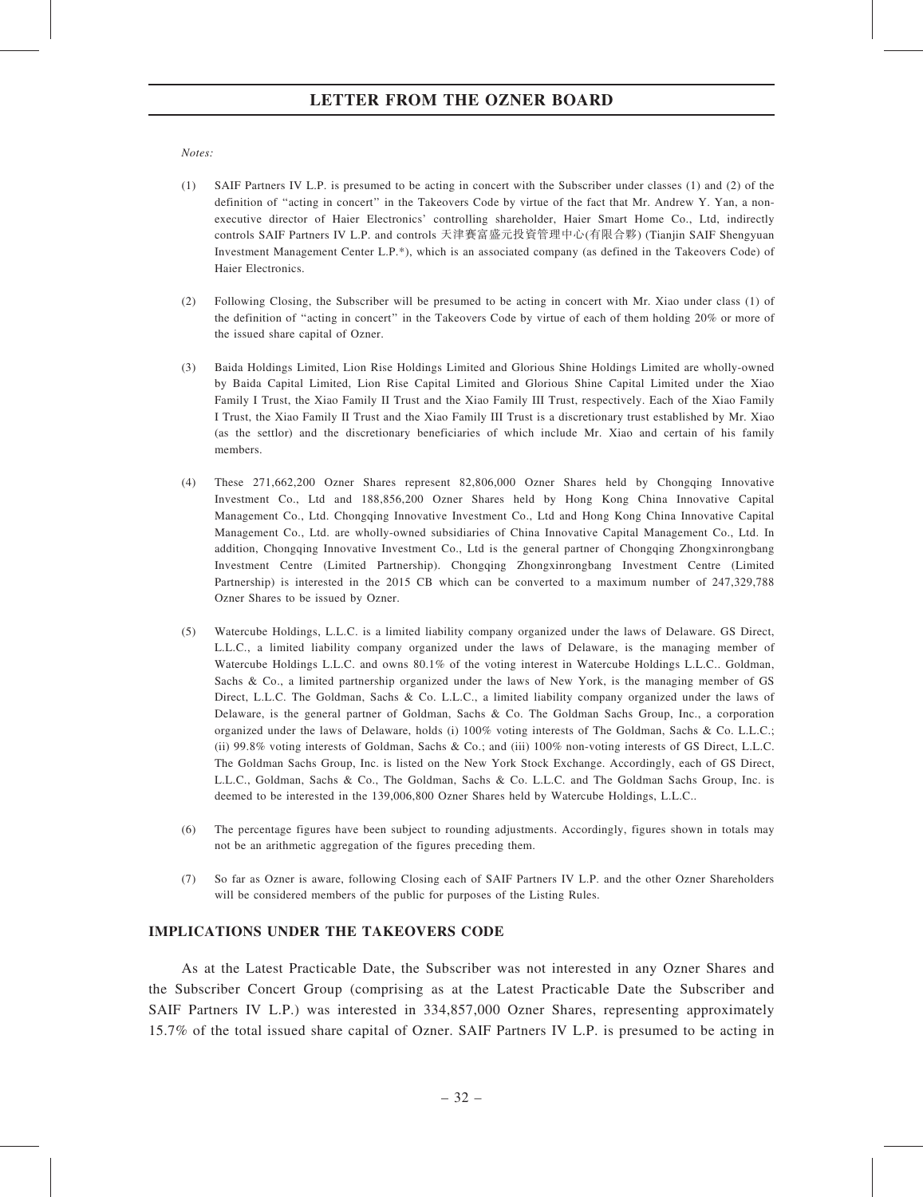#### Notes:

- (1) SAIF Partners IV L.P. is presumed to be acting in concert with the Subscriber under classes (1) and (2) of the definition of "acting in concert" in the Takeovers Code by virtue of the fact that Mr. Andrew Y. Yan, a nonexecutive director of Haier Electronics' controlling shareholder, Haier Smart Home Co., Ltd, indirectly controls SAIF Partners IV L.P. and controls 天津賽富盛元投資管理中心(有限合夥) (Tianjin SAIF Shengyuan Investment Management Center L.P.\*), which is an associated company (as defined in the Takeovers Code) of Haier Electronics.
- (2) Following Closing, the Subscriber will be presumed to be acting in concert with Mr. Xiao under class (1) of the definition of ''acting in concert'' in the Takeovers Code by virtue of each of them holding 20% or more of the issued share capital of Ozner.
- (3) Baida Holdings Limited, Lion Rise Holdings Limited and Glorious Shine Holdings Limited are wholly-owned by Baida Capital Limited, Lion Rise Capital Limited and Glorious Shine Capital Limited under the Xiao Family I Trust, the Xiao Family II Trust and the Xiao Family III Trust, respectively. Each of the Xiao Family I Trust, the Xiao Family II Trust and the Xiao Family III Trust is a discretionary trust established by Mr. Xiao (as the settlor) and the discretionary beneficiaries of which include Mr. Xiao and certain of his family members.
- (4) These 271,662,200 Ozner Shares represent 82,806,000 Ozner Shares held by Chongqing Innovative Investment Co., Ltd and 188,856,200 Ozner Shares held by Hong Kong China Innovative Capital Management Co., Ltd. Chongqing Innovative Investment Co., Ltd and Hong Kong China Innovative Capital Management Co., Ltd. are wholly-owned subsidiaries of China Innovative Capital Management Co., Ltd. In addition, Chongqing Innovative Investment Co., Ltd is the general partner of Chongqing Zhongxinrongbang Investment Centre (Limited Partnership). Chongqing Zhongxinrongbang Investment Centre (Limited Partnership) is interested in the 2015 CB which can be converted to a maximum number of 247,329,788 Ozner Shares to be issued by Ozner.
- (5) Watercube Holdings, L.L.C. is a limited liability company organized under the laws of Delaware. GS Direct, L.L.C., a limited liability company organized under the laws of Delaware, is the managing member of Watercube Holdings L.L.C. and owns 80.1% of the voting interest in Watercube Holdings L.L.C.. Goldman, Sachs & Co., a limited partnership organized under the laws of New York, is the managing member of GS Direct, L.L.C. The Goldman, Sachs & Co. L.L.C., a limited liability company organized under the laws of Delaware, is the general partner of Goldman, Sachs & Co. The Goldman Sachs Group, Inc., a corporation organized under the laws of Delaware, holds (i) 100% voting interests of The Goldman, Sachs & Co. L.L.C.; (ii) 99.8% voting interests of Goldman, Sachs & Co.; and (iii) 100% non-voting interests of GS Direct, L.L.C. The Goldman Sachs Group, Inc. is listed on the New York Stock Exchange. Accordingly, each of GS Direct, L.L.C., Goldman, Sachs & Co., The Goldman, Sachs & Co. L.L.C. and The Goldman Sachs Group, Inc. is deemed to be interested in the 139,006,800 Ozner Shares held by Watercube Holdings, L.L.C..
- (6) The percentage figures have been subject to rounding adjustments. Accordingly, figures shown in totals may not be an arithmetic aggregation of the figures preceding them.
- (7) So far as Ozner is aware, following Closing each of SAIF Partners IV L.P. and the other Ozner Shareholders will be considered members of the public for purposes of the Listing Rules.

## IMPLICATIONS UNDER THE TAKEOVERS CODE

As at the Latest Practicable Date, the Subscriber was not interested in any Ozner Shares and the Subscriber Concert Group (comprising as at the Latest Practicable Date the Subscriber and SAIF Partners IV L.P.) was interested in 334,857,000 Ozner Shares, representing approximately 15.7% of the total issued share capital of Ozner. SAIF Partners IV L.P. is presumed to be acting in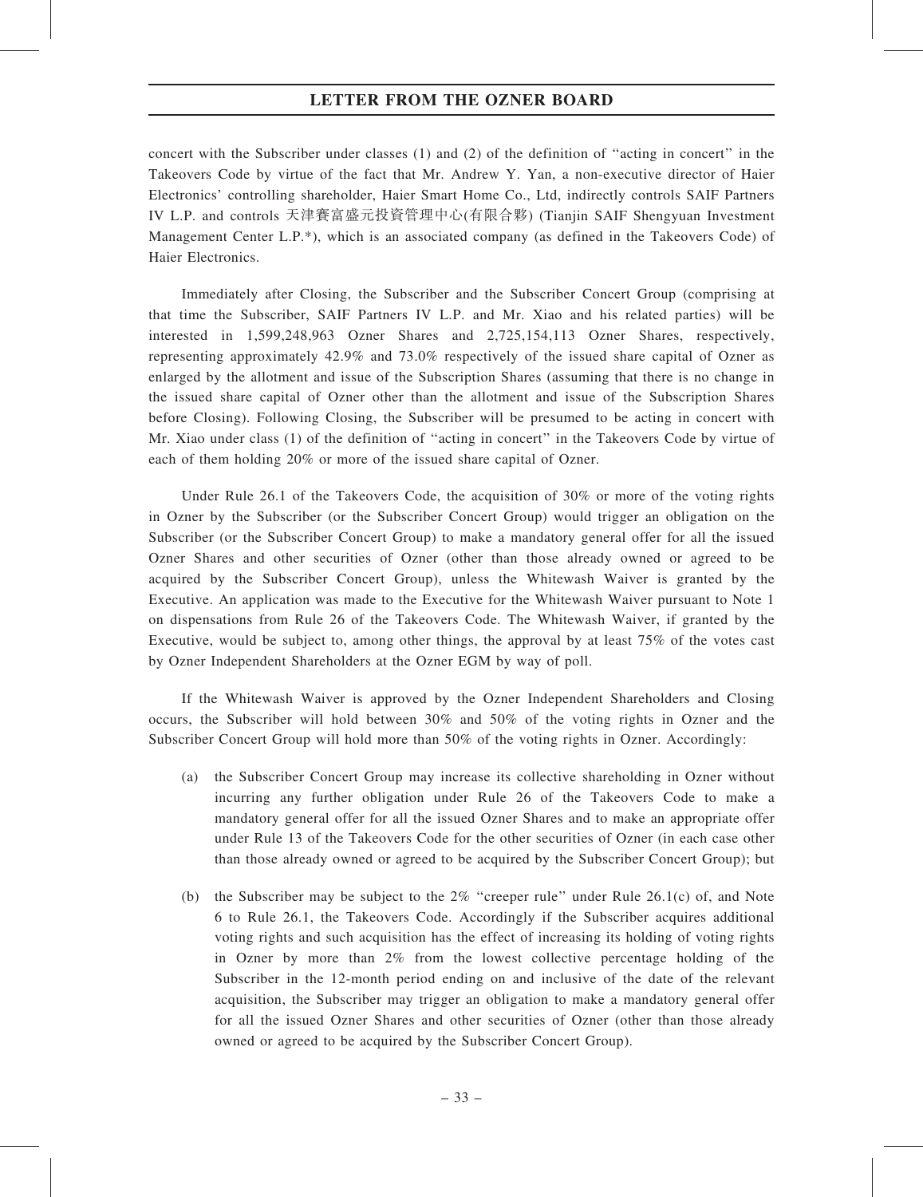concert with the Subscriber under classes (1) and (2) of the definition of ''acting in concert'' in the Takeovers Code by virtue of the fact that Mr. Andrew Y. Yan, a non-executive director of Haier Electronics' controlling shareholder, Haier Smart Home Co., Ltd, indirectly controls SAIF Partners IV L.P. and controls 天津賽富盛元投資管理中心(有限合夥) (Tianjin SAIF Shengyuan Investment Management Center L.P.\*), which is an associated company (as defined in the Takeovers Code) of Haier Electronics.

Immediately after Closing, the Subscriber and the Subscriber Concert Group (comprising at that time the Subscriber, SAIF Partners IV L.P. and Mr. Xiao and his related parties) will be interested in 1,599,248,963 Ozner Shares and 2,725,154,113 Ozner Shares, respectively, representing approximately 42.9% and 73.0% respectively of the issued share capital of Ozner as enlarged by the allotment and issue of the Subscription Shares (assuming that there is no change in the issued share capital of Ozner other than the allotment and issue of the Subscription Shares before Closing). Following Closing, the Subscriber will be presumed to be acting in concert with Mr. Xiao under class (1) of the definition of ''acting in concert'' in the Takeovers Code by virtue of each of them holding 20% or more of the issued share capital of Ozner.

Under Rule 26.1 of the Takeovers Code, the acquisition of 30% or more of the voting rights in Ozner by the Subscriber (or the Subscriber Concert Group) would trigger an obligation on the Subscriber (or the Subscriber Concert Group) to make a mandatory general offer for all the issued Ozner Shares and other securities of Ozner (other than those already owned or agreed to be acquired by the Subscriber Concert Group), unless the Whitewash Waiver is granted by the Executive. An application was made to the Executive for the Whitewash Waiver pursuant to Note 1 on dispensations from Rule 26 of the Takeovers Code. The Whitewash Waiver, if granted by the Executive, would be subject to, among other things, the approval by at least 75% of the votes cast by Ozner Independent Shareholders at the Ozner EGM by way of poll.

If the Whitewash Waiver is approved by the Ozner Independent Shareholders and Closing occurs, the Subscriber will hold between 30% and 50% of the voting rights in Ozner and the Subscriber Concert Group will hold more than 50% of the voting rights in Ozner. Accordingly:

- (a) the Subscriber Concert Group may increase its collective shareholding in Ozner without incurring any further obligation under Rule 26 of the Takeovers Code to make a mandatory general offer for all the issued Ozner Shares and to make an appropriate offer under Rule 13 of the Takeovers Code for the other securities of Ozner (in each case other than those already owned or agreed to be acquired by the Subscriber Concert Group); but
- (b) the Subscriber may be subject to the  $2\%$  "creeper rule" under Rule 26.1(c) of, and Note 6 to Rule 26.1, the Takeovers Code. Accordingly if the Subscriber acquires additional voting rights and such acquisition has the effect of increasing its holding of voting rights in Ozner by more than 2% from the lowest collective percentage holding of the Subscriber in the 12-month period ending on and inclusive of the date of the relevant acquisition, the Subscriber may trigger an obligation to make a mandatory general offer for all the issued Ozner Shares and other securities of Ozner (other than those already owned or agreed to be acquired by the Subscriber Concert Group).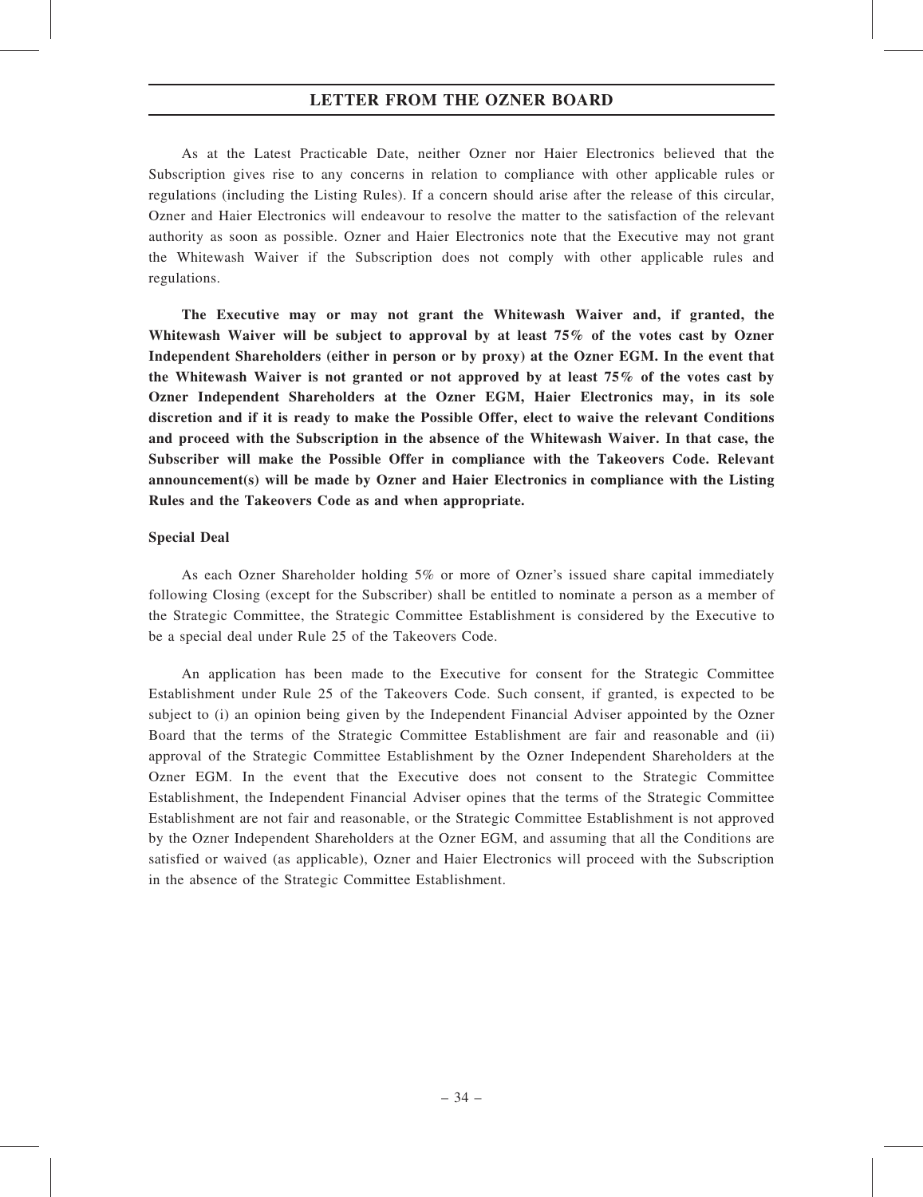As at the Latest Practicable Date, neither Ozner nor Haier Electronics believed that the Subscription gives rise to any concerns in relation to compliance with other applicable rules or regulations (including the Listing Rules). If a concern should arise after the release of this circular, Ozner and Haier Electronics will endeavour to resolve the matter to the satisfaction of the relevant authority as soon as possible. Ozner and Haier Electronics note that the Executive may not grant the Whitewash Waiver if the Subscription does not comply with other applicable rules and regulations.

The Executive may or may not grant the Whitewash Waiver and, if granted, the Whitewash Waiver will be subject to approval by at least 75% of the votes cast by Ozner Independent Shareholders (either in person or by proxy) at the Ozner EGM. In the event that the Whitewash Waiver is not granted or not approved by at least 75% of the votes cast by Ozner Independent Shareholders at the Ozner EGM, Haier Electronics may, in its sole discretion and if it is ready to make the Possible Offer, elect to waive the relevant Conditions and proceed with the Subscription in the absence of the Whitewash Waiver. In that case, the Subscriber will make the Possible Offer in compliance with the Takeovers Code. Relevant announcement(s) will be made by Ozner and Haier Electronics in compliance with the Listing Rules and the Takeovers Code as and when appropriate.

#### Special Deal

As each Ozner Shareholder holding 5% or more of Ozner's issued share capital immediately following Closing (except for the Subscriber) shall be entitled to nominate a person as a member of the Strategic Committee, the Strategic Committee Establishment is considered by the Executive to be a special deal under Rule 25 of the Takeovers Code.

An application has been made to the Executive for consent for the Strategic Committee Establishment under Rule 25 of the Takeovers Code. Such consent, if granted, is expected to be subject to (i) an opinion being given by the Independent Financial Adviser appointed by the Ozner Board that the terms of the Strategic Committee Establishment are fair and reasonable and (ii) approval of the Strategic Committee Establishment by the Ozner Independent Shareholders at the Ozner EGM. In the event that the Executive does not consent to the Strategic Committee Establishment, the Independent Financial Adviser opines that the terms of the Strategic Committee Establishment are not fair and reasonable, or the Strategic Committee Establishment is not approved by the Ozner Independent Shareholders at the Ozner EGM, and assuming that all the Conditions are satisfied or waived (as applicable), Ozner and Haier Electronics will proceed with the Subscription in the absence of the Strategic Committee Establishment.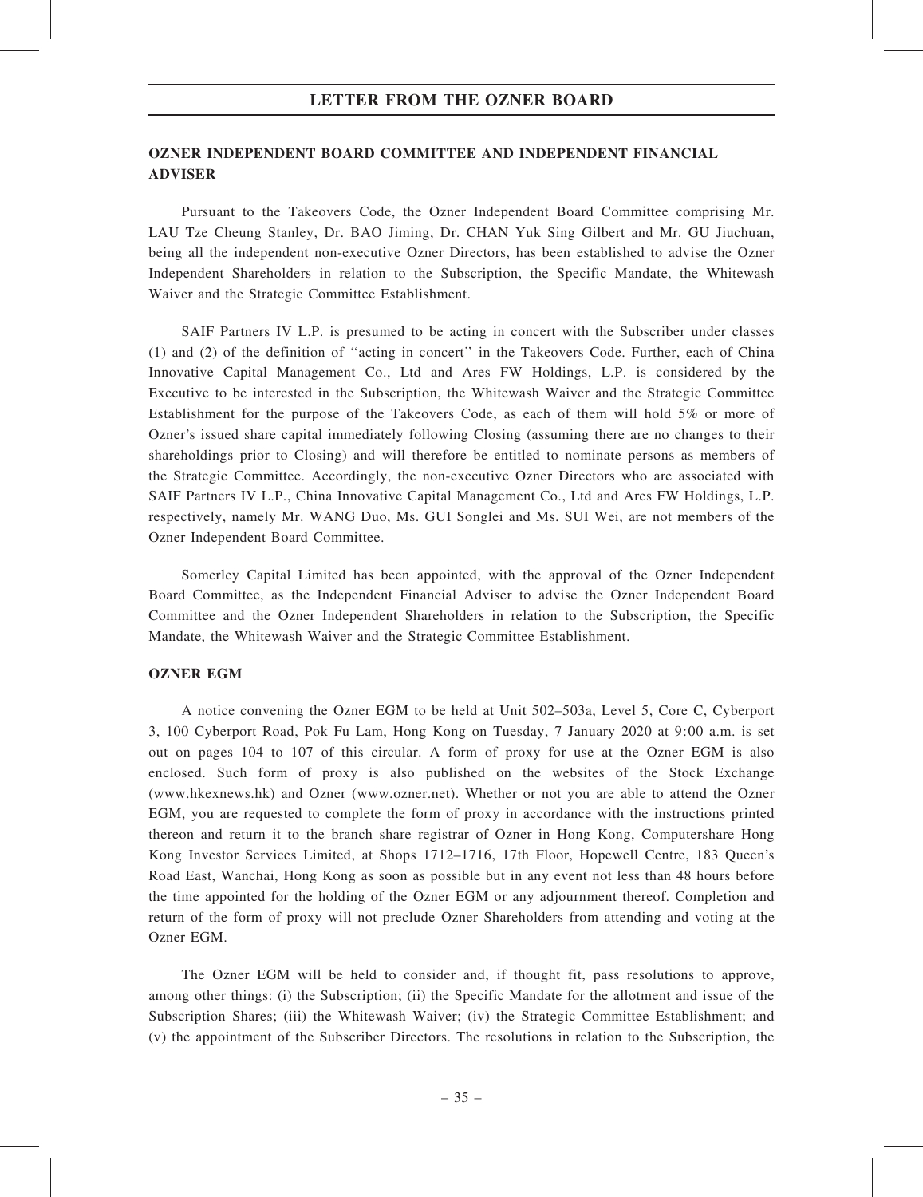### LETTER FROM THE OZNER BOARD

# OZNER INDEPENDENT BOARD COMMITTEE AND INDEPENDENT FINANCIAL ADVISER

Pursuant to the Takeovers Code, the Ozner Independent Board Committee comprising Mr. LAU Tze Cheung Stanley, Dr. BAO Jiming, Dr. CHAN Yuk Sing Gilbert and Mr. GU Jiuchuan, being all the independent non-executive Ozner Directors, has been established to advise the Ozner Independent Shareholders in relation to the Subscription, the Specific Mandate, the Whitewash Waiver and the Strategic Committee Establishment.

SAIF Partners IV L.P. is presumed to be acting in concert with the Subscriber under classes (1) and (2) of the definition of ''acting in concert'' in the Takeovers Code. Further, each of China Innovative Capital Management Co., Ltd and Ares FW Holdings, L.P. is considered by the Executive to be interested in the Subscription, the Whitewash Waiver and the Strategic Committee Establishment for the purpose of the Takeovers Code, as each of them will hold 5% or more of Ozner's issued share capital immediately following Closing (assuming there are no changes to their shareholdings prior to Closing) and will therefore be entitled to nominate persons as members of the Strategic Committee. Accordingly, the non-executive Ozner Directors who are associated with SAIF Partners IV L.P., China Innovative Capital Management Co., Ltd and Ares FW Holdings, L.P. respectively, namely Mr. WANG Duo, Ms. GUI Songlei and Ms. SUI Wei, are not members of the Ozner Independent Board Committee.

Somerley Capital Limited has been appointed, with the approval of the Ozner Independent Board Committee, as the Independent Financial Adviser to advise the Ozner Independent Board Committee and the Ozner Independent Shareholders in relation to the Subscription, the Specific Mandate, the Whitewash Waiver and the Strategic Committee Establishment.

### OZNER EGM

A notice convening the Ozner EGM to be held at Unit 502–503a, Level 5, Core C, Cyberport 3, 100 Cyberport Road, Pok Fu Lam, Hong Kong on Tuesday, 7 January 2020 at 9:00 a.m. is set out on pages 104 to 107 of this circular. A form of proxy for use at the Ozner EGM is also enclosed. Such form of proxy is also published on the websites of the Stock Exchange (www.hkexnews.hk) and Ozner (www.ozner.net). Whether or not you are able to attend the Ozner EGM, you are requested to complete the form of proxy in accordance with the instructions printed thereon and return it to the branch share registrar of Ozner in Hong Kong, Computershare Hong Kong Investor Services Limited, at Shops 1712–1716, 17th Floor, Hopewell Centre, 183 Queen's Road East, Wanchai, Hong Kong as soon as possible but in any event not less than 48 hours before the time appointed for the holding of the Ozner EGM or any adjournment thereof. Completion and return of the form of proxy will not preclude Ozner Shareholders from attending and voting at the Ozner EGM.

The Ozner EGM will be held to consider and, if thought fit, pass resolutions to approve, among other things: (i) the Subscription; (ii) the Specific Mandate for the allotment and issue of the Subscription Shares; (iii) the Whitewash Waiver; (iv) the Strategic Committee Establishment; and (v) the appointment of the Subscriber Directors. The resolutions in relation to the Subscription, the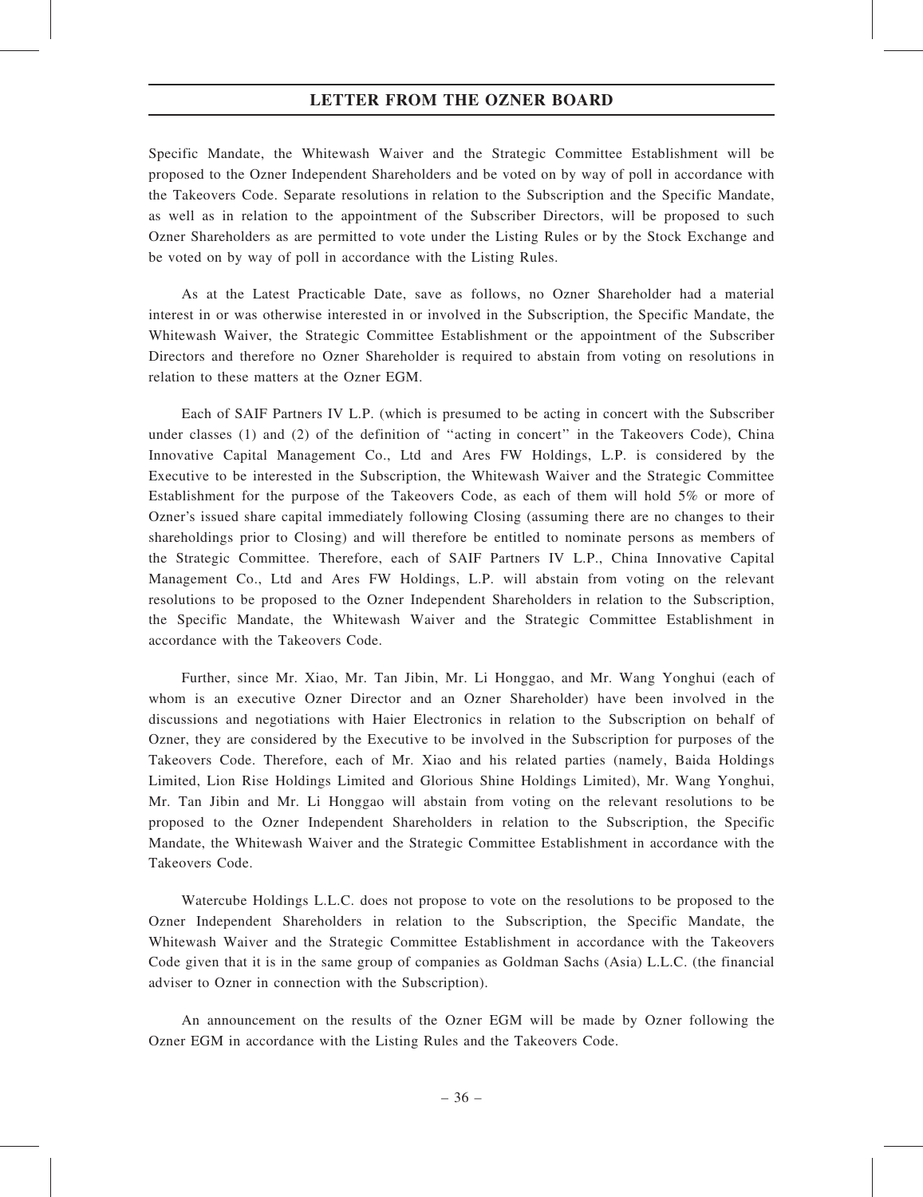### LETTER FROM THE OZNER BOARD

Specific Mandate, the Whitewash Waiver and the Strategic Committee Establishment will be proposed to the Ozner Independent Shareholders and be voted on by way of poll in accordance with the Takeovers Code. Separate resolutions in relation to the Subscription and the Specific Mandate, as well as in relation to the appointment of the Subscriber Directors, will be proposed to such Ozner Shareholders as are permitted to vote under the Listing Rules or by the Stock Exchange and be voted on by way of poll in accordance with the Listing Rules.

As at the Latest Practicable Date, save as follows, no Ozner Shareholder had a material interest in or was otherwise interested in or involved in the Subscription, the Specific Mandate, the Whitewash Waiver, the Strategic Committee Establishment or the appointment of the Subscriber Directors and therefore no Ozner Shareholder is required to abstain from voting on resolutions in relation to these matters at the Ozner EGM.

Each of SAIF Partners IV L.P. (which is presumed to be acting in concert with the Subscriber under classes (1) and (2) of the definition of ''acting in concert'' in the Takeovers Code), China Innovative Capital Management Co., Ltd and Ares FW Holdings, L.P. is considered by the Executive to be interested in the Subscription, the Whitewash Waiver and the Strategic Committee Establishment for the purpose of the Takeovers Code, as each of them will hold 5% or more of Ozner's issued share capital immediately following Closing (assuming there are no changes to their shareholdings prior to Closing) and will therefore be entitled to nominate persons as members of the Strategic Committee. Therefore, each of SAIF Partners IV L.P., China Innovative Capital Management Co., Ltd and Ares FW Holdings, L.P. will abstain from voting on the relevant resolutions to be proposed to the Ozner Independent Shareholders in relation to the Subscription, the Specific Mandate, the Whitewash Waiver and the Strategic Committee Establishment in accordance with the Takeovers Code.

Further, since Mr. Xiao, Mr. Tan Jibin, Mr. Li Honggao, and Mr. Wang Yonghui (each of whom is an executive Ozner Director and an Ozner Shareholder) have been involved in the discussions and negotiations with Haier Electronics in relation to the Subscription on behalf of Ozner, they are considered by the Executive to be involved in the Subscription for purposes of the Takeovers Code. Therefore, each of Mr. Xiao and his related parties (namely, Baida Holdings Limited, Lion Rise Holdings Limited and Glorious Shine Holdings Limited), Mr. Wang Yonghui, Mr. Tan Jibin and Mr. Li Honggao will abstain from voting on the relevant resolutions to be proposed to the Ozner Independent Shareholders in relation to the Subscription, the Specific Mandate, the Whitewash Waiver and the Strategic Committee Establishment in accordance with the Takeovers Code.

Watercube Holdings L.L.C. does not propose to vote on the resolutions to be proposed to the Ozner Independent Shareholders in relation to the Subscription, the Specific Mandate, the Whitewash Waiver and the Strategic Committee Establishment in accordance with the Takeovers Code given that it is in the same group of companies as Goldman Sachs (Asia) L.L.C. (the financial adviser to Ozner in connection with the Subscription).

An announcement on the results of the Ozner EGM will be made by Ozner following the Ozner EGM in accordance with the Listing Rules and the Takeovers Code.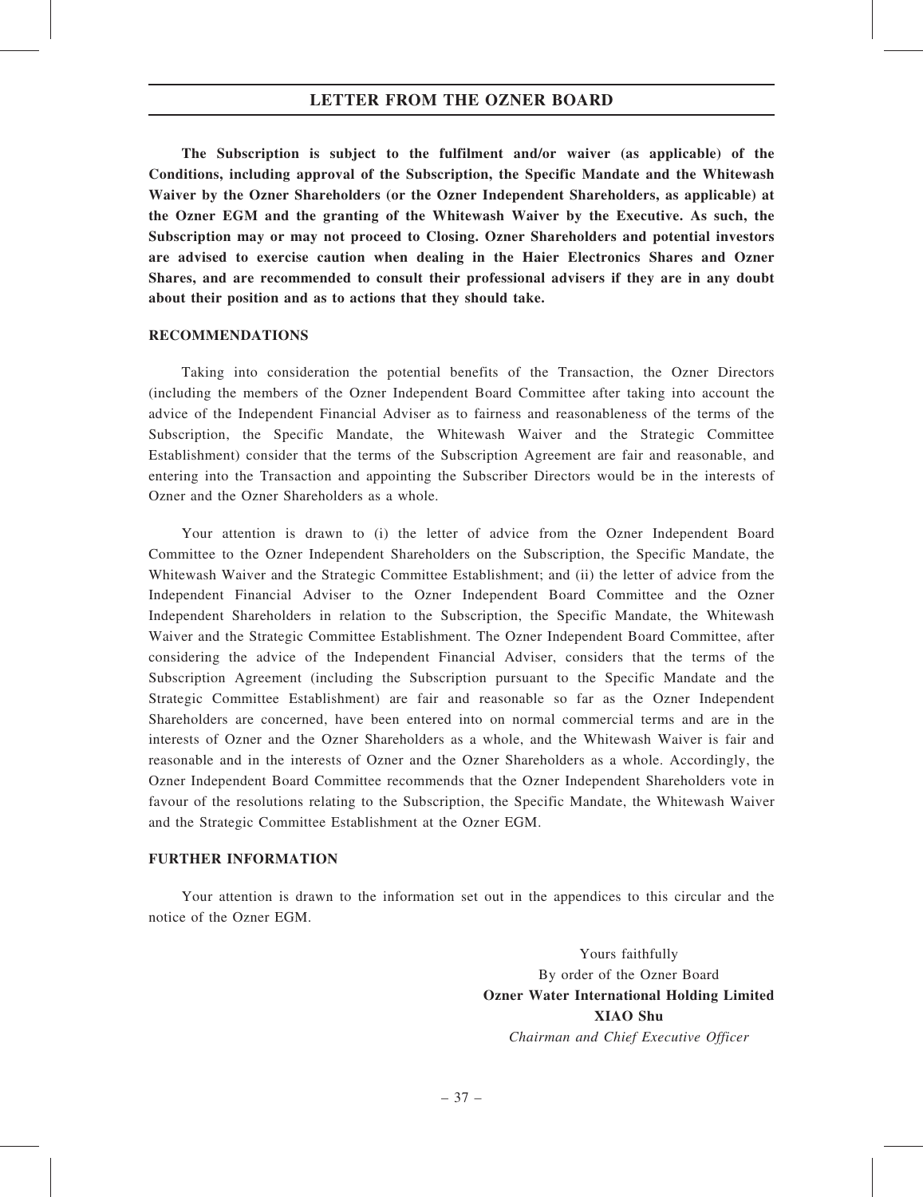### LETTER FROM THE OZNER BOARD

The Subscription is subject to the fulfilment and/or waiver (as applicable) of the Conditions, including approval of the Subscription, the Specific Mandate and the Whitewash Waiver by the Ozner Shareholders (or the Ozner Independent Shareholders, as applicable) at the Ozner EGM and the granting of the Whitewash Waiver by the Executive. As such, the Subscription may or may not proceed to Closing. Ozner Shareholders and potential investors are advised to exercise caution when dealing in the Haier Electronics Shares and Ozner Shares, and are recommended to consult their professional advisers if they are in any doubt about their position and as to actions that they should take.

#### RECOMMENDATIONS

Taking into consideration the potential benefits of the Transaction, the Ozner Directors (including the members of the Ozner Independent Board Committee after taking into account the advice of the Independent Financial Adviser as to fairness and reasonableness of the terms of the Subscription, the Specific Mandate, the Whitewash Waiver and the Strategic Committee Establishment) consider that the terms of the Subscription Agreement are fair and reasonable, and entering into the Transaction and appointing the Subscriber Directors would be in the interests of Ozner and the Ozner Shareholders as a whole.

Your attention is drawn to (i) the letter of advice from the Ozner Independent Board Committee to the Ozner Independent Shareholders on the Subscription, the Specific Mandate, the Whitewash Waiver and the Strategic Committee Establishment; and (ii) the letter of advice from the Independent Financial Adviser to the Ozner Independent Board Committee and the Ozner Independent Shareholders in relation to the Subscription, the Specific Mandate, the Whitewash Waiver and the Strategic Committee Establishment. The Ozner Independent Board Committee, after considering the advice of the Independent Financial Adviser, considers that the terms of the Subscription Agreement (including the Subscription pursuant to the Specific Mandate and the Strategic Committee Establishment) are fair and reasonable so far as the Ozner Independent Shareholders are concerned, have been entered into on normal commercial terms and are in the interests of Ozner and the Ozner Shareholders as a whole, and the Whitewash Waiver is fair and reasonable and in the interests of Ozner and the Ozner Shareholders as a whole. Accordingly, the Ozner Independent Board Committee recommends that the Ozner Independent Shareholders vote in favour of the resolutions relating to the Subscription, the Specific Mandate, the Whitewash Waiver and the Strategic Committee Establishment at the Ozner EGM.

#### FURTHER INFORMATION

Your attention is drawn to the information set out in the appendices to this circular and the notice of the Ozner EGM.

> Yours faithfully By order of the Ozner Board Ozner Water International Holding Limited XIAO Shu Chairman and Chief Executive Officer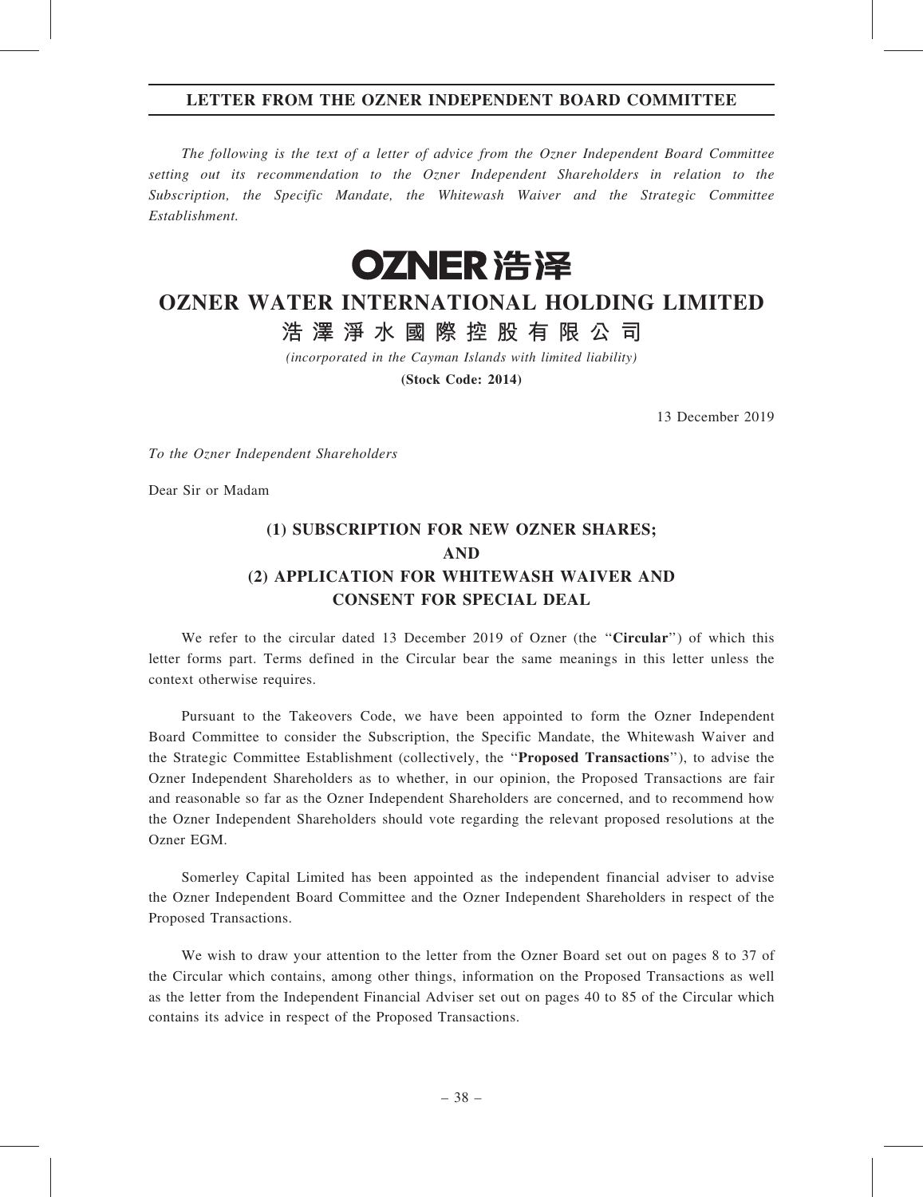## LETTER FROM THE OZNER INDEPENDENT BOARD COMMITTEE

The following is the text of a letter of advice from the Ozner Independent Board Committee setting out its recommendation to the Ozner Independent Shareholders in relation to the Subscription, the Specific Mandate, the Whitewash Waiver and the Strategic Committee Establishment.



# OZNER WATER INTERNATIONAL HOLDING LIMITED

浩 澤 淨 水 國 際 控 股 有 限 公 司

(incorporated in the Cayman Islands with limited liability)

(Stock Code: 2014)

13 December 2019

To the Ozner Independent Shareholders

Dear Sir or Madam

# (1) SUBSCRIPTION FOR NEW OZNER SHARES; AND (2) APPLICATION FOR WHITEWASH WAIVER AND CONSENT FOR SPECIAL DEAL

We refer to the circular dated 13 December 2019 of Ozner (the "Circular") of which this letter forms part. Terms defined in the Circular bear the same meanings in this letter unless the context otherwise requires.

Pursuant to the Takeovers Code, we have been appointed to form the Ozner Independent Board Committee to consider the Subscription, the Specific Mandate, the Whitewash Waiver and the Strategic Committee Establishment (collectively, the ''Proposed Transactions''), to advise the Ozner Independent Shareholders as to whether, in our opinion, the Proposed Transactions are fair and reasonable so far as the Ozner Independent Shareholders are concerned, and to recommend how the Ozner Independent Shareholders should vote regarding the relevant proposed resolutions at the Ozner EGM.

Somerley Capital Limited has been appointed as the independent financial adviser to advise the Ozner Independent Board Committee and the Ozner Independent Shareholders in respect of the Proposed Transactions.

We wish to draw your attention to the letter from the Ozner Board set out on pages 8 to 37 of the Circular which contains, among other things, information on the Proposed Transactions as well as the letter from the Independent Financial Adviser set out on pages 40 to 85 of the Circular which contains its advice in respect of the Proposed Transactions.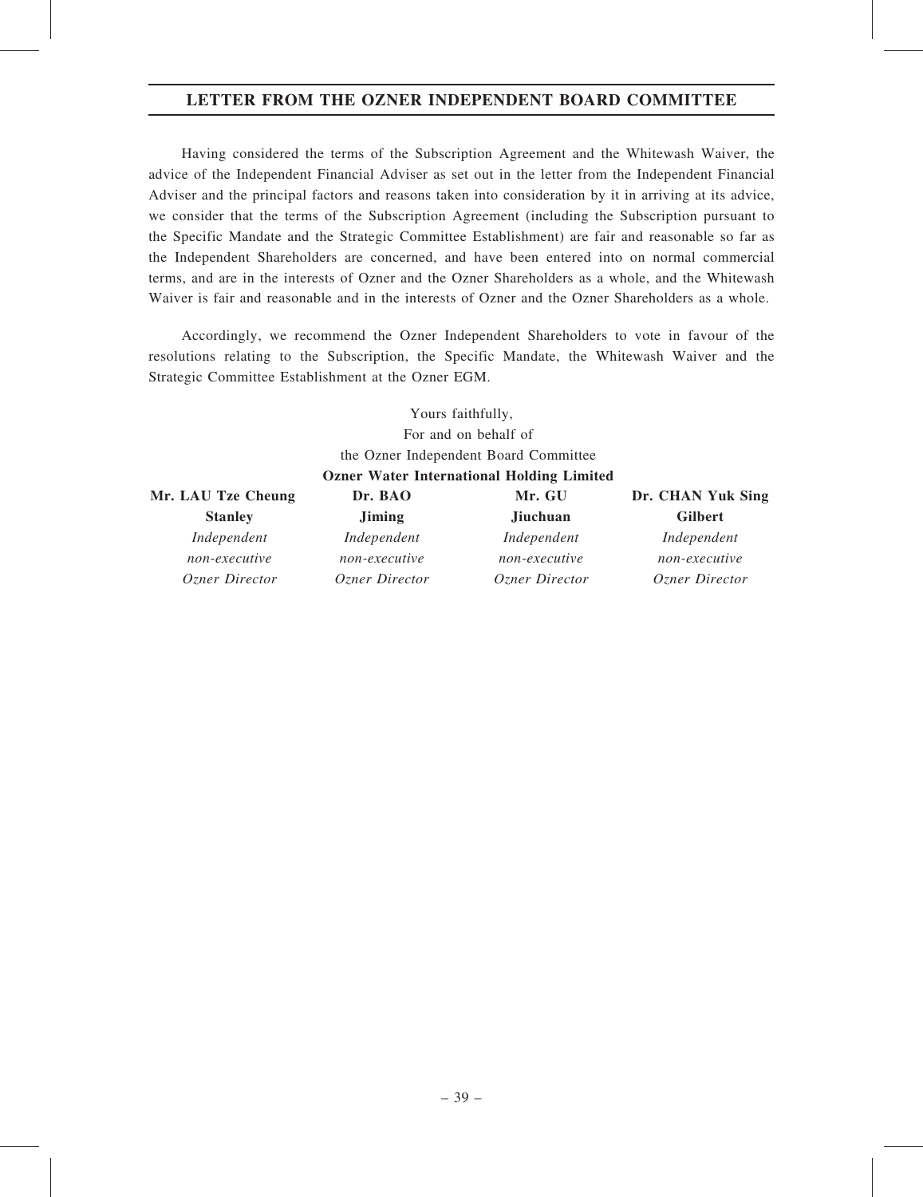# LETTER FROM THE OZNER INDEPENDENT BOARD COMMITTEE

Having considered the terms of the Subscription Agreement and the Whitewash Waiver, the advice of the Independent Financial Adviser as set out in the letter from the Independent Financial Adviser and the principal factors and reasons taken into consideration by it in arriving at its advice, we consider that the terms of the Subscription Agreement (including the Subscription pursuant to the Specific Mandate and the Strategic Committee Establishment) are fair and reasonable so far as the Independent Shareholders are concerned, and have been entered into on normal commercial terms, and are in the interests of Ozner and the Ozner Shareholders as a whole, and the Whitewash Waiver is fair and reasonable and in the interests of Ozner and the Ozner Shareholders as a whole.

Accordingly, we recommend the Ozner Independent Shareholders to vote in favour of the resolutions relating to the Subscription, the Specific Mandate, the Whitewash Waiver and the Strategic Committee Establishment at the Ozner EGM.

> Yours faithfully, For and on behalf of the Ozner Independent Board Committee

### Ozner Water International Holding Limited

| Mr. LAU Tze Cheung | Dr. BAO        | Mr. GU                | Dr. CHAN Yuk Sing |
|--------------------|----------------|-----------------------|-------------------|
| <b>Stanley</b>     | <b>Jiming</b>  | <b>Jiuchuan</b>       | <b>Gilbert</b>    |
| Independent        | Independent    | Independent           | Independent       |
| non-executive      | non-executive  | non-executive         | non-executive     |
| Ozner Director     | Ozner Director | <i>Ozner Director</i> | Ozner Director    |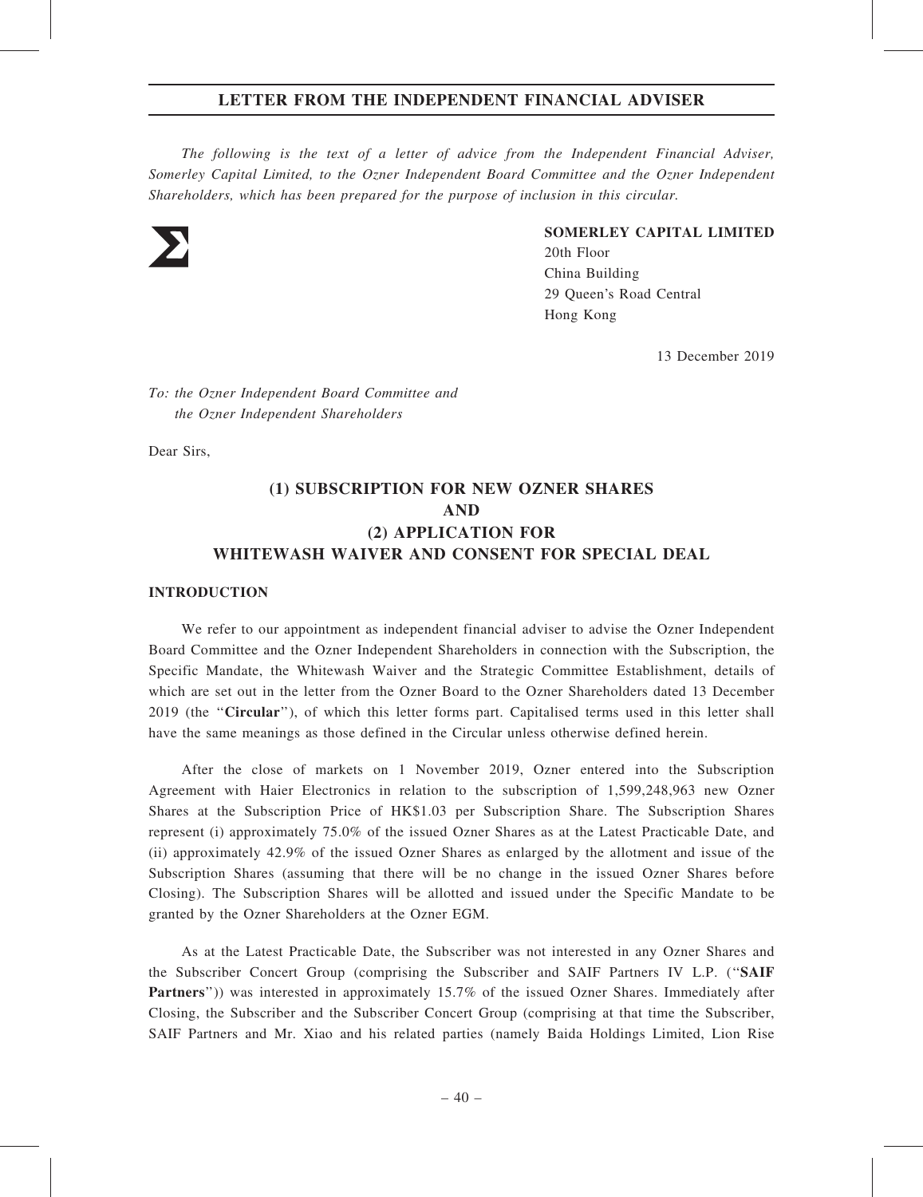The following is the text of a letter of advice from the Independent Financial Adviser, Somerley Capital Limited, to the Ozner Independent Board Committee and the Ozner Independent Shareholders, which has been prepared for the purpose of inclusion in this circular.



#### SOMERLEY CAPITAL LIMITED

20th Floor China Building 29 Queen's Road Central Hong Kong

13 December 2019

To: the Ozner Independent Board Committee and the Ozner Independent Shareholders

Dear Sirs,

# (1) SUBSCRIPTION FOR NEW OZNER SHARES AND (2) APPLICATION FOR WHITEWASH WAIVER AND CONSENT FOR SPECIAL DEAL

#### **INTRODUCTION**

We refer to our appointment as independent financial adviser to advise the Ozner Independent Board Committee and the Ozner Independent Shareholders in connection with the Subscription, the Specific Mandate, the Whitewash Waiver and the Strategic Committee Establishment, details of which are set out in the letter from the Ozner Board to the Ozner Shareholders dated 13 December 2019 (the ''Circular''), of which this letter forms part. Capitalised terms used in this letter shall have the same meanings as those defined in the Circular unless otherwise defined herein.

After the close of markets on 1 November 2019, Ozner entered into the Subscription Agreement with Haier Electronics in relation to the subscription of 1,599,248,963 new Ozner Shares at the Subscription Price of HK\$1.03 per Subscription Share. The Subscription Shares represent (i) approximately 75.0% of the issued Ozner Shares as at the Latest Practicable Date, and (ii) approximately 42.9% of the issued Ozner Shares as enlarged by the allotment and issue of the Subscription Shares (assuming that there will be no change in the issued Ozner Shares before Closing). The Subscription Shares will be allotted and issued under the Specific Mandate to be granted by the Ozner Shareholders at the Ozner EGM.

As at the Latest Practicable Date, the Subscriber was not interested in any Ozner Shares and the Subscriber Concert Group (comprising the Subscriber and SAIF Partners IV L.P. (''SAIF Partners'')) was interested in approximately 15.7% of the issued Ozner Shares. Immediately after Closing, the Subscriber and the Subscriber Concert Group (comprising at that time the Subscriber, SAIF Partners and Mr. Xiao and his related parties (namely Baida Holdings Limited, Lion Rise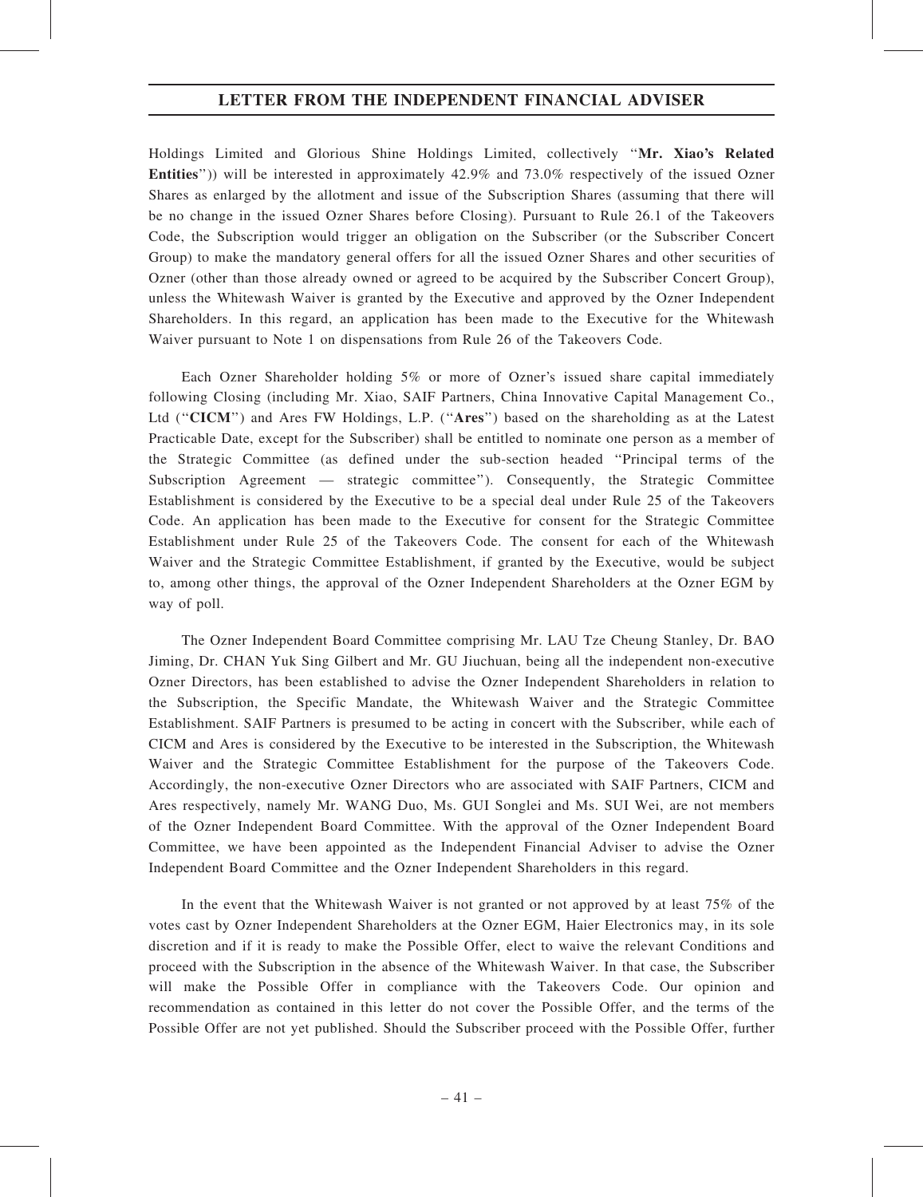Holdings Limited and Glorious Shine Holdings Limited, collectively ''Mr. Xiao's Related Entities'')) will be interested in approximately 42.9% and 73.0% respectively of the issued Ozner Shares as enlarged by the allotment and issue of the Subscription Shares (assuming that there will be no change in the issued Ozner Shares before Closing). Pursuant to Rule 26.1 of the Takeovers Code, the Subscription would trigger an obligation on the Subscriber (or the Subscriber Concert Group) to make the mandatory general offers for all the issued Ozner Shares and other securities of Ozner (other than those already owned or agreed to be acquired by the Subscriber Concert Group), unless the Whitewash Waiver is granted by the Executive and approved by the Ozner Independent Shareholders. In this regard, an application has been made to the Executive for the Whitewash Waiver pursuant to Note 1 on dispensations from Rule 26 of the Takeovers Code.

Each Ozner Shareholder holding 5% or more of Ozner's issued share capital immediately following Closing (including Mr. Xiao, SAIF Partners, China Innovative Capital Management Co., Ltd ("CICM") and Ares FW Holdings, L.P. ("Ares") based on the shareholding as at the Latest Practicable Date, except for the Subscriber) shall be entitled to nominate one person as a member of the Strategic Committee (as defined under the sub-section headed ''Principal terms of the Subscription Agreement — strategic committee''). Consequently, the Strategic Committee Establishment is considered by the Executive to be a special deal under Rule 25 of the Takeovers Code. An application has been made to the Executive for consent for the Strategic Committee Establishment under Rule 25 of the Takeovers Code. The consent for each of the Whitewash Waiver and the Strategic Committee Establishment, if granted by the Executive, would be subject to, among other things, the approval of the Ozner Independent Shareholders at the Ozner EGM by way of poll.

The Ozner Independent Board Committee comprising Mr. LAU Tze Cheung Stanley, Dr. BAO Jiming, Dr. CHAN Yuk Sing Gilbert and Mr. GU Jiuchuan, being all the independent non-executive Ozner Directors, has been established to advise the Ozner Independent Shareholders in relation to the Subscription, the Specific Mandate, the Whitewash Waiver and the Strategic Committee Establishment. SAIF Partners is presumed to be acting in concert with the Subscriber, while each of CICM and Ares is considered by the Executive to be interested in the Subscription, the Whitewash Waiver and the Strategic Committee Establishment for the purpose of the Takeovers Code. Accordingly, the non-executive Ozner Directors who are associated with SAIF Partners, CICM and Ares respectively, namely Mr. WANG Duo, Ms. GUI Songlei and Ms. SUI Wei, are not members of the Ozner Independent Board Committee. With the approval of the Ozner Independent Board Committee, we have been appointed as the Independent Financial Adviser to advise the Ozner Independent Board Committee and the Ozner Independent Shareholders in this regard.

In the event that the Whitewash Waiver is not granted or not approved by at least 75% of the votes cast by Ozner Independent Shareholders at the Ozner EGM, Haier Electronics may, in its sole discretion and if it is ready to make the Possible Offer, elect to waive the relevant Conditions and proceed with the Subscription in the absence of the Whitewash Waiver. In that case, the Subscriber will make the Possible Offer in compliance with the Takeovers Code. Our opinion and recommendation as contained in this letter do not cover the Possible Offer, and the terms of the Possible Offer are not yet published. Should the Subscriber proceed with the Possible Offer, further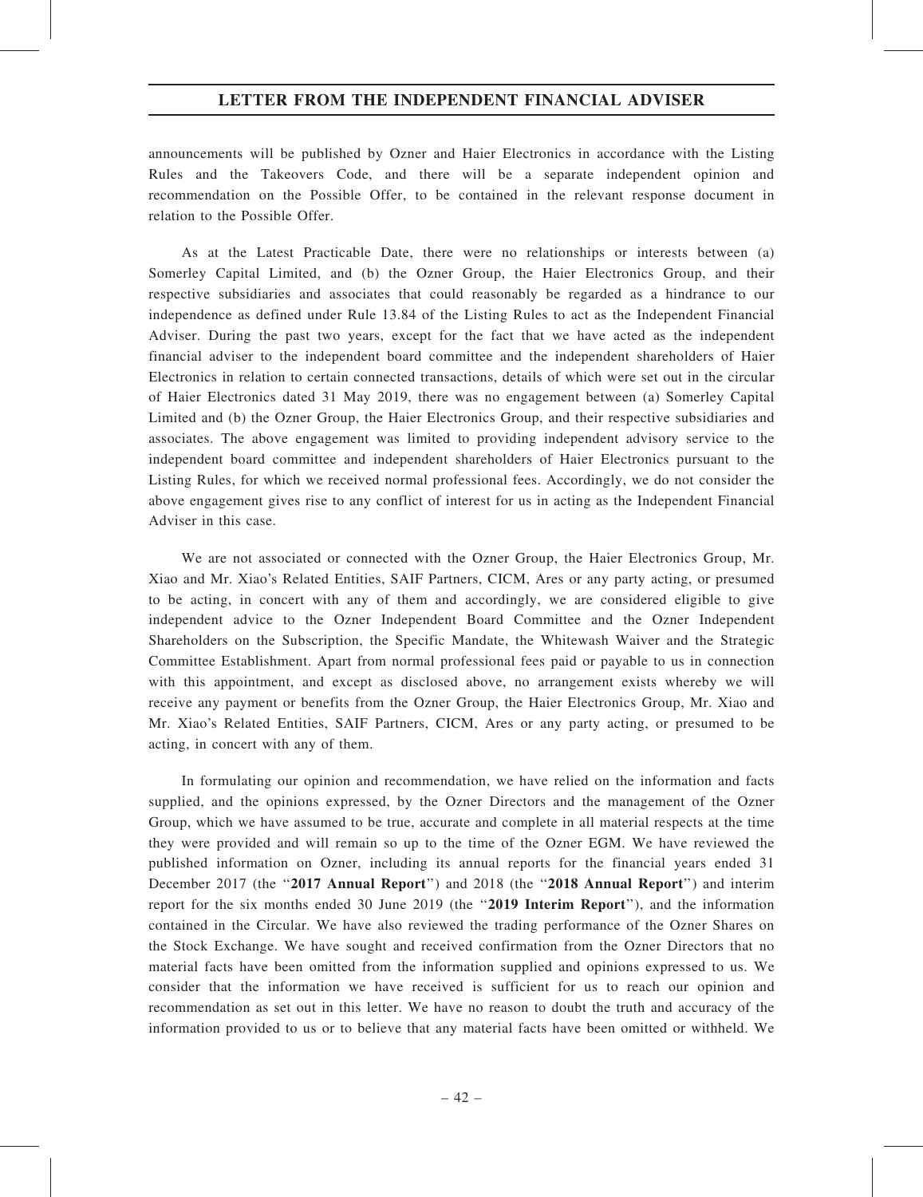announcements will be published by Ozner and Haier Electronics in accordance with the Listing Rules and the Takeovers Code, and there will be a separate independent opinion and recommendation on the Possible Offer, to be contained in the relevant response document in relation to the Possible Offer.

As at the Latest Practicable Date, there were no relationships or interests between (a) Somerley Capital Limited, and (b) the Ozner Group, the Haier Electronics Group, and their respective subsidiaries and associates that could reasonably be regarded as a hindrance to our independence as defined under Rule 13.84 of the Listing Rules to act as the Independent Financial Adviser. During the past two years, except for the fact that we have acted as the independent financial adviser to the independent board committee and the independent shareholders of Haier Electronics in relation to certain connected transactions, details of which were set out in the circular of Haier Electronics dated 31 May 2019, there was no engagement between (a) Somerley Capital Limited and (b) the Ozner Group, the Haier Electronics Group, and their respective subsidiaries and associates. The above engagement was limited to providing independent advisory service to the independent board committee and independent shareholders of Haier Electronics pursuant to the Listing Rules, for which we received normal professional fees. Accordingly, we do not consider the above engagement gives rise to any conflict of interest for us in acting as the Independent Financial Adviser in this case.

We are not associated or connected with the Ozner Group, the Haier Electronics Group, Mr. Xiao and Mr. Xiao's Related Entities, SAIF Partners, CICM, Ares or any party acting, or presumed to be acting, in concert with any of them and accordingly, we are considered eligible to give independent advice to the Ozner Independent Board Committee and the Ozner Independent Shareholders on the Subscription, the Specific Mandate, the Whitewash Waiver and the Strategic Committee Establishment. Apart from normal professional fees paid or payable to us in connection with this appointment, and except as disclosed above, no arrangement exists whereby we will receive any payment or benefits from the Ozner Group, the Haier Electronics Group, Mr. Xiao and Mr. Xiao's Related Entities, SAIF Partners, CICM, Ares or any party acting, or presumed to be acting, in concert with any of them.

In formulating our opinion and recommendation, we have relied on the information and facts supplied, and the opinions expressed, by the Ozner Directors and the management of the Ozner Group, which we have assumed to be true, accurate and complete in all material respects at the time they were provided and will remain so up to the time of the Ozner EGM. We have reviewed the published information on Ozner, including its annual reports for the financial years ended 31 December 2017 (the "2017 Annual Report") and 2018 (the "2018 Annual Report") and interim report for the six months ended 30 June 2019 (the ''2019 Interim Report''), and the information contained in the Circular. We have also reviewed the trading performance of the Ozner Shares on the Stock Exchange. We have sought and received confirmation from the Ozner Directors that no material facts have been omitted from the information supplied and opinions expressed to us. We consider that the information we have received is sufficient for us to reach our opinion and recommendation as set out in this letter. We have no reason to doubt the truth and accuracy of the information provided to us or to believe that any material facts have been omitted or withheld. We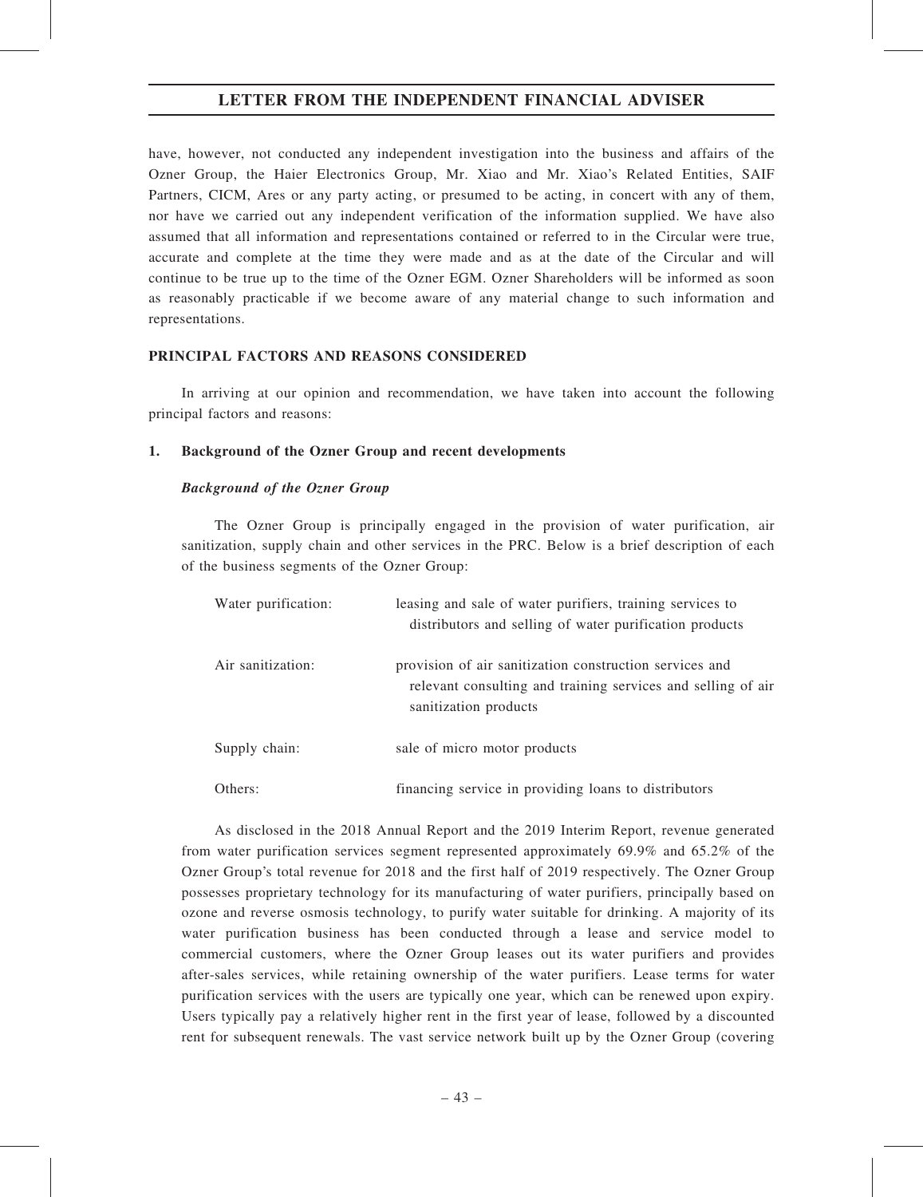have, however, not conducted any independent investigation into the business and affairs of the Ozner Group, the Haier Electronics Group, Mr. Xiao and Mr. Xiao's Related Entities, SAIF Partners, CICM, Ares or any party acting, or presumed to be acting, in concert with any of them, nor have we carried out any independent verification of the information supplied. We have also assumed that all information and representations contained or referred to in the Circular were true, accurate and complete at the time they were made and as at the date of the Circular and will continue to be true up to the time of the Ozner EGM. Ozner Shareholders will be informed as soon as reasonably practicable if we become aware of any material change to such information and representations.

### PRINCIPAL FACTORS AND REASONS CONSIDERED

In arriving at our opinion and recommendation, we have taken into account the following principal factors and reasons:

### 1. Background of the Ozner Group and recent developments

### Background of the Ozner Group

The Ozner Group is principally engaged in the provision of water purification, air sanitization, supply chain and other services in the PRC. Below is a brief description of each of the business segments of the Ozner Group:

| Water purification: | leasing and sale of water purifiers, training services to<br>distributors and selling of water purification products                             |
|---------------------|--------------------------------------------------------------------------------------------------------------------------------------------------|
| Air sanitization:   | provision of air sanitization construction services and<br>relevant consulting and training services and selling of air<br>sanitization products |
| Supply chain:       | sale of micro motor products                                                                                                                     |
| Others:             | financing service in providing loans to distributors                                                                                             |

As disclosed in the 2018 Annual Report and the 2019 Interim Report, revenue generated from water purification services segment represented approximately 69.9% and 65.2% of the Ozner Group's total revenue for 2018 and the first half of 2019 respectively. The Ozner Group possesses proprietary technology for its manufacturing of water purifiers, principally based on ozone and reverse osmosis technology, to purify water suitable for drinking. A majority of its water purification business has been conducted through a lease and service model to commercial customers, where the Ozner Group leases out its water purifiers and provides after-sales services, while retaining ownership of the water purifiers. Lease terms for water purification services with the users are typically one year, which can be renewed upon expiry. Users typically pay a relatively higher rent in the first year of lease, followed by a discounted rent for subsequent renewals. The vast service network built up by the Ozner Group (covering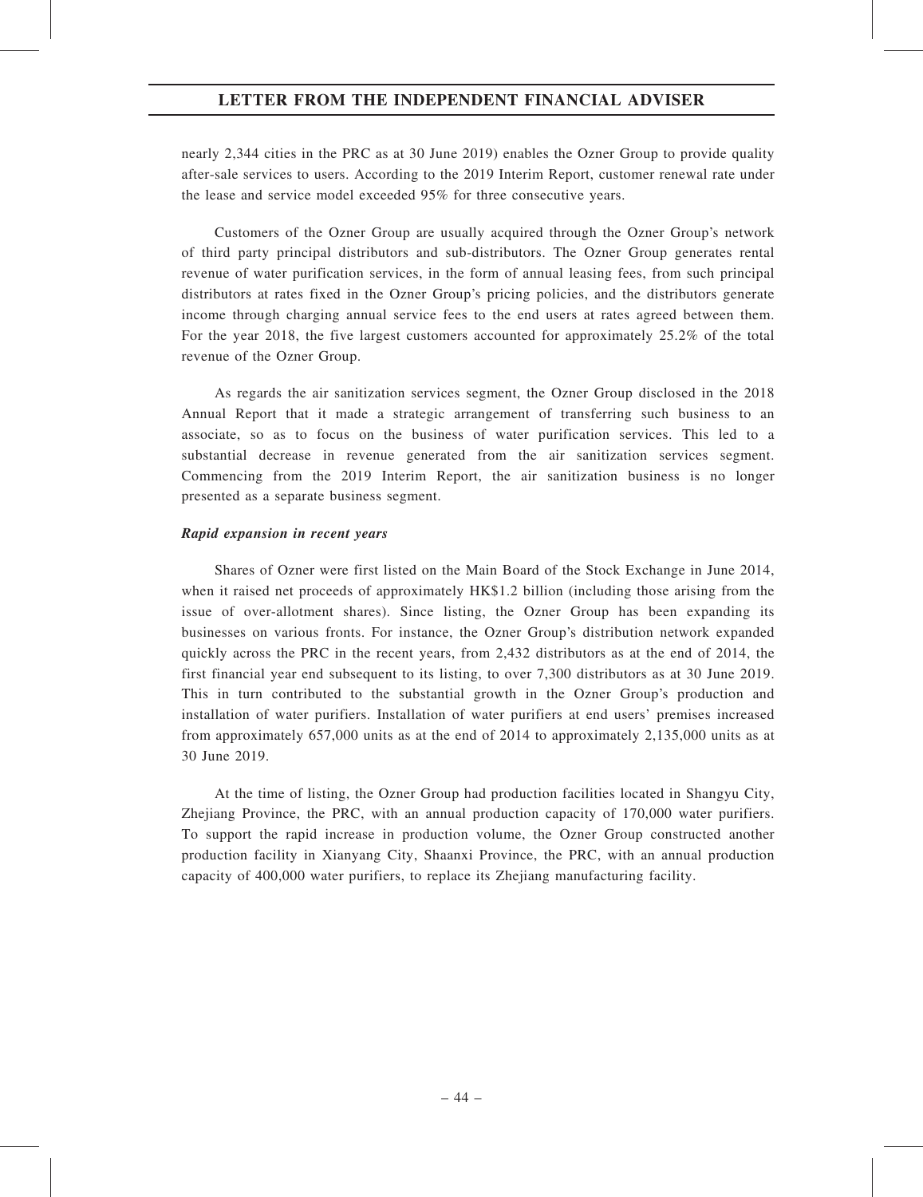nearly 2,344 cities in the PRC as at 30 June 2019) enables the Ozner Group to provide quality after-sale services to users. According to the 2019 Interim Report, customer renewal rate under the lease and service model exceeded 95% for three consecutive years.

Customers of the Ozner Group are usually acquired through the Ozner Group's network of third party principal distributors and sub-distributors. The Ozner Group generates rental revenue of water purification services, in the form of annual leasing fees, from such principal distributors at rates fixed in the Ozner Group's pricing policies, and the distributors generate income through charging annual service fees to the end users at rates agreed between them. For the year 2018, the five largest customers accounted for approximately 25.2% of the total revenue of the Ozner Group.

As regards the air sanitization services segment, the Ozner Group disclosed in the 2018 Annual Report that it made a strategic arrangement of transferring such business to an associate, so as to focus on the business of water purification services. This led to a substantial decrease in revenue generated from the air sanitization services segment. Commencing from the 2019 Interim Report, the air sanitization business is no longer presented as a separate business segment.

#### Rapid expansion in recent years

Shares of Ozner were first listed on the Main Board of the Stock Exchange in June 2014, when it raised net proceeds of approximately HK\$1.2 billion (including those arising from the issue of over-allotment shares). Since listing, the Ozner Group has been expanding its businesses on various fronts. For instance, the Ozner Group's distribution network expanded quickly across the PRC in the recent years, from 2,432 distributors as at the end of 2014, the first financial year end subsequent to its listing, to over 7,300 distributors as at 30 June 2019. This in turn contributed to the substantial growth in the Ozner Group's production and installation of water purifiers. Installation of water purifiers at end users' premises increased from approximately 657,000 units as at the end of 2014 to approximately 2,135,000 units as at 30 June 2019.

At the time of listing, the Ozner Group had production facilities located in Shangyu City, Zhejiang Province, the PRC, with an annual production capacity of 170,000 water purifiers. To support the rapid increase in production volume, the Ozner Group constructed another production facility in Xianyang City, Shaanxi Province, the PRC, with an annual production capacity of 400,000 water purifiers, to replace its Zhejiang manufacturing facility.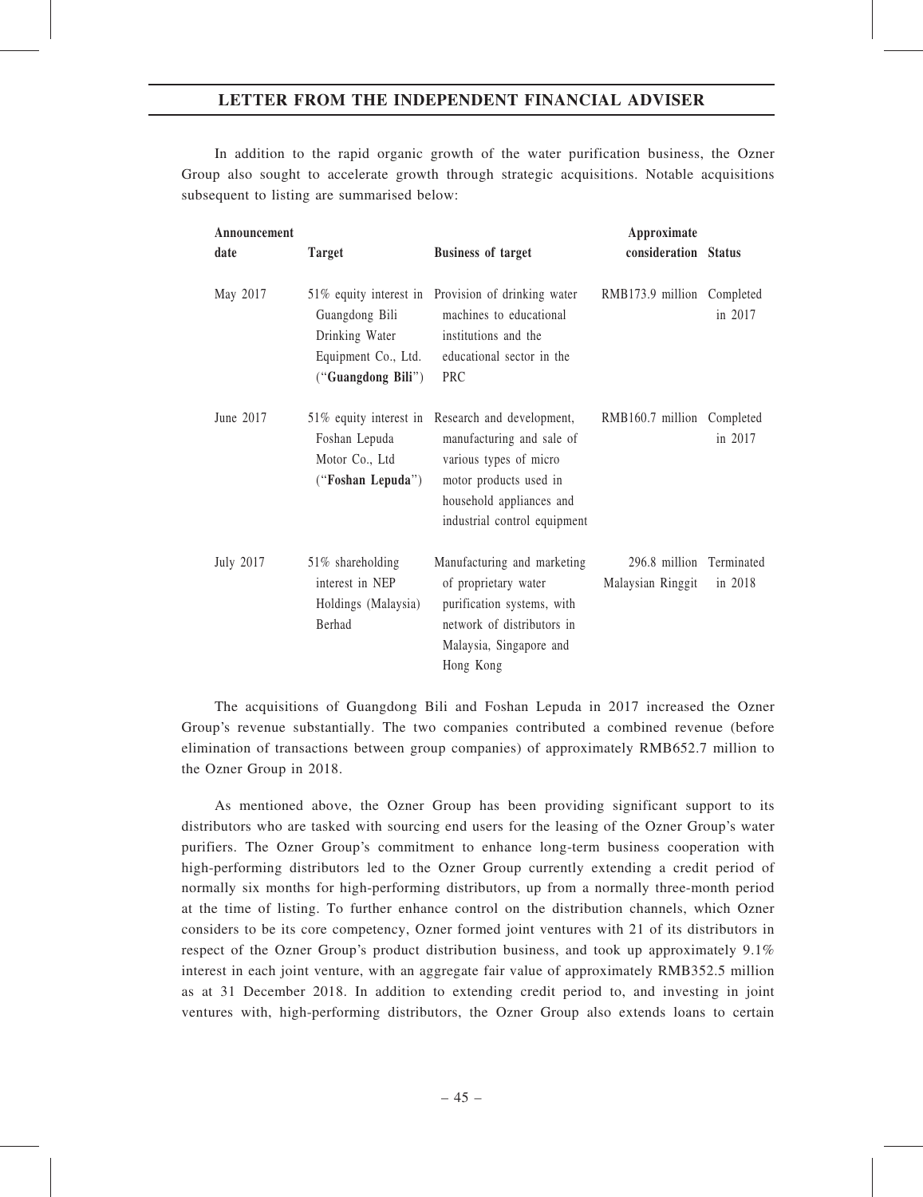In addition to the rapid organic growth of the water purification business, the Ozner Group also sought to accelerate growth through strategic acquisitions. Notable acquisitions subsequent to listing are summarised below:

| Announcement<br>date | <b>Target</b>                                                                  | <b>Business of target</b>                                                                                                                                              | Approximate<br>consideration Status           |         |
|----------------------|--------------------------------------------------------------------------------|------------------------------------------------------------------------------------------------------------------------------------------------------------------------|-----------------------------------------------|---------|
| May 2017             | Guangdong Bili<br>Drinking Water<br>Equipment Co., Ltd.<br>("Guangdong Bili")  | 51% equity interest in Provision of drinking water<br>machines to educational<br>institutions and the<br>educational sector in the<br>PRC                              | RMB173.9 million Completed                    | in 2017 |
| June 2017            | 51% equity interest in<br>Foshan Lepuda<br>Motor Co., Ltd<br>("Foshan Lepuda") | Research and development,<br>manufacturing and sale of<br>various types of micro<br>motor products used in<br>household appliances and<br>industrial control equipment | RMB160.7 million Completed                    | in 2017 |
| July 2017            | 51% shareholding<br>interest in NEP<br>Holdings (Malaysia)<br><b>Berhad</b>    | Manufacturing and marketing<br>of proprietary water<br>purification systems, with<br>network of distributors in<br>Malaysia, Singapore and<br>Hong Kong                | 296.8 million Terminated<br>Malaysian Ringgit | in 2018 |

The acquisitions of Guangdong Bili and Foshan Lepuda in 2017 increased the Ozner Group's revenue substantially. The two companies contributed a combined revenue (before elimination of transactions between group companies) of approximately RMB652.7 million to the Ozner Group in 2018.

As mentioned above, the Ozner Group has been providing significant support to its distributors who are tasked with sourcing end users for the leasing of the Ozner Group's water purifiers. The Ozner Group's commitment to enhance long-term business cooperation with high-performing distributors led to the Ozner Group currently extending a credit period of normally six months for high-performing distributors, up from a normally three-month period at the time of listing. To further enhance control on the distribution channels, which Ozner considers to be its core competency, Ozner formed joint ventures with 21 of its distributors in respect of the Ozner Group's product distribution business, and took up approximately 9.1% interest in each joint venture, with an aggregate fair value of approximately RMB352.5 million as at 31 December 2018. In addition to extending credit period to, and investing in joint ventures with, high-performing distributors, the Ozner Group also extends loans to certain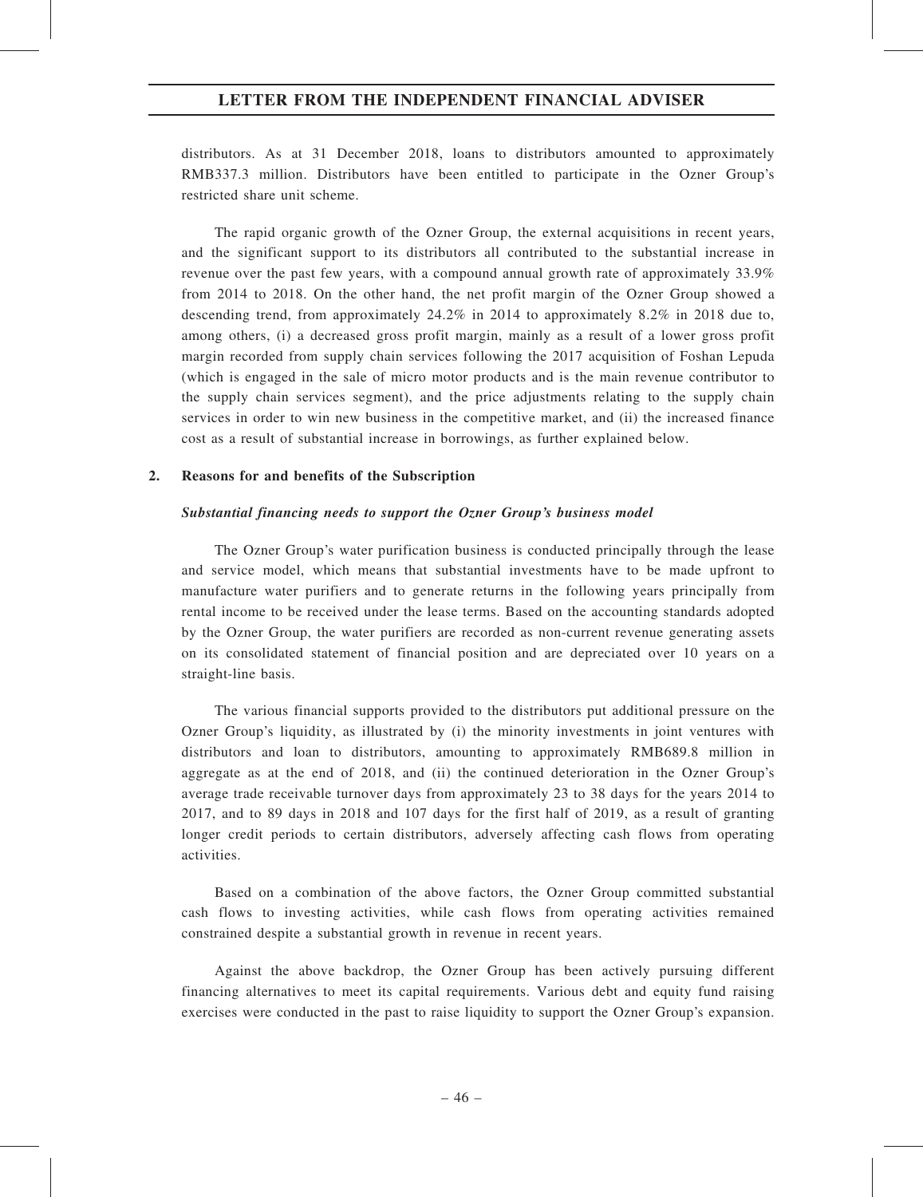distributors. As at 31 December 2018, loans to distributors amounted to approximately RMB337.3 million. Distributors have been entitled to participate in the Ozner Group's restricted share unit scheme.

The rapid organic growth of the Ozner Group, the external acquisitions in recent years, and the significant support to its distributors all contributed to the substantial increase in revenue over the past few years, with a compound annual growth rate of approximately 33.9% from 2014 to 2018. On the other hand, the net profit margin of the Ozner Group showed a descending trend, from approximately 24.2% in 2014 to approximately 8.2% in 2018 due to, among others, (i) a decreased gross profit margin, mainly as a result of a lower gross profit margin recorded from supply chain services following the 2017 acquisition of Foshan Lepuda (which is engaged in the sale of micro motor products and is the main revenue contributor to the supply chain services segment), and the price adjustments relating to the supply chain services in order to win new business in the competitive market, and (ii) the increased finance cost as a result of substantial increase in borrowings, as further explained below.

#### 2. Reasons for and benefits of the Subscription

#### Substantial financing needs to support the Ozner Group's business model

The Ozner Group's water purification business is conducted principally through the lease and service model, which means that substantial investments have to be made upfront to manufacture water purifiers and to generate returns in the following years principally from rental income to be received under the lease terms. Based on the accounting standards adopted by the Ozner Group, the water purifiers are recorded as non-current revenue generating assets on its consolidated statement of financial position and are depreciated over 10 years on a straight-line basis.

The various financial supports provided to the distributors put additional pressure on the Ozner Group's liquidity, as illustrated by (i) the minority investments in joint ventures with distributors and loan to distributors, amounting to approximately RMB689.8 million in aggregate as at the end of 2018, and (ii) the continued deterioration in the Ozner Group's average trade receivable turnover days from approximately 23 to 38 days for the years 2014 to 2017, and to 89 days in 2018 and 107 days for the first half of 2019, as a result of granting longer credit periods to certain distributors, adversely affecting cash flows from operating activities.

Based on a combination of the above factors, the Ozner Group committed substantial cash flows to investing activities, while cash flows from operating activities remained constrained despite a substantial growth in revenue in recent years.

Against the above backdrop, the Ozner Group has been actively pursuing different financing alternatives to meet its capital requirements. Various debt and equity fund raising exercises were conducted in the past to raise liquidity to support the Ozner Group's expansion.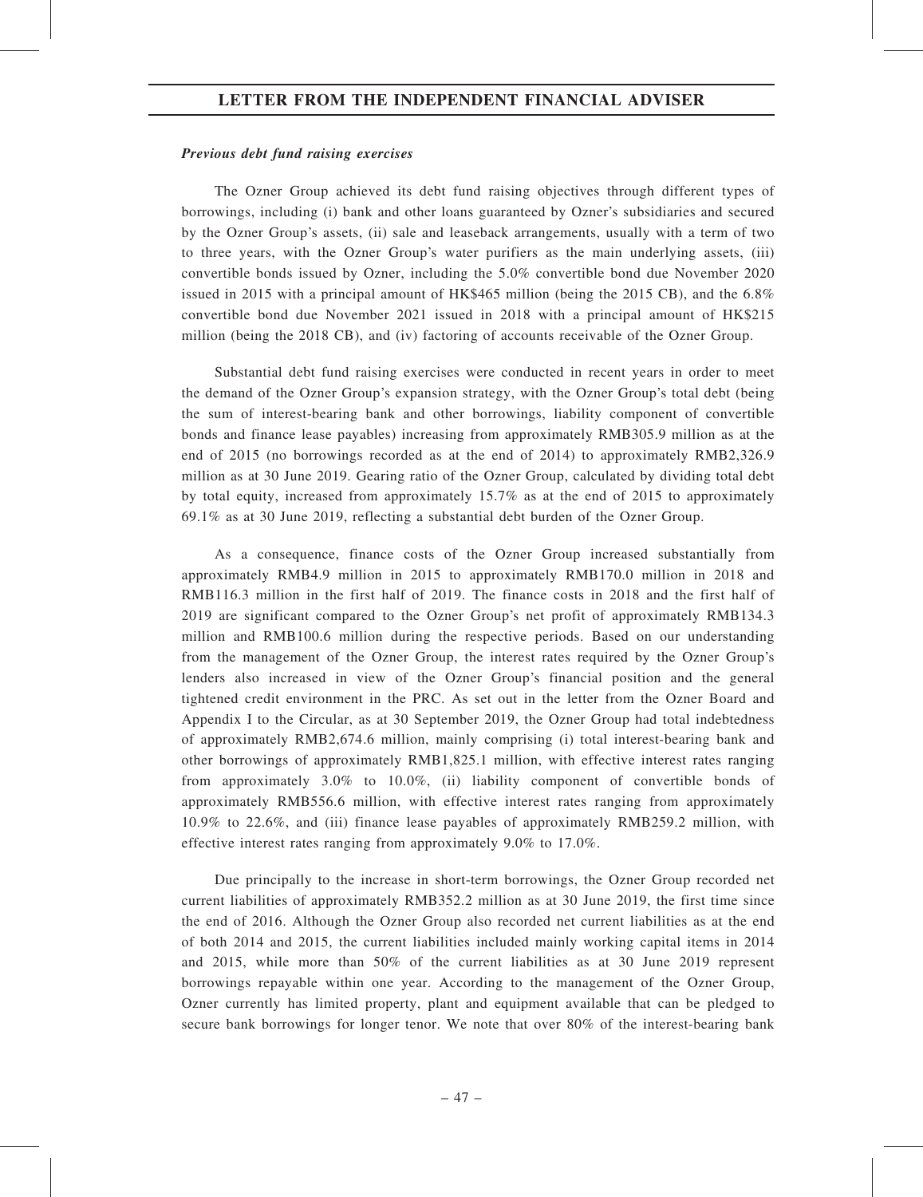#### Previous debt fund raising exercises

The Ozner Group achieved its debt fund raising objectives through different types of borrowings, including (i) bank and other loans guaranteed by Ozner's subsidiaries and secured by the Ozner Group's assets, (ii) sale and leaseback arrangements, usually with a term of two to three years, with the Ozner Group's water purifiers as the main underlying assets, (iii) convertible bonds issued by Ozner, including the 5.0% convertible bond due November 2020 issued in 2015 with a principal amount of HK\$465 million (being the 2015 CB), and the 6.8% convertible bond due November 2021 issued in 2018 with a principal amount of HK\$215 million (being the 2018 CB), and (iv) factoring of accounts receivable of the Ozner Group.

Substantial debt fund raising exercises were conducted in recent years in order to meet the demand of the Ozner Group's expansion strategy, with the Ozner Group's total debt (being the sum of interest-bearing bank and other borrowings, liability component of convertible bonds and finance lease payables) increasing from approximately RMB305.9 million as at the end of 2015 (no borrowings recorded as at the end of 2014) to approximately RMB2,326.9 million as at 30 June 2019. Gearing ratio of the Ozner Group, calculated by dividing total debt by total equity, increased from approximately 15.7% as at the end of 2015 to approximately 69.1% as at 30 June 2019, reflecting a substantial debt burden of the Ozner Group.

As a consequence, finance costs of the Ozner Group increased substantially from approximately RMB4.9 million in 2015 to approximately RMB170.0 million in 2018 and RMB116.3 million in the first half of 2019. The finance costs in 2018 and the first half of 2019 are significant compared to the Ozner Group's net profit of approximately RMB134.3 million and RMB100.6 million during the respective periods. Based on our understanding from the management of the Ozner Group, the interest rates required by the Ozner Group's lenders also increased in view of the Ozner Group's financial position and the general tightened credit environment in the PRC. As set out in the letter from the Ozner Board and Appendix I to the Circular, as at 30 September 2019, the Ozner Group had total indebtedness of approximately RMB2,674.6 million, mainly comprising (i) total interest-bearing bank and other borrowings of approximately RMB1,825.1 million, with effective interest rates ranging from approximately 3.0% to 10.0%, (ii) liability component of convertible bonds of approximately RMB556.6 million, with effective interest rates ranging from approximately 10.9% to 22.6%, and (iii) finance lease payables of approximately RMB259.2 million, with effective interest rates ranging from approximately 9.0% to 17.0%.

Due principally to the increase in short-term borrowings, the Ozner Group recorded net current liabilities of approximately RMB352.2 million as at 30 June 2019, the first time since the end of 2016. Although the Ozner Group also recorded net current liabilities as at the end of both 2014 and 2015, the current liabilities included mainly working capital items in 2014 and 2015, while more than 50% of the current liabilities as at 30 June 2019 represent borrowings repayable within one year. According to the management of the Ozner Group, Ozner currently has limited property, plant and equipment available that can be pledged to secure bank borrowings for longer tenor. We note that over 80% of the interest-bearing bank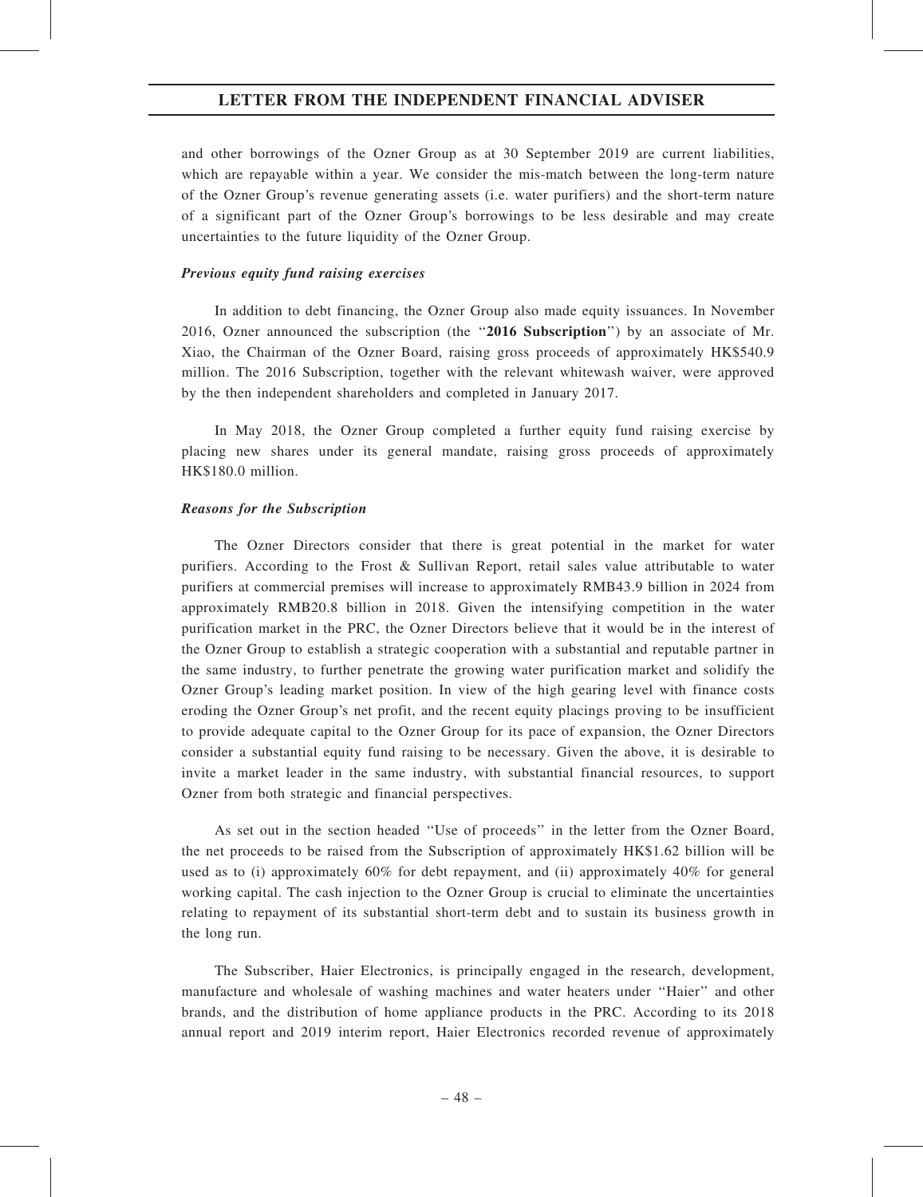and other borrowings of the Ozner Group as at 30 September 2019 are current liabilities, which are repayable within a year. We consider the mis-match between the long-term nature of the Ozner Group's revenue generating assets (i.e. water purifiers) and the short-term nature of a significant part of the Ozner Group's borrowings to be less desirable and may create uncertainties to the future liquidity of the Ozner Group.

#### Previous equity fund raising exercises

In addition to debt financing, the Ozner Group also made equity issuances. In November 2016, Ozner announced the subscription (the "2016 Subscription") by an associate of Mr. Xiao, the Chairman of the Ozner Board, raising gross proceeds of approximately HK\$540.9 million. The 2016 Subscription, together with the relevant whitewash waiver, were approved by the then independent shareholders and completed in January 2017.

In May 2018, the Ozner Group completed a further equity fund raising exercise by placing new shares under its general mandate, raising gross proceeds of approximately HK\$180.0 million.

#### Reasons for the Subscription

The Ozner Directors consider that there is great potential in the market for water purifiers. According to the Frost & Sullivan Report, retail sales value attributable to water purifiers at commercial premises will increase to approximately RMB43.9 billion in 2024 from approximately RMB20.8 billion in 2018. Given the intensifying competition in the water purification market in the PRC, the Ozner Directors believe that it would be in the interest of the Ozner Group to establish a strategic cooperation with a substantial and reputable partner in the same industry, to further penetrate the growing water purification market and solidify the Ozner Group's leading market position. In view of the high gearing level with finance costs eroding the Ozner Group's net profit, and the recent equity placings proving to be insufficient to provide adequate capital to the Ozner Group for its pace of expansion, the Ozner Directors consider a substantial equity fund raising to be necessary. Given the above, it is desirable to invite a market leader in the same industry, with substantial financial resources, to support Ozner from both strategic and financial perspectives.

As set out in the section headed ''Use of proceeds'' in the letter from the Ozner Board, the net proceeds to be raised from the Subscription of approximately HK\$1.62 billion will be used as to (i) approximately  $60\%$  for debt repayment, and (ii) approximately  $40\%$  for general working capital. The cash injection to the Ozner Group is crucial to eliminate the uncertainties relating to repayment of its substantial short-term debt and to sustain its business growth in the long run.

The Subscriber, Haier Electronics, is principally engaged in the research, development, manufacture and wholesale of washing machines and water heaters under ''Haier'' and other brands, and the distribution of home appliance products in the PRC. According to its 2018 annual report and 2019 interim report, Haier Electronics recorded revenue of approximately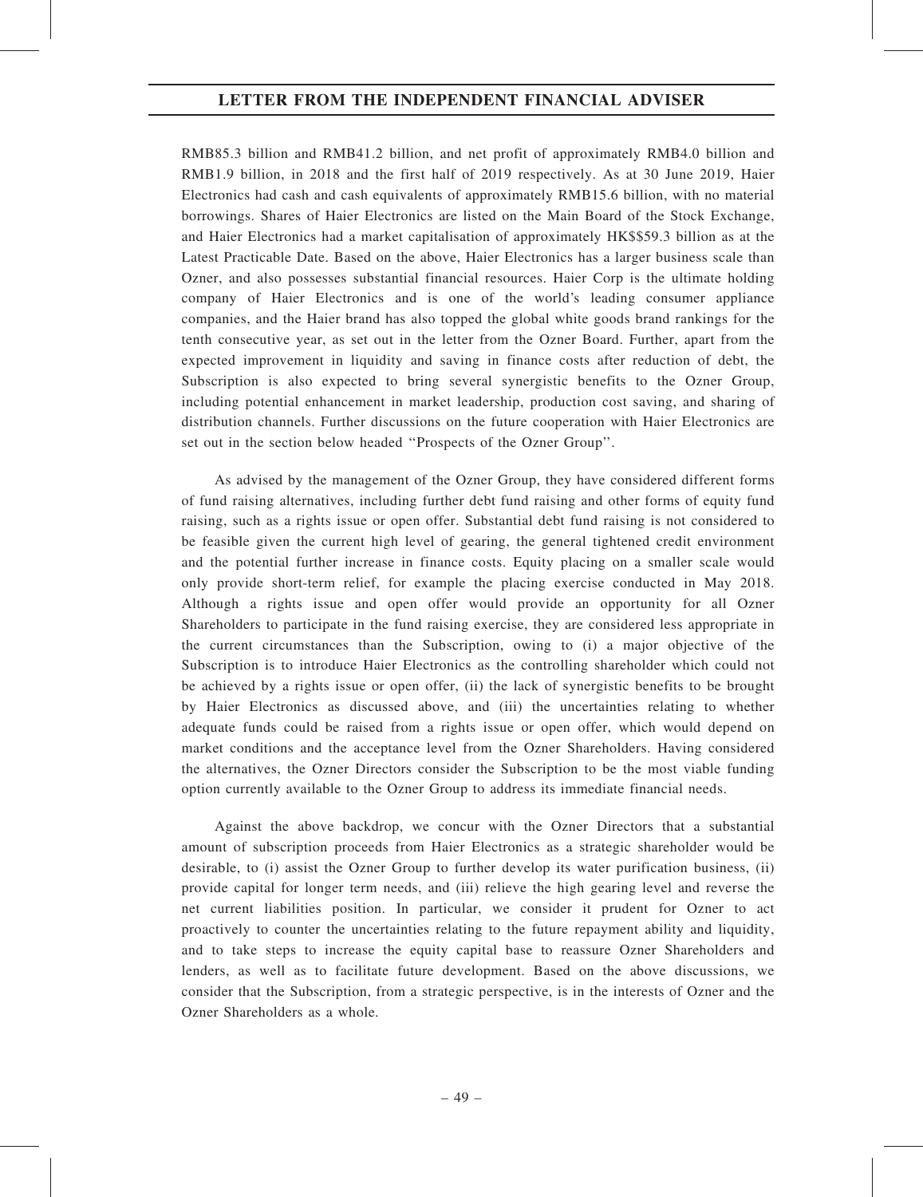RMB85.3 billion and RMB41.2 billion, and net profit of approximately RMB4.0 billion and RMB1.9 billion, in 2018 and the first half of 2019 respectively. As at 30 June 2019, Haier Electronics had cash and cash equivalents of approximately RMB15.6 billion, with no material borrowings. Shares of Haier Electronics are listed on the Main Board of the Stock Exchange, and Haier Electronics had a market capitalisation of approximately HK\$\$59.3 billion as at the Latest Practicable Date. Based on the above, Haier Electronics has a larger business scale than Ozner, and also possesses substantial financial resources. Haier Corp is the ultimate holding company of Haier Electronics and is one of the world's leading consumer appliance companies, and the Haier brand has also topped the global white goods brand rankings for the tenth consecutive year, as set out in the letter from the Ozner Board. Further, apart from the expected improvement in liquidity and saving in finance costs after reduction of debt, the Subscription is also expected to bring several synergistic benefits to the Ozner Group, including potential enhancement in market leadership, production cost saving, and sharing of distribution channels. Further discussions on the future cooperation with Haier Electronics are set out in the section below headed ''Prospects of the Ozner Group''.

As advised by the management of the Ozner Group, they have considered different forms of fund raising alternatives, including further debt fund raising and other forms of equity fund raising, such as a rights issue or open offer. Substantial debt fund raising is not considered to be feasible given the current high level of gearing, the general tightened credit environment and the potential further increase in finance costs. Equity placing on a smaller scale would only provide short-term relief, for example the placing exercise conducted in May 2018. Although a rights issue and open offer would provide an opportunity for all Ozner Shareholders to participate in the fund raising exercise, they are considered less appropriate in the current circumstances than the Subscription, owing to (i) a major objective of the Subscription is to introduce Haier Electronics as the controlling shareholder which could not be achieved by a rights issue or open offer, (ii) the lack of synergistic benefits to be brought by Haier Electronics as discussed above, and (iii) the uncertainties relating to whether adequate funds could be raised from a rights issue or open offer, which would depend on market conditions and the acceptance level from the Ozner Shareholders. Having considered the alternatives, the Ozner Directors consider the Subscription to be the most viable funding option currently available to the Ozner Group to address its immediate financial needs.

Against the above backdrop, we concur with the Ozner Directors that a substantial amount of subscription proceeds from Haier Electronics as a strategic shareholder would be desirable, to (i) assist the Ozner Group to further develop its water purification business, (ii) provide capital for longer term needs, and (iii) relieve the high gearing level and reverse the net current liabilities position. In particular, we consider it prudent for Ozner to act proactively to counter the uncertainties relating to the future repayment ability and liquidity, and to take steps to increase the equity capital base to reassure Ozner Shareholders and lenders, as well as to facilitate future development. Based on the above discussions, we consider that the Subscription, from a strategic perspective, is in the interests of Ozner and the Ozner Shareholders as a whole.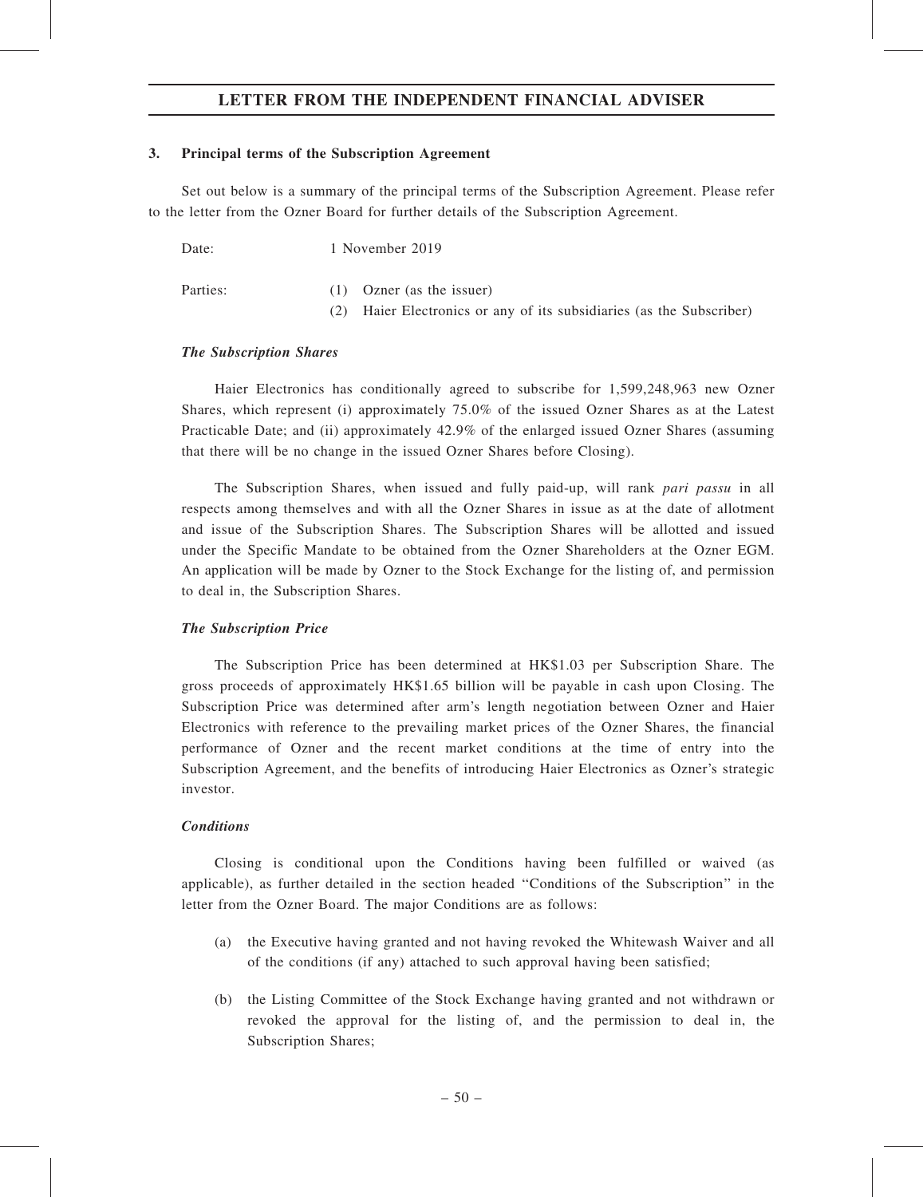#### 3. Principal terms of the Subscription Agreement

Set out below is a summary of the principal terms of the Subscription Agreement. Please refer to the letter from the Ozner Board for further details of the Subscription Agreement.

| Date:    | 1 November 2019             |
|----------|-----------------------------|
| Parties: | $(1)$ Ozner (as the issuer) |

(2) Haier Electronics or any of its subsidiaries (as the Subscriber)

#### The Subscription Shares

Haier Electronics has conditionally agreed to subscribe for 1,599,248,963 new Ozner Shares, which represent (i) approximately 75.0% of the issued Ozner Shares as at the Latest Practicable Date; and (ii) approximately 42.9% of the enlarged issued Ozner Shares (assuming that there will be no change in the issued Ozner Shares before Closing).

The Subscription Shares, when issued and fully paid-up, will rank pari passu in all respects among themselves and with all the Ozner Shares in issue as at the date of allotment and issue of the Subscription Shares. The Subscription Shares will be allotted and issued under the Specific Mandate to be obtained from the Ozner Shareholders at the Ozner EGM. An application will be made by Ozner to the Stock Exchange for the listing of, and permission to deal in, the Subscription Shares.

#### The Subscription Price

The Subscription Price has been determined at HK\$1.03 per Subscription Share. The gross proceeds of approximately HK\$1.65 billion will be payable in cash upon Closing. The Subscription Price was determined after arm's length negotiation between Ozner and Haier Electronics with reference to the prevailing market prices of the Ozner Shares, the financial performance of Ozner and the recent market conditions at the time of entry into the Subscription Agreement, and the benefits of introducing Haier Electronics as Ozner's strategic investor.

### **Conditions**

Closing is conditional upon the Conditions having been fulfilled or waived (as applicable), as further detailed in the section headed ''Conditions of the Subscription'' in the letter from the Ozner Board. The major Conditions are as follows:

- (a) the Executive having granted and not having revoked the Whitewash Waiver and all of the conditions (if any) attached to such approval having been satisfied;
- (b) the Listing Committee of the Stock Exchange having granted and not withdrawn or revoked the approval for the listing of, and the permission to deal in, the Subscription Shares;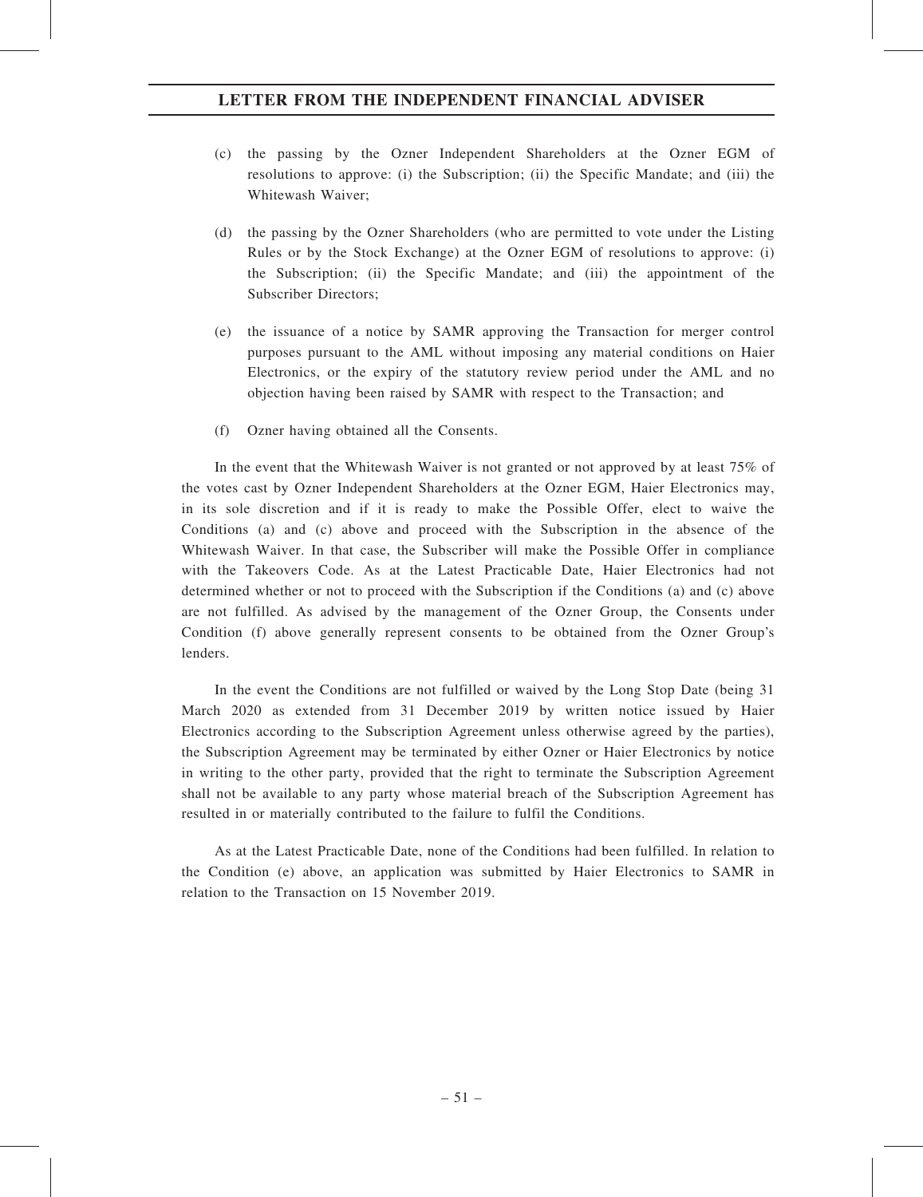- (c) the passing by the Ozner Independent Shareholders at the Ozner EGM of resolutions to approve: (i) the Subscription; (ii) the Specific Mandate; and (iii) the Whitewash Waiver;
- (d) the passing by the Ozner Shareholders (who are permitted to vote under the Listing Rules or by the Stock Exchange) at the Ozner EGM of resolutions to approve: (i) the Subscription; (ii) the Specific Mandate; and (iii) the appointment of the Subscriber Directors;
- (e) the issuance of a notice by SAMR approving the Transaction for merger control purposes pursuant to the AML without imposing any material conditions on Haier Electronics, or the expiry of the statutory review period under the AML and no objection having been raised by SAMR with respect to the Transaction; and
- (f) Ozner having obtained all the Consents.

In the event that the Whitewash Waiver is not granted or not approved by at least 75% of the votes cast by Ozner Independent Shareholders at the Ozner EGM, Haier Electronics may, in its sole discretion and if it is ready to make the Possible Offer, elect to waive the Conditions (a) and (c) above and proceed with the Subscription in the absence of the Whitewash Waiver. In that case, the Subscriber will make the Possible Offer in compliance with the Takeovers Code. As at the Latest Practicable Date, Haier Electronics had not determined whether or not to proceed with the Subscription if the Conditions (a) and (c) above are not fulfilled. As advised by the management of the Ozner Group, the Consents under Condition (f) above generally represent consents to be obtained from the Ozner Group's lenders.

In the event the Conditions are not fulfilled or waived by the Long Stop Date (being 31 March 2020 as extended from 31 December 2019 by written notice issued by Haier Electronics according to the Subscription Agreement unless otherwise agreed by the parties), the Subscription Agreement may be terminated by either Ozner or Haier Electronics by notice in writing to the other party, provided that the right to terminate the Subscription Agreement shall not be available to any party whose material breach of the Subscription Agreement has resulted in or materially contributed to the failure to fulfil the Conditions.

As at the Latest Practicable Date, none of the Conditions had been fulfilled. In relation to the Condition (e) above, an application was submitted by Haier Electronics to SAMR in relation to the Transaction on 15 November 2019.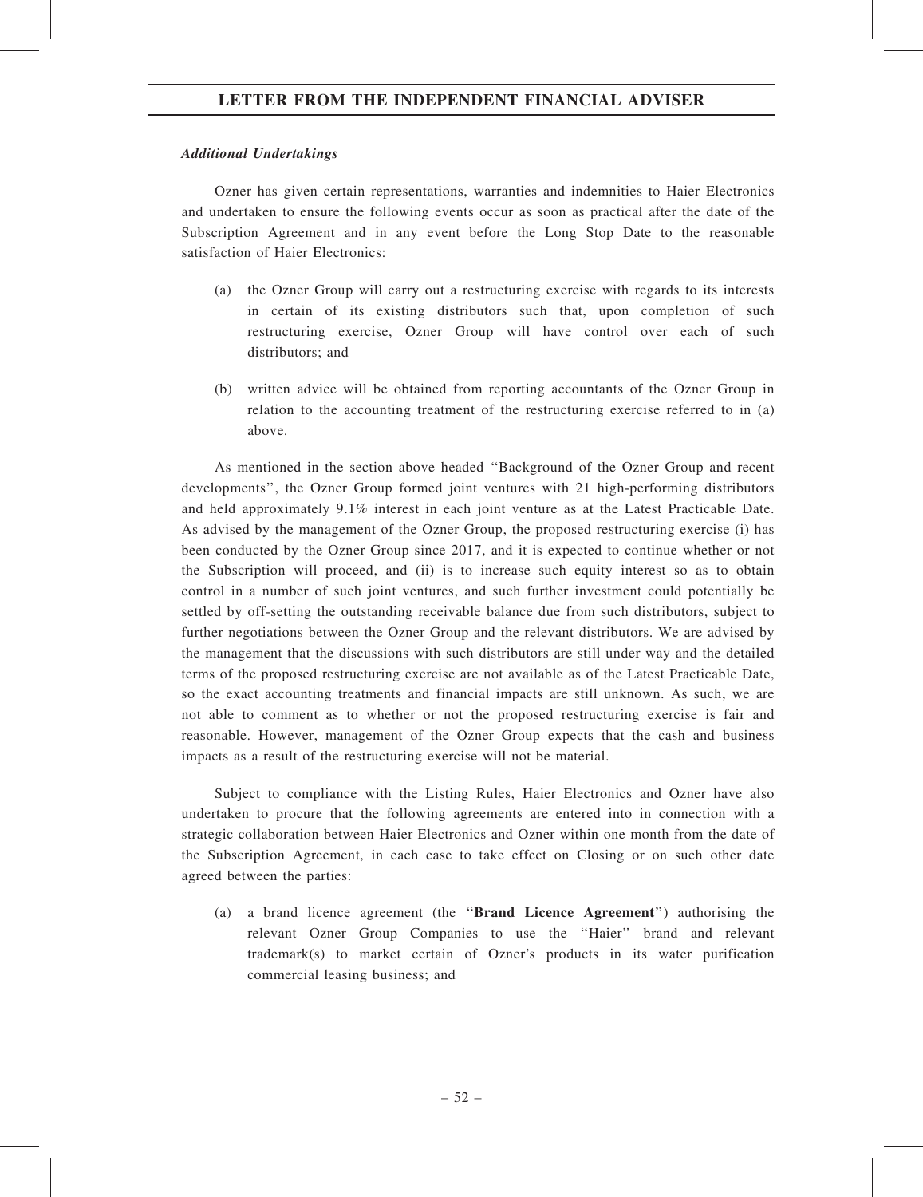#### Additional Undertakings

Ozner has given certain representations, warranties and indemnities to Haier Electronics and undertaken to ensure the following events occur as soon as practical after the date of the Subscription Agreement and in any event before the Long Stop Date to the reasonable satisfaction of Haier Electronics:

- (a) the Ozner Group will carry out a restructuring exercise with regards to its interests in certain of its existing distributors such that, upon completion of such restructuring exercise, Ozner Group will have control over each of such distributors; and
- (b) written advice will be obtained from reporting accountants of the Ozner Group in relation to the accounting treatment of the restructuring exercise referred to in (a) above.

As mentioned in the section above headed ''Background of the Ozner Group and recent developments'', the Ozner Group formed joint ventures with 21 high-performing distributors and held approximately 9.1% interest in each joint venture as at the Latest Practicable Date. As advised by the management of the Ozner Group, the proposed restructuring exercise (i) has been conducted by the Ozner Group since 2017, and it is expected to continue whether or not the Subscription will proceed, and (ii) is to increase such equity interest so as to obtain control in a number of such joint ventures, and such further investment could potentially be settled by off-setting the outstanding receivable balance due from such distributors, subject to further negotiations between the Ozner Group and the relevant distributors. We are advised by the management that the discussions with such distributors are still under way and the detailed terms of the proposed restructuring exercise are not available as of the Latest Practicable Date, so the exact accounting treatments and financial impacts are still unknown. As such, we are not able to comment as to whether or not the proposed restructuring exercise is fair and reasonable. However, management of the Ozner Group expects that the cash and business impacts as a result of the restructuring exercise will not be material.

Subject to compliance with the Listing Rules, Haier Electronics and Ozner have also undertaken to procure that the following agreements are entered into in connection with a strategic collaboration between Haier Electronics and Ozner within one month from the date of the Subscription Agreement, in each case to take effect on Closing or on such other date agreed between the parties:

(a) a brand licence agreement (the ''Brand Licence Agreement'') authorising the relevant Ozner Group Companies to use the ''Haier'' brand and relevant trademark(s) to market certain of Ozner's products in its water purification commercial leasing business; and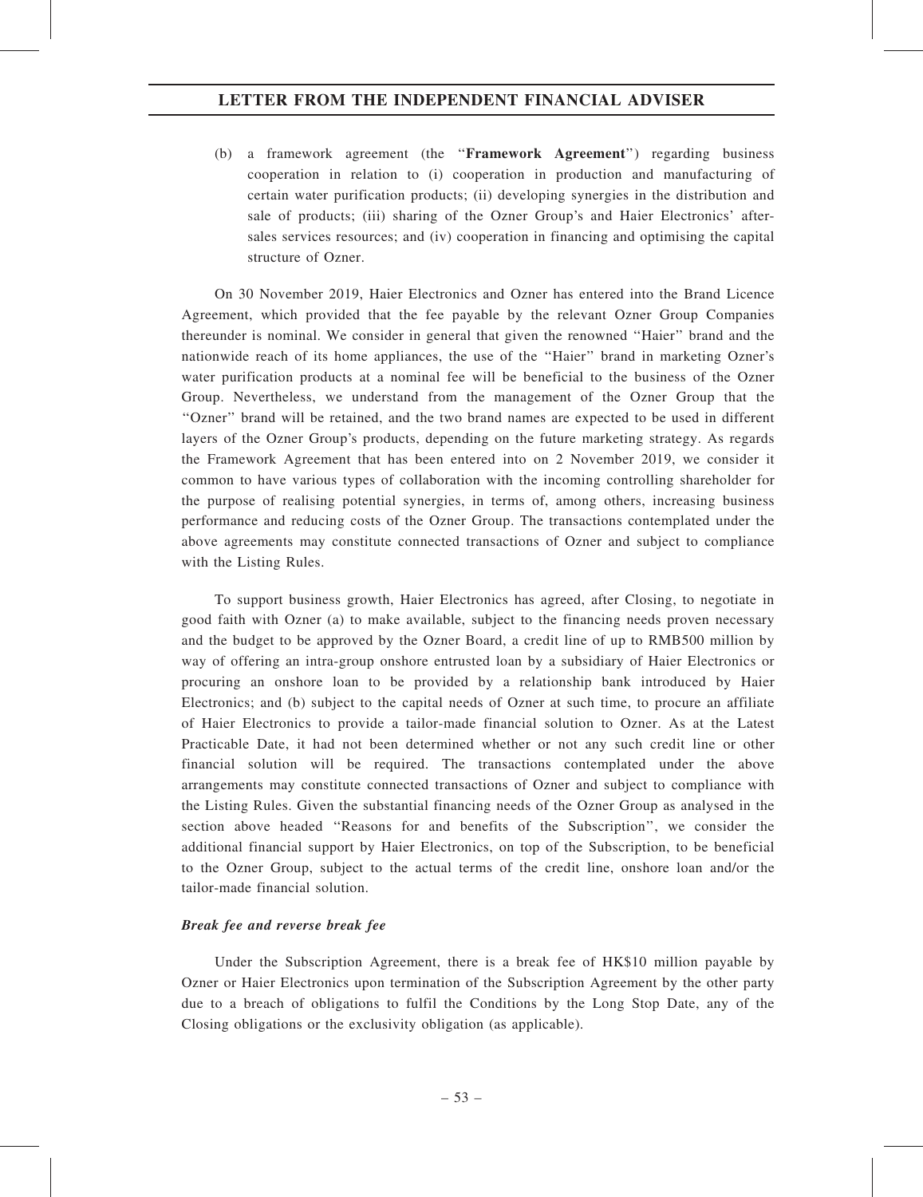(b) a framework agreement (the ''Framework Agreement'') regarding business cooperation in relation to (i) cooperation in production and manufacturing of certain water purification products; (ii) developing synergies in the distribution and sale of products; (iii) sharing of the Ozner Group's and Haier Electronics' aftersales services resources; and (iv) cooperation in financing and optimising the capital structure of Ozner.

On 30 November 2019, Haier Electronics and Ozner has entered into the Brand Licence Agreement, which provided that the fee payable by the relevant Ozner Group Companies thereunder is nominal. We consider in general that given the renowned ''Haier'' brand and the nationwide reach of its home appliances, the use of the ''Haier'' brand in marketing Ozner's water purification products at a nominal fee will be beneficial to the business of the Ozner Group. Nevertheless, we understand from the management of the Ozner Group that the ''Ozner'' brand will be retained, and the two brand names are expected to be used in different layers of the Ozner Group's products, depending on the future marketing strategy. As regards the Framework Agreement that has been entered into on 2 November 2019, we consider it common to have various types of collaboration with the incoming controlling shareholder for the purpose of realising potential synergies, in terms of, among others, increasing business performance and reducing costs of the Ozner Group. The transactions contemplated under the above agreements may constitute connected transactions of Ozner and subject to compliance with the Listing Rules.

To support business growth, Haier Electronics has agreed, after Closing, to negotiate in good faith with Ozner (a) to make available, subject to the financing needs proven necessary and the budget to be approved by the Ozner Board, a credit line of up to RMB500 million by way of offering an intra-group onshore entrusted loan by a subsidiary of Haier Electronics or procuring an onshore loan to be provided by a relationship bank introduced by Haier Electronics; and (b) subject to the capital needs of Ozner at such time, to procure an affiliate of Haier Electronics to provide a tailor-made financial solution to Ozner. As at the Latest Practicable Date, it had not been determined whether or not any such credit line or other financial solution will be required. The transactions contemplated under the above arrangements may constitute connected transactions of Ozner and subject to compliance with the Listing Rules. Given the substantial financing needs of the Ozner Group as analysed in the section above headed ''Reasons for and benefits of the Subscription'', we consider the additional financial support by Haier Electronics, on top of the Subscription, to be beneficial to the Ozner Group, subject to the actual terms of the credit line, onshore loan and/or the tailor-made financial solution.

#### Break fee and reverse break fee

Under the Subscription Agreement, there is a break fee of HK\$10 million payable by Ozner or Haier Electronics upon termination of the Subscription Agreement by the other party due to a breach of obligations to fulfil the Conditions by the Long Stop Date, any of the Closing obligations or the exclusivity obligation (as applicable).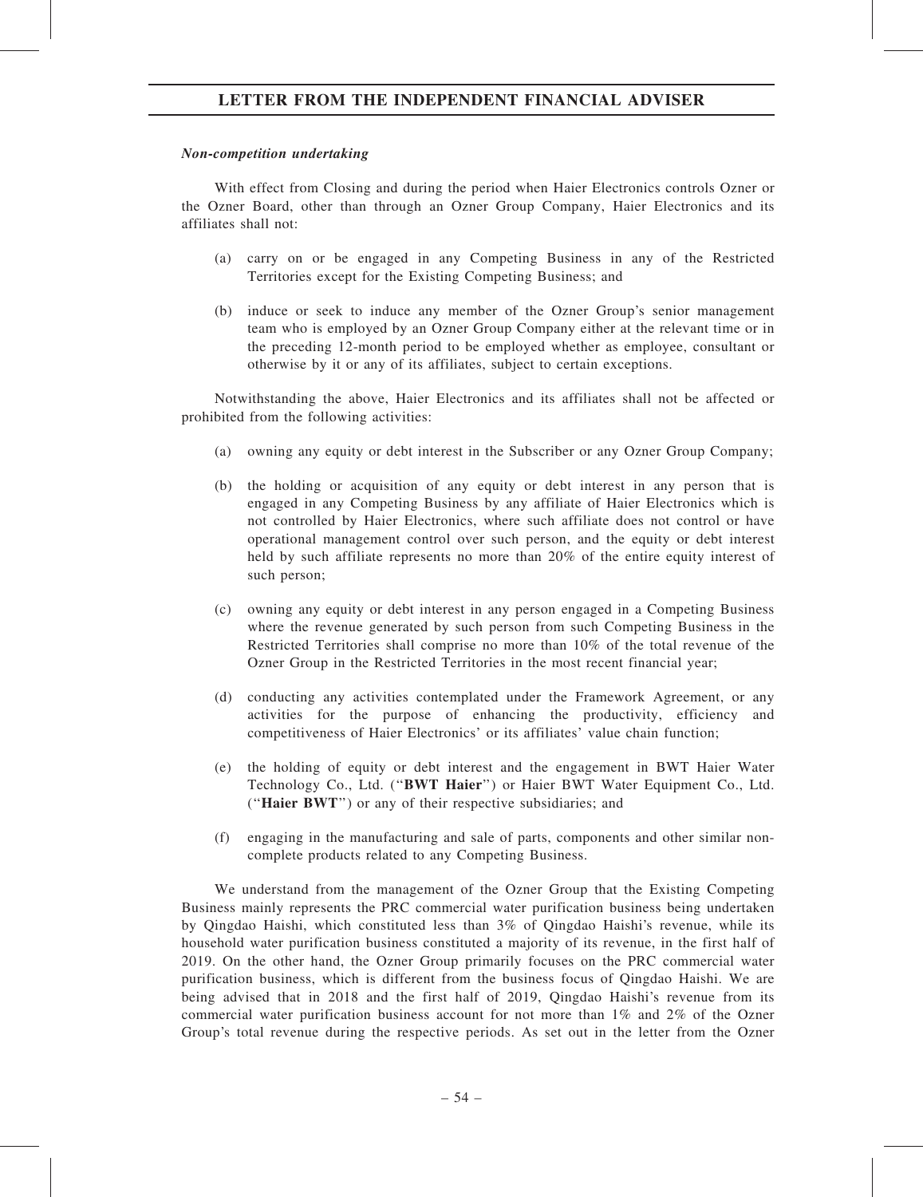### Non-competition undertaking

With effect from Closing and during the period when Haier Electronics controls Ozner or the Ozner Board, other than through an Ozner Group Company, Haier Electronics and its affiliates shall not:

- (a) carry on or be engaged in any Competing Business in any of the Restricted Territories except for the Existing Competing Business; and
- (b) induce or seek to induce any member of the Ozner Group's senior management team who is employed by an Ozner Group Company either at the relevant time or in the preceding 12-month period to be employed whether as employee, consultant or otherwise by it or any of its affiliates, subject to certain exceptions.

Notwithstanding the above, Haier Electronics and its affiliates shall not be affected or prohibited from the following activities:

- (a) owning any equity or debt interest in the Subscriber or any Ozner Group Company;
- (b) the holding or acquisition of any equity or debt interest in any person that is engaged in any Competing Business by any affiliate of Haier Electronics which is not controlled by Haier Electronics, where such affiliate does not control or have operational management control over such person, and the equity or debt interest held by such affiliate represents no more than 20% of the entire equity interest of such person;
- (c) owning any equity or debt interest in any person engaged in a Competing Business where the revenue generated by such person from such Competing Business in the Restricted Territories shall comprise no more than 10% of the total revenue of the Ozner Group in the Restricted Territories in the most recent financial year;
- (d) conducting any activities contemplated under the Framework Agreement, or any activities for the purpose of enhancing the productivity, efficiency and competitiveness of Haier Electronics' or its affiliates' value chain function;
- (e) the holding of equity or debt interest and the engagement in BWT Haier Water Technology Co., Ltd. ("BWT Haier") or Haier BWT Water Equipment Co., Ltd. (''Haier BWT'') or any of their respective subsidiaries; and
- (f) engaging in the manufacturing and sale of parts, components and other similar noncomplete products related to any Competing Business.

We understand from the management of the Ozner Group that the Existing Competing Business mainly represents the PRC commercial water purification business being undertaken by Qingdao Haishi, which constituted less than 3% of Qingdao Haishi's revenue, while its household water purification business constituted a majority of its revenue, in the first half of 2019. On the other hand, the Ozner Group primarily focuses on the PRC commercial water purification business, which is different from the business focus of Qingdao Haishi. We are being advised that in 2018 and the first half of 2019, Qingdao Haishi's revenue from its commercial water purification business account for not more than 1% and 2% of the Ozner Group's total revenue during the respective periods. As set out in the letter from the Ozner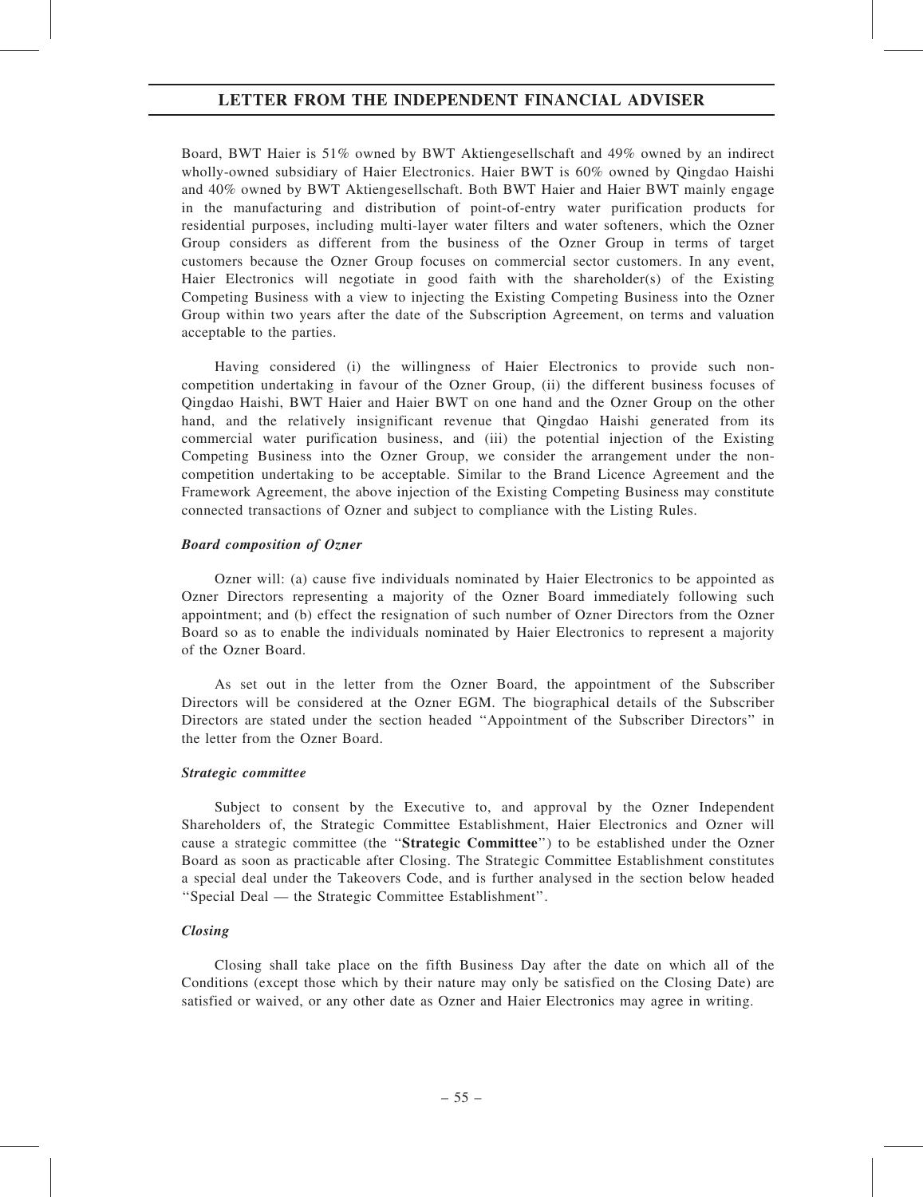Board, BWT Haier is 51% owned by BWT Aktiengesellschaft and 49% owned by an indirect wholly-owned subsidiary of Haier Electronics. Haier BWT is 60% owned by Qingdao Haishi and 40% owned by BWT Aktiengesellschaft. Both BWT Haier and Haier BWT mainly engage in the manufacturing and distribution of point-of-entry water purification products for residential purposes, including multi-layer water filters and water softeners, which the Ozner Group considers as different from the business of the Ozner Group in terms of target customers because the Ozner Group focuses on commercial sector customers. In any event, Haier Electronics will negotiate in good faith with the shareholder(s) of the Existing Competing Business with a view to injecting the Existing Competing Business into the Ozner Group within two years after the date of the Subscription Agreement, on terms and valuation acceptable to the parties.

Having considered (i) the willingness of Haier Electronics to provide such noncompetition undertaking in favour of the Ozner Group, (ii) the different business focuses of Qingdao Haishi, BWT Haier and Haier BWT on one hand and the Ozner Group on the other hand, and the relatively insignificant revenue that Qingdao Haishi generated from its commercial water purification business, and (iii) the potential injection of the Existing Competing Business into the Ozner Group, we consider the arrangement under the noncompetition undertaking to be acceptable. Similar to the Brand Licence Agreement and the Framework Agreement, the above injection of the Existing Competing Business may constitute connected transactions of Ozner and subject to compliance with the Listing Rules.

#### Board composition of Ozner

Ozner will: (a) cause five individuals nominated by Haier Electronics to be appointed as Ozner Directors representing a majority of the Ozner Board immediately following such appointment; and (b) effect the resignation of such number of Ozner Directors from the Ozner Board so as to enable the individuals nominated by Haier Electronics to represent a majority of the Ozner Board.

As set out in the letter from the Ozner Board, the appointment of the Subscriber Directors will be considered at the Ozner EGM. The biographical details of the Subscriber Directors are stated under the section headed ''Appointment of the Subscriber Directors'' in the letter from the Ozner Board.

#### Strategic committee

Subject to consent by the Executive to, and approval by the Ozner Independent Shareholders of, the Strategic Committee Establishment, Haier Electronics and Ozner will cause a strategic committee (the ''Strategic Committee'') to be established under the Ozner Board as soon as practicable after Closing. The Strategic Committee Establishment constitutes a special deal under the Takeovers Code, and is further analysed in the section below headed ''Special Deal — the Strategic Committee Establishment''.

#### Closing

Closing shall take place on the fifth Business Day after the date on which all of the Conditions (except those which by their nature may only be satisfied on the Closing Date) are satisfied or waived, or any other date as Ozner and Haier Electronics may agree in writing.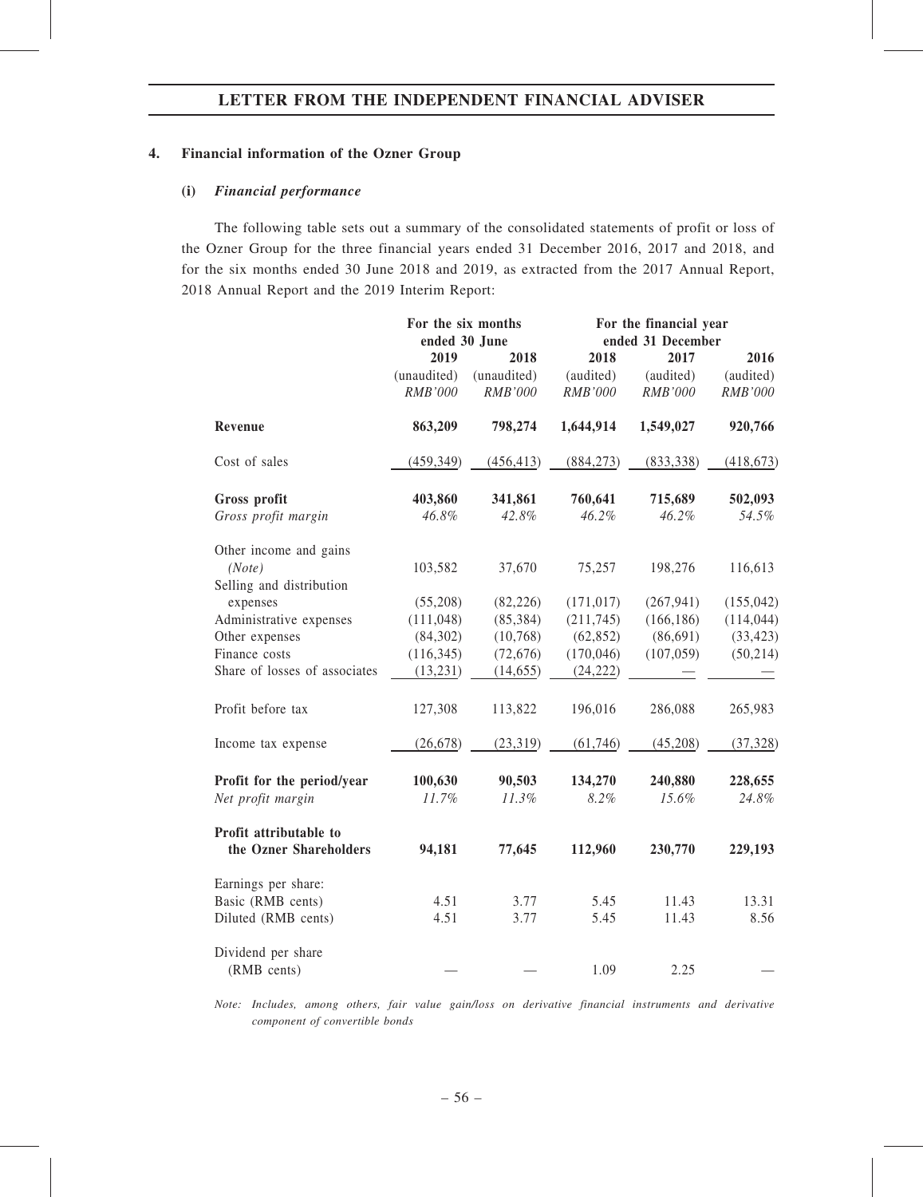### 4. Financial information of the Ozner Group

### (i) Financial performance

The following table sets out a summary of the consolidated statements of profit or loss of the Ozner Group for the three financial years ended 31 December 2016, 2017 and 2018, and for the six months ended 30 June 2018 and 2019, as extracted from the 2017 Annual Report, 2018 Annual Report and the 2019 Interim Report:

|                                                  | For the six months<br>ended 30 June |                | For the financial year<br>ended 31 December |                |            |
|--------------------------------------------------|-------------------------------------|----------------|---------------------------------------------|----------------|------------|
|                                                  | 2019                                | 2018           | 2018                                        | 2017           | 2016       |
|                                                  | (unaudited)                         | (unaudited)    | (audited)                                   | (audited)      | (audited)  |
|                                                  | RMB'000                             | <b>RMB'000</b> | <b>RMB'000</b>                              | <b>RMB'000</b> | RMB'000    |
| Revenue                                          | 863,209                             | 798,274        | 1,644,914                                   | 1,549,027      | 920,766    |
| Cost of sales                                    | (459, 349)                          | (456, 413)     | (884, 273)                                  | (833, 338)     | (418, 673) |
| Gross profit                                     | 403,860                             | 341,861        | 760,641                                     | 715,689        | 502,093    |
| Gross profit margin                              | 46.8%                               | 42.8%          | 46.2%                                       | 46.2%          | 54.5%      |
| Other income and gains                           |                                     |                |                                             |                |            |
| (Note)                                           | 103,582                             | 37,670         | 75,257                                      | 198,276        | 116,613    |
| Selling and distribution                         |                                     |                |                                             |                |            |
| expenses                                         | (55,208)                            | (82, 226)      | (171, 017)                                  | (267, 941)     | (155, 042) |
| Administrative expenses                          | (111, 048)                          | (85, 384)      | (211, 745)                                  | (166, 186)     | (114, 044) |
| Other expenses                                   | (84,302)                            | (10, 768)      | (62, 852)                                   | (86,691)       | (33, 423)  |
| Finance costs                                    | (116, 345)                          | (72, 676)      | (170, 046)                                  | (107, 059)     | (50, 214)  |
| Share of losses of associates                    | (13, 231)                           | (14, 655)      | (24, 222)                                   |                |            |
| Profit before tax                                | 127,308                             | 113,822        | 196,016                                     | 286,088        | 265,983    |
| Income tax expense                               | (26, 678)                           | (23, 319)      | (61, 746)                                   | (45,208)       | (37, 328)  |
| Profit for the period/year                       | 100,630                             | 90,503         | 134,270                                     | 240,880        | 228,655    |
| Net profit margin                                | 11.7%                               | 11.3%          | 8.2%                                        | 15.6%          | 24.8%      |
| Profit attributable to<br>the Ozner Shareholders | 94,181                              | 77,645         | 112,960                                     | 230,770        | 229,193    |
| Earnings per share:                              |                                     |                |                                             |                |            |
| Basic (RMB cents)                                | 4.51                                | 3.77           | 5.45                                        | 11.43          | 13.31      |
| Diluted (RMB cents)                              | 4.51                                | 3.77           | 5.45                                        | 11.43          | 8.56       |
| Dividend per share                               |                                     |                |                                             |                |            |
| (RMB cents)                                      |                                     |                | 1.09                                        | 2.25           |            |

Note: Includes, among others, fair value gain/loss on derivative financial instruments and derivative component of convertible bonds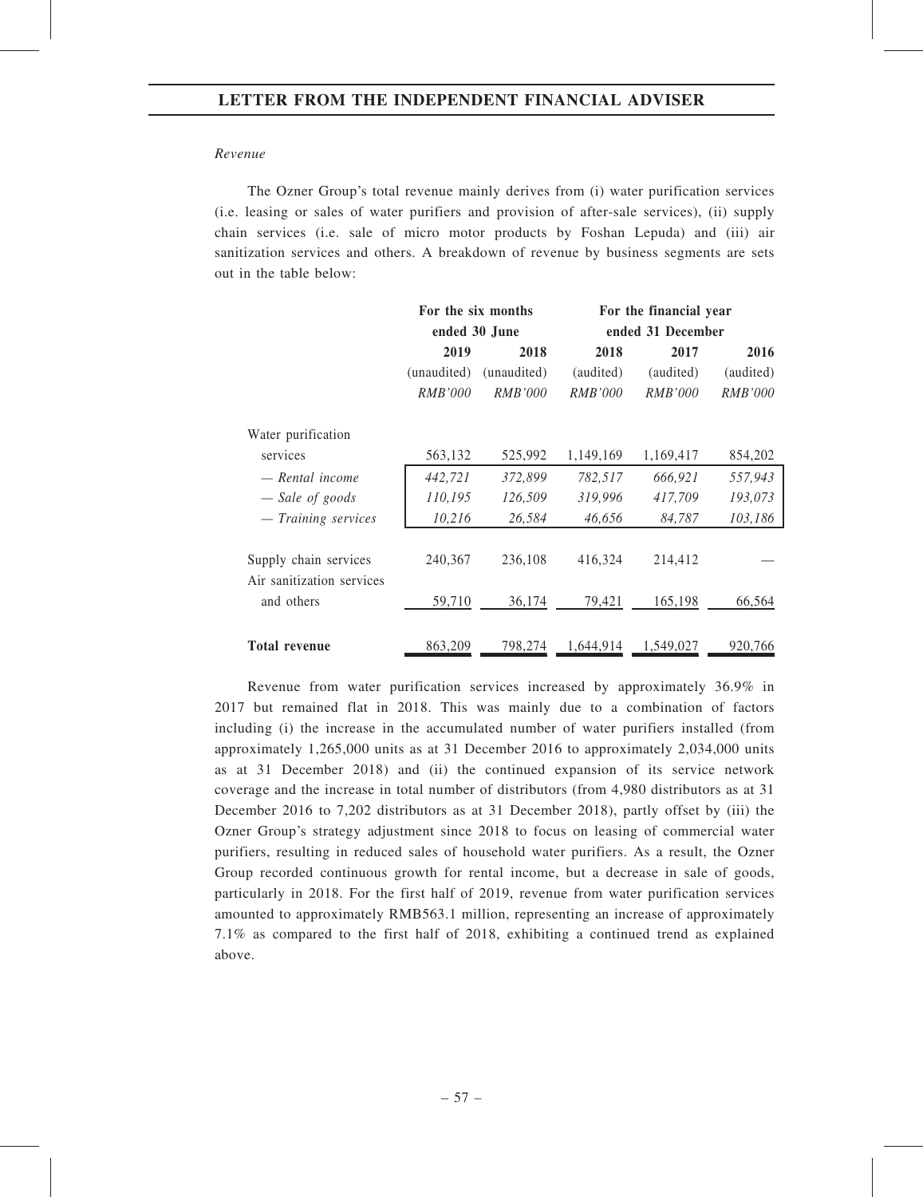#### Revenue

The Ozner Group's total revenue mainly derives from (i) water purification services (i.e. leasing or sales of water purifiers and provision of after-sale services), (ii) supply chain services (i.e. sale of micro motor products by Foshan Lepuda) and (iii) air sanitization services and others. A breakdown of revenue by business segments are sets out in the table below:

|                                                    | For the six months |                |                   | For the financial year |                |  |
|----------------------------------------------------|--------------------|----------------|-------------------|------------------------|----------------|--|
|                                                    |                    | ended 30 June  | ended 31 December |                        |                |  |
|                                                    | 2019               | 2018           | 2018              | 2017                   | 2016           |  |
|                                                    | (unaudited)        | (unaudited)    | (audited)         | (audited)              | (audited)      |  |
|                                                    | <i>RMB'000</i>     | <i>RMB'000</i> | <i>RMB'000</i>    | <i>RMB'000</i>         | <i>RMB'000</i> |  |
| Water purification                                 |                    |                |                   |                        |                |  |
| services                                           | 563,132            | 525,992        | 1,149,169         | 1,169,417              | 854,202        |  |
| — Rental income                                    | 442,721            | 372,899        | 782,517           | 666,921                | 557,943        |  |
| - Sale of goods                                    | 110,195            | 126,509        | 319,996           | 417,709                | 193,073        |  |
| - Training services                                | 10,216             | 26,584         | 46,656            | 84,787                 | 103,186        |  |
| Supply chain services<br>Air sanitization services | 240,367            | 236,108        | 416,324           | 214,412                |                |  |
| and others                                         | 59,710             | 36,174         | 79,421            | 165,198                | 66,564         |  |
| <b>Total revenue</b>                               | 863,209            | 798,274        | 1,644,914         | 1,549,027              | 920,766        |  |

Revenue from water purification services increased by approximately 36.9% in 2017 but remained flat in 2018. This was mainly due to a combination of factors including (i) the increase in the accumulated number of water purifiers installed (from approximately 1,265,000 units as at 31 December 2016 to approximately 2,034,000 units as at 31 December 2018) and (ii) the continued expansion of its service network coverage and the increase in total number of distributors (from 4,980 distributors as at 31 December 2016 to 7,202 distributors as at 31 December 2018), partly offset by (iii) the Ozner Group's strategy adjustment since 2018 to focus on leasing of commercial water purifiers, resulting in reduced sales of household water purifiers. As a result, the Ozner Group recorded continuous growth for rental income, but a decrease in sale of goods, particularly in 2018. For the first half of 2019, revenue from water purification services amounted to approximately RMB563.1 million, representing an increase of approximately 7.1% as compared to the first half of 2018, exhibiting a continued trend as explained above.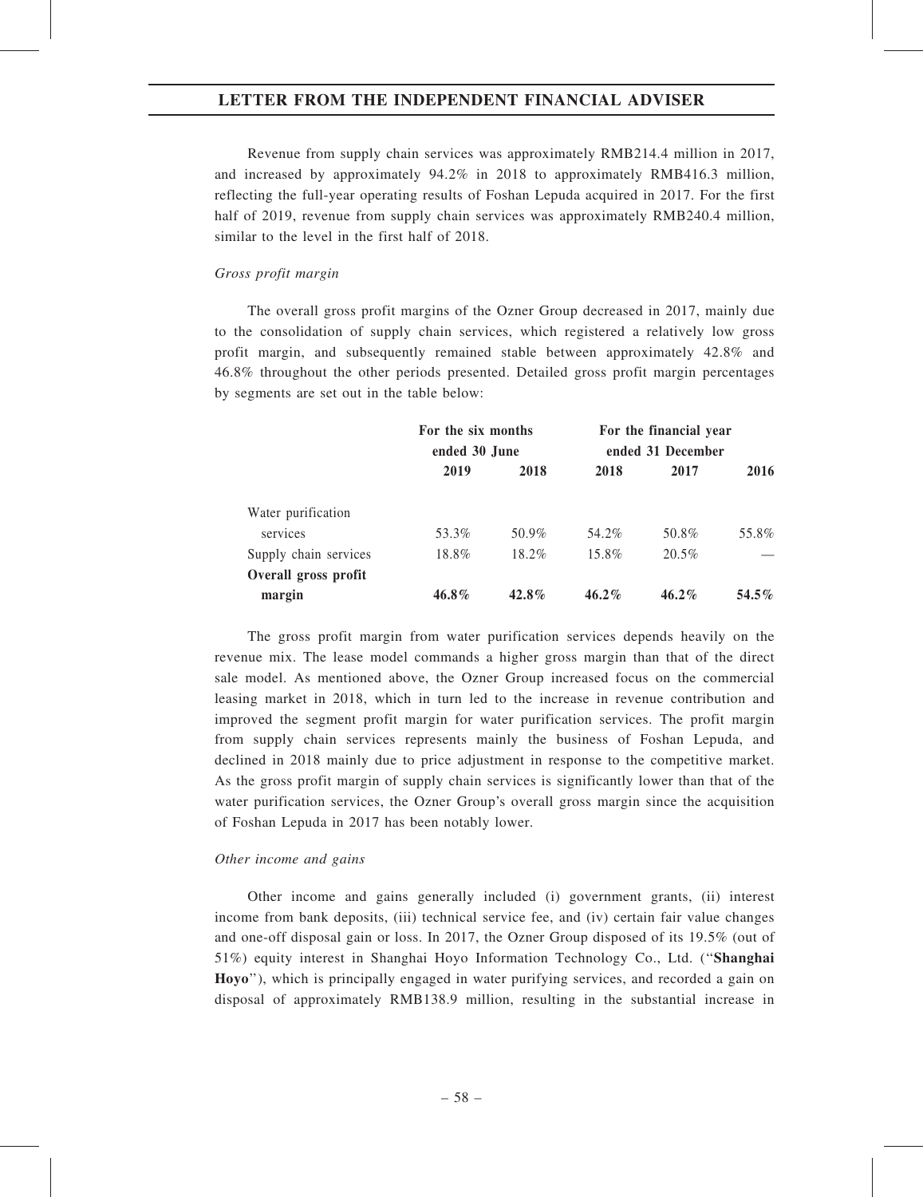Revenue from supply chain services was approximately RMB214.4 million in 2017, and increased by approximately 94.2% in 2018 to approximately RMB416.3 million, reflecting the full-year operating results of Foshan Lepuda acquired in 2017. For the first half of 2019, revenue from supply chain services was approximately RMB240.4 million, similar to the level in the first half of 2018.

#### Gross profit margin

The overall gross profit margins of the Ozner Group decreased in 2017, mainly due to the consolidation of supply chain services, which registered a relatively low gross profit margin, and subsequently remained stable between approximately 42.8% and 46.8% throughout the other periods presented. Detailed gross profit margin percentages by segments are set out in the table below:

|                       |          | For the six months<br>ended 30 June |          | For the financial year<br>ended 31 December |       |
|-----------------------|----------|-------------------------------------|----------|---------------------------------------------|-------|
|                       | 2019     | 2018                                | 2018     | 2017                                        | 2016  |
| Water purification    |          |                                     |          |                                             |       |
| services              | 53.3%    | $50.9\%$                            | 54.2%    | 50.8%                                       | 55.8% |
| Supply chain services | 18.8%    | 18.2%                               | 15.8%    | $20.5\%$                                    |       |
| Overall gross profit  |          |                                     |          |                                             |       |
| margin                | $46.8\%$ | $42.8\%$                            | $46.2\%$ | $46.2\%$                                    | 54.5% |

The gross profit margin from water purification services depends heavily on the revenue mix. The lease model commands a higher gross margin than that of the direct sale model. As mentioned above, the Ozner Group increased focus on the commercial leasing market in 2018, which in turn led to the increase in revenue contribution and improved the segment profit margin for water purification services. The profit margin from supply chain services represents mainly the business of Foshan Lepuda, and declined in 2018 mainly due to price adjustment in response to the competitive market. As the gross profit margin of supply chain services is significantly lower than that of the water purification services, the Ozner Group's overall gross margin since the acquisition of Foshan Lepuda in 2017 has been notably lower.

#### Other income and gains

Other income and gains generally included (i) government grants, (ii) interest income from bank deposits, (iii) technical service fee, and (iv) certain fair value changes and one-off disposal gain or loss. In 2017, the Ozner Group disposed of its 19.5% (out of 51%) equity interest in Shanghai Hoyo Information Technology Co., Ltd. (''Shanghai Hoyo''), which is principally engaged in water purifying services, and recorded a gain on disposal of approximately RMB138.9 million, resulting in the substantial increase in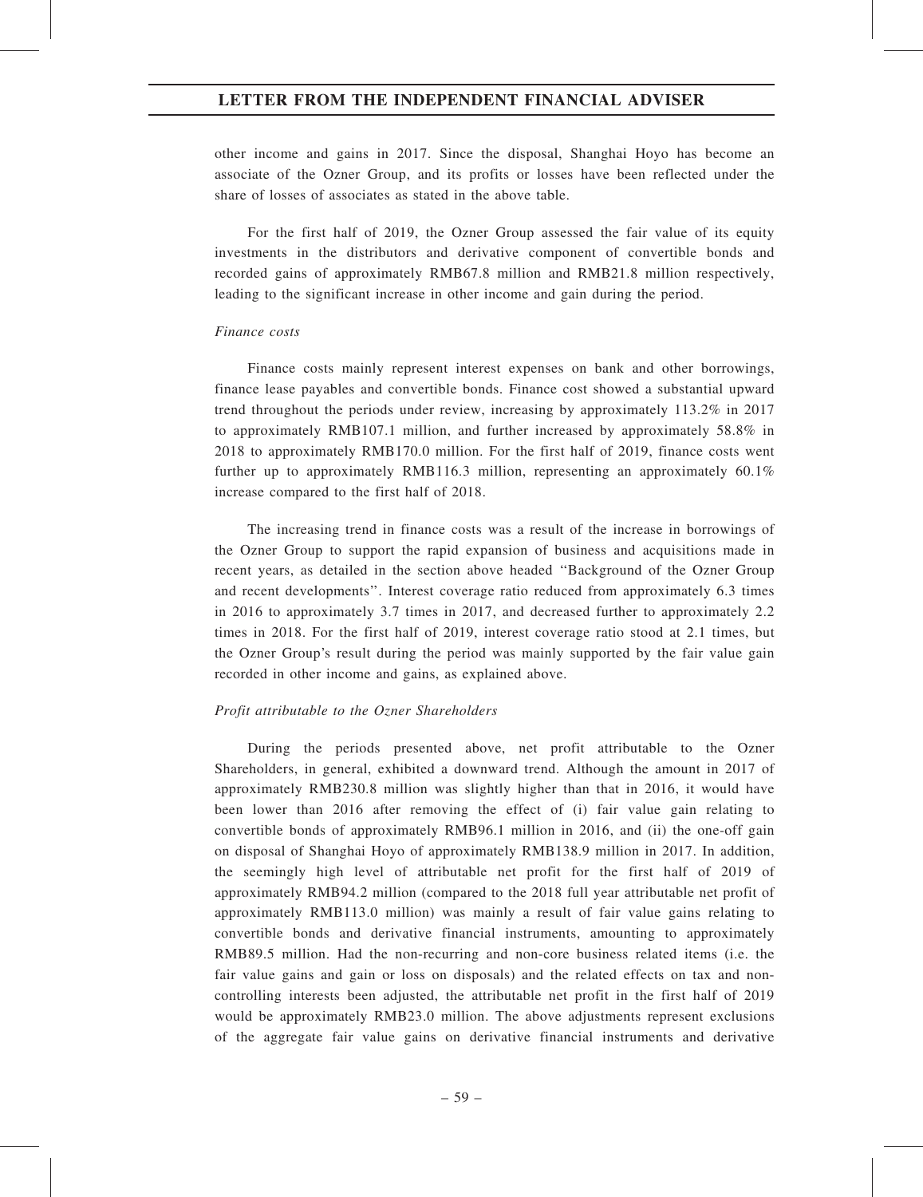other income and gains in 2017. Since the disposal, Shanghai Hoyo has become an associate of the Ozner Group, and its profits or losses have been reflected under the share of losses of associates as stated in the above table.

For the first half of 2019, the Ozner Group assessed the fair value of its equity investments in the distributors and derivative component of convertible bonds and recorded gains of approximately RMB67.8 million and RMB21.8 million respectively, leading to the significant increase in other income and gain during the period.

#### Finance costs

Finance costs mainly represent interest expenses on bank and other borrowings, finance lease payables and convertible bonds. Finance cost showed a substantial upward trend throughout the periods under review, increasing by approximately 113.2% in 2017 to approximately RMB107.1 million, and further increased by approximately 58.8% in 2018 to approximately RMB170.0 million. For the first half of 2019, finance costs went further up to approximately RMB116.3 million, representing an approximately 60.1% increase compared to the first half of 2018.

The increasing trend in finance costs was a result of the increase in borrowings of the Ozner Group to support the rapid expansion of business and acquisitions made in recent years, as detailed in the section above headed ''Background of the Ozner Group and recent developments''. Interest coverage ratio reduced from approximately 6.3 times in 2016 to approximately 3.7 times in 2017, and decreased further to approximately 2.2 times in 2018. For the first half of 2019, interest coverage ratio stood at 2.1 times, but the Ozner Group's result during the period was mainly supported by the fair value gain recorded in other income and gains, as explained above.

#### Profit attributable to the Ozner Shareholders

During the periods presented above, net profit attributable to the Ozner Shareholders, in general, exhibited a downward trend. Although the amount in 2017 of approximately RMB230.8 million was slightly higher than that in 2016, it would have been lower than 2016 after removing the effect of (i) fair value gain relating to convertible bonds of approximately RMB96.1 million in 2016, and (ii) the one-off gain on disposal of Shanghai Hoyo of approximately RMB138.9 million in 2017. In addition, the seemingly high level of attributable net profit for the first half of 2019 of approximately RMB94.2 million (compared to the 2018 full year attributable net profit of approximately RMB113.0 million) was mainly a result of fair value gains relating to convertible bonds and derivative financial instruments, amounting to approximately RMB89.5 million. Had the non-recurring and non-core business related items (i.e. the fair value gains and gain or loss on disposals) and the related effects on tax and noncontrolling interests been adjusted, the attributable net profit in the first half of 2019 would be approximately RMB23.0 million. The above adjustments represent exclusions of the aggregate fair value gains on derivative financial instruments and derivative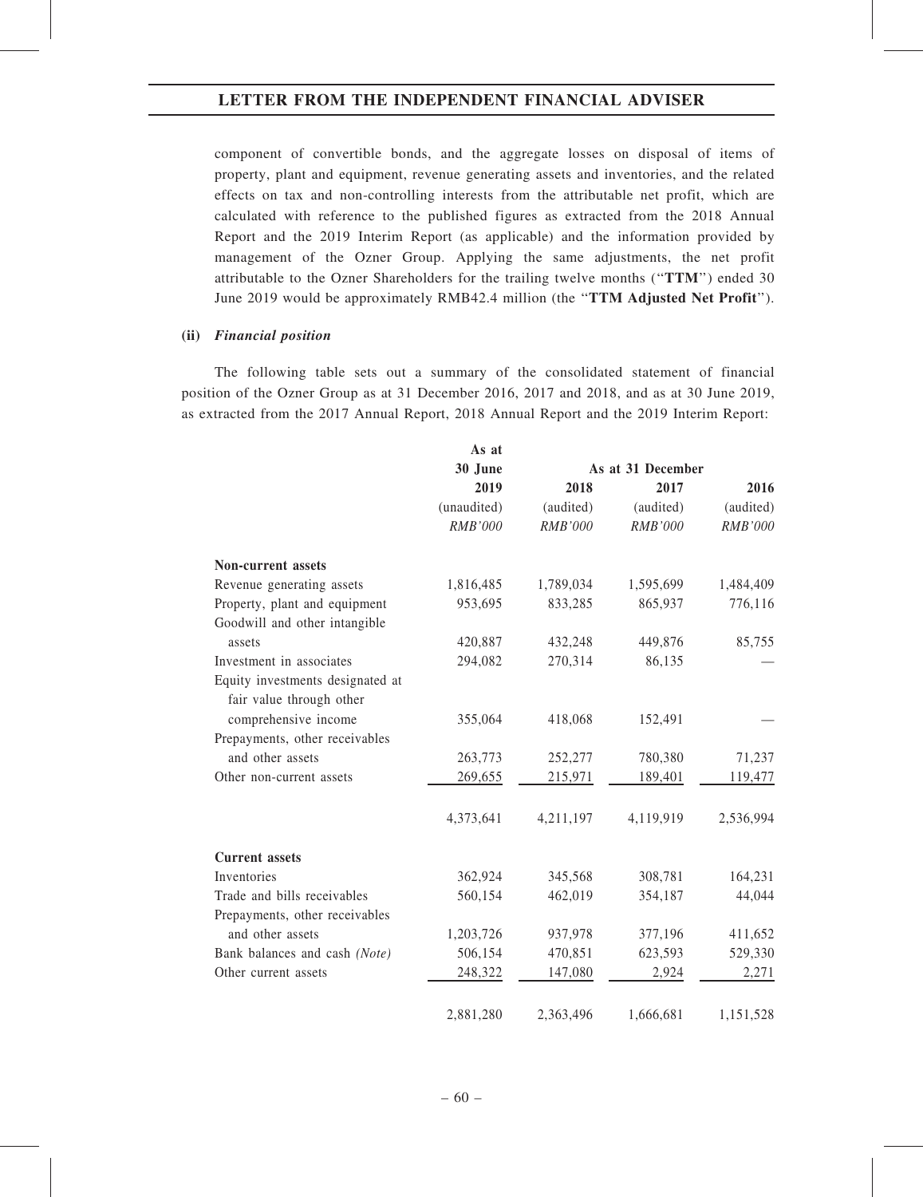component of convertible bonds, and the aggregate losses on disposal of items of property, plant and equipment, revenue generating assets and inventories, and the related effects on tax and non-controlling interests from the attributable net profit, which are calculated with reference to the published figures as extracted from the 2018 Annual Report and the 2019 Interim Report (as applicable) and the information provided by management of the Ozner Group. Applying the same adjustments, the net profit attributable to the Ozner Shareholders for the trailing twelve months (''TTM'') ended 30 June 2019 would be approximately RMB42.4 million (the "TTM Adjusted Net Profit").

#### (ii) Financial position

The following table sets out a summary of the consolidated statement of financial position of the Ozner Group as at 31 December 2016, 2017 and 2018, and as at 30 June 2019, as extracted from the 2017 Annual Report, 2018 Annual Report and the 2019 Interim Report:

|                                                              | As at          |                |                   |                |
|--------------------------------------------------------------|----------------|----------------|-------------------|----------------|
|                                                              | 30 June        |                | As at 31 December |                |
|                                                              | 2019           | 2018           | 2017              | 2016           |
|                                                              | (unaudited)    | (audited)      | (audited)         | (audited)      |
|                                                              | <b>RMB'000</b> | <b>RMB'000</b> | RMB'000           | <b>RMB'000</b> |
| Non-current assets                                           |                |                |                   |                |
| Revenue generating assets                                    | 1,816,485      | 1,789,034      | 1,595,699         | 1,484,409      |
| Property, plant and equipment                                | 953,695        | 833,285        | 865,937           | 776,116        |
| Goodwill and other intangible                                |                |                |                   |                |
| assets                                                       | 420,887        | 432,248        | 449,876           | 85,755         |
| Investment in associates                                     | 294,082        | 270,314        | 86,135            |                |
| Equity investments designated at<br>fair value through other |                |                |                   |                |
| comprehensive income                                         | 355,064        | 418,068        | 152,491           |                |
| Prepayments, other receivables                               |                |                |                   |                |
| and other assets                                             | 263,773        | 252,277        | 780,380           | 71,237         |
| Other non-current assets                                     | 269,655        | 215,971        | 189,401           | 119,477        |
|                                                              | 4,373,641      | 4,211,197      | 4,119,919         | 2,536,994      |
| <b>Current</b> assets                                        |                |                |                   |                |
| Inventories                                                  | 362,924        | 345,568        | 308,781           | 164,231        |
| Trade and bills receivables                                  | 560,154        | 462,019        | 354,187           | 44,044         |
| Prepayments, other receivables                               |                |                |                   |                |
| and other assets                                             | 1,203,726      | 937,978        | 377,196           | 411,652        |
| Bank balances and cash (Note)                                | 506,154        | 470,851        | 623,593           | 529,330        |
| Other current assets                                         | 248,322        | 147,080        | 2,924             | 2,271          |
|                                                              | 2,881,280      | 2,363,496      | 1,666,681         | 1,151,528      |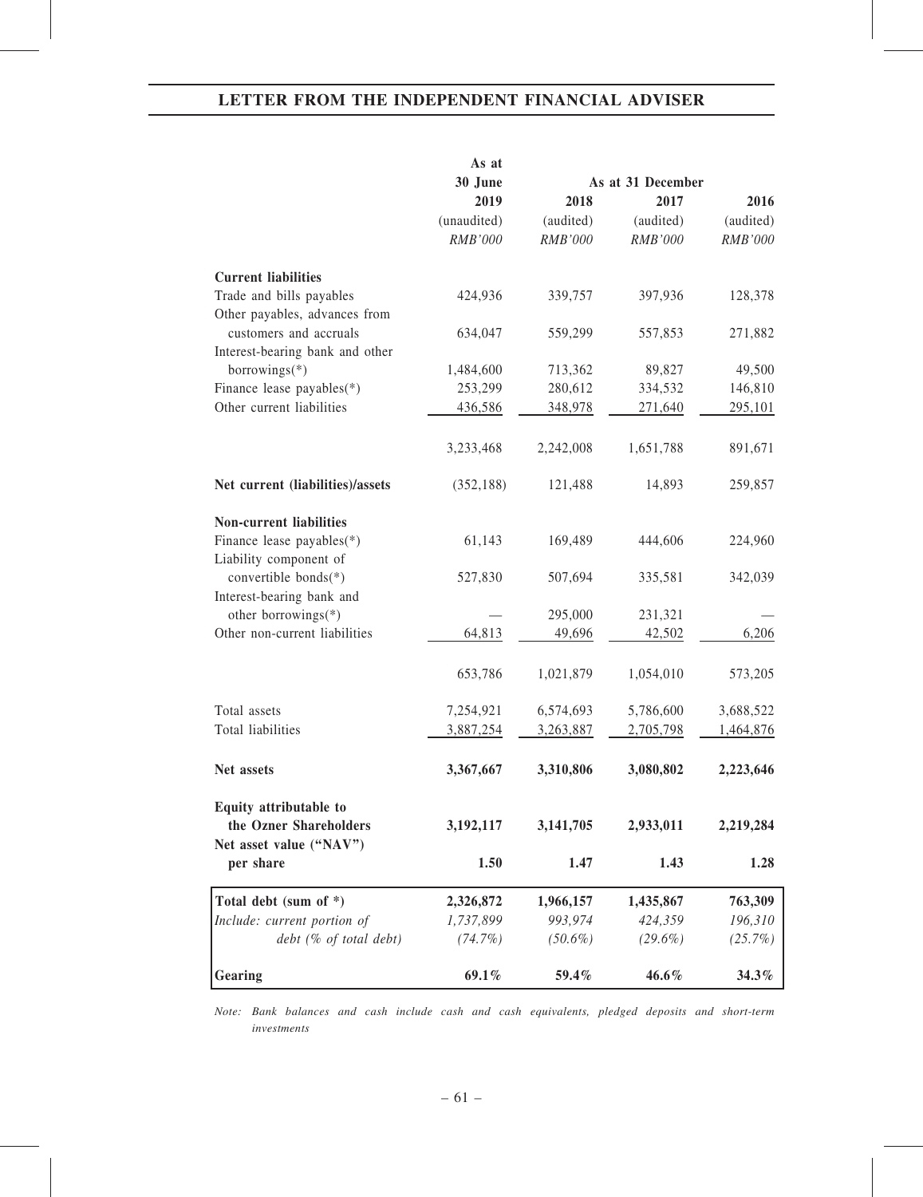|                                                           | As at       |            |                   |           |
|-----------------------------------------------------------|-------------|------------|-------------------|-----------|
|                                                           | 30 June     |            | As at 31 December |           |
|                                                           | 2019        | 2018       | 2017              | 2016      |
|                                                           | (unaudited) | (audited)  | (audited)         | (audited) |
|                                                           | RMB'000     | RMB'000    | RMB'000           | RMB'000   |
| <b>Current liabilities</b>                                |             |            |                   |           |
| Trade and bills payables<br>Other payables, advances from | 424,936     | 339,757    | 397,936           | 128,378   |
| customers and accruals<br>Interest-bearing bank and other | 634,047     | 559,299    | 557,853           | 271,882   |
| borrowings $(*)$                                          | 1,484,600   | 713,362    | 89,827            | 49,500    |
| Finance lease payables(*)                                 | 253,299     | 280,612    | 334,532           | 146,810   |
| Other current liabilities                                 | 436,586     | 348,978    | 271,640           | 295,101   |
|                                                           | 3,233,468   | 2,242,008  | 1,651,788         | 891,671   |
|                                                           |             |            |                   |           |
| Net current (liabilities)/assets                          | (352, 188)  | 121,488    | 14,893            | 259,857   |
| Non-current liabilities                                   |             |            |                   |           |
| Finance lease payables(*)<br>Liability component of       | 61,143      | 169,489    | 444,606           | 224,960   |
| convertible bonds(*)                                      | 527,830     | 507,694    | 335,581           | 342,039   |
| Interest-bearing bank and<br>other borrowings(*)          |             | 295,000    |                   |           |
| Other non-current liabilities                             | 64,813      | 49,696     | 231,321           | 6,206     |
|                                                           |             |            | 42,502            |           |
|                                                           | 653,786     | 1,021,879  | 1,054,010         | 573,205   |
| Total assets                                              | 7,254,921   | 6,574,693  | 5,786,600         | 3,688,522 |
| Total liabilities                                         | 3,887,254   | 3,263,887  | 2,705,798         | 1,464,876 |
| Net assets                                                | 3,367,667   | 3,310,806  | 3,080,802         | 2,223,646 |
| Equity attributable to                                    |             |            |                   |           |
| the Ozner Shareholders<br>Net asset value ("NAV")         | 3, 192, 117 | 3,141,705  | 2,933,011         | 2,219,284 |
| per share                                                 | 1.50        | 1.47       | 1.43              | 1.28      |
| Total debt (sum of *)                                     | 2,326,872   | 1,966,157  | 1,435,867         | 763,309   |
| Include: current portion of                               | 1,737,899   | 993,974    | 424,359           | 196,310   |
| $debt$ (% of total debt)                                  | $(74.7\%)$  | $(50.6\%)$ | $(29.6\%)$        | (25.7%)   |
| Gearing                                                   | 69.1%       | 59.4%      | 46.6%             | 34.3%     |

Note: Bank balances and cash include cash and cash equivalents, pledged deposits and short-term investments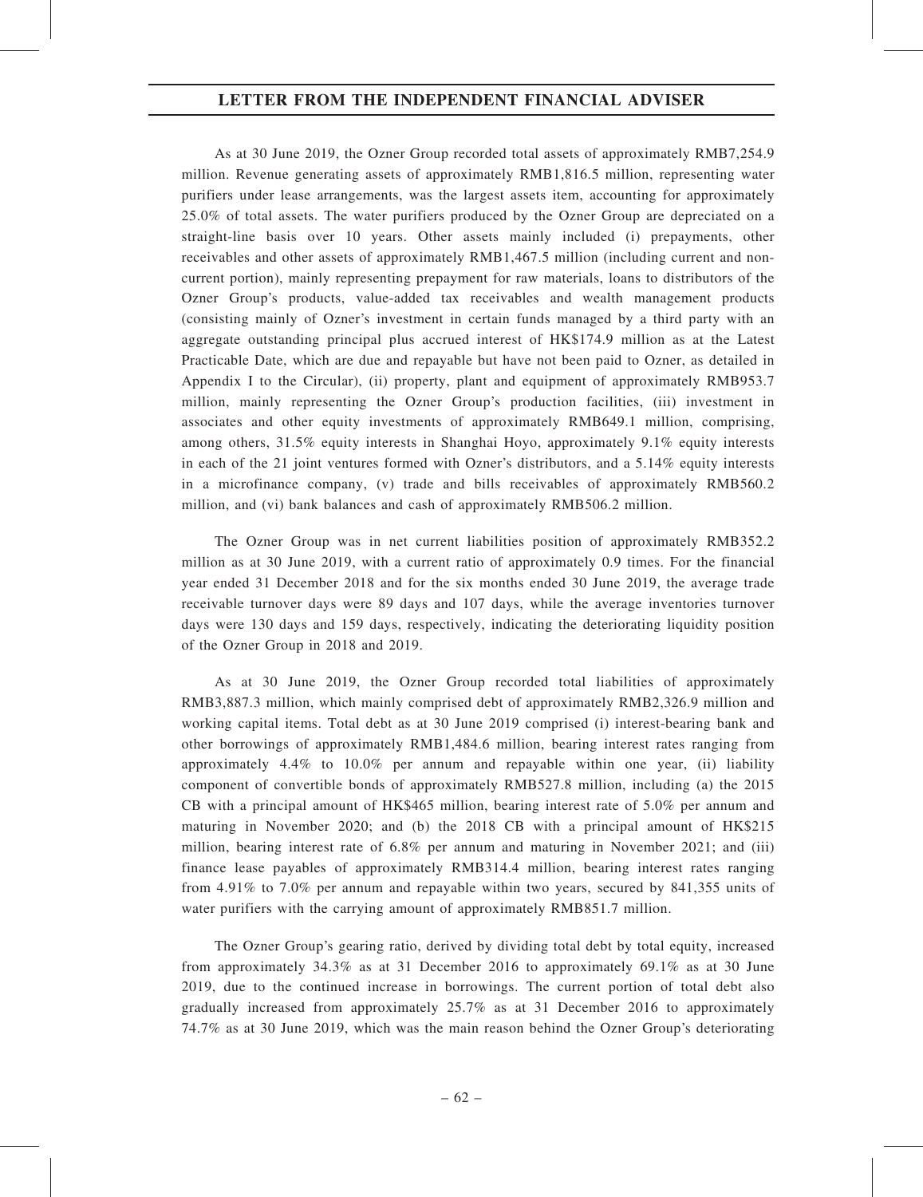As at 30 June 2019, the Ozner Group recorded total assets of approximately RMB7,254.9 million. Revenue generating assets of approximately RMB1,816.5 million, representing water purifiers under lease arrangements, was the largest assets item, accounting for approximately 25.0% of total assets. The water purifiers produced by the Ozner Group are depreciated on a straight-line basis over 10 years. Other assets mainly included (i) prepayments, other receivables and other assets of approximately RMB1,467.5 million (including current and noncurrent portion), mainly representing prepayment for raw materials, loans to distributors of the Ozner Group's products, value-added tax receivables and wealth management products (consisting mainly of Ozner's investment in certain funds managed by a third party with an aggregate outstanding principal plus accrued interest of HK\$174.9 million as at the Latest Practicable Date, which are due and repayable but have not been paid to Ozner, as detailed in Appendix I to the Circular), (ii) property, plant and equipment of approximately RMB953.7 million, mainly representing the Ozner Group's production facilities, (iii) investment in associates and other equity investments of approximately RMB649.1 million, comprising, among others, 31.5% equity interests in Shanghai Hoyo, approximately 9.1% equity interests in each of the 21 joint ventures formed with Ozner's distributors, and a 5.14% equity interests in a microfinance company, (v) trade and bills receivables of approximately RMB560.2 million, and (vi) bank balances and cash of approximately RMB506.2 million.

The Ozner Group was in net current liabilities position of approximately RMB352.2 million as at 30 June 2019, with a current ratio of approximately 0.9 times. For the financial year ended 31 December 2018 and for the six months ended 30 June 2019, the average trade receivable turnover days were 89 days and 107 days, while the average inventories turnover days were 130 days and 159 days, respectively, indicating the deteriorating liquidity position of the Ozner Group in 2018 and 2019.

As at 30 June 2019, the Ozner Group recorded total liabilities of approximately RMB3,887.3 million, which mainly comprised debt of approximately RMB2,326.9 million and working capital items. Total debt as at 30 June 2019 comprised (i) interest-bearing bank and other borrowings of approximately RMB1,484.6 million, bearing interest rates ranging from approximately 4.4% to 10.0% per annum and repayable within one year, (ii) liability component of convertible bonds of approximately RMB527.8 million, including (a) the 2015 CB with a principal amount of HK\$465 million, bearing interest rate of 5.0% per annum and maturing in November 2020; and (b) the 2018 CB with a principal amount of HK\$215 million, bearing interest rate of 6.8% per annum and maturing in November 2021; and (iii) finance lease payables of approximately RMB314.4 million, bearing interest rates ranging from 4.91% to 7.0% per annum and repayable within two years, secured by 841,355 units of water purifiers with the carrying amount of approximately RMB851.7 million.

The Ozner Group's gearing ratio, derived by dividing total debt by total equity, increased from approximately 34.3% as at 31 December 2016 to approximately 69.1% as at 30 June 2019, due to the continued increase in borrowings. The current portion of total debt also gradually increased from approximately 25.7% as at 31 December 2016 to approximately 74.7% as at 30 June 2019, which was the main reason behind the Ozner Group's deteriorating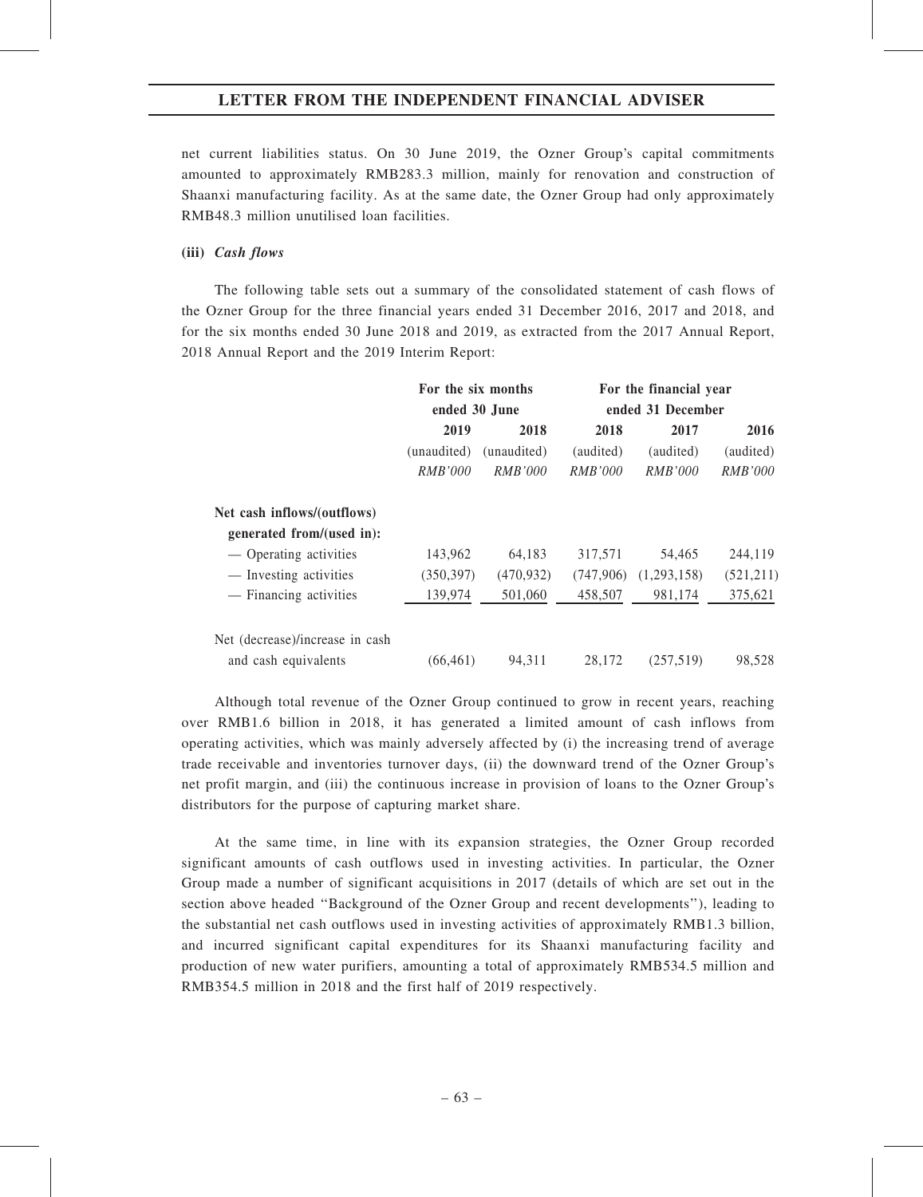net current liabilities status. On 30 June 2019, the Ozner Group's capital commitments amounted to approximately RMB283.3 million, mainly for renovation and construction of Shaanxi manufacturing facility. As at the same date, the Ozner Group had only approximately RMB48.3 million unutilised loan facilities.

### (iii) Cash flows

The following table sets out a summary of the consolidated statement of cash flows of the Ozner Group for the three financial years ended 31 December 2016, 2017 and 2018, and for the six months ended 30 June 2018 and 2019, as extracted from the 2017 Annual Report, 2018 Annual Report and the 2019 Interim Report:

|                                 | For the six months |                | For the financial year |                |                |
|---------------------------------|--------------------|----------------|------------------------|----------------|----------------|
|                                 | ended 30 June      |                | ended 31 December      |                |                |
|                                 | 2019               | 2018           | 2018                   | 2017           | 2016           |
|                                 | (unaudited)        | (unaudited)    | (audited)              | (audited)      | (audited)      |
|                                 | <i>RMB'000</i>     | <i>RMB'000</i> | <i>RMB'000</i>         | <b>RMB'000</b> | <b>RMB'000</b> |
| Net cash inflows/(outflows)     |                    |                |                        |                |                |
| generated from/(used in):       |                    |                |                        |                |                |
| — Operating activities          | 143,962            | 64,183         | 317,571                | 54,465         | 244,119        |
| — Investing activities          | (350, 397)         | (470, 932)     | (747,906)              | (1,293,158)    | (521, 211)     |
| — Financing activities          | 139,974            | 501,060        | 458.507                | 981.174        | 375,621        |
| Net (decrease)/increase in cash |                    |                |                        |                |                |
| and cash equivalents            | (66, 461)          | 94.311         | 28,172                 | (257,519)      | 98,528         |

Although total revenue of the Ozner Group continued to grow in recent years, reaching over RMB1.6 billion in 2018, it has generated a limited amount of cash inflows from operating activities, which was mainly adversely affected by (i) the increasing trend of average trade receivable and inventories turnover days, (ii) the downward trend of the Ozner Group's net profit margin, and (iii) the continuous increase in provision of loans to the Ozner Group's distributors for the purpose of capturing market share.

At the same time, in line with its expansion strategies, the Ozner Group recorded significant amounts of cash outflows used in investing activities. In particular, the Ozner Group made a number of significant acquisitions in 2017 (details of which are set out in the section above headed ''Background of the Ozner Group and recent developments''), leading to the substantial net cash outflows used in investing activities of approximately RMB1.3 billion, and incurred significant capital expenditures for its Shaanxi manufacturing facility and production of new water purifiers, amounting a total of approximately RMB534.5 million and RMB354.5 million in 2018 and the first half of 2019 respectively.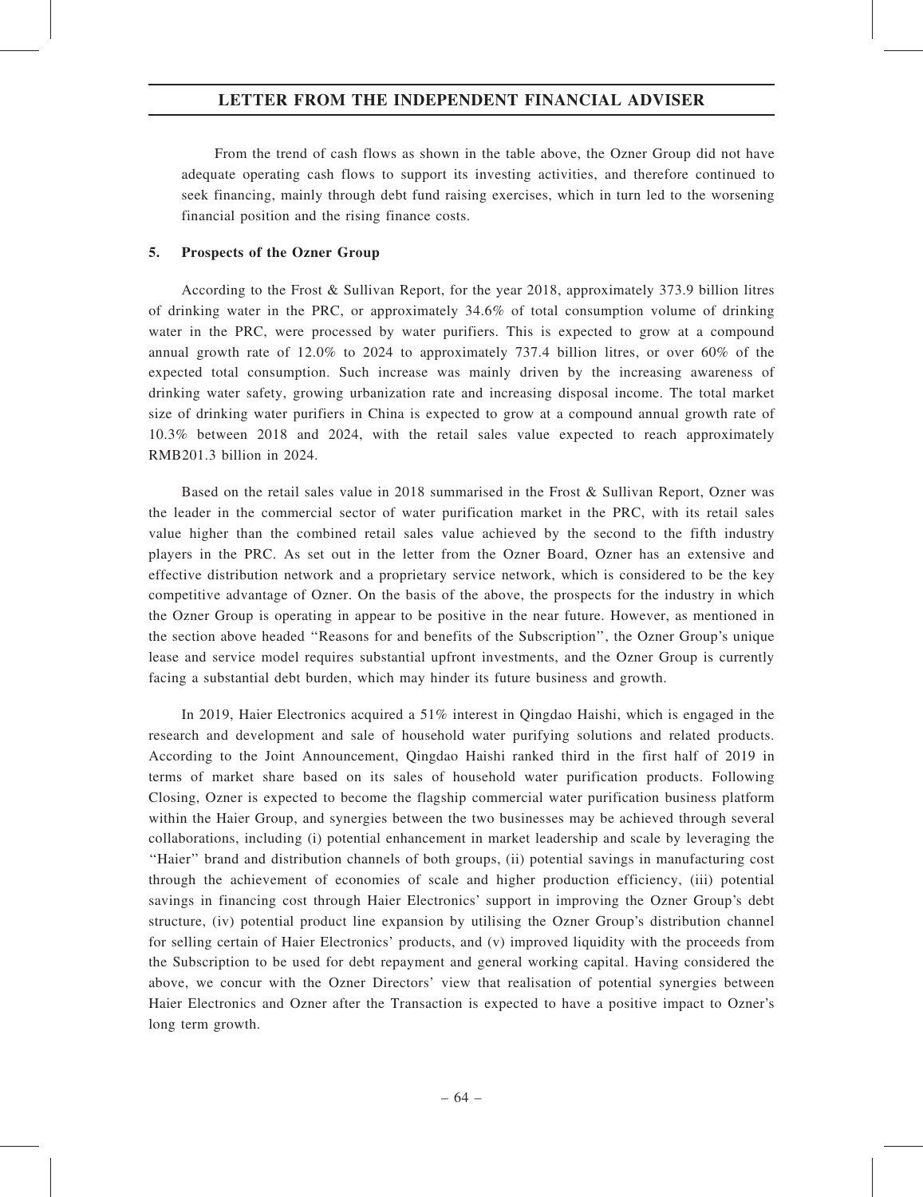From the trend of cash flows as shown in the table above, the Ozner Group did not have adequate operating cash flows to support its investing activities, and therefore continued to seek financing, mainly through debt fund raising exercises, which in turn led to the worsening financial position and the rising finance costs.

#### 5. Prospects of the Ozner Group

According to the Frost & Sullivan Report, for the year 2018, approximately 373.9 billion litres of drinking water in the PRC, or approximately 34.6% of total consumption volume of drinking water in the PRC, were processed by water purifiers. This is expected to grow at a compound annual growth rate of 12.0% to 2024 to approximately 737.4 billion litres, or over 60% of the expected total consumption. Such increase was mainly driven by the increasing awareness of drinking water safety, growing urbanization rate and increasing disposal income. The total market size of drinking water purifiers in China is expected to grow at a compound annual growth rate of 10.3% between 2018 and 2024, with the retail sales value expected to reach approximately RMB201.3 billion in 2024.

Based on the retail sales value in 2018 summarised in the Frost & Sullivan Report, Ozner was the leader in the commercial sector of water purification market in the PRC, with its retail sales value higher than the combined retail sales value achieved by the second to the fifth industry players in the PRC. As set out in the letter from the Ozner Board, Ozner has an extensive and effective distribution network and a proprietary service network, which is considered to be the key competitive advantage of Ozner. On the basis of the above, the prospects for the industry in which the Ozner Group is operating in appear to be positive in the near future. However, as mentioned in the section above headed ''Reasons for and benefits of the Subscription'', the Ozner Group's unique lease and service model requires substantial upfront investments, and the Ozner Group is currently facing a substantial debt burden, which may hinder its future business and growth.

In 2019, Haier Electronics acquired a 51% interest in Qingdao Haishi, which is engaged in the research and development and sale of household water purifying solutions and related products. According to the Joint Announcement, Qingdao Haishi ranked third in the first half of 2019 in terms of market share based on its sales of household water purification products. Following Closing, Ozner is expected to become the flagship commercial water purification business platform within the Haier Group, and synergies between the two businesses may be achieved through several collaborations, including (i) potential enhancement in market leadership and scale by leveraging the ''Haier'' brand and distribution channels of both groups, (ii) potential savings in manufacturing cost through the achievement of economies of scale and higher production efficiency, (iii) potential savings in financing cost through Haier Electronics' support in improving the Ozner Group's debt structure, (iv) potential product line expansion by utilising the Ozner Group's distribution channel for selling certain of Haier Electronics' products, and (v) improved liquidity with the proceeds from the Subscription to be used for debt repayment and general working capital. Having considered the above, we concur with the Ozner Directors' view that realisation of potential synergies between Haier Electronics and Ozner after the Transaction is expected to have a positive impact to Ozner's long term growth.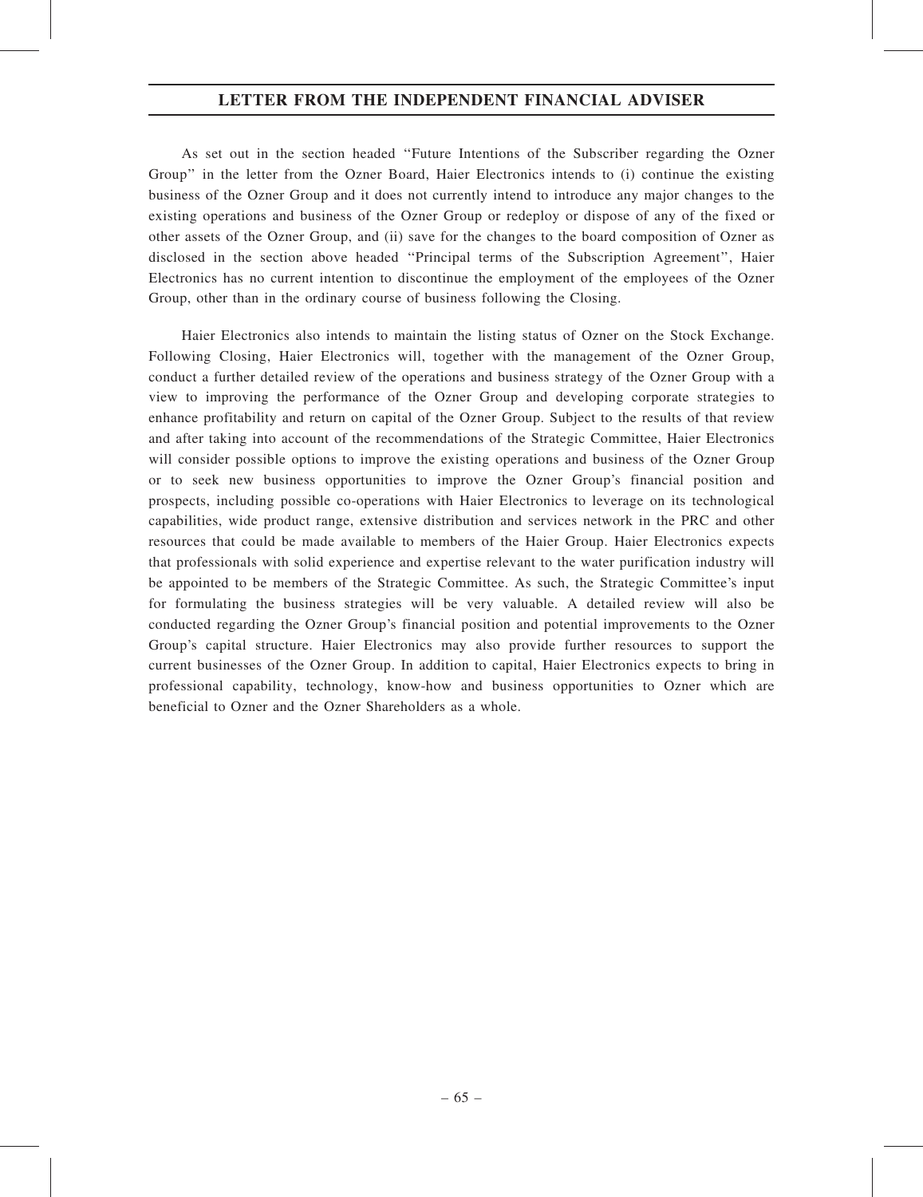As set out in the section headed ''Future Intentions of the Subscriber regarding the Ozner Group'' in the letter from the Ozner Board, Haier Electronics intends to (i) continue the existing business of the Ozner Group and it does not currently intend to introduce any major changes to the existing operations and business of the Ozner Group or redeploy or dispose of any of the fixed or other assets of the Ozner Group, and (ii) save for the changes to the board composition of Ozner as disclosed in the section above headed ''Principal terms of the Subscription Agreement'', Haier Electronics has no current intention to discontinue the employment of the employees of the Ozner Group, other than in the ordinary course of business following the Closing.

Haier Electronics also intends to maintain the listing status of Ozner on the Stock Exchange. Following Closing, Haier Electronics will, together with the management of the Ozner Group, conduct a further detailed review of the operations and business strategy of the Ozner Group with a view to improving the performance of the Ozner Group and developing corporate strategies to enhance profitability and return on capital of the Ozner Group. Subject to the results of that review and after taking into account of the recommendations of the Strategic Committee, Haier Electronics will consider possible options to improve the existing operations and business of the Ozner Group or to seek new business opportunities to improve the Ozner Group's financial position and prospects, including possible co-operations with Haier Electronics to leverage on its technological capabilities, wide product range, extensive distribution and services network in the PRC and other resources that could be made available to members of the Haier Group. Haier Electronics expects that professionals with solid experience and expertise relevant to the water purification industry will be appointed to be members of the Strategic Committee. As such, the Strategic Committee's input for formulating the business strategies will be very valuable. A detailed review will also be conducted regarding the Ozner Group's financial position and potential improvements to the Ozner Group's capital structure. Haier Electronics may also provide further resources to support the current businesses of the Ozner Group. In addition to capital, Haier Electronics expects to bring in professional capability, technology, know-how and business opportunities to Ozner which are beneficial to Ozner and the Ozner Shareholders as a whole.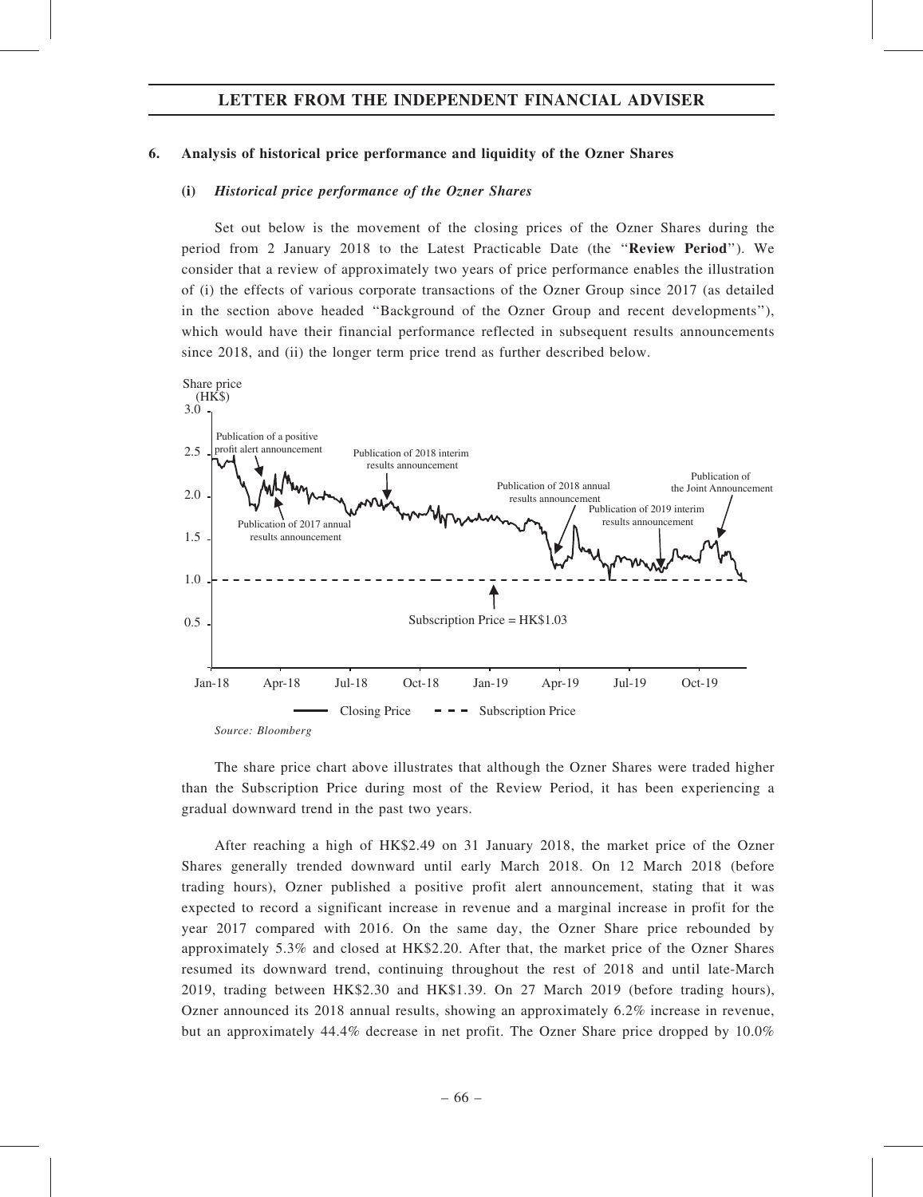#### 6. Analysis of historical price performance and liquidity of the Ozner Shares

#### (i) Historical price performance of the Ozner Shares

Set out below is the movement of the closing prices of the Ozner Shares during the period from 2 January 2018 to the Latest Practicable Date (the ''Review Period''). We consider that a review of approximately two years of price performance enables the illustration of (i) the effects of various corporate transactions of the Ozner Group since 2017 (as detailed in the section above headed ''Background of the Ozner Group and recent developments''), which would have their financial performance reflected in subsequent results announcements since 2018, and (ii) the longer term price trend as further described below.



The share price chart above illustrates that although the Ozner Shares were traded higher than the Subscription Price during most of the Review Period, it has been experiencing a gradual downward trend in the past two years.

After reaching a high of HK\$2.49 on 31 January 2018, the market price of the Ozner Shares generally trended downward until early March 2018. On 12 March 2018 (before trading hours), Ozner published a positive profit alert announcement, stating that it was expected to record a significant increase in revenue and a marginal increase in profit for the year 2017 compared with 2016. On the same day, the Ozner Share price rebounded by approximately 5.3% and closed at HK\$2.20. After that, the market price of the Ozner Shares resumed its downward trend, continuing throughout the rest of 2018 and until late-March 2019, trading between HK\$2.30 and HK\$1.39. On 27 March 2019 (before trading hours), Ozner announced its 2018 annual results, showing an approximately 6.2% increase in revenue, but an approximately 44.4% decrease in net profit. The Ozner Share price dropped by 10.0%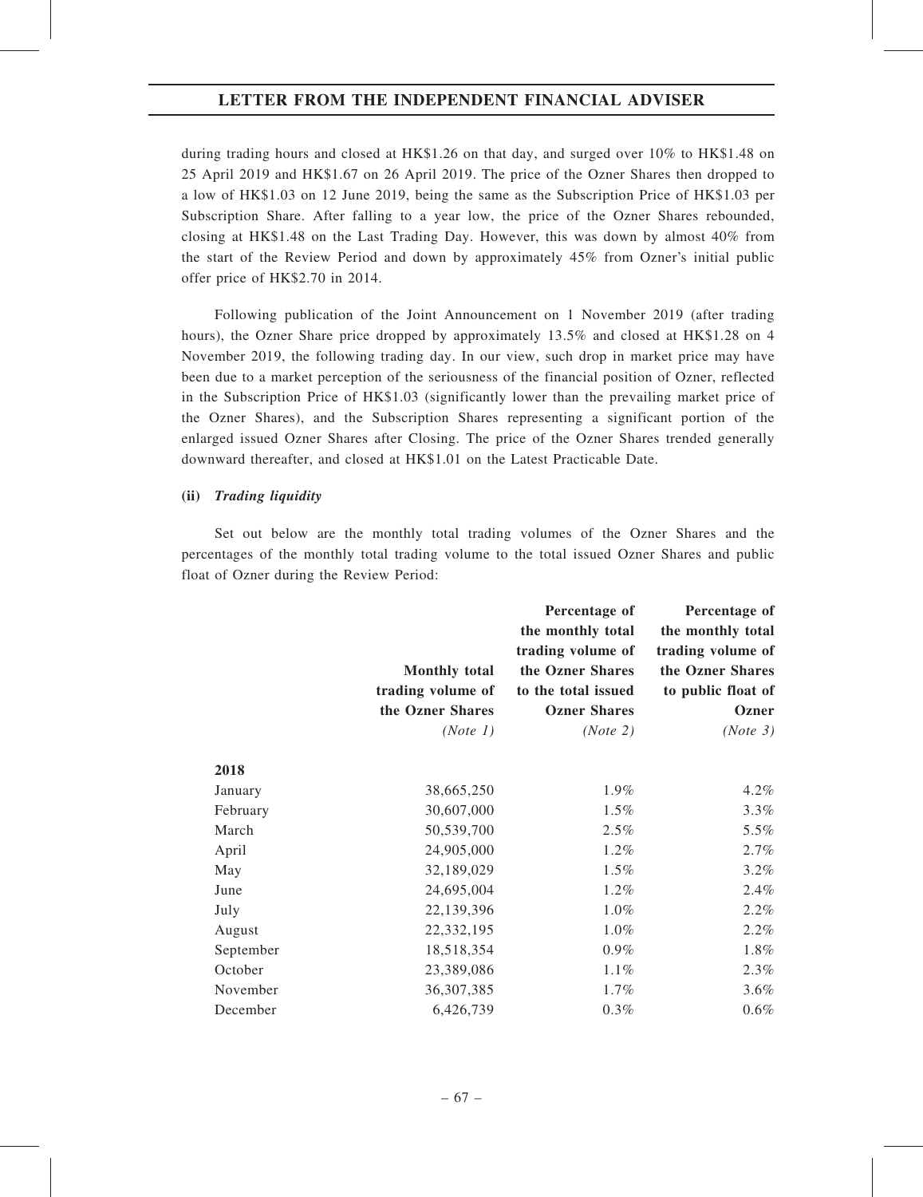during trading hours and closed at HK\$1.26 on that day, and surged over 10% to HK\$1.48 on 25 April 2019 and HK\$1.67 on 26 April 2019. The price of the Ozner Shares then dropped to a low of HK\$1.03 on 12 June 2019, being the same as the Subscription Price of HK\$1.03 per Subscription Share. After falling to a year low, the price of the Ozner Shares rebounded, closing at HK\$1.48 on the Last Trading Day. However, this was down by almost 40% from the start of the Review Period and down by approximately 45% from Ozner's initial public offer price of HK\$2.70 in 2014.

Following publication of the Joint Announcement on 1 November 2019 (after trading hours), the Ozner Share price dropped by approximately 13.5% and closed at HK\$1.28 on 4 November 2019, the following trading day. In our view, such drop in market price may have been due to a market perception of the seriousness of the financial position of Ozner, reflected in the Subscription Price of HK\$1.03 (significantly lower than the prevailing market price of the Ozner Shares), and the Subscription Shares representing a significant portion of the enlarged issued Ozner Shares after Closing. The price of the Ozner Shares trended generally downward thereafter, and closed at HK\$1.01 on the Latest Practicable Date.

#### (ii) Trading liquidity

Set out below are the monthly total trading volumes of the Ozner Shares and the percentages of the monthly total trading volume to the total issued Ozner Shares and public float of Ozner during the Review Period:

|           | <b>Monthly total</b><br>trading volume of<br>the Ozner Shares | Percentage of<br>the monthly total<br>trading volume of<br>the Ozner Shares<br>to the total issued<br><b>Ozner Shares</b> | Percentage of<br>the monthly total<br>trading volume of<br>the Ozner Shares<br>to public float of<br>Ozner |
|-----------|---------------------------------------------------------------|---------------------------------------------------------------------------------------------------------------------------|------------------------------------------------------------------------------------------------------------|
|           | (Note 1)                                                      | (Note 2)                                                                                                                  | (Note 3)                                                                                                   |
| 2018      |                                                               |                                                                                                                           |                                                                                                            |
| January   | 38,665,250                                                    | 1.9%                                                                                                                      | 4.2%                                                                                                       |
| February  | 30,607,000                                                    | 1.5%                                                                                                                      | 3.3%                                                                                                       |
| March     | 50,539,700                                                    | 2.5%                                                                                                                      | 5.5%                                                                                                       |
| April     | 24,905,000                                                    | 1.2%                                                                                                                      | 2.7%                                                                                                       |
| May       | 32,189,029                                                    | 1.5%                                                                                                                      | 3.2%                                                                                                       |
| June      | 24,695,004                                                    | 1.2%                                                                                                                      | 2.4%                                                                                                       |
| July      | 22,139,396                                                    | 1.0%                                                                                                                      | 2.2%                                                                                                       |
| August    | 22,332,195                                                    | 1.0%                                                                                                                      | 2.2%                                                                                                       |
| September | 18,518,354                                                    | 0.9%                                                                                                                      | 1.8%                                                                                                       |
| October   | 23,389,086                                                    | 1.1%                                                                                                                      | 2.3%                                                                                                       |
| November  | 36, 307, 385                                                  | 1.7%                                                                                                                      | 3.6%                                                                                                       |
| December  | 6,426,739                                                     | 0.3%                                                                                                                      | 0.6%                                                                                                       |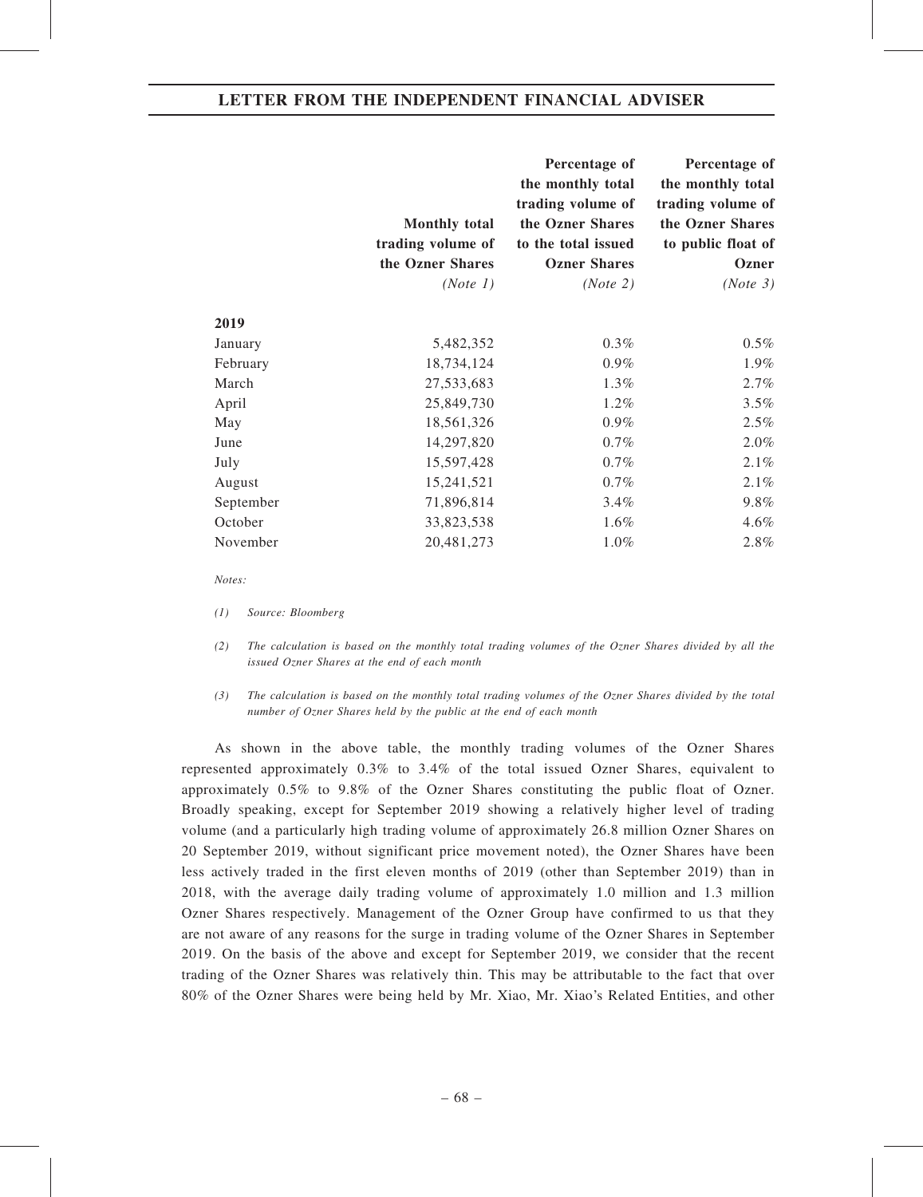|           | <b>Monthly total</b> | Percentage of<br>the monthly total<br>trading volume of<br>the Ozner Shares | Percentage of<br>the monthly total<br>trading volume of<br>the Ozner Shares |
|-----------|----------------------|-----------------------------------------------------------------------------|-----------------------------------------------------------------------------|
|           | trading volume of    | to the total issued                                                         | to public float of                                                          |
|           | the Ozner Shares     | <b>Ozner Shares</b>                                                         | Ozner                                                                       |
|           | (Note 1)             | (Note 2)                                                                    | (Note 3)                                                                    |
| 2019      |                      |                                                                             |                                                                             |
| January   | 5,482,352            | 0.3%                                                                        | 0.5%                                                                        |
| February  | 18,734,124           | 0.9%                                                                        | 1.9%                                                                        |
| March     | 27,533,683           | 1.3%                                                                        | 2.7%                                                                        |
| April     | 25,849,730           | 1.2%                                                                        | 3.5%                                                                        |
| May       | 18,561,326           | 0.9%                                                                        | 2.5%                                                                        |
| June      | 14,297,820           | 0.7%                                                                        | 2.0%                                                                        |
| July      | 15,597,428           | 0.7%                                                                        | 2.1%                                                                        |
| August    | 15,241,521           | 0.7%                                                                        | 2.1%                                                                        |
| September | 71,896,814           | 3.4%                                                                        | 9.8%                                                                        |
| October   | 33,823,538           | 1.6%                                                                        | 4.6%                                                                        |
| November  | 20,481,273           | 1.0%                                                                        | 2.8%                                                                        |

Notes:

(1) Source: Bloomberg

- (2) The calculation is based on the monthly total trading volumes of the Ozner Shares divided by all the issued Ozner Shares at the end of each month
- (3) The calculation is based on the monthly total trading volumes of the Ozner Shares divided by the total number of Ozner Shares held by the public at the end of each month

As shown in the above table, the monthly trading volumes of the Ozner Shares represented approximately 0.3% to 3.4% of the total issued Ozner Shares, equivalent to approximately 0.5% to 9.8% of the Ozner Shares constituting the public float of Ozner. Broadly speaking, except for September 2019 showing a relatively higher level of trading volume (and a particularly high trading volume of approximately 26.8 million Ozner Shares on 20 September 2019, without significant price movement noted), the Ozner Shares have been less actively traded in the first eleven months of 2019 (other than September 2019) than in 2018, with the average daily trading volume of approximately 1.0 million and 1.3 million Ozner Shares respectively. Management of the Ozner Group have confirmed to us that they are not aware of any reasons for the surge in trading volume of the Ozner Shares in September 2019. On the basis of the above and except for September 2019, we consider that the recent trading of the Ozner Shares was relatively thin. This may be attributable to the fact that over 80% of the Ozner Shares were being held by Mr. Xiao, Mr. Xiao's Related Entities, and other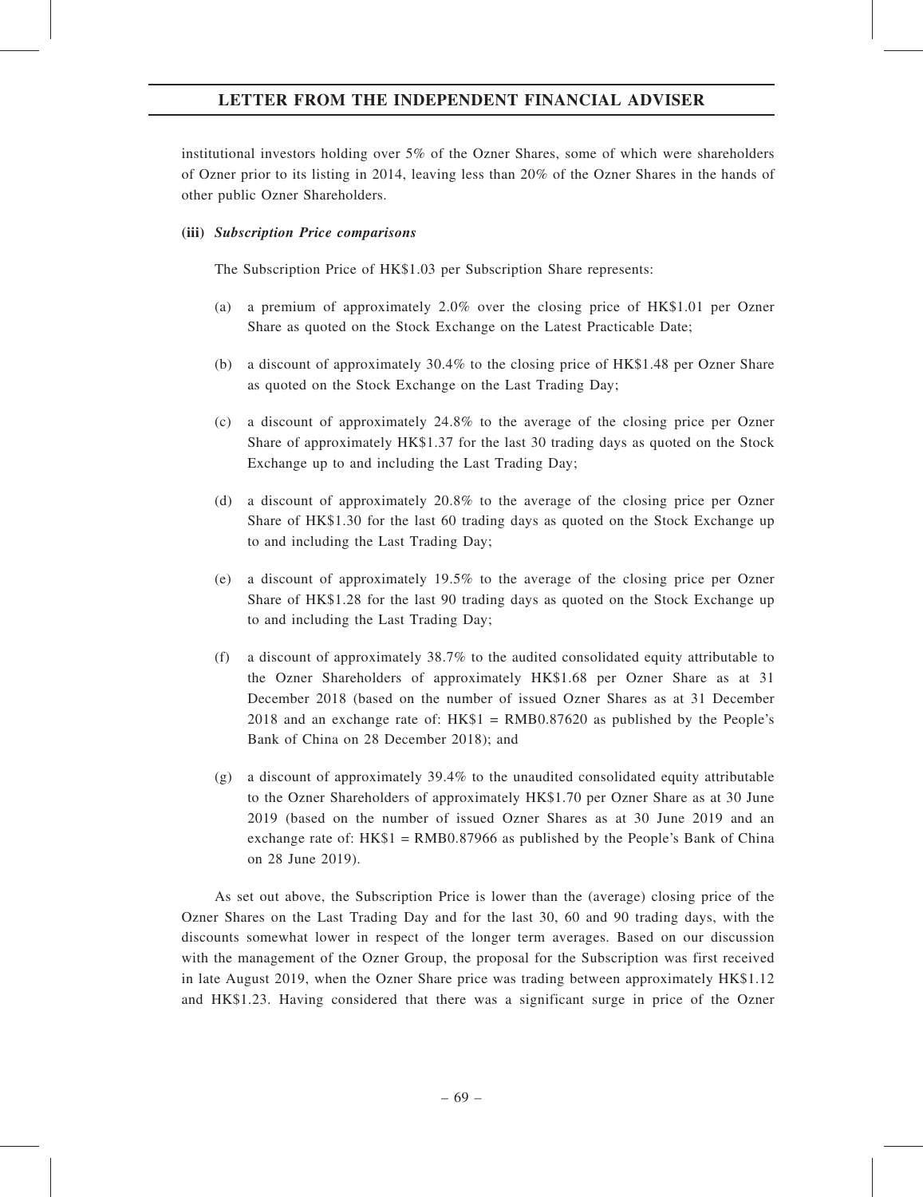institutional investors holding over 5% of the Ozner Shares, some of which were shareholders of Ozner prior to its listing in 2014, leaving less than 20% of the Ozner Shares in the hands of other public Ozner Shareholders.

### (iii) Subscription Price comparisons

The Subscription Price of HK\$1.03 per Subscription Share represents:

- (a) a premium of approximately 2.0% over the closing price of HK\$1.01 per Ozner Share as quoted on the Stock Exchange on the Latest Practicable Date;
- (b) a discount of approximately 30.4% to the closing price of HK\$1.48 per Ozner Share as quoted on the Stock Exchange on the Last Trading Day;
- (c) a discount of approximately 24.8% to the average of the closing price per Ozner Share of approximately HK\$1.37 for the last 30 trading days as quoted on the Stock Exchange up to and including the Last Trading Day;
- (d) a discount of approximately 20.8% to the average of the closing price per Ozner Share of HK\$1.30 for the last 60 trading days as quoted on the Stock Exchange up to and including the Last Trading Day;
- (e) a discount of approximately 19.5% to the average of the closing price per Ozner Share of HK\$1.28 for the last 90 trading days as quoted on the Stock Exchange up to and including the Last Trading Day;
- (f) a discount of approximately 38.7% to the audited consolidated equity attributable to the Ozner Shareholders of approximately HK\$1.68 per Ozner Share as at 31 December 2018 (based on the number of issued Ozner Shares as at 31 December 2018 and an exchange rate of:  $HK$1 = RMB0.87620$  as published by the People's Bank of China on 28 December 2018); and
- (g) a discount of approximately 39.4% to the unaudited consolidated equity attributable to the Ozner Shareholders of approximately HK\$1.70 per Ozner Share as at 30 June 2019 (based on the number of issued Ozner Shares as at 30 June 2019 and an exchange rate of:  $HK$1 = RMB0.87966$  as published by the People's Bank of China on 28 June 2019).

As set out above, the Subscription Price is lower than the (average) closing price of the Ozner Shares on the Last Trading Day and for the last 30, 60 and 90 trading days, with the discounts somewhat lower in respect of the longer term averages. Based on our discussion with the management of the Ozner Group, the proposal for the Subscription was first received in late August 2019, when the Ozner Share price was trading between approximately HK\$1.12 and HK\$1.23. Having considered that there was a significant surge in price of the Ozner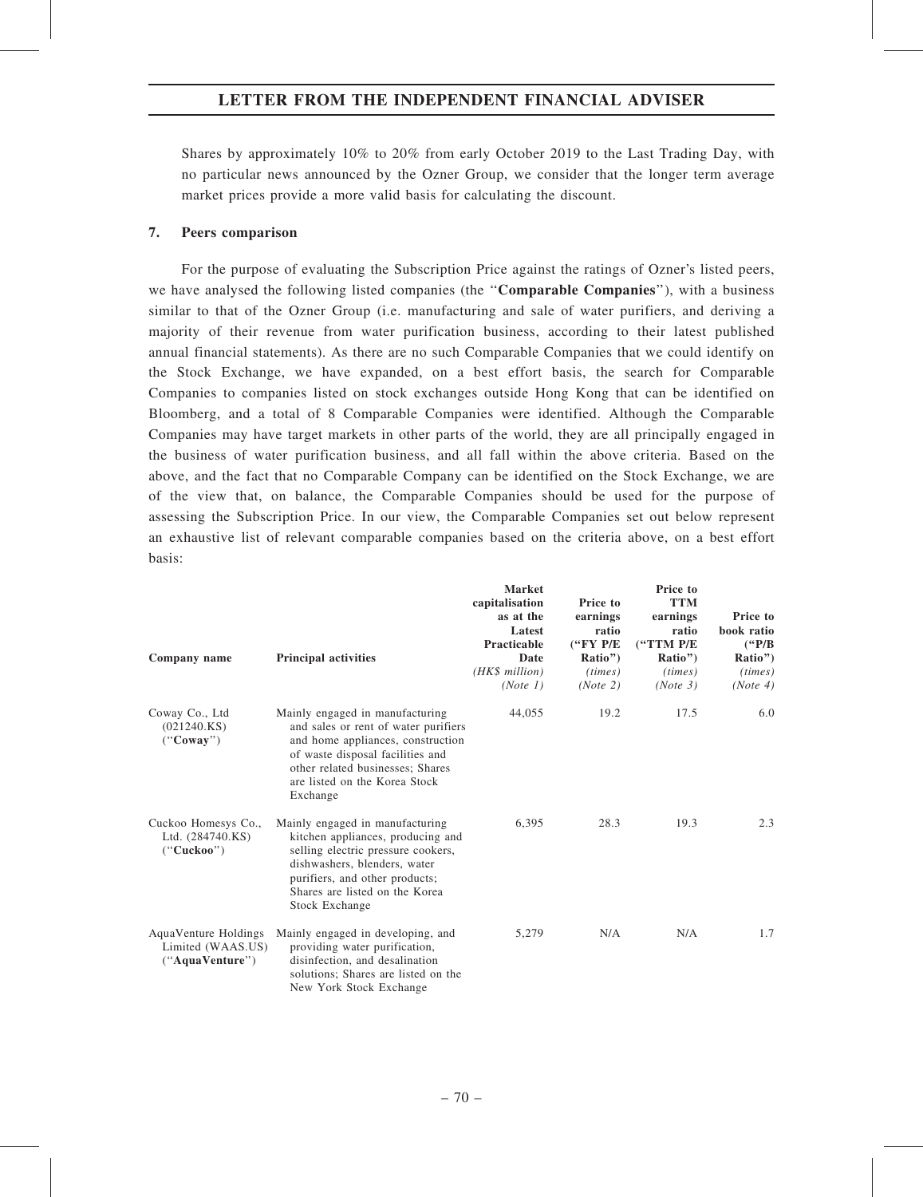Shares by approximately 10% to 20% from early October 2019 to the Last Trading Day, with no particular news announced by the Ozner Group, we consider that the longer term average market prices provide a more valid basis for calculating the discount.

### 7. Peers comparison

For the purpose of evaluating the Subscription Price against the ratings of Ozner's listed peers, we have analysed the following listed companies (the "Comparable Companies"), with a business similar to that of the Ozner Group (i.e. manufacturing and sale of water purifiers, and deriving a majority of their revenue from water purification business, according to their latest published annual financial statements). As there are no such Comparable Companies that we could identify on the Stock Exchange, we have expanded, on a best effort basis, the search for Comparable Companies to companies listed on stock exchanges outside Hong Kong that can be identified on Bloomberg, and a total of 8 Comparable Companies were identified. Although the Comparable Companies may have target markets in other parts of the world, they are all principally engaged in the business of water purification business, and all fall within the above criteria. Based on the above, and the fact that no Comparable Company can be identified on the Stock Exchange, we are of the view that, on balance, the Comparable Companies should be used for the purpose of assessing the Subscription Price. In our view, the Comparable Companies set out below represent an exhaustive list of relevant comparable companies based on the criteria above, on a best effort basis:

| Company name                                                 | <b>Principal activities</b>                                                                                                                                                                                                       | <b>Market</b><br>capitalisation<br>as at the<br>Latest<br>Practicable<br>Date<br>(HK\$ million)<br>(Note 1) | Price to<br>earnings<br>ratio<br>$($ "FY P/E<br>Ratio")<br>(times)<br>(Note 2) | Price to<br><b>TTM</b><br>earnings<br>ratio<br>("TTM P/E<br>Ratio")<br>(times)<br>(Note 3) | Price to<br>book ratio<br>$(^{4}P/B)$<br>Ratio")<br>(times)<br>(Note 4) |
|--------------------------------------------------------------|-----------------------------------------------------------------------------------------------------------------------------------------------------------------------------------------------------------------------------------|-------------------------------------------------------------------------------------------------------------|--------------------------------------------------------------------------------|--------------------------------------------------------------------------------------------|-------------------------------------------------------------------------|
| Coway Co., Ltd<br>(021240.KS)<br>("Coway")                   | Mainly engaged in manufacturing<br>and sales or rent of water purifiers<br>and home appliances, construction<br>of waste disposal facilities and<br>other related businesses; Shares<br>are listed on the Korea Stock<br>Exchange | 44,055                                                                                                      | 19.2                                                                           | 17.5                                                                                       | 6.0                                                                     |
| Cuckoo Homesys Co.,<br>Ltd. (284740.KS)<br>("Cuckoo")        | Mainly engaged in manufacturing<br>kitchen appliances, producing and<br>selling electric pressure cookers,<br>dishwashers, blenders, water<br>purifiers, and other products;<br>Shares are listed on the Korea<br>Stock Exchange  | 6,395                                                                                                       | 28.3                                                                           | 19.3                                                                                       | 2.3                                                                     |
| AquaVenture Holdings<br>Limited (WAAS.US)<br>("AquaVenture") | Mainly engaged in developing, and<br>providing water purification,<br>disinfection, and desalination<br>solutions; Shares are listed on the<br>New York Stock Exchange                                                            | 5,279                                                                                                       | N/A                                                                            | N/A                                                                                        | 1.7                                                                     |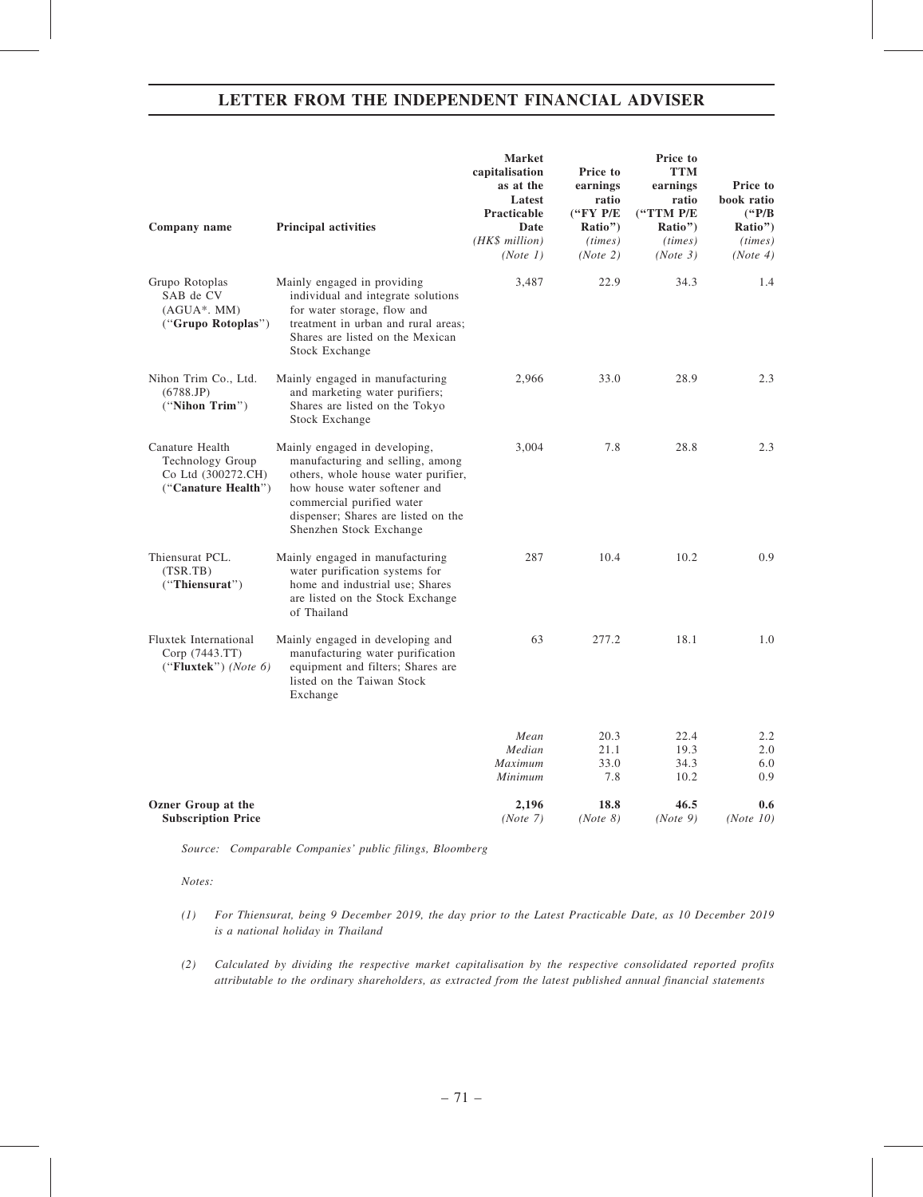| <b>Principal activities</b>                                                                                                                                                                                                             | <b>Market</b><br>capitalisation<br>as at the<br>Latest<br>Practicable<br>Date<br>(HK\$ million)<br>(Note 1) | Price to<br>earnings<br>ratio<br>$($ "FY P/E<br>Ratio")<br>(times)<br>(Note 2) | Price to<br><b>TTM</b><br>earnings<br>ratio<br>("TTM P/E<br>Ratio")<br>(times)<br>(Note 3) | Price to<br>book ratio<br>$(^{6}P/B)$<br>Ratio")<br>(times)<br>(Note 4) |
|-----------------------------------------------------------------------------------------------------------------------------------------------------------------------------------------------------------------------------------------|-------------------------------------------------------------------------------------------------------------|--------------------------------------------------------------------------------|--------------------------------------------------------------------------------------------|-------------------------------------------------------------------------|
| Mainly engaged in providing<br>individual and integrate solutions<br>for water storage, flow and<br>treatment in urban and rural areas;<br>Shares are listed on the Mexican<br>Stock Exchange                                           | 3,487                                                                                                       | 22.9                                                                           | 34.3                                                                                       | 1.4                                                                     |
| Mainly engaged in manufacturing<br>and marketing water purifiers;<br>Shares are listed on the Tokyo<br>Stock Exchange                                                                                                                   | 2,966                                                                                                       | 33.0                                                                           | 28.9                                                                                       | 2.3                                                                     |
| Mainly engaged in developing,<br>manufacturing and selling, among<br>others, whole house water purifier,<br>how house water softener and<br>commercial purified water<br>dispenser; Shares are listed on the<br>Shenzhen Stock Exchange | 3,004                                                                                                       | 7.8                                                                            | 28.8                                                                                       | 2.3                                                                     |
| Mainly engaged in manufacturing<br>water purification systems for<br>home and industrial use; Shares<br>are listed on the Stock Exchange<br>of Thailand                                                                                 | 287                                                                                                         | 10.4                                                                           | 10.2                                                                                       | 0.9                                                                     |
| Mainly engaged in developing and<br>manufacturing water purification<br>equipment and filters; Shares are<br>listed on the Taiwan Stock<br>Exchange                                                                                     | 63                                                                                                          | 277.2                                                                          | 18.1                                                                                       | 1.0                                                                     |
|                                                                                                                                                                                                                                         |                                                                                                             |                                                                                |                                                                                            | 2.2                                                                     |
|                                                                                                                                                                                                                                         |                                                                                                             |                                                                                |                                                                                            | 2.0                                                                     |
|                                                                                                                                                                                                                                         |                                                                                                             |                                                                                |                                                                                            | 6.0                                                                     |
|                                                                                                                                                                                                                                         | Minimum                                                                                                     | 7.8                                                                            | 10.2                                                                                       | 0.9                                                                     |
|                                                                                                                                                                                                                                         | 2,196                                                                                                       | 18.8                                                                           | 46.5                                                                                       | 0.6<br>(Note 10)                                                        |
|                                                                                                                                                                                                                                         |                                                                                                             | Mean<br>Median<br>Maximum<br>(Note 7)                                          | 20.3<br>21.1<br>33.0<br>(Note 8)                                                           | 22.4<br>19.3<br>34.3<br>(Note 9)                                        |

Source: Comparable Companies' public filings, Bloomberg

Notes:

- (1) For Thiensurat, being 9 December 2019, the day prior to the Latest Practicable Date, as 10 December 2019 is a national holiday in Thailand
- (2) Calculated by dividing the respective market capitalisation by the respective consolidated reported profits attributable to the ordinary shareholders, as extracted from the latest published annual financial statements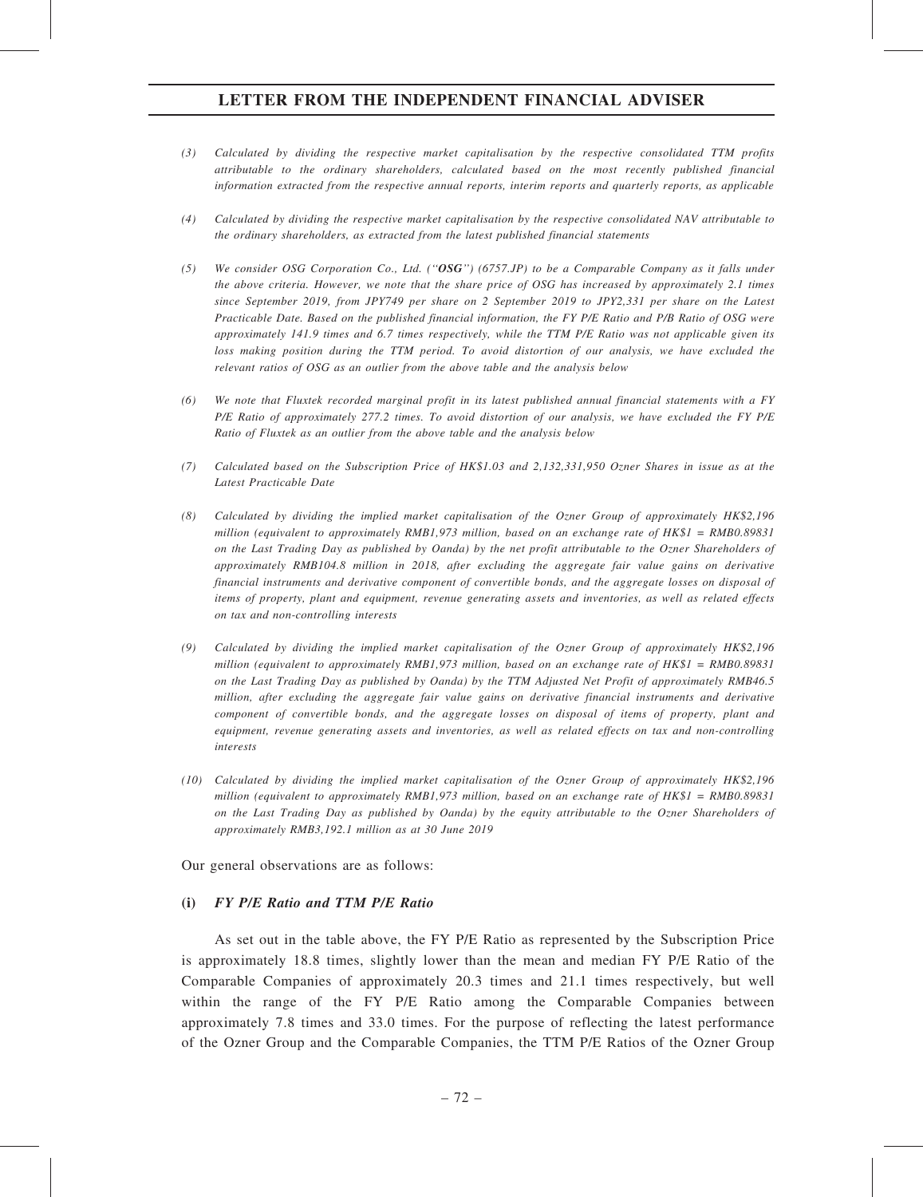- (3) Calculated by dividing the respective market capitalisation by the respective consolidated TTM profits attributable to the ordinary shareholders, calculated based on the most recently published financial information extracted from the respective annual reports, interim reports and quarterly reports, as applicable
- (4) Calculated by dividing the respective market capitalisation by the respective consolidated NAV attributable to the ordinary shareholders, as extracted from the latest published financial statements
- (5) We consider OSG Corporation Co., Ltd. (''OSG'') (6757.JP) to be a Comparable Company as it falls under the above criteria. However, we note that the share price of OSG has increased by approximately 2.1 times since September 2019, from JPY749 per share on 2 September 2019 to JPY2,331 per share on the Latest Practicable Date. Based on the published financial information, the FY P/E Ratio and P/B Ratio of OSG were approximately 141.9 times and 6.7 times respectively, while the TTM P/E Ratio was not applicable given its loss making position during the TTM period. To avoid distortion of our analysis, we have excluded the relevant ratios of OSG as an outlier from the above table and the analysis below
- (6) We note that Fluxtek recorded marginal profit in its latest published annual financial statements with a FY P/E Ratio of approximately 277.2 times. To avoid distortion of our analysis, we have excluded the FY P/E Ratio of Fluxtek as an outlier from the above table and the analysis below
- (7) Calculated based on the Subscription Price of HK\$1.03 and 2,132,331,950 Ozner Shares in issue as at the Latest Practicable Date
- (8) Calculated by dividing the implied market capitalisation of the Ozner Group of approximately HK\$2,196 million (equivalent to approximately RMB1,973 million, based on an exchange rate of HK\$1 = RMB0.89831 on the Last Trading Day as published by Oanda) by the net profit attributable to the Ozner Shareholders of approximately RMB104.8 million in 2018, after excluding the aggregate fair value gains on derivative financial instruments and derivative component of convertible bonds, and the aggregate losses on disposal of items of property, plant and equipment, revenue generating assets and inventories, as well as related effects on tax and non-controlling interests
- (9) Calculated by dividing the implied market capitalisation of the Ozner Group of approximately HK\$2,196 million (equivalent to approximately RMB1,973 million, based on an exchange rate of  $HK$1 = RMB0.89831$ on the Last Trading Day as published by Oanda) by the TTM Adjusted Net Profit of approximately RMB46.5 million, after excluding the aggregate fair value gains on derivative financial instruments and derivative component of convertible bonds, and the aggregate losses on disposal of items of property, plant and equipment, revenue generating assets and inventories, as well as related effects on tax and non-controlling interests
- (10) Calculated by dividing the implied market capitalisation of the Ozner Group of approximately HK\$2,196 million (equivalent to approximately RMB1,973 million, based on an exchange rate of HK\$1 = RMB0.89831 on the Last Trading Day as published by Oanda) by the equity attributable to the Ozner Shareholders of approximately RMB3,192.1 million as at 30 June 2019

Our general observations are as follows:

# (i) FY P/E Ratio and TTM P/E Ratio

As set out in the table above, the FY P/E Ratio as represented by the Subscription Price is approximately 18.8 times, slightly lower than the mean and median FY P/E Ratio of the Comparable Companies of approximately 20.3 times and 21.1 times respectively, but well within the range of the FY P/E Ratio among the Comparable Companies between approximately 7.8 times and 33.0 times. For the purpose of reflecting the latest performance of the Ozner Group and the Comparable Companies, the TTM P/E Ratios of the Ozner Group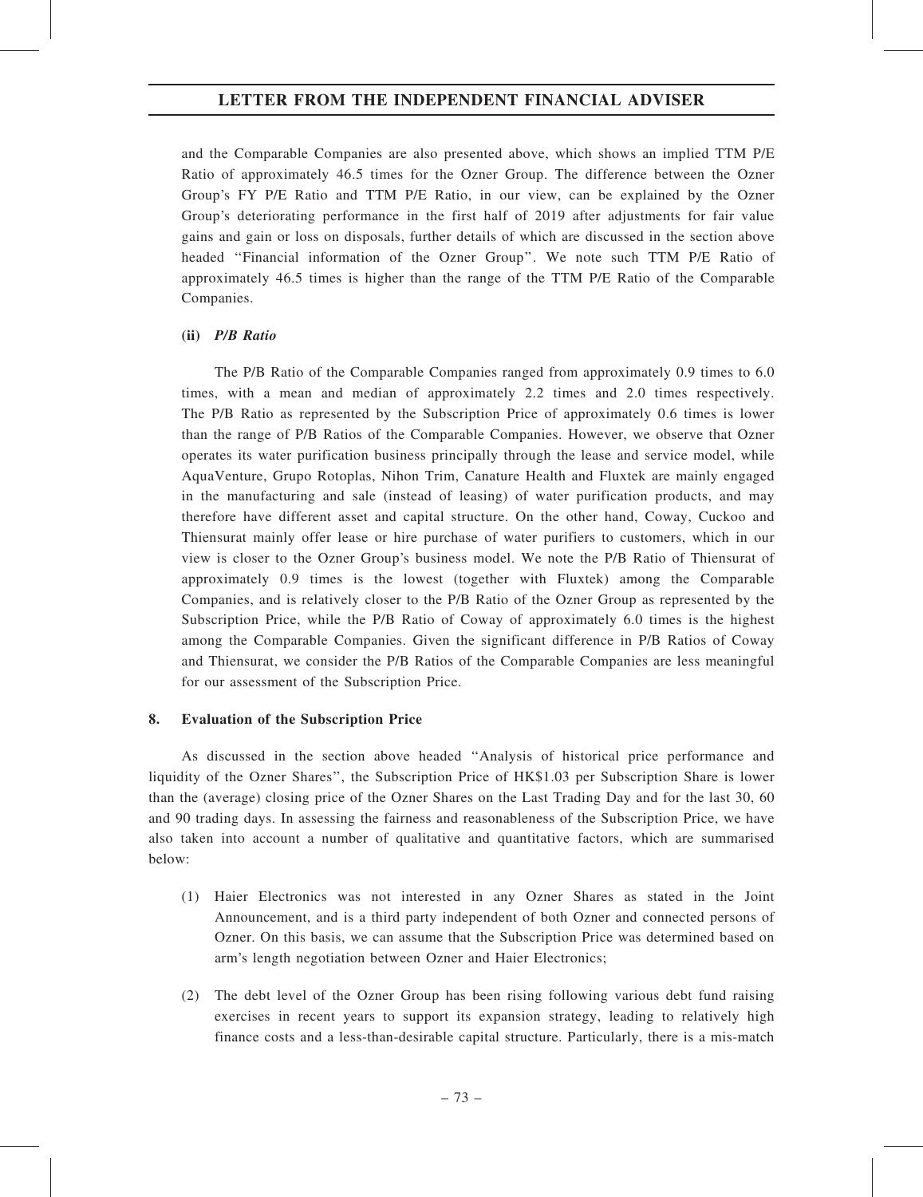and the Comparable Companies are also presented above, which shows an implied TTM P/E Ratio of approximately 46.5 times for the Ozner Group. The difference between the Ozner Group's FY P/E Ratio and TTM P/E Ratio, in our view, can be explained by the Ozner Group's deteriorating performance in the first half of 2019 after adjustments for fair value gains and gain or loss on disposals, further details of which are discussed in the section above headed ''Financial information of the Ozner Group''. We note such TTM P/E Ratio of approximately 46.5 times is higher than the range of the TTM P/E Ratio of the Comparable Companies.

# (ii) P/B Ratio

The P/B Ratio of the Comparable Companies ranged from approximately 0.9 times to 6.0 times, with a mean and median of approximately 2.2 times and 2.0 times respectively. The P/B Ratio as represented by the Subscription Price of approximately 0.6 times is lower than the range of P/B Ratios of the Comparable Companies. However, we observe that Ozner operates its water purification business principally through the lease and service model, while AquaVenture, Grupo Rotoplas, Nihon Trim, Canature Health and Fluxtek are mainly engaged in the manufacturing and sale (instead of leasing) of water purification products, and may therefore have different asset and capital structure. On the other hand, Coway, Cuckoo and Thiensurat mainly offer lease or hire purchase of water purifiers to customers, which in our view is closer to the Ozner Group's business model. We note the P/B Ratio of Thiensurat of approximately 0.9 times is the lowest (together with Fluxtek) among the Comparable Companies, and is relatively closer to the P/B Ratio of the Ozner Group as represented by the Subscription Price, while the P/B Ratio of Coway of approximately 6.0 times is the highest among the Comparable Companies. Given the significant difference in P/B Ratios of Coway and Thiensurat, we consider the P/B Ratios of the Comparable Companies are less meaningful for our assessment of the Subscription Price.

# 8. Evaluation of the Subscription Price

As discussed in the section above headed ''Analysis of historical price performance and liquidity of the Ozner Shares'', the Subscription Price of HK\$1.03 per Subscription Share is lower than the (average) closing price of the Ozner Shares on the Last Trading Day and for the last 30, 60 and 90 trading days. In assessing the fairness and reasonableness of the Subscription Price, we have also taken into account a number of qualitative and quantitative factors, which are summarised below:

- (1) Haier Electronics was not interested in any Ozner Shares as stated in the Joint Announcement, and is a third party independent of both Ozner and connected persons of Ozner. On this basis, we can assume that the Subscription Price was determined based on arm's length negotiation between Ozner and Haier Electronics;
- (2) The debt level of the Ozner Group has been rising following various debt fund raising exercises in recent years to support its expansion strategy, leading to relatively high finance costs and a less-than-desirable capital structure. Particularly, there is a mis-match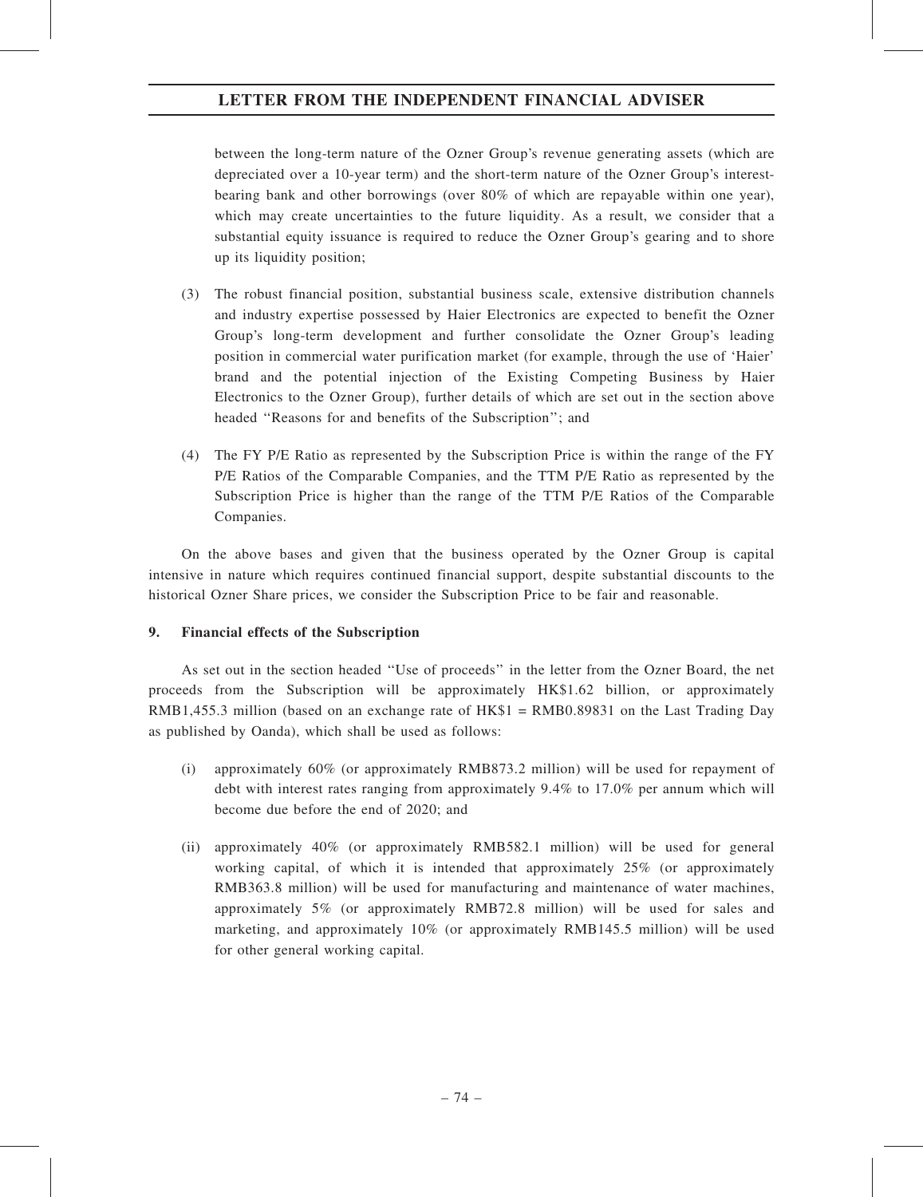between the long-term nature of the Ozner Group's revenue generating assets (which are depreciated over a 10-year term) and the short-term nature of the Ozner Group's interestbearing bank and other borrowings (over 80% of which are repayable within one year), which may create uncertainties to the future liquidity. As a result, we consider that a substantial equity issuance is required to reduce the Ozner Group's gearing and to shore up its liquidity position;

- (3) The robust financial position, substantial business scale, extensive distribution channels and industry expertise possessed by Haier Electronics are expected to benefit the Ozner Group's long-term development and further consolidate the Ozner Group's leading position in commercial water purification market (for example, through the use of 'Haier' brand and the potential injection of the Existing Competing Business by Haier Electronics to the Ozner Group), further details of which are set out in the section above headed ''Reasons for and benefits of the Subscription''; and
- (4) The FY P/E Ratio as represented by the Subscription Price is within the range of the FY P/E Ratios of the Comparable Companies, and the TTM P/E Ratio as represented by the Subscription Price is higher than the range of the TTM P/E Ratios of the Comparable Companies.

On the above bases and given that the business operated by the Ozner Group is capital intensive in nature which requires continued financial support, despite substantial discounts to the historical Ozner Share prices, we consider the Subscription Price to be fair and reasonable.

# 9. Financial effects of the Subscription

As set out in the section headed ''Use of proceeds'' in the letter from the Ozner Board, the net proceeds from the Subscription will be approximately HK\$1.62 billion, or approximately RMB1,455.3 million (based on an exchange rate of HK\$1 = RMB0.89831 on the Last Trading Day as published by Oanda), which shall be used as follows:

- (i) approximately 60% (or approximately RMB873.2 million) will be used for repayment of debt with interest rates ranging from approximately 9.4% to 17.0% per annum which will become due before the end of 2020; and
- (ii) approximately 40% (or approximately RMB582.1 million) will be used for general working capital, of which it is intended that approximately 25% (or approximately RMB363.8 million) will be used for manufacturing and maintenance of water machines, approximately 5% (or approximately RMB72.8 million) will be used for sales and marketing, and approximately 10% (or approximately RMB145.5 million) will be used for other general working capital.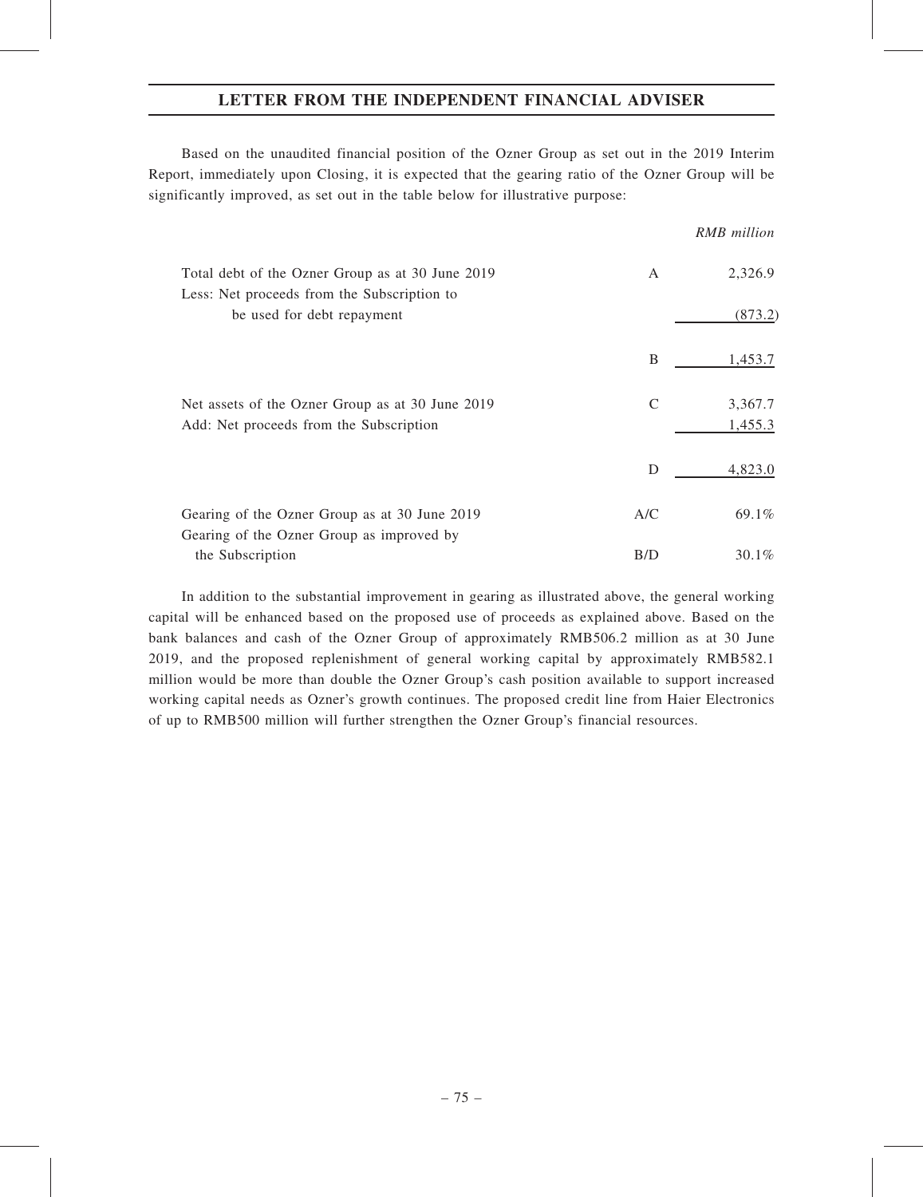Based on the unaudited financial position of the Ozner Group as set out in the 2019 Interim Report, immediately upon Closing, it is expected that the gearing ratio of the Ozner Group will be significantly improved, as set out in the table below for illustrative purpose:

|                                                                                                 |     | <b>RMB</b> million |
|-------------------------------------------------------------------------------------------------|-----|--------------------|
| Total debt of the Ozner Group as at 30 June 2019<br>Less: Net proceeds from the Subscription to | A   | 2,326.9            |
| be used for debt repayment                                                                      |     | (873.2)            |
|                                                                                                 | B   | 1,453.7            |
| Net assets of the Ozner Group as at 30 June 2019<br>Add: Net proceeds from the Subscription     | C   | 3,367.7<br>1,455.3 |
|                                                                                                 | D   | 4,823.0            |
| Gearing of the Ozner Group as at 30 June 2019<br>Gearing of the Ozner Group as improved by      | A/C | 69.1%              |
| the Subscription                                                                                | B/D | $30.1\%$           |

In addition to the substantial improvement in gearing as illustrated above, the general working capital will be enhanced based on the proposed use of proceeds as explained above. Based on the bank balances and cash of the Ozner Group of approximately RMB506.2 million as at 30 June 2019, and the proposed replenishment of general working capital by approximately RMB582.1 million would be more than double the Ozner Group's cash position available to support increased working capital needs as Ozner's growth continues. The proposed credit line from Haier Electronics of up to RMB500 million will further strengthen the Ozner Group's financial resources.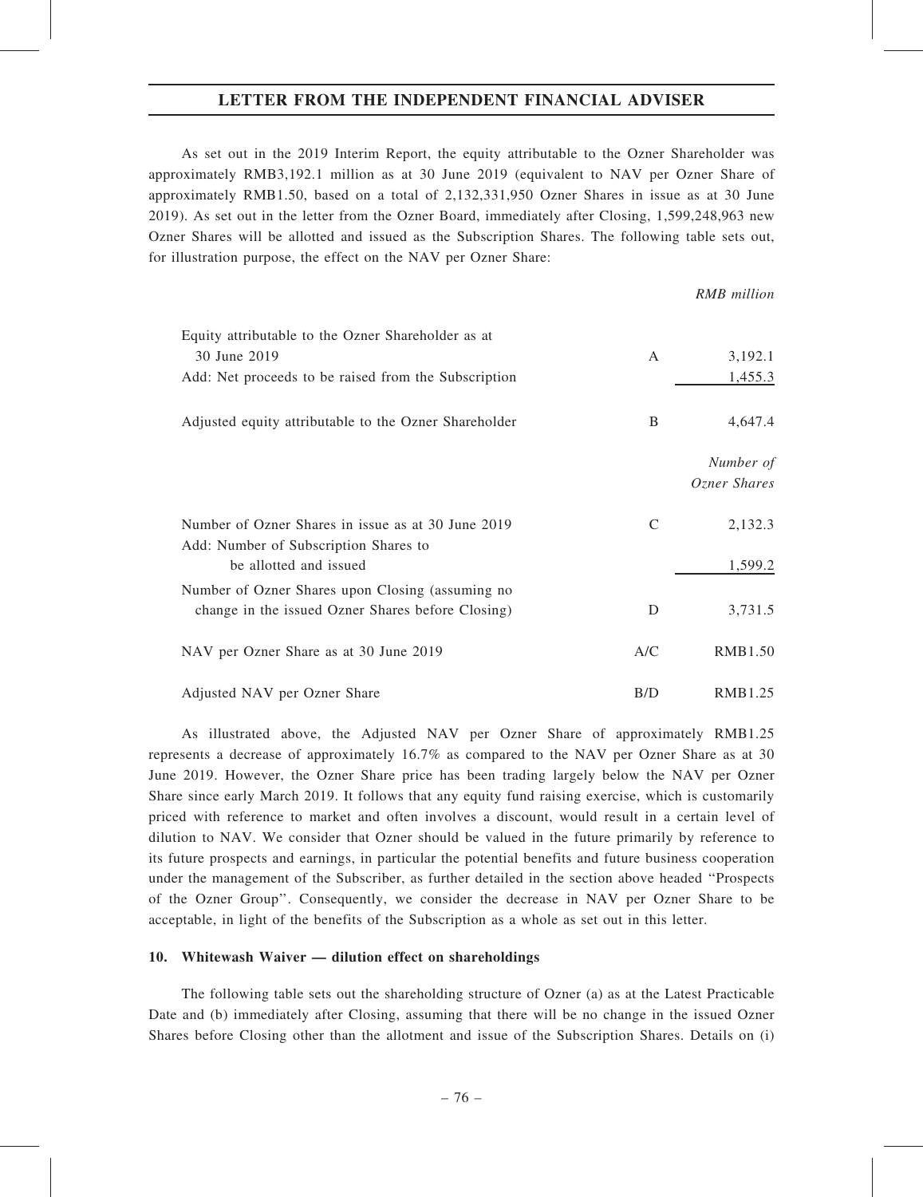As set out in the 2019 Interim Report, the equity attributable to the Ozner Shareholder was approximately RMB3,192.1 million as at 30 June 2019 (equivalent to NAV per Ozner Share of approximately RMB1.50, based on a total of 2,132,331,950 Ozner Shares in issue as at 30 June 2019). As set out in the letter from the Ozner Board, immediately after Closing, 1,599,248,963 new Ozner Shares will be allotted and issued as the Subscription Shares. The following table sets out, for illustration purpose, the effect on the NAV per Ozner Share:

### RMB million

| Equity attributable to the Ozner Shareholder as at    |     |                |
|-------------------------------------------------------|-----|----------------|
| 30 June 2019                                          | A   | 3,192.1        |
| Add: Net proceeds to be raised from the Subscription  |     | 1,455.3        |
| Adjusted equity attributable to the Ozner Shareholder | B   | 4,647.4        |
|                                                       |     | Number of      |
|                                                       |     | Ozner Shares   |
| Number of Ozner Shares in issue as at 30 June 2019    | C   | 2,132.3        |
| Add: Number of Subscription Shares to                 |     |                |
| be allotted and issued                                |     | 1,599.2        |
| Number of Ozner Shares upon Closing (assuming no      |     |                |
| change in the issued Ozner Shares before Closing)     | D   | 3,731.5        |
| NAV per Ozner Share as at 30 June 2019                | A/C | <b>RMB1.50</b> |
| Adjusted NAV per Ozner Share                          | B/D | RMB1.25        |

As illustrated above, the Adjusted NAV per Ozner Share of approximately RMB1.25 represents a decrease of approximately 16.7% as compared to the NAV per Ozner Share as at 30 June 2019. However, the Ozner Share price has been trading largely below the NAV per Ozner Share since early March 2019. It follows that any equity fund raising exercise, which is customarily priced with reference to market and often involves a discount, would result in a certain level of dilution to NAV. We consider that Ozner should be valued in the future primarily by reference to its future prospects and earnings, in particular the potential benefits and future business cooperation under the management of the Subscriber, as further detailed in the section above headed ''Prospects of the Ozner Group''. Consequently, we consider the decrease in NAV per Ozner Share to be acceptable, in light of the benefits of the Subscription as a whole as set out in this letter.

### 10. Whitewash Waiver — dilution effect on shareholdings

The following table sets out the shareholding structure of Ozner (a) as at the Latest Practicable Date and (b) immediately after Closing, assuming that there will be no change in the issued Ozner Shares before Closing other than the allotment and issue of the Subscription Shares. Details on (i)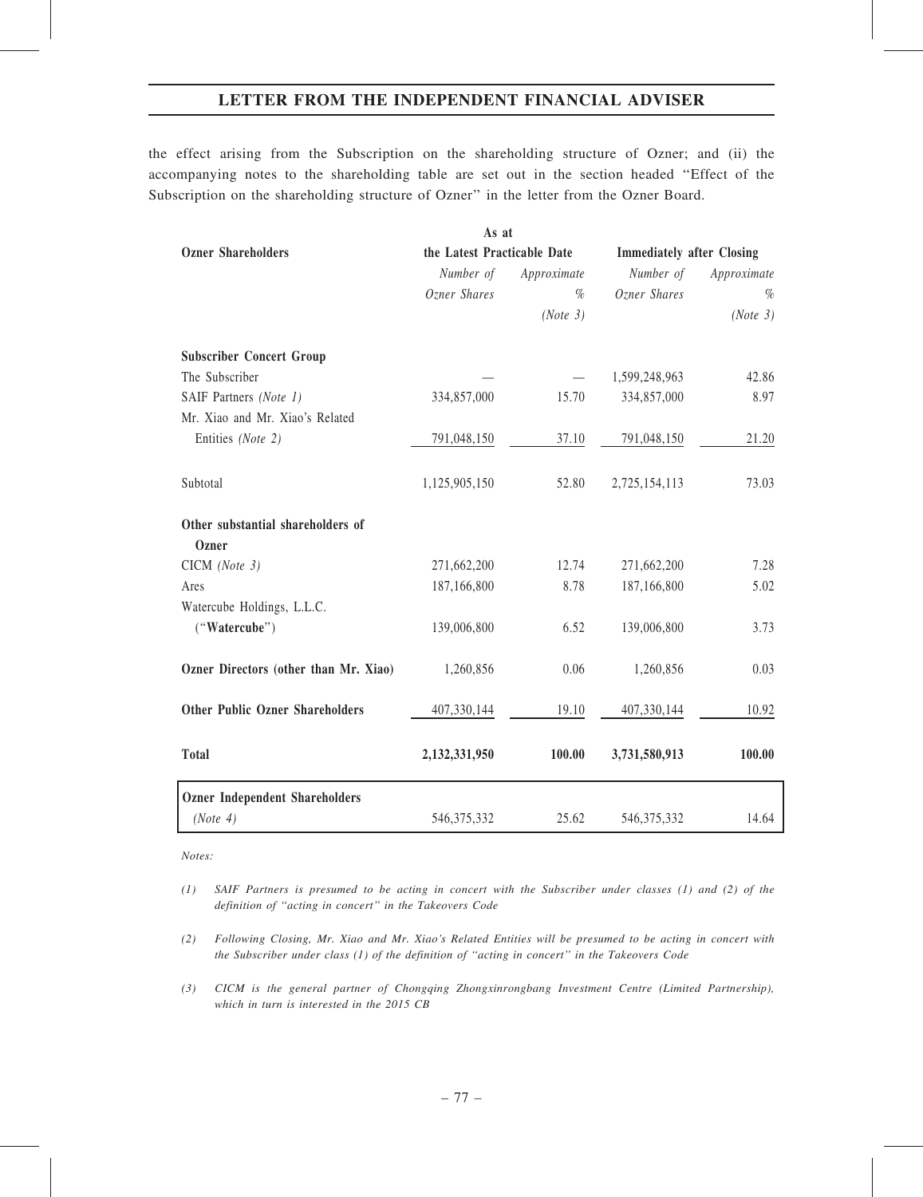the effect arising from the Subscription on the shareholding structure of Ozner; and (ii) the accompanying notes to the shareholding table are set out in the section headed ''Effect of the Subscription on the shareholding structure of Ozner'' in the letter from the Ozner Board.

|                                        | As at                       |             |                                  |             |  |
|----------------------------------------|-----------------------------|-------------|----------------------------------|-------------|--|
| <b>Ozner Shareholders</b>              | the Latest Practicable Date |             | <b>Immediately after Closing</b> |             |  |
|                                        | Number of                   | Approximate | Number of                        | Approximate |  |
|                                        | Ozner Shares                | $\%$        | Ozner Shares                     | $\%$        |  |
|                                        |                             | (Note 3)    |                                  | (Note 3)    |  |
| <b>Subscriber Concert Group</b>        |                             |             |                                  |             |  |
| The Subscriber                         |                             |             | 1,599,248,963                    | 42.86       |  |
| SAIF Partners (Note 1)                 | 334,857,000                 | 15.70       | 334,857,000                      | 8.97        |  |
| Mr. Xiao and Mr. Xiao's Related        |                             |             |                                  |             |  |
| Entities (Note 2)                      | 791,048,150                 | 37.10       | 791,048,150                      | 21.20       |  |
| Subtotal                               | 1,125,905,150               | 52.80       | 2,725,154,113                    | 73.03       |  |
| Other substantial shareholders of      |                             |             |                                  |             |  |
| <b>Ozner</b>                           |                             |             |                                  |             |  |
| CICM (Note 3)                          | 271,662,200                 | 12.74       | 271,662,200                      | 7.28        |  |
| Ares                                   | 187,166,800                 | 8.78        | 187,166,800                      | 5.02        |  |
| Watercube Holdings, L.L.C.             |                             |             |                                  |             |  |
| ("Watercube")                          | 139,006,800                 | 6.52        | 139,006,800                      | 3.73        |  |
| Ozner Directors (other than Mr. Xiao)  | 1,260,856                   | 0.06        | 1,260,856                        | 0.03        |  |
| <b>Other Public Ozner Shareholders</b> | 407,330,144                 | 19.10       | 407,330,144                      | 10.92       |  |
| <b>Total</b>                           | 2,132,331,950               | 100.00      | 3,731,580,913                    | 100.00      |  |
| <b>Ozner Independent Shareholders</b>  |                             |             |                                  |             |  |
| (Note 4)                               | 546, 375, 332               | 25.62       | 546, 375, 332                    | 14.64       |  |

Notes:

- (1) SAIF Partners is presumed to be acting in concert with the Subscriber under classes (1) and (2) of the definition of ''acting in concert'' in the Takeovers Code
- (2) Following Closing, Mr. Xiao and Mr. Xiao's Related Entities will be presumed to be acting in concert with the Subscriber under class (1) of the definition of ''acting in concert'' in the Takeovers Code
- (3) CICM is the general partner of Chongqing Zhongxinrongbang Investment Centre (Limited Partnership), which in turn is interested in the 2015 CB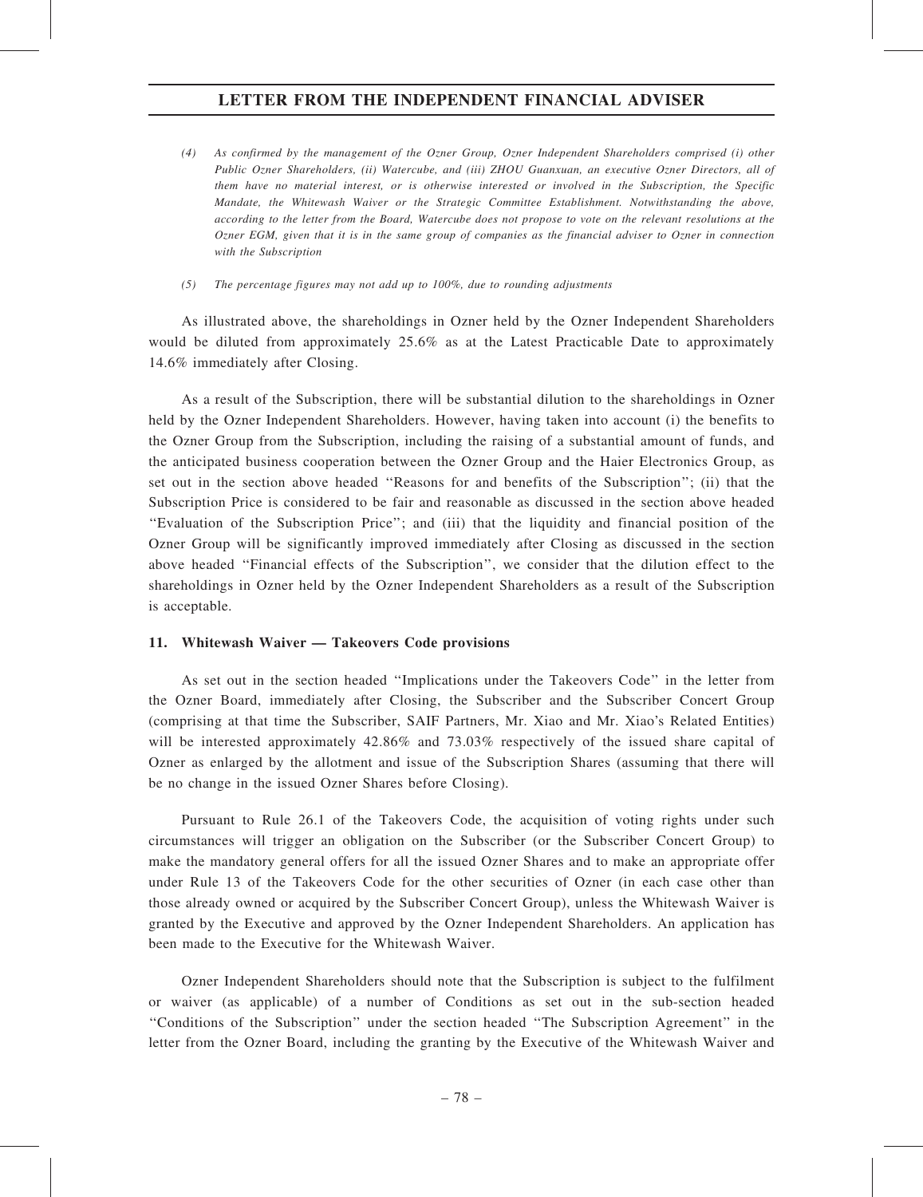- (4) As confirmed by the management of the Ozner Group, Ozner Independent Shareholders comprised (i) other Public Ozner Shareholders, (ii) Watercube, and (iii) ZHOU Guanxuan, an executive Ozner Directors, all of them have no material interest, or is otherwise interested or involved in the Subscription, the Specific Mandate, the Whitewash Waiver or the Strategic Committee Establishment. Notwithstanding the above, according to the letter from the Board, Watercube does not propose to vote on the relevant resolutions at the Ozner EGM, given that it is in the same group of companies as the financial adviser to Ozner in connection with the Subscription
- (5) The percentage figures may not add up to 100%, due to rounding adjustments

As illustrated above, the shareholdings in Ozner held by the Ozner Independent Shareholders would be diluted from approximately 25.6% as at the Latest Practicable Date to approximately 14.6% immediately after Closing.

As a result of the Subscription, there will be substantial dilution to the shareholdings in Ozner held by the Ozner Independent Shareholders. However, having taken into account (i) the benefits to the Ozner Group from the Subscription, including the raising of a substantial amount of funds, and the anticipated business cooperation between the Ozner Group and the Haier Electronics Group, as set out in the section above headed ''Reasons for and benefits of the Subscription''; (ii) that the Subscription Price is considered to be fair and reasonable as discussed in the section above headed ''Evaluation of the Subscription Price''; and (iii) that the liquidity and financial position of the Ozner Group will be significantly improved immediately after Closing as discussed in the section above headed ''Financial effects of the Subscription'', we consider that the dilution effect to the shareholdings in Ozner held by the Ozner Independent Shareholders as a result of the Subscription is acceptable.

# 11. Whitewash Waiver — Takeovers Code provisions

As set out in the section headed ''Implications under the Takeovers Code'' in the letter from the Ozner Board, immediately after Closing, the Subscriber and the Subscriber Concert Group (comprising at that time the Subscriber, SAIF Partners, Mr. Xiao and Mr. Xiao's Related Entities) will be interested approximately 42.86% and 73.03% respectively of the issued share capital of Ozner as enlarged by the allotment and issue of the Subscription Shares (assuming that there will be no change in the issued Ozner Shares before Closing).

Pursuant to Rule 26.1 of the Takeovers Code, the acquisition of voting rights under such circumstances will trigger an obligation on the Subscriber (or the Subscriber Concert Group) to make the mandatory general offers for all the issued Ozner Shares and to make an appropriate offer under Rule 13 of the Takeovers Code for the other securities of Ozner (in each case other than those already owned or acquired by the Subscriber Concert Group), unless the Whitewash Waiver is granted by the Executive and approved by the Ozner Independent Shareholders. An application has been made to the Executive for the Whitewash Waiver.

Ozner Independent Shareholders should note that the Subscription is subject to the fulfilment or waiver (as applicable) of a number of Conditions as set out in the sub-section headed ''Conditions of the Subscription'' under the section headed ''The Subscription Agreement'' in the letter from the Ozner Board, including the granting by the Executive of the Whitewash Waiver and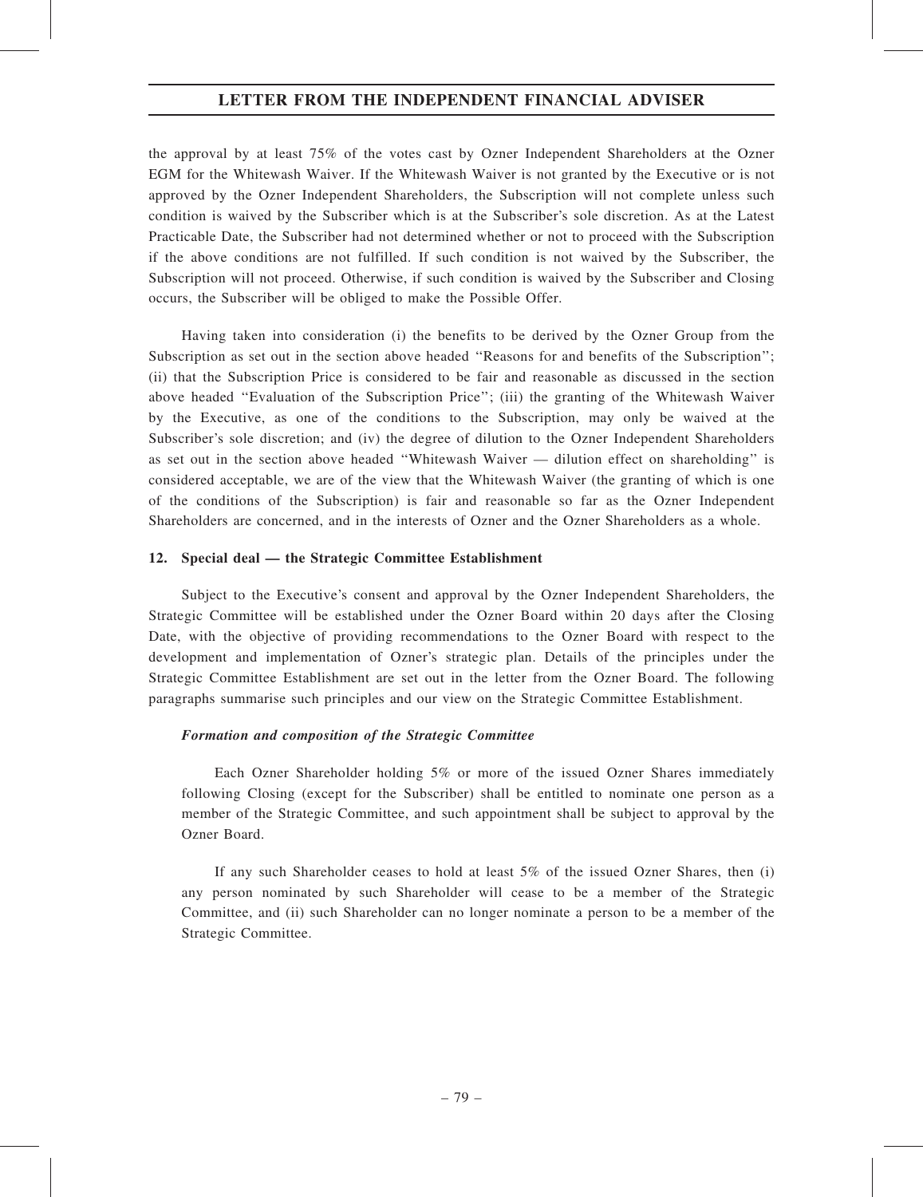the approval by at least 75% of the votes cast by Ozner Independent Shareholders at the Ozner EGM for the Whitewash Waiver. If the Whitewash Waiver is not granted by the Executive or is not approved by the Ozner Independent Shareholders, the Subscription will not complete unless such condition is waived by the Subscriber which is at the Subscriber's sole discretion. As at the Latest Practicable Date, the Subscriber had not determined whether or not to proceed with the Subscription if the above conditions are not fulfilled. If such condition is not waived by the Subscriber, the Subscription will not proceed. Otherwise, if such condition is waived by the Subscriber and Closing occurs, the Subscriber will be obliged to make the Possible Offer.

Having taken into consideration (i) the benefits to be derived by the Ozner Group from the Subscription as set out in the section above headed ''Reasons for and benefits of the Subscription''; (ii) that the Subscription Price is considered to be fair and reasonable as discussed in the section above headed ''Evaluation of the Subscription Price''; (iii) the granting of the Whitewash Waiver by the Executive, as one of the conditions to the Subscription, may only be waived at the Subscriber's sole discretion; and (iv) the degree of dilution to the Ozner Independent Shareholders as set out in the section above headed ''Whitewash Waiver — dilution effect on shareholding'' is considered acceptable, we are of the view that the Whitewash Waiver (the granting of which is one of the conditions of the Subscription) is fair and reasonable so far as the Ozner Independent Shareholders are concerned, and in the interests of Ozner and the Ozner Shareholders as a whole.

# 12. Special deal — the Strategic Committee Establishment

Subject to the Executive's consent and approval by the Ozner Independent Shareholders, the Strategic Committee will be established under the Ozner Board within 20 days after the Closing Date, with the objective of providing recommendations to the Ozner Board with respect to the development and implementation of Ozner's strategic plan. Details of the principles under the Strategic Committee Establishment are set out in the letter from the Ozner Board. The following paragraphs summarise such principles and our view on the Strategic Committee Establishment.

# Formation and composition of the Strategic Committee

Each Ozner Shareholder holding 5% or more of the issued Ozner Shares immediately following Closing (except for the Subscriber) shall be entitled to nominate one person as a member of the Strategic Committee, and such appointment shall be subject to approval by the Ozner Board.

If any such Shareholder ceases to hold at least 5% of the issued Ozner Shares, then (i) any person nominated by such Shareholder will cease to be a member of the Strategic Committee, and (ii) such Shareholder can no longer nominate a person to be a member of the Strategic Committee.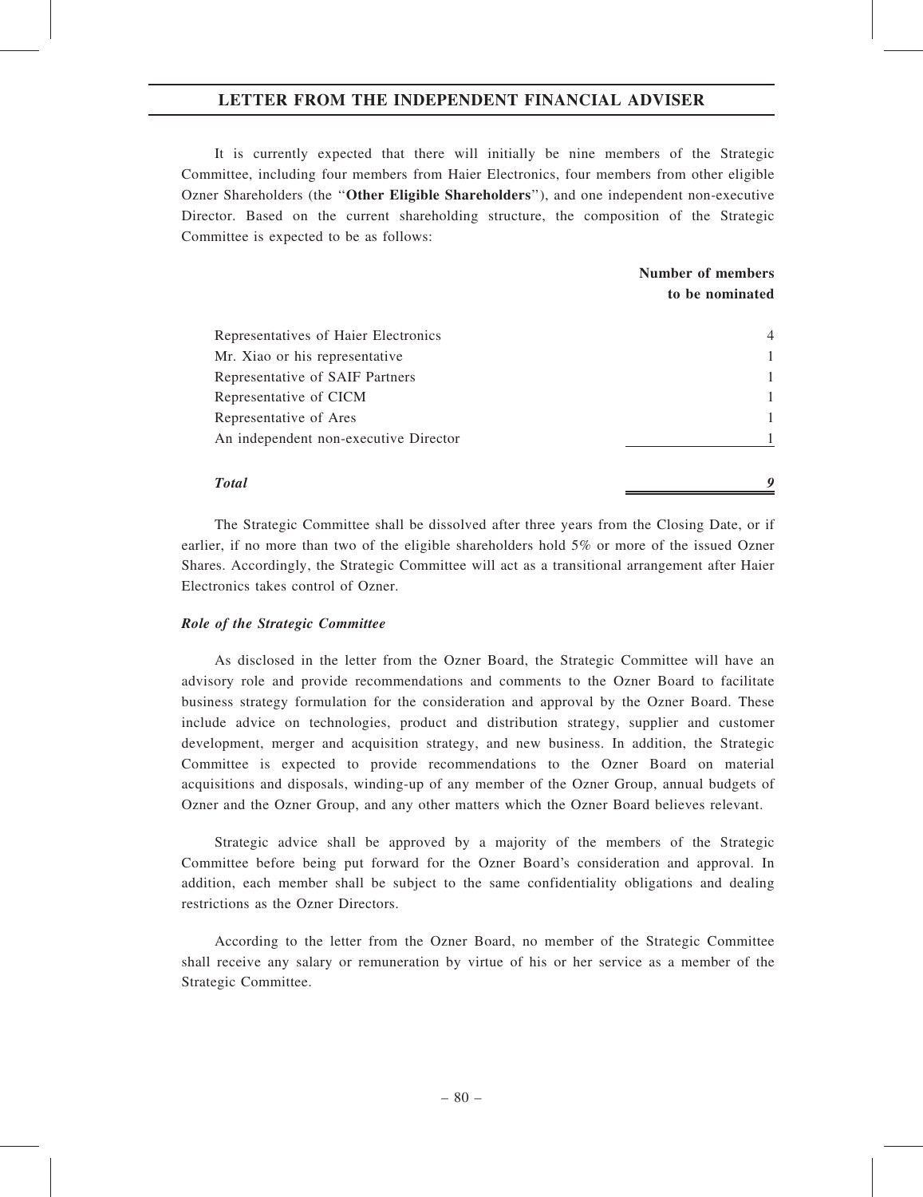It is currently expected that there will initially be nine members of the Strategic Committee, including four members from Haier Electronics, four members from other eligible Ozner Shareholders (the ''Other Eligible Shareholders''), and one independent non-executive Director. Based on the current shareholding structure, the composition of the Strategic Committee is expected to be as follows:

# Number of members to be nominated

| Representatives of Haier Electronics  | 4 |
|---------------------------------------|---|
| Mr. Xiao or his representative        |   |
| Representative of SAIF Partners       |   |
| Representative of CICM                |   |
| Representative of Ares                |   |
| An independent non-executive Director |   |
|                                       |   |
| <b>Total</b>                          |   |

The Strategic Committee shall be dissolved after three years from the Closing Date, or if earlier, if no more than two of the eligible shareholders hold 5% or more of the issued Ozner Shares. Accordingly, the Strategic Committee will act as a transitional arrangement after Haier Electronics takes control of Ozner.

### Role of the Strategic Committee

As disclosed in the letter from the Ozner Board, the Strategic Committee will have an advisory role and provide recommendations and comments to the Ozner Board to facilitate business strategy formulation for the consideration and approval by the Ozner Board. These include advice on technologies, product and distribution strategy, supplier and customer development, merger and acquisition strategy, and new business. In addition, the Strategic Committee is expected to provide recommendations to the Ozner Board on material acquisitions and disposals, winding-up of any member of the Ozner Group, annual budgets of Ozner and the Ozner Group, and any other matters which the Ozner Board believes relevant.

Strategic advice shall be approved by a majority of the members of the Strategic Committee before being put forward for the Ozner Board's consideration and approval. In addition, each member shall be subject to the same confidentiality obligations and dealing restrictions as the Ozner Directors.

According to the letter from the Ozner Board, no member of the Strategic Committee shall receive any salary or remuneration by virtue of his or her service as a member of the Strategic Committee.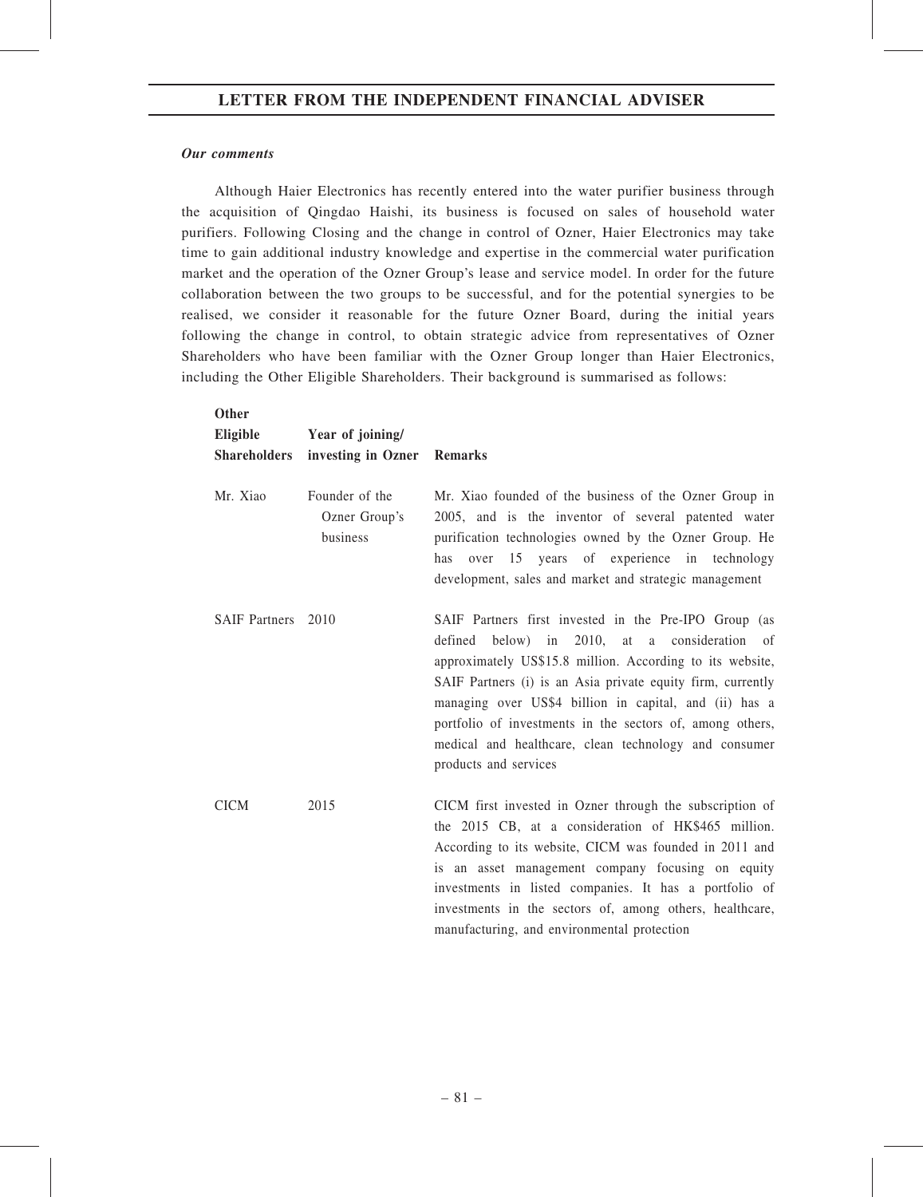### Our comments

Although Haier Electronics has recently entered into the water purifier business through the acquisition of Qingdao Haishi, its business is focused on sales of household water purifiers. Following Closing and the change in control of Ozner, Haier Electronics may take time to gain additional industry knowledge and expertise in the commercial water purification market and the operation of the Ozner Group's lease and service model. In order for the future collaboration between the two groups to be successful, and for the potential synergies to be realised, we consider it reasonable for the future Ozner Board, during the initial years following the change in control, to obtain strategic advice from representatives of Ozner Shareholders who have been familiar with the Ozner Group longer than Haier Electronics, including the Other Eligible Shareholders. Their background is summarised as follows:

| <b>Other</b><br>Eligible | Year of joining/                            |                                                                                                                                                                                                                                                                                                                                                                                                                                                      |
|--------------------------|---------------------------------------------|------------------------------------------------------------------------------------------------------------------------------------------------------------------------------------------------------------------------------------------------------------------------------------------------------------------------------------------------------------------------------------------------------------------------------------------------------|
| <b>Shareholders</b>      | investing in Ozner Remarks                  |                                                                                                                                                                                                                                                                                                                                                                                                                                                      |
| Mr. Xiao                 | Founder of the<br>Ozner Group's<br>business | Mr. Xiao founded of the business of the Ozner Group in<br>2005, and is the inventor of several patented water<br>purification technologies owned by the Ozner Group. He<br>over 15 years of experience in technology<br>has<br>development, sales and market and strategic management                                                                                                                                                                |
| <b>SAIF Partners</b>     | 2010                                        | SAIF Partners first invested in the Pre-IPO Group (as<br>defined below) in $2010$ , at<br>a consideration<br>of<br>approximately US\$15.8 million. According to its website,<br>SAIF Partners (i) is an Asia private equity firm, currently<br>managing over US\$4 billion in capital, and (ii) has a<br>portfolio of investments in the sectors of, among others,<br>medical and healthcare, clean technology and consumer<br>products and services |
| <b>CICM</b>              | 2015                                        | CICM first invested in Ozner through the subscription of<br>the 2015 CB, at a consideration of HK\$465 million.<br>According to its website, CICM was founded in 2011 and<br>is an asset management company focusing on equity<br>investments in listed companies. It has a portfolio of<br>investments in the sectors of, among others, healthcare,<br>manufacturing, and environmental protection                                                  |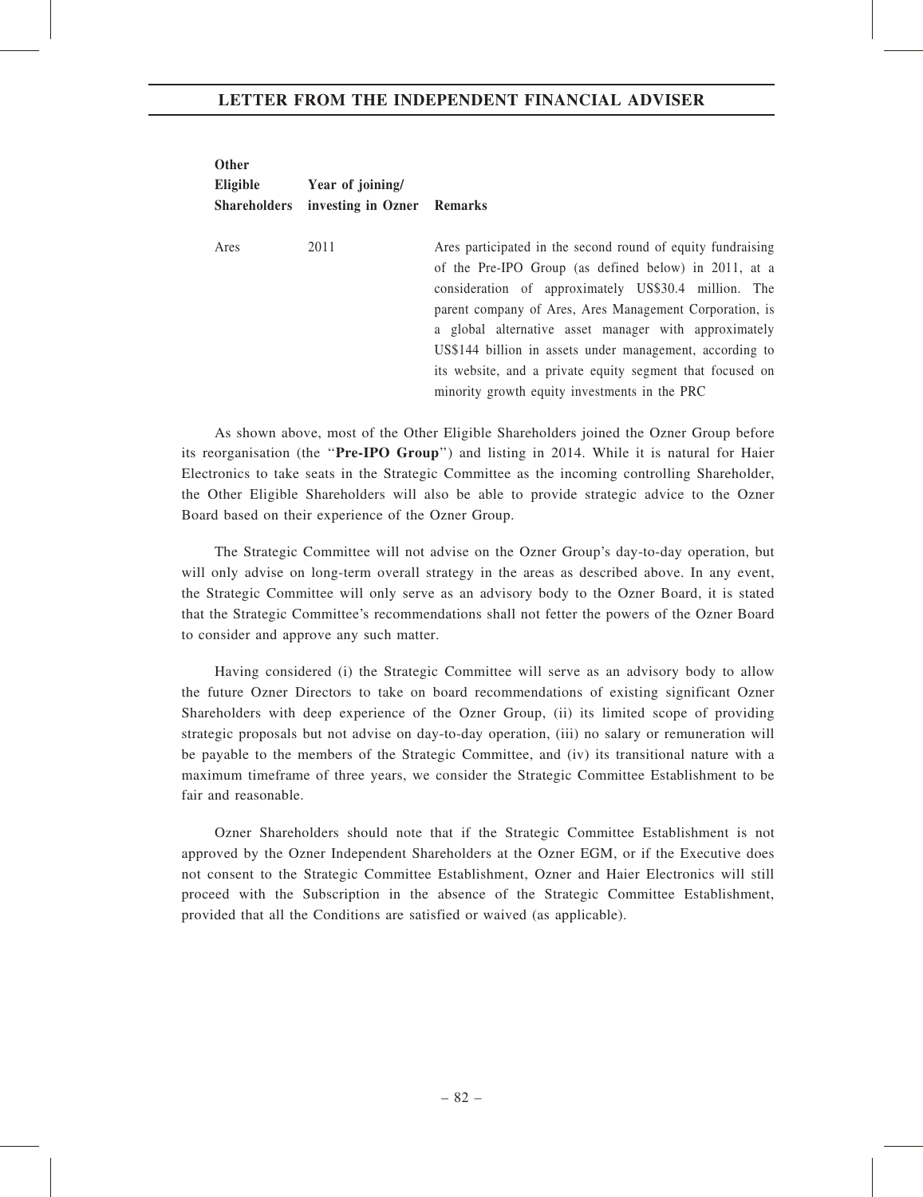| <b>Other</b><br>Eligible<br><b>Shareholders</b> | Year of joining/<br>investing in Ozner Remarks |                                                                                                                                                                                                                                                                                                                                                                                                                                                                            |
|-------------------------------------------------|------------------------------------------------|----------------------------------------------------------------------------------------------------------------------------------------------------------------------------------------------------------------------------------------------------------------------------------------------------------------------------------------------------------------------------------------------------------------------------------------------------------------------------|
| Ares                                            | 2011                                           | Ares participated in the second round of equity fundraising<br>of the Pre-IPO Group (as defined below) in 2011, at a<br>consideration of approximately US\$30.4 million. The<br>parent company of Ares, Ares Management Corporation, is<br>a global alternative asset manager with approximately<br>US\$144 billion in assets under management, according to<br>its website, and a private equity segment that focused on<br>minority growth equity investments in the PRC |

As shown above, most of the Other Eligible Shareholders joined the Ozner Group before its reorganisation (the "Pre-IPO Group") and listing in 2014. While it is natural for Haier Electronics to take seats in the Strategic Committee as the incoming controlling Shareholder, the Other Eligible Shareholders will also be able to provide strategic advice to the Ozner Board based on their experience of the Ozner Group.

The Strategic Committee will not advise on the Ozner Group's day-to-day operation, but will only advise on long-term overall strategy in the areas as described above. In any event, the Strategic Committee will only serve as an advisory body to the Ozner Board, it is stated that the Strategic Committee's recommendations shall not fetter the powers of the Ozner Board to consider and approve any such matter.

Having considered (i) the Strategic Committee will serve as an advisory body to allow the future Ozner Directors to take on board recommendations of existing significant Ozner Shareholders with deep experience of the Ozner Group, (ii) its limited scope of providing strategic proposals but not advise on day-to-day operation, (iii) no salary or remuneration will be payable to the members of the Strategic Committee, and (iv) its transitional nature with a maximum timeframe of three years, we consider the Strategic Committee Establishment to be fair and reasonable.

Ozner Shareholders should note that if the Strategic Committee Establishment is not approved by the Ozner Independent Shareholders at the Ozner EGM, or if the Executive does not consent to the Strategic Committee Establishment, Ozner and Haier Electronics will still proceed with the Subscription in the absence of the Strategic Committee Establishment, provided that all the Conditions are satisfied or waived (as applicable).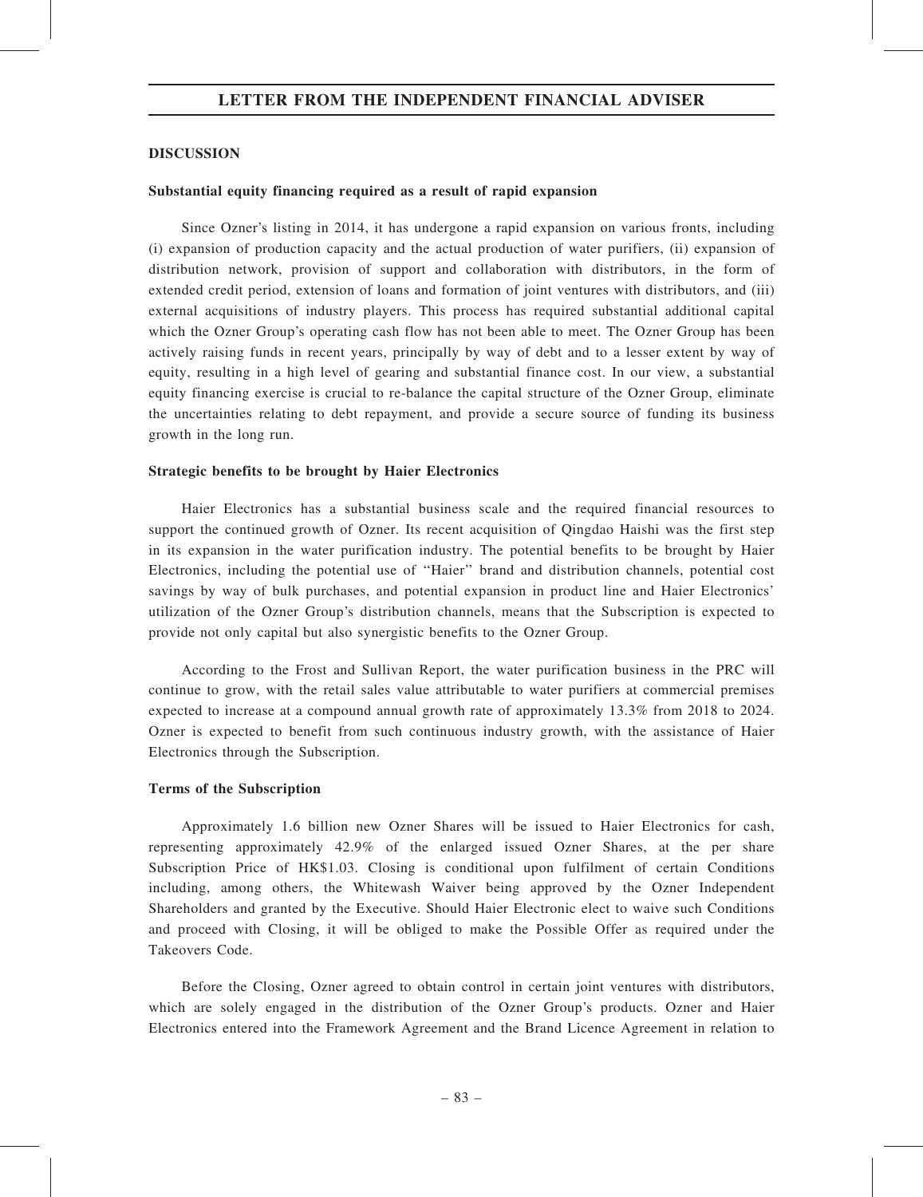## DISCUSSION

### Substantial equity financing required as a result of rapid expansion

Since Ozner's listing in 2014, it has undergone a rapid expansion on various fronts, including (i) expansion of production capacity and the actual production of water purifiers, (ii) expansion of distribution network, provision of support and collaboration with distributors, in the form of extended credit period, extension of loans and formation of joint ventures with distributors, and (iii) external acquisitions of industry players. This process has required substantial additional capital which the Ozner Group's operating cash flow has not been able to meet. The Ozner Group has been actively raising funds in recent years, principally by way of debt and to a lesser extent by way of equity, resulting in a high level of gearing and substantial finance cost. In our view, a substantial equity financing exercise is crucial to re-balance the capital structure of the Ozner Group, eliminate the uncertainties relating to debt repayment, and provide a secure source of funding its business growth in the long run.

### Strategic benefits to be brought by Haier Electronics

Haier Electronics has a substantial business scale and the required financial resources to support the continued growth of Ozner. Its recent acquisition of Qingdao Haishi was the first step in its expansion in the water purification industry. The potential benefits to be brought by Haier Electronics, including the potential use of ''Haier'' brand and distribution channels, potential cost savings by way of bulk purchases, and potential expansion in product line and Haier Electronics' utilization of the Ozner Group's distribution channels, means that the Subscription is expected to provide not only capital but also synergistic benefits to the Ozner Group.

According to the Frost and Sullivan Report, the water purification business in the PRC will continue to grow, with the retail sales value attributable to water purifiers at commercial premises expected to increase at a compound annual growth rate of approximately 13.3% from 2018 to 2024. Ozner is expected to benefit from such continuous industry growth, with the assistance of Haier Electronics through the Subscription.

# Terms of the Subscription

Approximately 1.6 billion new Ozner Shares will be issued to Haier Electronics for cash, representing approximately 42.9% of the enlarged issued Ozner Shares, at the per share Subscription Price of HK\$1.03. Closing is conditional upon fulfilment of certain Conditions including, among others, the Whitewash Waiver being approved by the Ozner Independent Shareholders and granted by the Executive. Should Haier Electronic elect to waive such Conditions and proceed with Closing, it will be obliged to make the Possible Offer as required under the Takeovers Code.

Before the Closing, Ozner agreed to obtain control in certain joint ventures with distributors, which are solely engaged in the distribution of the Ozner Group's products. Ozner and Haier Electronics entered into the Framework Agreement and the Brand Licence Agreement in relation to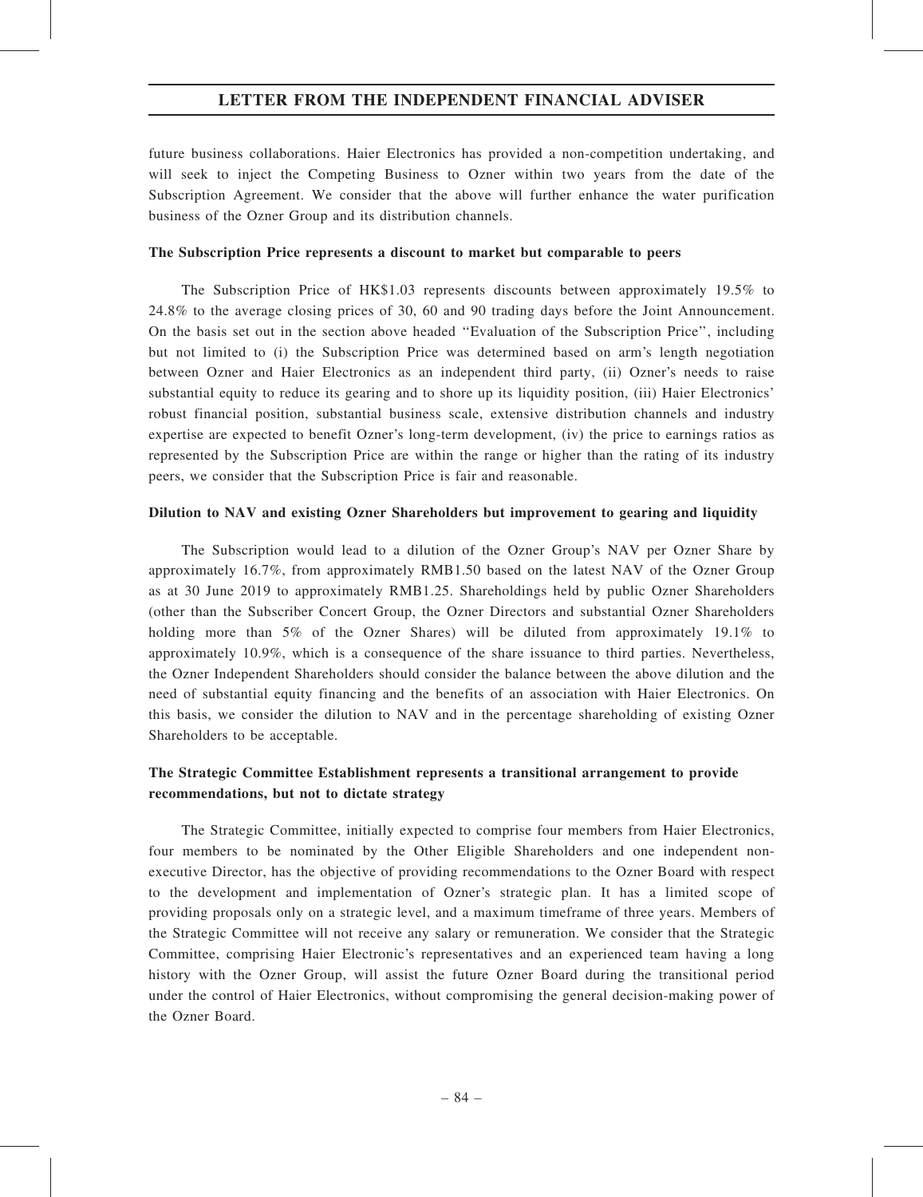future business collaborations. Haier Electronics has provided a non-competition undertaking, and will seek to inject the Competing Business to Ozner within two years from the date of the Subscription Agreement. We consider that the above will further enhance the water purification business of the Ozner Group and its distribution channels.

## The Subscription Price represents a discount to market but comparable to peers

The Subscription Price of HK\$1.03 represents discounts between approximately 19.5% to 24.8% to the average closing prices of 30, 60 and 90 trading days before the Joint Announcement. On the basis set out in the section above headed ''Evaluation of the Subscription Price'', including but not limited to (i) the Subscription Price was determined based on arm's length negotiation between Ozner and Haier Electronics as an independent third party, (ii) Ozner's needs to raise substantial equity to reduce its gearing and to shore up its liquidity position, (iii) Haier Electronics' robust financial position, substantial business scale, extensive distribution channels and industry expertise are expected to benefit Ozner's long-term development, (iv) the price to earnings ratios as represented by the Subscription Price are within the range or higher than the rating of its industry peers, we consider that the Subscription Price is fair and reasonable.

# Dilution to NAV and existing Ozner Shareholders but improvement to gearing and liquidity

The Subscription would lead to a dilution of the Ozner Group's NAV per Ozner Share by approximately 16.7%, from approximately RMB1.50 based on the latest NAV of the Ozner Group as at 30 June 2019 to approximately RMB1.25. Shareholdings held by public Ozner Shareholders (other than the Subscriber Concert Group, the Ozner Directors and substantial Ozner Shareholders holding more than 5% of the Ozner Shares) will be diluted from approximately 19.1% to approximately 10.9%, which is a consequence of the share issuance to third parties. Nevertheless, the Ozner Independent Shareholders should consider the balance between the above dilution and the need of substantial equity financing and the benefits of an association with Haier Electronics. On this basis, we consider the dilution to NAV and in the percentage shareholding of existing Ozner Shareholders to be acceptable.

# The Strategic Committee Establishment represents a transitional arrangement to provide recommendations, but not to dictate strategy

The Strategic Committee, initially expected to comprise four members from Haier Electronics, four members to be nominated by the Other Eligible Shareholders and one independent nonexecutive Director, has the objective of providing recommendations to the Ozner Board with respect to the development and implementation of Ozner's strategic plan. It has a limited scope of providing proposals only on a strategic level, and a maximum timeframe of three years. Members of the Strategic Committee will not receive any salary or remuneration. We consider that the Strategic Committee, comprising Haier Electronic's representatives and an experienced team having a long history with the Ozner Group, will assist the future Ozner Board during the transitional period under the control of Haier Electronics, without compromising the general decision-making power of the Ozner Board.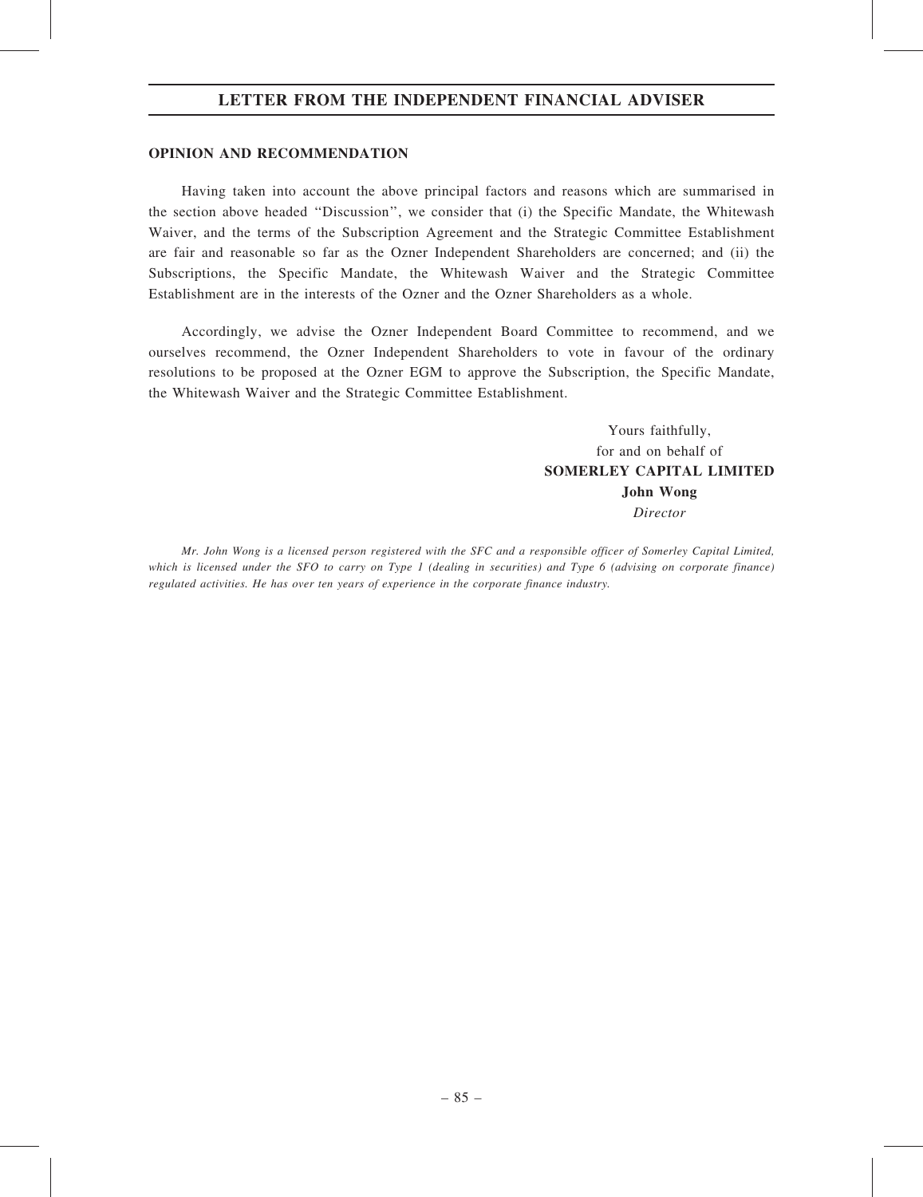### OPINION AND RECOMMENDATION

Having taken into account the above principal factors and reasons which are summarised in the section above headed ''Discussion'', we consider that (i) the Specific Mandate, the Whitewash Waiver, and the terms of the Subscription Agreement and the Strategic Committee Establishment are fair and reasonable so far as the Ozner Independent Shareholders are concerned; and (ii) the Subscriptions, the Specific Mandate, the Whitewash Waiver and the Strategic Committee Establishment are in the interests of the Ozner and the Ozner Shareholders as a whole.

Accordingly, we advise the Ozner Independent Board Committee to recommend, and we ourselves recommend, the Ozner Independent Shareholders to vote in favour of the ordinary resolutions to be proposed at the Ozner EGM to approve the Subscription, the Specific Mandate, the Whitewash Waiver and the Strategic Committee Establishment.

> Yours faithfully, for and on behalf of SOMERLEY CAPITAL LIMITED John Wong Director

Mr. John Wong is a licensed person registered with the SFC and a responsible officer of Somerley Capital Limited, which is licensed under the SFO to carry on Type 1 (dealing in securities) and Type 6 (advising on corporate finance) regulated activities. He has over ten years of experience in the corporate finance industry.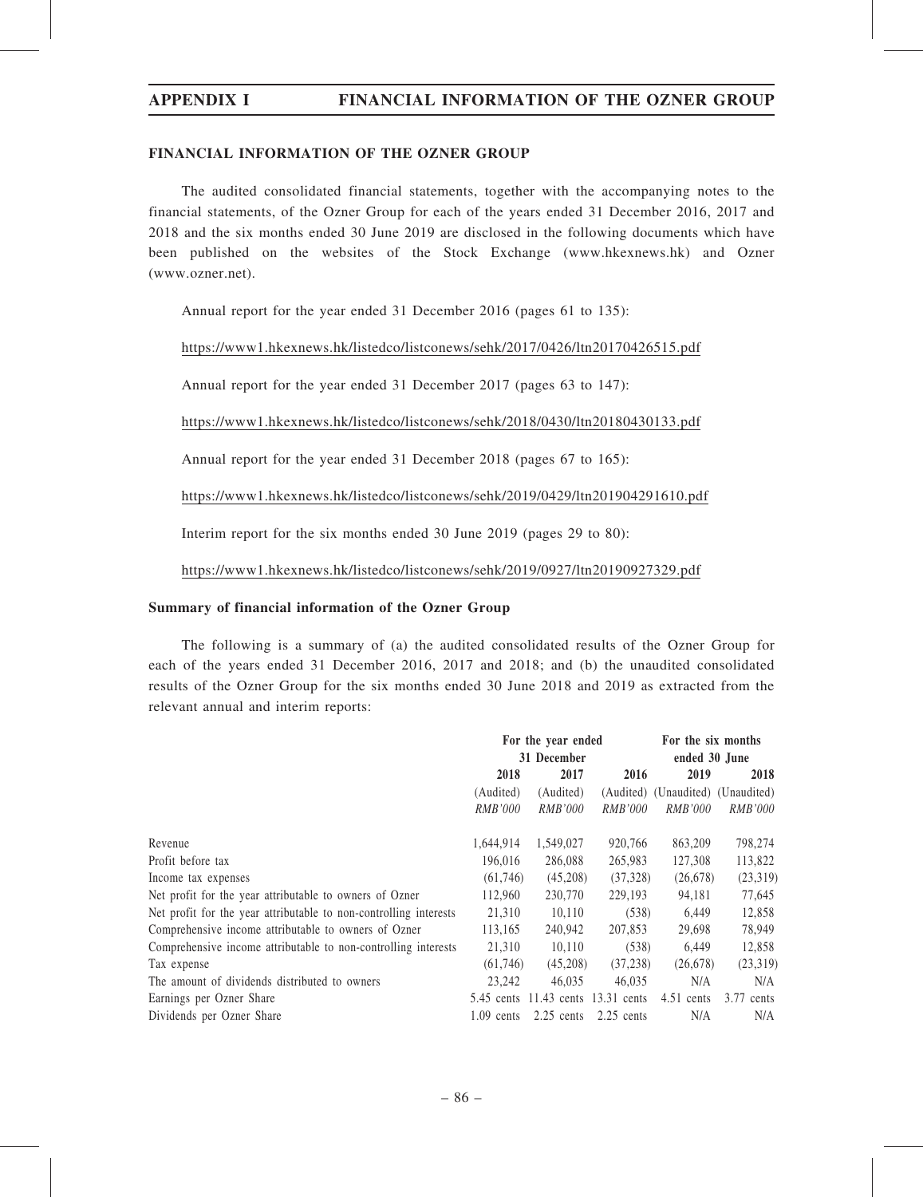# APPENDIX I FINANCIAL INFORMATION OF THE OZNER GROUP

# FINANCIAL INFORMATION OF THE OZNER GROUP

The audited consolidated financial statements, together with the accompanying notes to the financial statements, of the Ozner Group for each of the years ended 31 December 2016, 2017 and 2018 and the six months ended 30 June 2019 are disclosed in the following documents which have been published on the websites of the Stock Exchange (www.hkexnews.hk) and Ozner (www.ozner.net).

Annual report for the year ended 31 December 2016 (pages 61 to 135):

https://www1.hkexnews.hk/listedco/listconews/sehk/2017/0426/ltn20170426515.pdf

Annual report for the year ended 31 December 2017 (pages 63 to 147):

https://www1.hkexnews.hk/listedco/listconews/sehk/2018/0430/ltn20180430133.pdf

Annual report for the year ended 31 December 2018 (pages 67 to 165):

https://www1.hkexnews.hk/listedco/listconews/sehk/2019/0429/ltn201904291610.pdf

Interim report for the six months ended 30 June 2019 (pages 29 to 80):

https://www1.hkexnews.hk/listedco/listconews/sehk/2019/0927/ltn20190927329.pdf

### Summary of financial information of the Ozner Group

The following is a summary of (a) the audited consolidated results of the Ozner Group for each of the years ended 31 December 2016, 2017 and 2018; and (b) the unaudited consolidated results of the Ozner Group for the six months ended 30 June 2018 and 2019 as extracted from the relevant annual and interim reports:

|                                                                   | For the year ended   |                                    |                | For the six months                |                |
|-------------------------------------------------------------------|----------------------|------------------------------------|----------------|-----------------------------------|----------------|
|                                                                   | 31 December          |                                    |                | ended 30 June                     |                |
|                                                                   | 2018<br>2017<br>2016 |                                    | 2019           | 2018                              |                |
|                                                                   | (Audited)            | (Audited)                          |                | (Audited) (Unaudited) (Unaudited) |                |
|                                                                   | <i>RMB'000</i>       | <i>RMB'000</i>                     | <i>RMB'000</i> | <i>RMB'000</i>                    | <i>RMB'000</i> |
| Revenue                                                           | 1,644,914            | 1,549,027                          | 920,766        | 863,209                           | 798,274        |
| Profit before tax                                                 | 196,016              | 286,088                            | 265,983        | 127,308                           | 113,822        |
| Income tax expenses                                               | (61,746)             | (45,208)                           | (37, 328)      | (26,678)                          | (23,319)       |
| Net profit for the year attributable to owners of Ozner           | 112,960              | 230,770                            | 229,193        | 94,181                            | 77,645         |
| Net profit for the year attributable to non-controlling interests | 21,310               | 10,110                             | (538)          | 6,449                             | 12,858         |
| Comprehensive income attributable to owners of Ozner              | 113,165              | 240,942                            | 207.853        | 29,698                            | 78,949         |
| Comprehensive income attributable to non-controlling interests    | 21,310               | 10,110                             | (538)          | 6,449                             | 12,858         |
| Tax expense                                                       | (61,746)             | (45,208)                           | (37, 238)      | (26,678)                          | (23,319)       |
| The amount of dividends distributed to owners                     | 23,242               | 46.035                             | 46,035         | N/A                               | N/A            |
| Earnings per Ozner Share                                          |                      | 5.45 cents 11.43 cents 13.31 cents |                | $4.51$ cents                      | $3.77$ cents   |
| Dividends per Ozner Share                                         | $1.09$ cents         | $2.25$ cents                       | $2.25$ cents   | N/A                               | N/A            |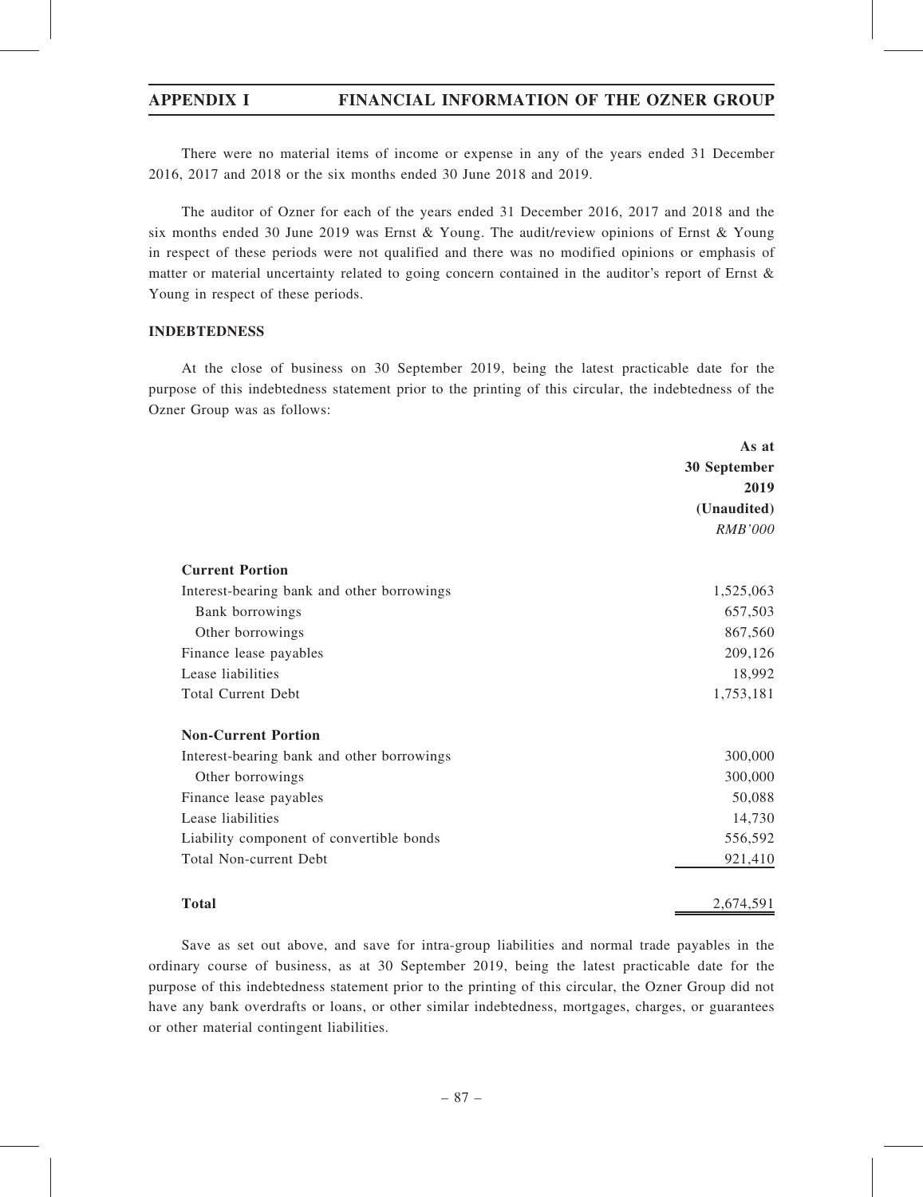# APPENDIX I FINANCIAL INFORMATION OF THE OZNER GROUP

There were no material items of income or expense in any of the years ended 31 December 2016, 2017 and 2018 or the six months ended 30 June 2018 and 2019.

The auditor of Ozner for each of the years ended 31 December 2016, 2017 and 2018 and the six months ended 30 June 2019 was Ernst & Young. The audit/review opinions of Ernst & Young in respect of these periods were not qualified and there was no modified opinions or emphasis of matter or material uncertainty related to going concern contained in the auditor's report of Ernst & Young in respect of these periods.

### INDEBTEDNESS

At the close of business on 30 September 2019, being the latest practicable date for the purpose of this indebtedness statement prior to the printing of this circular, the indebtedness of the Ozner Group was as follows:

| 30 September                                            |
|---------------------------------------------------------|
| 2019                                                    |
| (Unaudited)                                             |
| <b>RMB'000</b>                                          |
| <b>Current Portion</b>                                  |
| Interest-bearing bank and other borrowings<br>1,525,063 |
| 657,503<br>Bank borrowings                              |
| 867,560<br>Other borrowings                             |
| 209,126<br>Finance lease payables                       |
| Lease liabilities<br>18,992                             |
| <b>Total Current Debt</b><br>1,753,181                  |
| <b>Non-Current Portion</b>                              |
| 300,000<br>Interest-bearing bank and other borrowings   |
| 300,000<br>Other borrowings                             |
| 50,088<br>Finance lease payables                        |
| Lease liabilities<br>14,730                             |
| Liability component of convertible bonds<br>556,592     |
| <b>Total Non-current Debt</b><br>921,410                |

Total 2,674,591

Save as set out above, and save for intra-group liabilities and normal trade payables in the ordinary course of business, as at 30 September 2019, being the latest practicable date for the purpose of this indebtedness statement prior to the printing of this circular, the Ozner Group did not have any bank overdrafts or loans, or other similar indebtedness, mortgages, charges, or guarantees or other material contingent liabilities.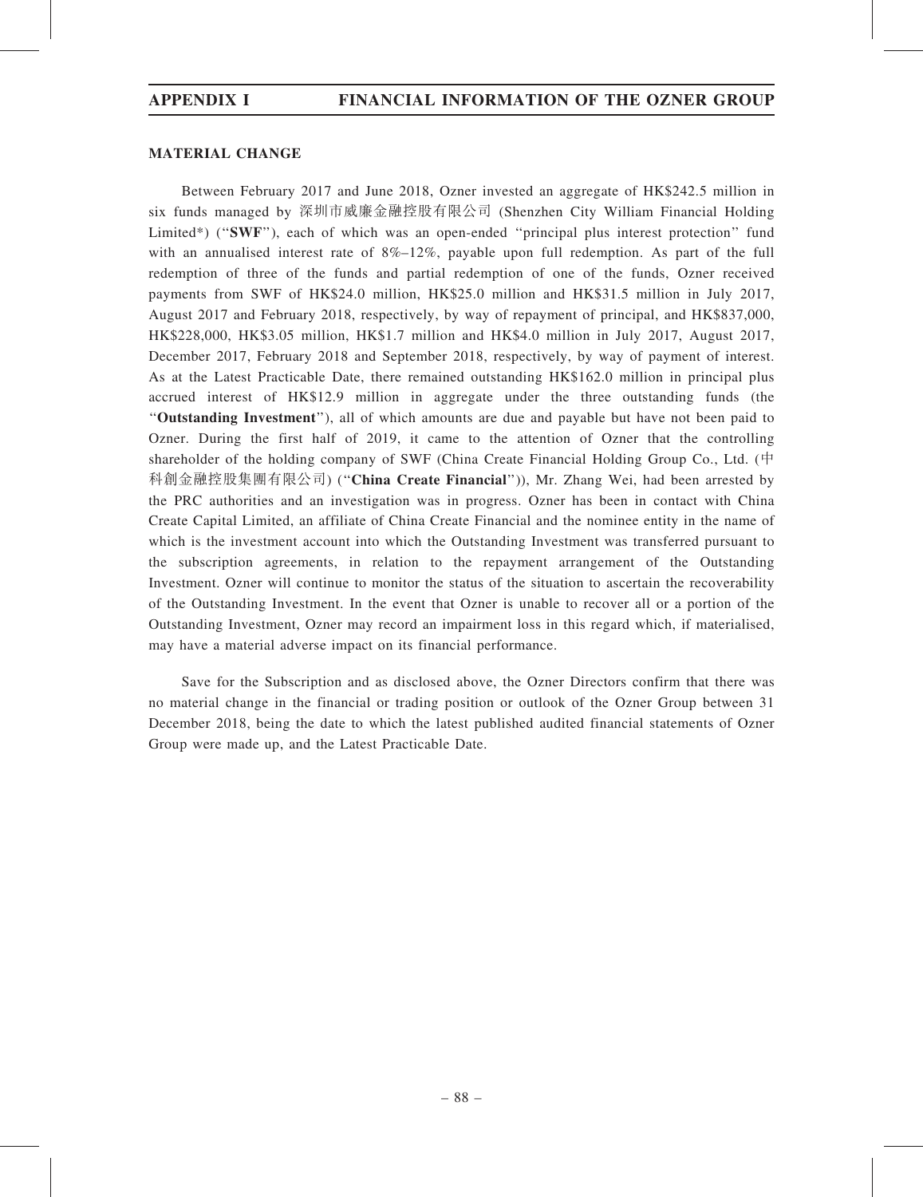# MATERIAL CHANGE

Between February 2017 and June 2018, Ozner invested an aggregate of HK\$242.5 million in six funds managed by 深圳市威廉金融控股有限公司 (Shenzhen City William Financial Holding Limited\*) ("SWF"), each of which was an open-ended "principal plus interest protection" fund with an annualised interest rate of 8%–12%, payable upon full redemption. As part of the full redemption of three of the funds and partial redemption of one of the funds, Ozner received payments from SWF of HK\$24.0 million, HK\$25.0 million and HK\$31.5 million in July 2017, August 2017 and February 2018, respectively, by way of repayment of principal, and HK\$837,000, HK\$228,000, HK\$3.05 million, HK\$1.7 million and HK\$4.0 million in July 2017, August 2017, December 2017, February 2018 and September 2018, respectively, by way of payment of interest. As at the Latest Practicable Date, there remained outstanding HK\$162.0 million in principal plus accrued interest of HK\$12.9 million in aggregate under the three outstanding funds (the ''Outstanding Investment''), all of which amounts are due and payable but have not been paid to Ozner. During the first half of 2019, it came to the attention of Ozner that the controlling shareholder of the holding company of SWF (China Create Financial Holding Group Co., Ltd. (中 科創金融控股集團有限公司) (''China Create Financial'')), Mr. Zhang Wei, had been arrested by the PRC authorities and an investigation was in progress. Ozner has been in contact with China Create Capital Limited, an affiliate of China Create Financial and the nominee entity in the name of which is the investment account into which the Outstanding Investment was transferred pursuant to the subscription agreements, in relation to the repayment arrangement of the Outstanding Investment. Ozner will continue to monitor the status of the situation to ascertain the recoverability of the Outstanding Investment. In the event that Ozner is unable to recover all or a portion of the Outstanding Investment, Ozner may record an impairment loss in this regard which, if materialised, may have a material adverse impact on its financial performance.

Save for the Subscription and as disclosed above, the Ozner Directors confirm that there was no material change in the financial or trading position or outlook of the Ozner Group between 31 December 2018, being the date to which the latest published audited financial statements of Ozner Group were made up, and the Latest Practicable Date.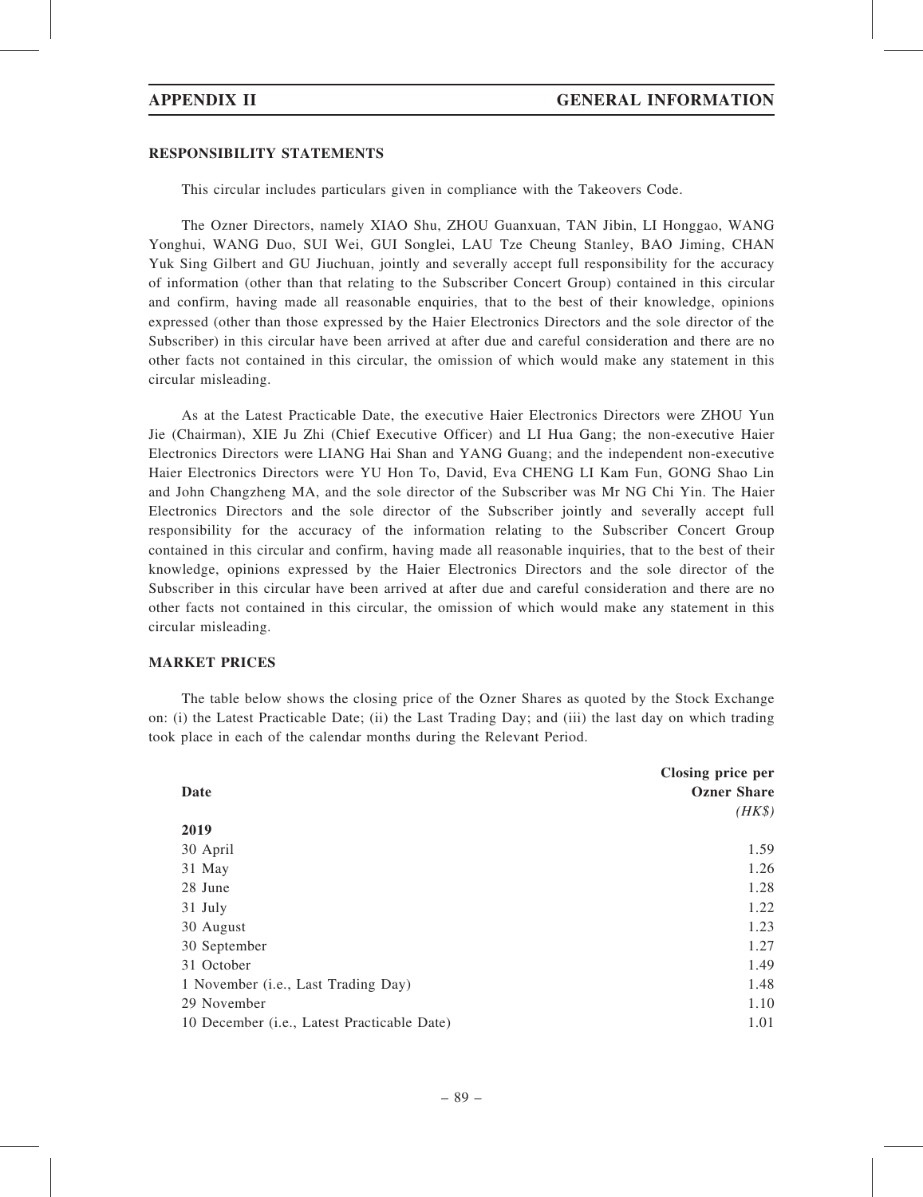### RESPONSIBILITY STATEMENTS

This circular includes particulars given in compliance with the Takeovers Code.

The Ozner Directors, namely XIAO Shu, ZHOU Guanxuan, TAN Jibin, LI Honggao, WANG Yonghui, WANG Duo, SUI Wei, GUI Songlei, LAU Tze Cheung Stanley, BAO Jiming, CHAN Yuk Sing Gilbert and GU Jiuchuan, jointly and severally accept full responsibility for the accuracy of information (other than that relating to the Subscriber Concert Group) contained in this circular and confirm, having made all reasonable enquiries, that to the best of their knowledge, opinions expressed (other than those expressed by the Haier Electronics Directors and the sole director of the Subscriber) in this circular have been arrived at after due and careful consideration and there are no other facts not contained in this circular, the omission of which would make any statement in this circular misleading.

As at the Latest Practicable Date, the executive Haier Electronics Directors were ZHOU Yun Jie (Chairman), XIE Ju Zhi (Chief Executive Officer) and LI Hua Gang; the non-executive Haier Electronics Directors were LIANG Hai Shan and YANG Guang; and the independent non-executive Haier Electronics Directors were YU Hon To, David, Eva CHENG LI Kam Fun, GONG Shao Lin and John Changzheng MA, and the sole director of the Subscriber was Mr NG Chi Yin. The Haier Electronics Directors and the sole director of the Subscriber jointly and severally accept full responsibility for the accuracy of the information relating to the Subscriber Concert Group contained in this circular and confirm, having made all reasonable inquiries, that to the best of their knowledge, opinions expressed by the Haier Electronics Directors and the sole director of the Subscriber in this circular have been arrived at after due and careful consideration and there are no other facts not contained in this circular, the omission of which would make any statement in this circular misleading.

# MARKET PRICES

The table below shows the closing price of the Ozner Shares as quoted by the Stock Exchange on: (i) the Latest Practicable Date; (ii) the Last Trading Day; and (iii) the last day on which trading took place in each of the calendar months during the Relevant Period.

|                                             | Closing price per  |
|---------------------------------------------|--------------------|
| Date                                        | <b>Ozner Share</b> |
|                                             | $(HK\$             |
| 2019                                        |                    |
| 30 April                                    | 1.59               |
| 31 May                                      | 1.26               |
| 28 June                                     | 1.28               |
| 31 July                                     | 1.22               |
| 30 August                                   | 1.23               |
| 30 September                                | 1.27               |
| 31 October                                  | 1.49               |
| 1 November (i.e., Last Trading Day)         | 1.48               |
| 29 November                                 | 1.10               |
| 10 December (i.e., Latest Practicable Date) | 1.01               |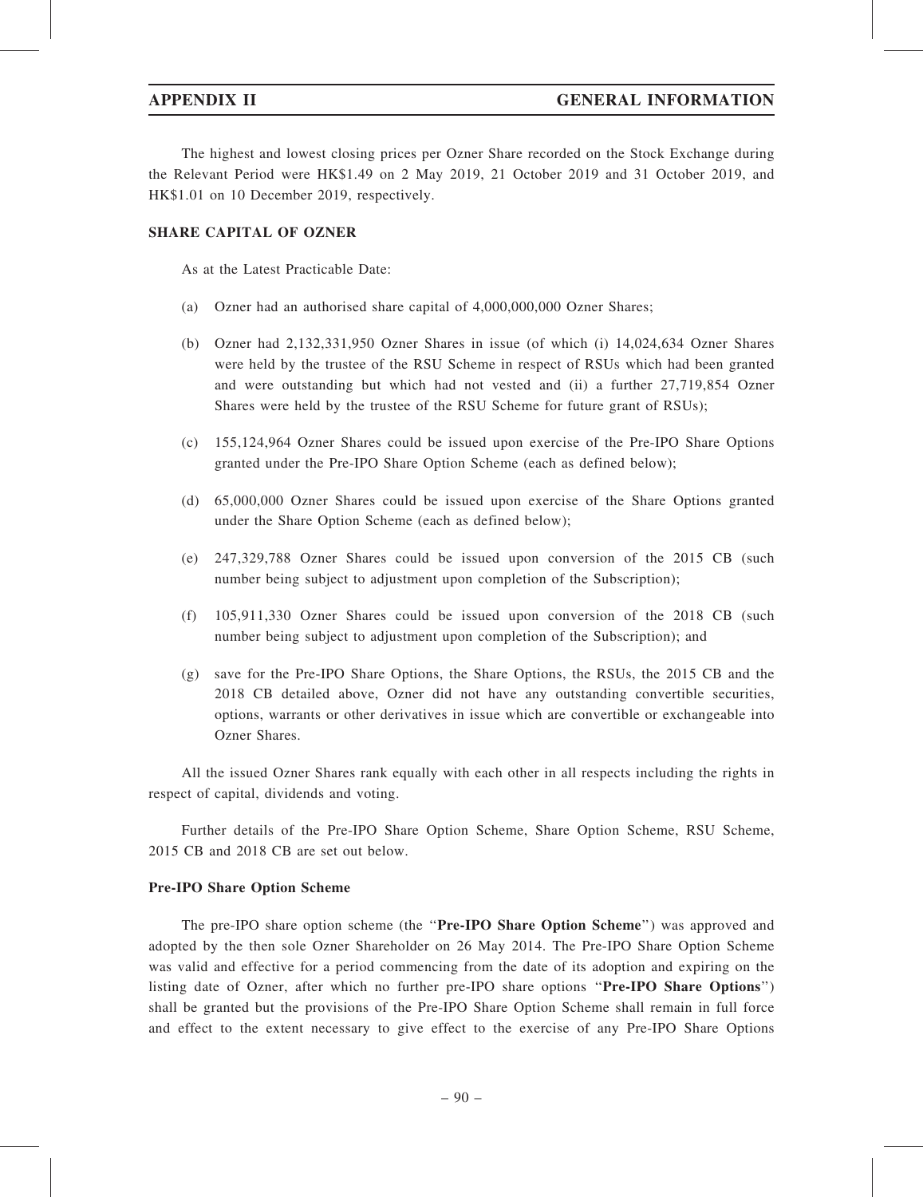The highest and lowest closing prices per Ozner Share recorded on the Stock Exchange during the Relevant Period were HK\$1.49 on 2 May 2019, 21 October 2019 and 31 October 2019, and HK\$1.01 on 10 December 2019, respectively.

# SHARE CAPITAL OF OZNER

As at the Latest Practicable Date:

- (a) Ozner had an authorised share capital of 4,000,000,000 Ozner Shares;
- (b) Ozner had 2,132,331,950 Ozner Shares in issue (of which (i) 14,024,634 Ozner Shares were held by the trustee of the RSU Scheme in respect of RSUs which had been granted and were outstanding but which had not vested and (ii) a further 27,719,854 Ozner Shares were held by the trustee of the RSU Scheme for future grant of RSUs);
- (c) 155,124,964 Ozner Shares could be issued upon exercise of the Pre-IPO Share Options granted under the Pre-IPO Share Option Scheme (each as defined below);
- (d) 65,000,000 Ozner Shares could be issued upon exercise of the Share Options granted under the Share Option Scheme (each as defined below);
- (e) 247,329,788 Ozner Shares could be issued upon conversion of the 2015 CB (such number being subject to adjustment upon completion of the Subscription);
- (f) 105,911,330 Ozner Shares could be issued upon conversion of the 2018 CB (such number being subject to adjustment upon completion of the Subscription); and
- (g) save for the Pre-IPO Share Options, the Share Options, the RSUs, the 2015 CB and the 2018 CB detailed above, Ozner did not have any outstanding convertible securities, options, warrants or other derivatives in issue which are convertible or exchangeable into Ozner Shares.

All the issued Ozner Shares rank equally with each other in all respects including the rights in respect of capital, dividends and voting.

Further details of the Pre-IPO Share Option Scheme, Share Option Scheme, RSU Scheme, 2015 CB and 2018 CB are set out below.

### Pre-IPO Share Option Scheme

The pre-IPO share option scheme (the "Pre-IPO Share Option Scheme") was approved and adopted by the then sole Ozner Shareholder on 26 May 2014. The Pre-IPO Share Option Scheme was valid and effective for a period commencing from the date of its adoption and expiring on the listing date of Ozner, after which no further pre-IPO share options "Pre-IPO Share Options") shall be granted but the provisions of the Pre-IPO Share Option Scheme shall remain in full force and effect to the extent necessary to give effect to the exercise of any Pre-IPO Share Options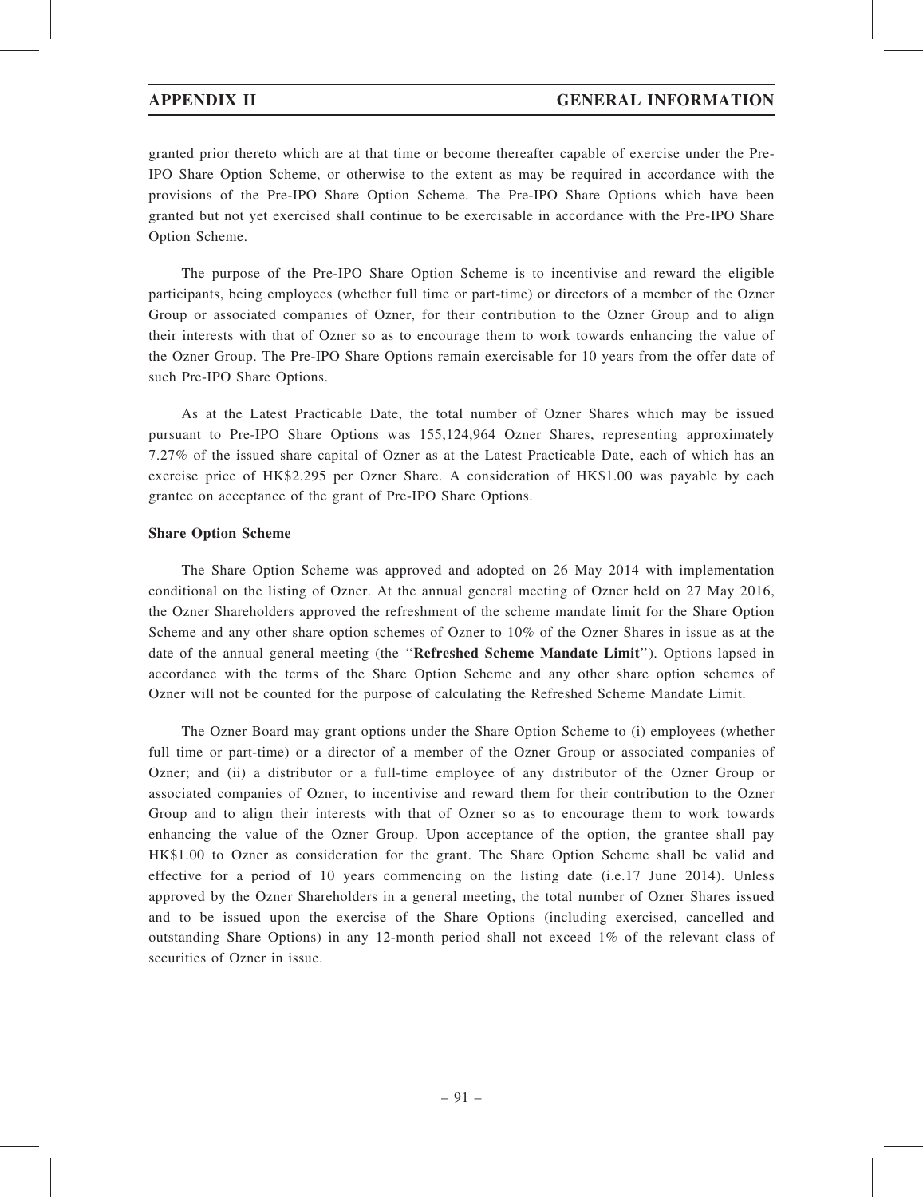granted prior thereto which are at that time or become thereafter capable of exercise under the Pre-IPO Share Option Scheme, or otherwise to the extent as may be required in accordance with the provisions of the Pre-IPO Share Option Scheme. The Pre-IPO Share Options which have been granted but not yet exercised shall continue to be exercisable in accordance with the Pre-IPO Share Option Scheme.

The purpose of the Pre-IPO Share Option Scheme is to incentivise and reward the eligible participants, being employees (whether full time or part-time) or directors of a member of the Ozner Group or associated companies of Ozner, for their contribution to the Ozner Group and to align their interests with that of Ozner so as to encourage them to work towards enhancing the value of the Ozner Group. The Pre-IPO Share Options remain exercisable for 10 years from the offer date of such Pre-IPO Share Options.

As at the Latest Practicable Date, the total number of Ozner Shares which may be issued pursuant to Pre-IPO Share Options was 155,124,964 Ozner Shares, representing approximately 7.27% of the issued share capital of Ozner as at the Latest Practicable Date, each of which has an exercise price of HK\$2.295 per Ozner Share. A consideration of HK\$1.00 was payable by each grantee on acceptance of the grant of Pre-IPO Share Options.

# Share Option Scheme

The Share Option Scheme was approved and adopted on 26 May 2014 with implementation conditional on the listing of Ozner. At the annual general meeting of Ozner held on 27 May 2016, the Ozner Shareholders approved the refreshment of the scheme mandate limit for the Share Option Scheme and any other share option schemes of Ozner to 10% of the Ozner Shares in issue as at the date of the annual general meeting (the "Refreshed Scheme Mandate Limit"). Options lapsed in accordance with the terms of the Share Option Scheme and any other share option schemes of Ozner will not be counted for the purpose of calculating the Refreshed Scheme Mandate Limit.

The Ozner Board may grant options under the Share Option Scheme to (i) employees (whether full time or part-time) or a director of a member of the Ozner Group or associated companies of Ozner; and (ii) a distributor or a full-time employee of any distributor of the Ozner Group or associated companies of Ozner, to incentivise and reward them for their contribution to the Ozner Group and to align their interests with that of Ozner so as to encourage them to work towards enhancing the value of the Ozner Group. Upon acceptance of the option, the grantee shall pay HK\$1.00 to Ozner as consideration for the grant. The Share Option Scheme shall be valid and effective for a period of 10 years commencing on the listing date (i.e.17 June 2014). Unless approved by the Ozner Shareholders in a general meeting, the total number of Ozner Shares issued and to be issued upon the exercise of the Share Options (including exercised, cancelled and outstanding Share Options) in any 12-month period shall not exceed 1% of the relevant class of securities of Ozner in issue.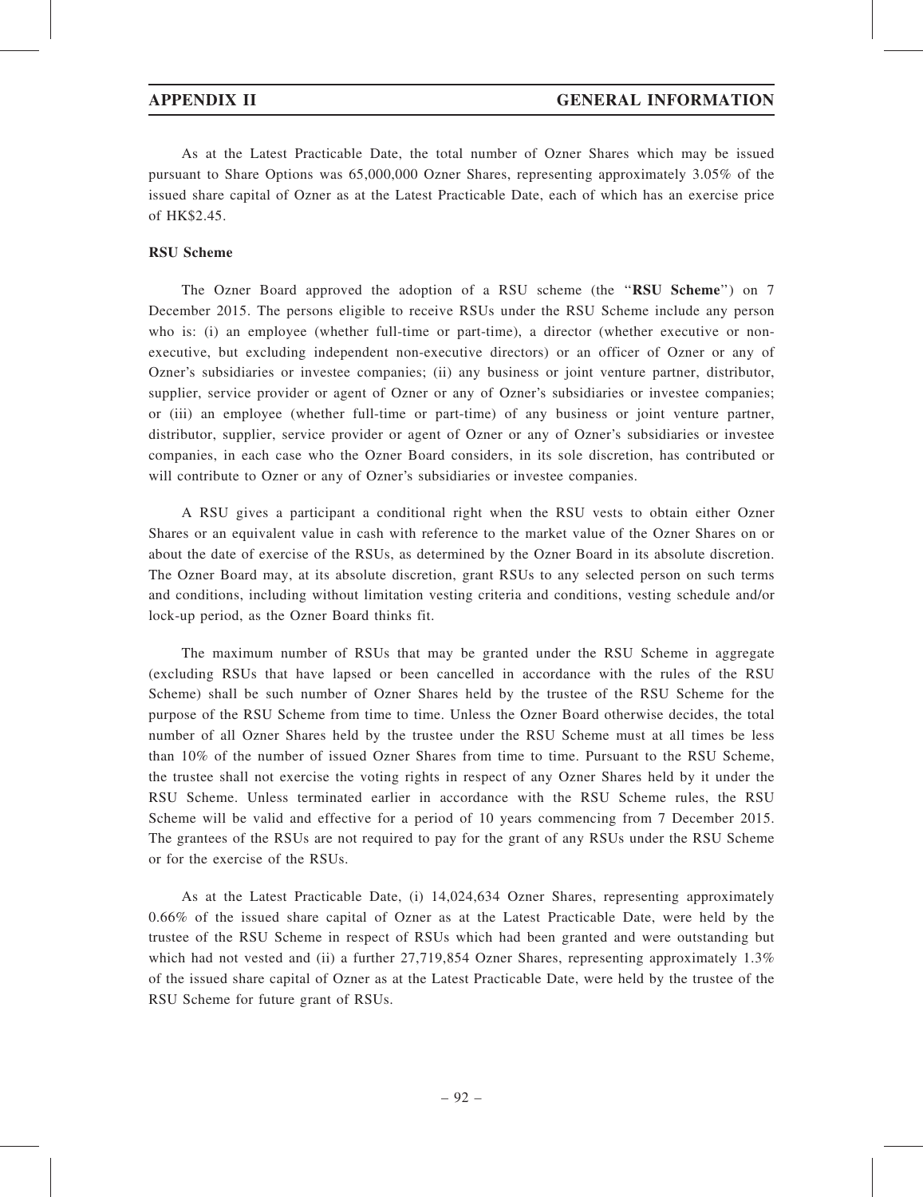As at the Latest Practicable Date, the total number of Ozner Shares which may be issued pursuant to Share Options was 65,000,000 Ozner Shares, representing approximately 3.05% of the issued share capital of Ozner as at the Latest Practicable Date, each of which has an exercise price of HK\$2.45.

### RSU Scheme

The Ozner Board approved the adoption of a RSU scheme (the ''RSU Scheme'') on 7 December 2015. The persons eligible to receive RSUs under the RSU Scheme include any person who is: (i) an employee (whether full-time or part-time), a director (whether executive or nonexecutive, but excluding independent non-executive directors) or an officer of Ozner or any of Ozner's subsidiaries or investee companies; (ii) any business or joint venture partner, distributor, supplier, service provider or agent of Ozner or any of Ozner's subsidiaries or investee companies; or (iii) an employee (whether full-time or part-time) of any business or joint venture partner, distributor, supplier, service provider or agent of Ozner or any of Ozner's subsidiaries or investee companies, in each case who the Ozner Board considers, in its sole discretion, has contributed or will contribute to Ozner or any of Ozner's subsidiaries or investee companies.

A RSU gives a participant a conditional right when the RSU vests to obtain either Ozner Shares or an equivalent value in cash with reference to the market value of the Ozner Shares on or about the date of exercise of the RSUs, as determined by the Ozner Board in its absolute discretion. The Ozner Board may, at its absolute discretion, grant RSUs to any selected person on such terms and conditions, including without limitation vesting criteria and conditions, vesting schedule and/or lock-up period, as the Ozner Board thinks fit.

The maximum number of RSUs that may be granted under the RSU Scheme in aggregate (excluding RSUs that have lapsed or been cancelled in accordance with the rules of the RSU Scheme) shall be such number of Ozner Shares held by the trustee of the RSU Scheme for the purpose of the RSU Scheme from time to time. Unless the Ozner Board otherwise decides, the total number of all Ozner Shares held by the trustee under the RSU Scheme must at all times be less than 10% of the number of issued Ozner Shares from time to time. Pursuant to the RSU Scheme, the trustee shall not exercise the voting rights in respect of any Ozner Shares held by it under the RSU Scheme. Unless terminated earlier in accordance with the RSU Scheme rules, the RSU Scheme will be valid and effective for a period of 10 years commencing from 7 December 2015. The grantees of the RSUs are not required to pay for the grant of any RSUs under the RSU Scheme or for the exercise of the RSUs.

As at the Latest Practicable Date, (i) 14,024,634 Ozner Shares, representing approximately 0.66% of the issued share capital of Ozner as at the Latest Practicable Date, were held by the trustee of the RSU Scheme in respect of RSUs which had been granted and were outstanding but which had not vested and (ii) a further 27,719,854 Ozner Shares, representing approximately 1.3% of the issued share capital of Ozner as at the Latest Practicable Date, were held by the trustee of the RSU Scheme for future grant of RSUs.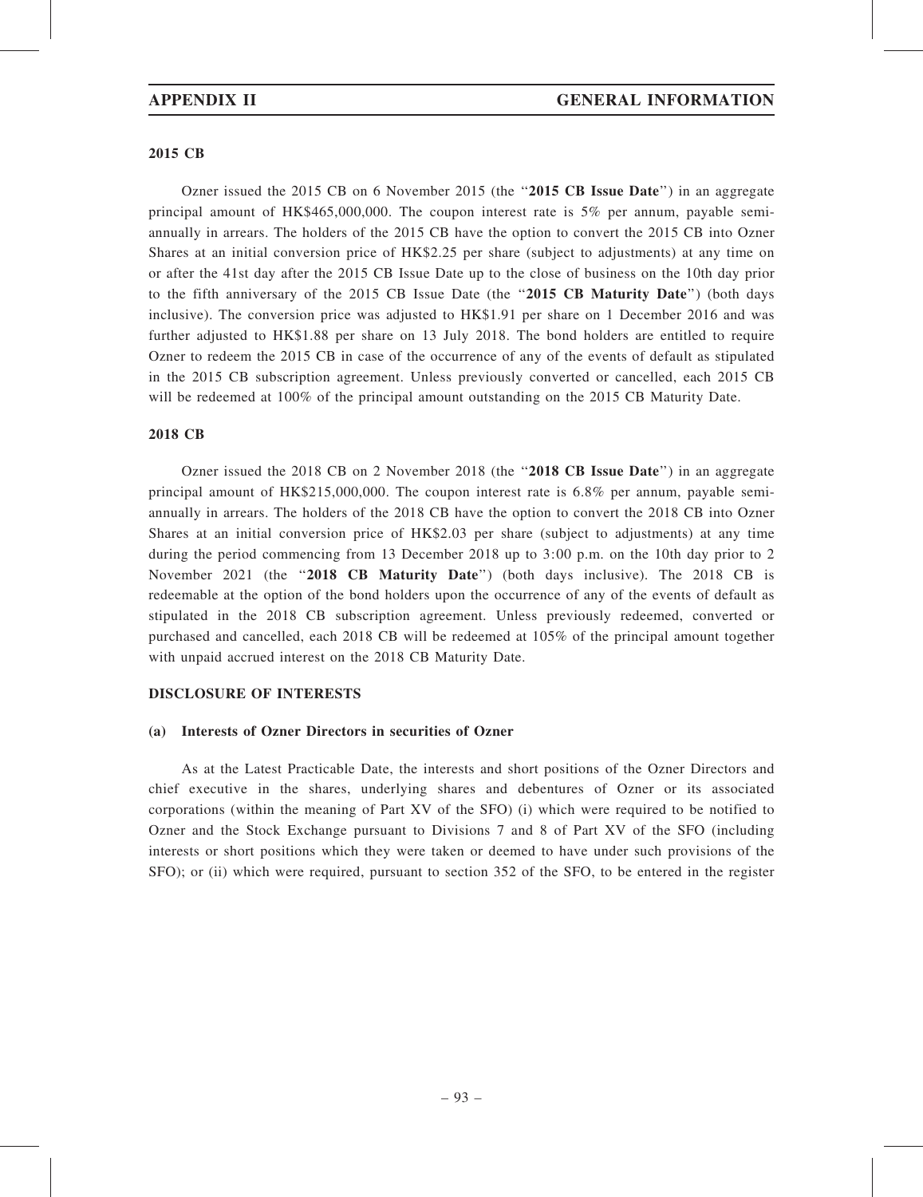### 2015 CB

Ozner issued the 2015 CB on 6 November 2015 (the "2015 CB Issue Date") in an aggregate principal amount of HK\$465,000,000. The coupon interest rate is 5% per annum, payable semiannually in arrears. The holders of the 2015 CB have the option to convert the 2015 CB into Ozner Shares at an initial conversion price of HK\$2.25 per share (subject to adjustments) at any time on or after the 41st day after the 2015 CB Issue Date up to the close of business on the 10th day prior to the fifth anniversary of the 2015 CB Issue Date (the "2015 CB Maturity Date") (both days inclusive). The conversion price was adjusted to HK\$1.91 per share on 1 December 2016 and was further adjusted to HK\$1.88 per share on 13 July 2018. The bond holders are entitled to require Ozner to redeem the 2015 CB in case of the occurrence of any of the events of default as stipulated in the 2015 CB subscription agreement. Unless previously converted or cancelled, each 2015 CB will be redeemed at 100% of the principal amount outstanding on the 2015 CB Maturity Date.

### 2018 CB

Ozner issued the 2018 CB on 2 November 2018 (the "2018 CB Issue Date") in an aggregate principal amount of HK\$215,000,000. The coupon interest rate is 6.8% per annum, payable semiannually in arrears. The holders of the 2018 CB have the option to convert the 2018 CB into Ozner Shares at an initial conversion price of HK\$2.03 per share (subject to adjustments) at any time during the period commencing from 13 December 2018 up to 3:00 p.m. on the 10th day prior to 2 November 2021 (the "2018 CB Maturity Date") (both days inclusive). The 2018 CB is redeemable at the option of the bond holders upon the occurrence of any of the events of default as stipulated in the 2018 CB subscription agreement. Unless previously redeemed, converted or purchased and cancelled, each 2018 CB will be redeemed at 105% of the principal amount together with unpaid accrued interest on the 2018 CB Maturity Date.

# DISCLOSURE OF INTERESTS

### (a) Interests of Ozner Directors in securities of Ozner

As at the Latest Practicable Date, the interests and short positions of the Ozner Directors and chief executive in the shares, underlying shares and debentures of Ozner or its associated corporations (within the meaning of Part XV of the SFO) (i) which were required to be notified to Ozner and the Stock Exchange pursuant to Divisions 7 and 8 of Part XV of the SFO (including interests or short positions which they were taken or deemed to have under such provisions of the SFO); or (ii) which were required, pursuant to section 352 of the SFO, to be entered in the register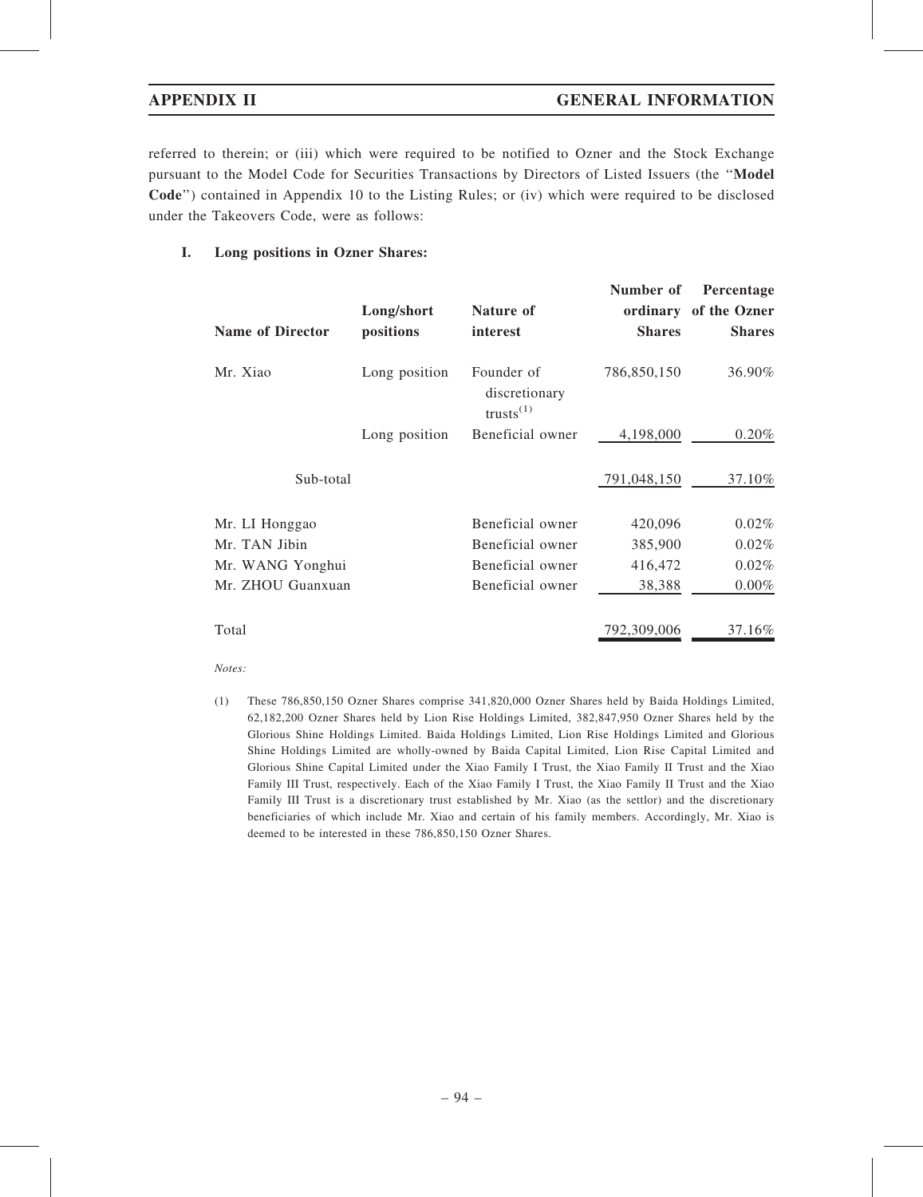referred to therein; or (iii) which were required to be notified to Ozner and the Stock Exchange pursuant to the Model Code for Securities Transactions by Directors of Listed Issuers (the ''Model Code'') contained in Appendix 10 to the Listing Rules; or (iv) which were required to be disclosed under the Takeovers Code, were as follows:

# I. Long positions in Ozner Shares:

| <b>Name of Director</b> | Long/short<br>positions | Nature of<br>interest                                | Number of<br><b>Shares</b> | Percentage<br>ordinary of the Ozner<br><b>Shares</b> |
|-------------------------|-------------------------|------------------------------------------------------|----------------------------|------------------------------------------------------|
| Mr. Xiao                | Long position           | Founder of<br>discretionary<br>trusts <sup>(1)</sup> | 786,850,150                | 36.90%                                               |
|                         | Long position           | Beneficial owner                                     | 4,198,000                  | $0.20\%$                                             |
| Sub-total               |                         |                                                      | 791,048,150                | 37.10%                                               |
| Mr. LI Honggao          |                         | Beneficial owner                                     | 420,096                    | 0.02%                                                |
| Mr. TAN Jibin           |                         | Beneficial owner                                     | 385,900                    | 0.02%                                                |
| Mr. WANG Yonghui        |                         | Beneficial owner                                     | 416,472                    | 0.02%                                                |
| Mr. ZHOU Guanxuan       |                         | Beneficial owner                                     | 38,388                     | $0.00\%$                                             |
| Total                   |                         |                                                      | 792,309,006                | 37.16%                                               |

Notes:

(1) These 786,850,150 Ozner Shares comprise 341,820,000 Ozner Shares held by Baida Holdings Limited, 62,182,200 Ozner Shares held by Lion Rise Holdings Limited, 382,847,950 Ozner Shares held by the Glorious Shine Holdings Limited. Baida Holdings Limited, Lion Rise Holdings Limited and Glorious Shine Holdings Limited are wholly-owned by Baida Capital Limited, Lion Rise Capital Limited and Glorious Shine Capital Limited under the Xiao Family I Trust, the Xiao Family II Trust and the Xiao Family III Trust, respectively. Each of the Xiao Family I Trust, the Xiao Family II Trust and the Xiao Family III Trust is a discretionary trust established by Mr. Xiao (as the settlor) and the discretionary beneficiaries of which include Mr. Xiao and certain of his family members. Accordingly, Mr. Xiao is deemed to be interested in these 786,850,150 Ozner Shares.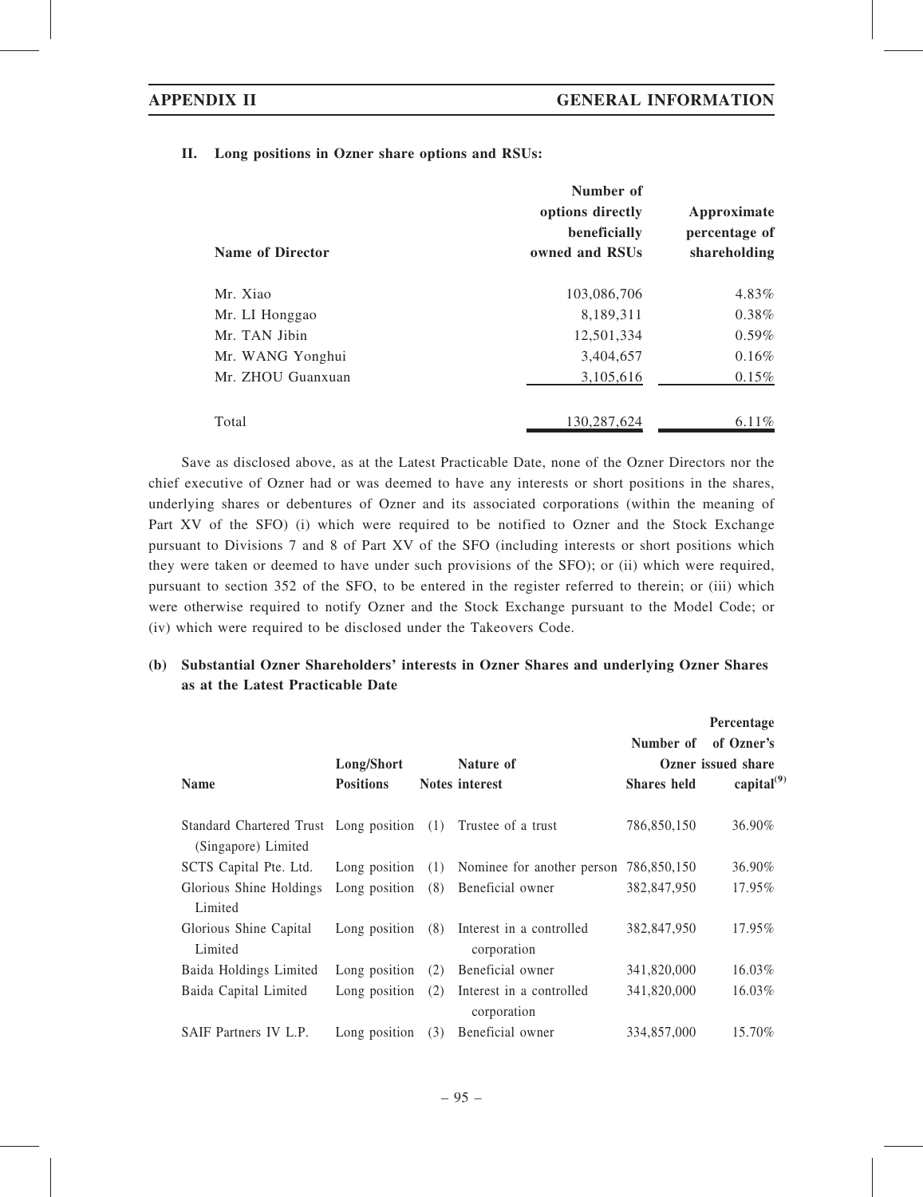## II. Long positions in Ozner share options and RSUs:

|                         | Number of<br>options directly<br>beneficially | Approximate<br>percentage of |
|-------------------------|-----------------------------------------------|------------------------------|
| <b>Name of Director</b> | owned and RSUs                                | shareholding                 |
| Mr. Xiao                | 103,086,706                                   | 4.83%                        |
| Mr. LI Honggao          | 8,189,311                                     | $0.38\%$                     |
| Mr. TAN Jibin           | 12,501,334                                    | $0.59\%$                     |
| Mr. WANG Yonghui        | 3,404,657                                     | 0.16%                        |
| Mr. ZHOU Guanxuan       | 3,105,616                                     | $0.15\%$                     |
| Total                   | 130,287,624                                   | 6.11%                        |

Save as disclosed above, as at the Latest Practicable Date, none of the Ozner Directors nor the chief executive of Ozner had or was deemed to have any interests or short positions in the shares, underlying shares or debentures of Ozner and its associated corporations (within the meaning of Part XV of the SFO) (i) which were required to be notified to Ozner and the Stock Exchange pursuant to Divisions 7 and 8 of Part XV of the SFO (including interests or short positions which they were taken or deemed to have under such provisions of the SFO); or (ii) which were required, pursuant to section 352 of the SFO, to be entered in the register referred to therein; or (iii) which were otherwise required to notify Ozner and the Stock Exchange pursuant to the Model Code; or (iv) which were required to be disclosed under the Takeovers Code.

# (b) Substantial Ozner Shareholders' interests in Ozner Shares and underlying Ozner Shares as at the Latest Practicable Date

| <b>Name</b>                                                       | Long/Short<br><b>Positions</b> |     | Nature of<br>Notes interest             | Number of<br><b>Shares</b> held | Percentage<br>of Ozner's<br>Ozner issued share<br>capital $^{(9)}$ |
|-------------------------------------------------------------------|--------------------------------|-----|-----------------------------------------|---------------------------------|--------------------------------------------------------------------|
| Standard Chartered Trust Long position (1)<br>(Singapore) Limited |                                |     | Trustee of a trust                      | 786,850,150                     | 36.90%                                                             |
| SCTS Capital Pte. Ltd.                                            | Long position                  | (1) | Nominee for another person              | 786.850.150                     | 36.90%                                                             |
| Glorious Shine Holdings<br>Limited                                | Long position                  | (8) | Beneficial owner                        | 382,847,950                     | 17.95%                                                             |
| Glorious Shine Capital<br>Limited                                 | Long position                  | (8) | Interest in a controlled<br>corporation | 382,847,950                     | 17.95%                                                             |
| Baida Holdings Limited                                            | Long position                  | (2) | Beneficial owner                        | 341,820,000                     | 16.03%                                                             |
| Baida Capital Limited                                             | Long position                  | (2) | Interest in a controlled<br>corporation | 341,820,000                     | 16.03%                                                             |
| SAIF Partners IV L.P.                                             | Long position                  | (3) | Beneficial owner                        | 334,857,000                     | 15.70%                                                             |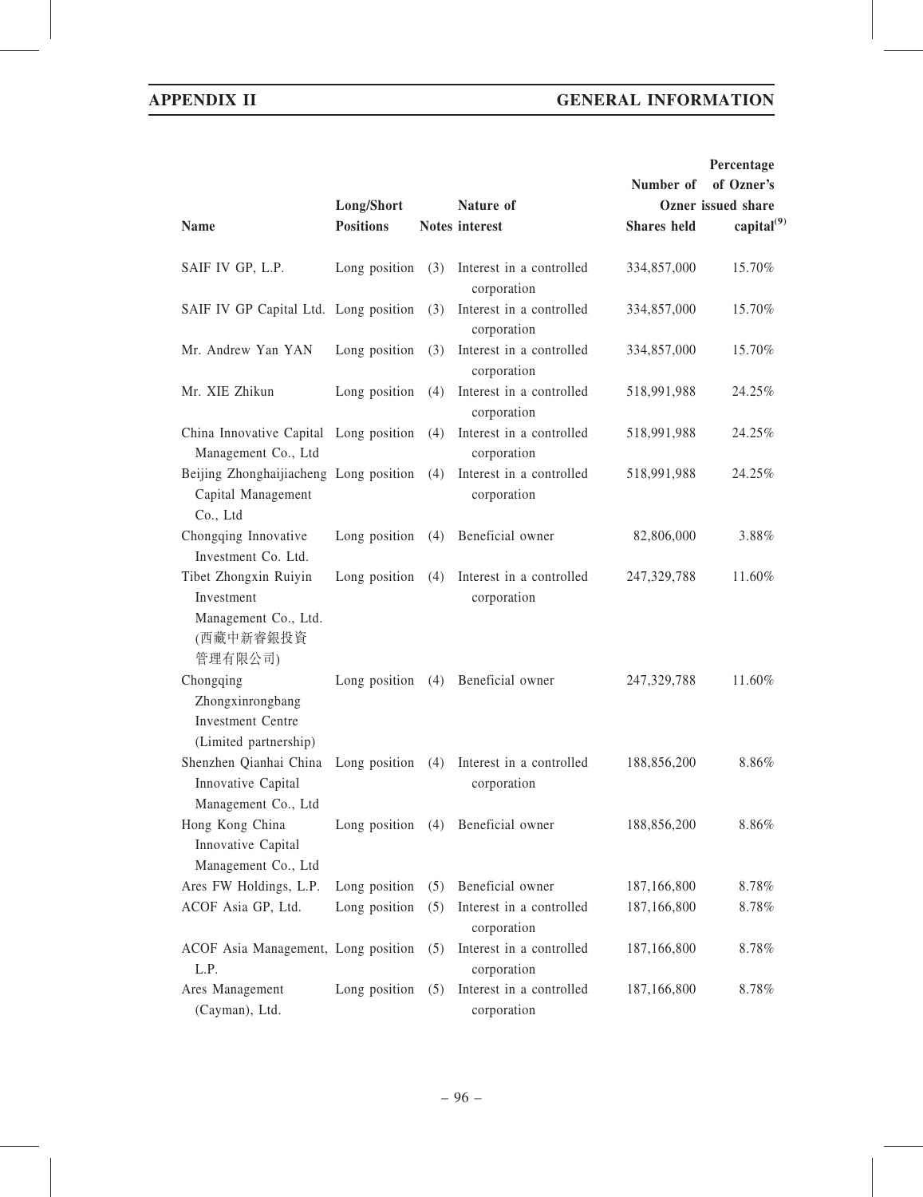# APPENDIX II GENERAL INFORMATION

|                                                                                     |                     |     |                                         |                    | Percentage         |
|-------------------------------------------------------------------------------------|---------------------|-----|-----------------------------------------|--------------------|--------------------|
|                                                                                     |                     |     |                                         | Number of          | of Ozner's         |
|                                                                                     | Long/Short          |     | Nature of                               |                    | Ozner issued share |
| <b>Name</b>                                                                         | <b>Positions</b>    |     | <b>Notes</b> interest                   | <b>Shares</b> held | capital $^{(9)}$   |
| SAIF IV GP, L.P.                                                                    | Long position       | (3) | Interest in a controlled<br>corporation | 334,857,000        | 15.70%             |
| SAIF IV GP Capital Ltd. Long position                                               |                     | (3) | Interest in a controlled<br>corporation | 334,857,000        | 15.70%             |
| Mr. Andrew Yan YAN                                                                  | Long position       | (3) | Interest in a controlled<br>corporation | 334,857,000        | 15.70%             |
| Mr. XIE Zhikun                                                                      | Long position       | (4) | Interest in a controlled<br>corporation | 518,991,988        | 24.25%             |
| China Innovative Capital Long position<br>Management Co., Ltd                       |                     | (4) | Interest in a controlled<br>corporation | 518,991,988        | 24.25%             |
| Beijing Zhonghaijiacheng Long position<br>Capital Management<br>Co., Ltd            |                     | (4) | Interest in a controlled<br>corporation | 518,991,988        | 24.25%             |
| Chongqing Innovative<br>Investment Co. Ltd.                                         | Long position       | (4) | Beneficial owner                        | 82,806,000         | 3.88%              |
| Tibet Zhongxin Ruiyin<br>Investment<br>Management Co., Ltd.<br>(西藏中新睿銀投資            | Long position       | (4) | Interest in a controlled<br>corporation | 247,329,788        | 11.60%             |
| 管理有限公司)<br>Chongqing<br>Zhongxinrongbang<br><b>Investment Centre</b>                | Long position $(4)$ |     | Beneficial owner                        | 247,329,788        | 11.60%             |
| (Limited partnership)<br>Shenzhen Qianhai China<br>Innovative Capital               | Long position       | (4) | Interest in a controlled<br>corporation | 188,856,200        | 8.86%              |
| Management Co., Ltd<br>Hong Kong China<br>Innovative Capital<br>Management Co., Ltd | Long position       | (4) | Beneficial owner                        | 188,856,200        | 8.86%              |
| Ares FW Holdings, L.P.                                                              | Long position       | (5) | Beneficial owner                        | 187,166,800        | 8.78%              |
| ACOF Asia GP, Ltd.                                                                  | Long position       | (5) | Interest in a controlled<br>corporation | 187,166,800        | 8.78%              |
| ACOF Asia Management, Long position<br>L.P.                                         |                     | (5) | Interest in a controlled<br>corporation | 187,166,800        | 8.78%              |
| Ares Management<br>(Cayman), Ltd.                                                   | Long position       | (5) | Interest in a controlled<br>corporation | 187,166,800        | 8.78%              |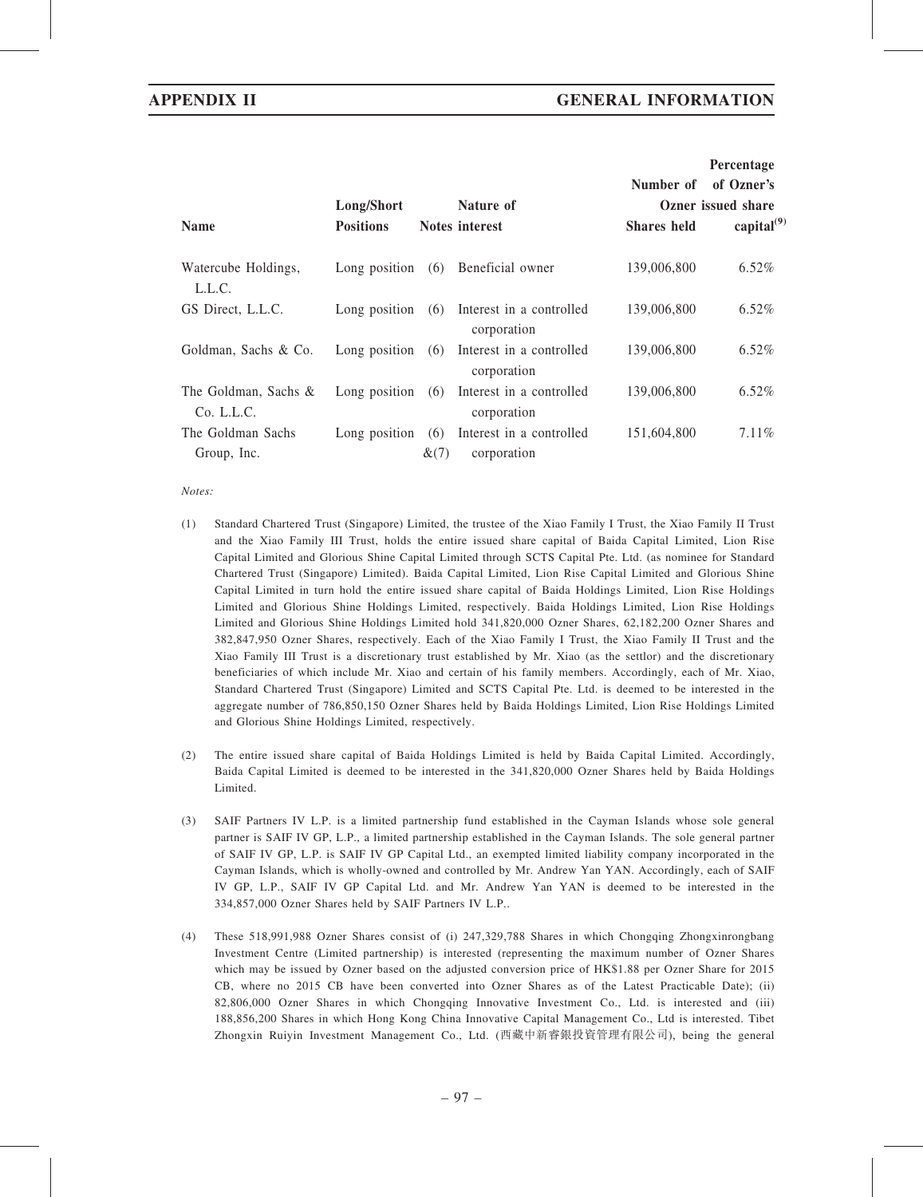|                                    |                  |             |                                         |                    | Percentage         |
|------------------------------------|------------------|-------------|-----------------------------------------|--------------------|--------------------|
|                                    |                  |             |                                         | Number of          | of Ozner's         |
|                                    | Long/Short       |             | Nature of                               |                    | Ozner issued share |
| <b>Name</b>                        | <b>Positions</b> |             | Notes interest                          | <b>Shares</b> held | capital $^{(9)}$   |
| Watercube Holdings,<br>L.L.C.      | Long position    | (6)         | Beneficial owner                        | 139,006,800        | 6.52%              |
| GS Direct, L.L.C.                  | Long position    | (6)         | Interest in a controlled<br>corporation | 139,006,800        | $6.52\%$           |
| Goldman, Sachs & Co.               | Long position    | (6)         | Interest in a controlled<br>corporation | 139,006,800        | $6.52\%$           |
| The Goldman, Sachs &<br>Co. L.L.C. | Long position    | (6)         | Interest in a controlled<br>corporation | 139,006,800        | $6.52\%$           |
| The Goldman Sachs<br>Group, Inc.   | Long position    | (6)<br>&(7) | Interest in a controlled<br>corporation | 151,604,800        | 7.11%              |

Notes:

- (1) Standard Chartered Trust (Singapore) Limited, the trustee of the Xiao Family I Trust, the Xiao Family II Trust and the Xiao Family III Trust, holds the entire issued share capital of Baida Capital Limited, Lion Rise Capital Limited and Glorious Shine Capital Limited through SCTS Capital Pte. Ltd. (as nominee for Standard Chartered Trust (Singapore) Limited). Baida Capital Limited, Lion Rise Capital Limited and Glorious Shine Capital Limited in turn hold the entire issued share capital of Baida Holdings Limited, Lion Rise Holdings Limited and Glorious Shine Holdings Limited, respectively. Baida Holdings Limited, Lion Rise Holdings Limited and Glorious Shine Holdings Limited hold 341,820,000 Ozner Shares, 62,182,200 Ozner Shares and 382,847,950 Ozner Shares, respectively. Each of the Xiao Family I Trust, the Xiao Family II Trust and the Xiao Family III Trust is a discretionary trust established by Mr. Xiao (as the settlor) and the discretionary beneficiaries of which include Mr. Xiao and certain of his family members. Accordingly, each of Mr. Xiao, Standard Chartered Trust (Singapore) Limited and SCTS Capital Pte. Ltd. is deemed to be interested in the aggregate number of 786,850,150 Ozner Shares held by Baida Holdings Limited, Lion Rise Holdings Limited and Glorious Shine Holdings Limited, respectively.
- (2) The entire issued share capital of Baida Holdings Limited is held by Baida Capital Limited. Accordingly, Baida Capital Limited is deemed to be interested in the 341,820,000 Ozner Shares held by Baida Holdings Limited.
- (3) SAIF Partners IV L.P. is a limited partnership fund established in the Cayman Islands whose sole general partner is SAIF IV GP, L.P., a limited partnership established in the Cayman Islands. The sole general partner of SAIF IV GP, L.P. is SAIF IV GP Capital Ltd., an exempted limited liability company incorporated in the Cayman Islands, which is wholly-owned and controlled by Mr. Andrew Yan YAN. Accordingly, each of SAIF IV GP, L.P., SAIF IV GP Capital Ltd. and Mr. Andrew Yan YAN is deemed to be interested in the 334,857,000 Ozner Shares held by SAIF Partners IV L.P..
- (4) These 518,991,988 Ozner Shares consist of (i) 247,329,788 Shares in which Chongqing Zhongxinrongbang Investment Centre (Limited partnership) is interested (representing the maximum number of Ozner Shares which may be issued by Ozner based on the adjusted conversion price of HK\$1.88 per Ozner Share for 2015 CB, where no 2015 CB have been converted into Ozner Shares as of the Latest Practicable Date); (ii) 82,806,000 Ozner Shares in which Chongqing Innovative Investment Co., Ltd. is interested and (iii) 188,856,200 Shares in which Hong Kong China Innovative Capital Management Co., Ltd is interested. Tibet Zhongxin Ruiyin Investment Management Co., Ltd. (西藏中新睿銀投資管理有限公司), being the general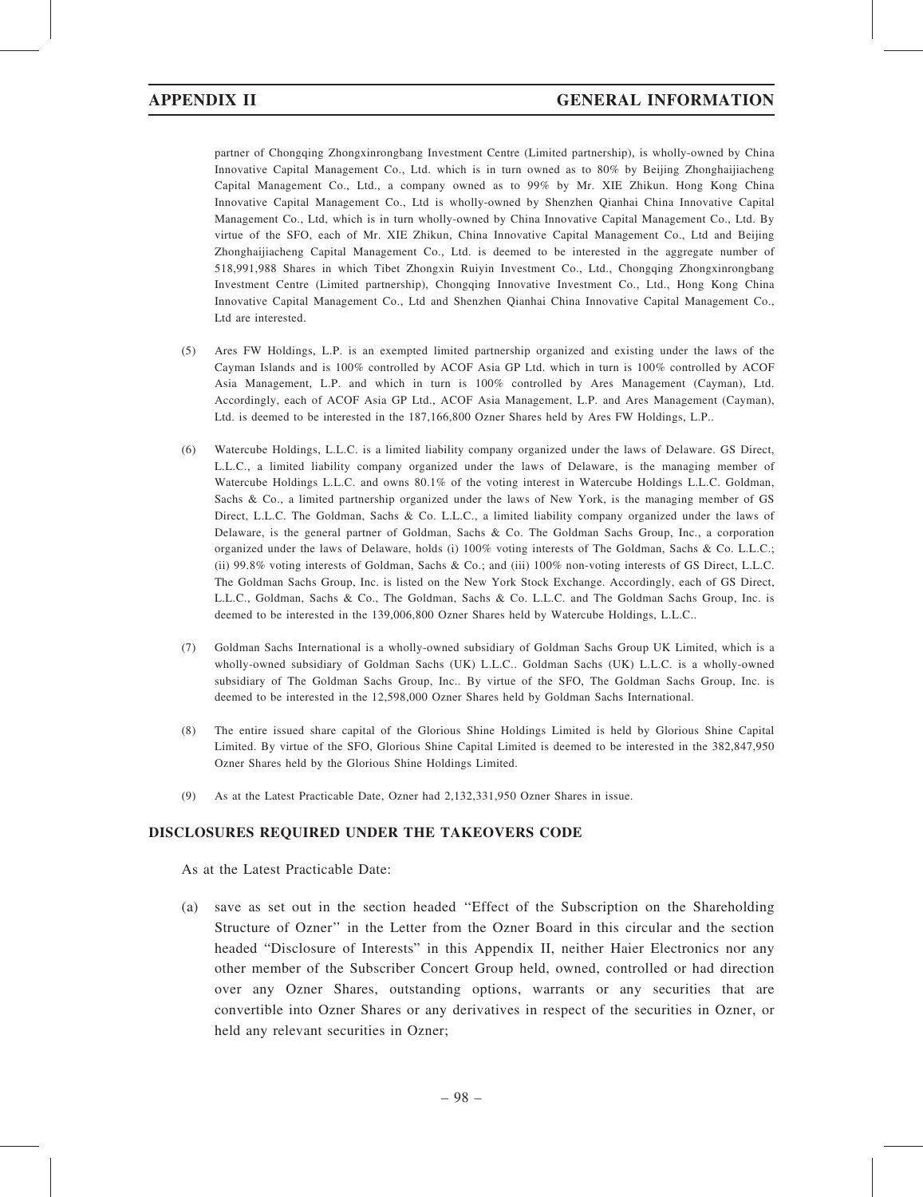partner of Chongqing Zhongxinrongbang Investment Centre (Limited partnership), is wholly-owned by China Innovative Capital Management Co., Ltd. which is in turn owned as to 80% by Beijing Zhonghaijiacheng Capital Management Co., Ltd., a company owned as to 99% by Mr. XIE Zhikun. Hong Kong China Innovative Capital Management Co., Ltd is wholly-owned by Shenzhen Qianhai China Innovative Capital Management Co., Ltd, which is in turn wholly-owned by China Innovative Capital Management Co., Ltd. By virtue of the SFO, each of Mr. XIE Zhikun, China Innovative Capital Management Co., Ltd and Beijing Zhonghaijiacheng Capital Management Co., Ltd. is deemed to be interested in the aggregate number of 518,991,988 Shares in which Tibet Zhongxin Ruiyin Investment Co., Ltd., Chongqing Zhongxinrongbang Investment Centre (Limited partnership), Chongqing Innovative Investment Co., Ltd., Hong Kong China Innovative Capital Management Co., Ltd and Shenzhen Qianhai China Innovative Capital Management Co., Ltd are interested.

- (5) Ares FW Holdings, L.P. is an exempted limited partnership organized and existing under the laws of the Cayman Islands and is 100% controlled by ACOF Asia GP Ltd. which in turn is 100% controlled by ACOF Asia Management, L.P. and which in turn is 100% controlled by Ares Management (Cayman), Ltd. Accordingly, each of ACOF Asia GP Ltd., ACOF Asia Management, L.P. and Ares Management (Cayman), Ltd. is deemed to be interested in the 187,166,800 Ozner Shares held by Ares FW Holdings, L.P..
- (6) Watercube Holdings, L.L.C. is a limited liability company organized under the laws of Delaware. GS Direct, L.L.C., a limited liability company organized under the laws of Delaware, is the managing member of Watercube Holdings L.L.C. and owns 80.1% of the voting interest in Watercube Holdings L.L.C. Goldman, Sachs & Co., a limited partnership organized under the laws of New York, is the managing member of GS Direct, L.L.C. The Goldman, Sachs & Co. L.L.C., a limited liability company organized under the laws of Delaware, is the general partner of Goldman, Sachs & Co. The Goldman Sachs Group, Inc., a corporation organized under the laws of Delaware, holds (i) 100% voting interests of The Goldman, Sachs & Co. L.L.C.; (ii) 99.8% voting interests of Goldman, Sachs & Co.; and (iii) 100% non-voting interests of GS Direct, L.L.C. The Goldman Sachs Group, Inc. is listed on the New York Stock Exchange. Accordingly, each of GS Direct, L.L.C., Goldman, Sachs & Co., The Goldman, Sachs & Co. L.L.C. and The Goldman Sachs Group, Inc. is deemed to be interested in the 139,006,800 Ozner Shares held by Watercube Holdings, L.L.C..
- (7) Goldman Sachs International is a wholly-owned subsidiary of Goldman Sachs Group UK Limited, which is a wholly-owned subsidiary of Goldman Sachs (UK) L.L.C.. Goldman Sachs (UK) L.L.C. is a wholly-owned subsidiary of The Goldman Sachs Group, Inc.. By virtue of the SFO, The Goldman Sachs Group, Inc. is deemed to be interested in the 12,598,000 Ozner Shares held by Goldman Sachs International.
- (8) The entire issued share capital of the Glorious Shine Holdings Limited is held by Glorious Shine Capital Limited. By virtue of the SFO, Glorious Shine Capital Limited is deemed to be interested in the 382,847,950 Ozner Shares held by the Glorious Shine Holdings Limited.
- (9) As at the Latest Practicable Date, Ozner had 2,132,331,950 Ozner Shares in issue.

### DISCLOSURES REQUIRED UNDER THE TAKEOVERS CODE

As at the Latest Practicable Date:

(a) save as set out in the section headed ''Effect of the Subscription on the Shareholding Structure of Ozner'' in the Letter from the Ozner Board in this circular and the section headed "Disclosure of Interests" in this Appendix II, neither Haier Electronics nor any other member of the Subscriber Concert Group held, owned, controlled or had direction over any Ozner Shares, outstanding options, warrants or any securities that are convertible into Ozner Shares or any derivatives in respect of the securities in Ozner, or held any relevant securities in Ozner;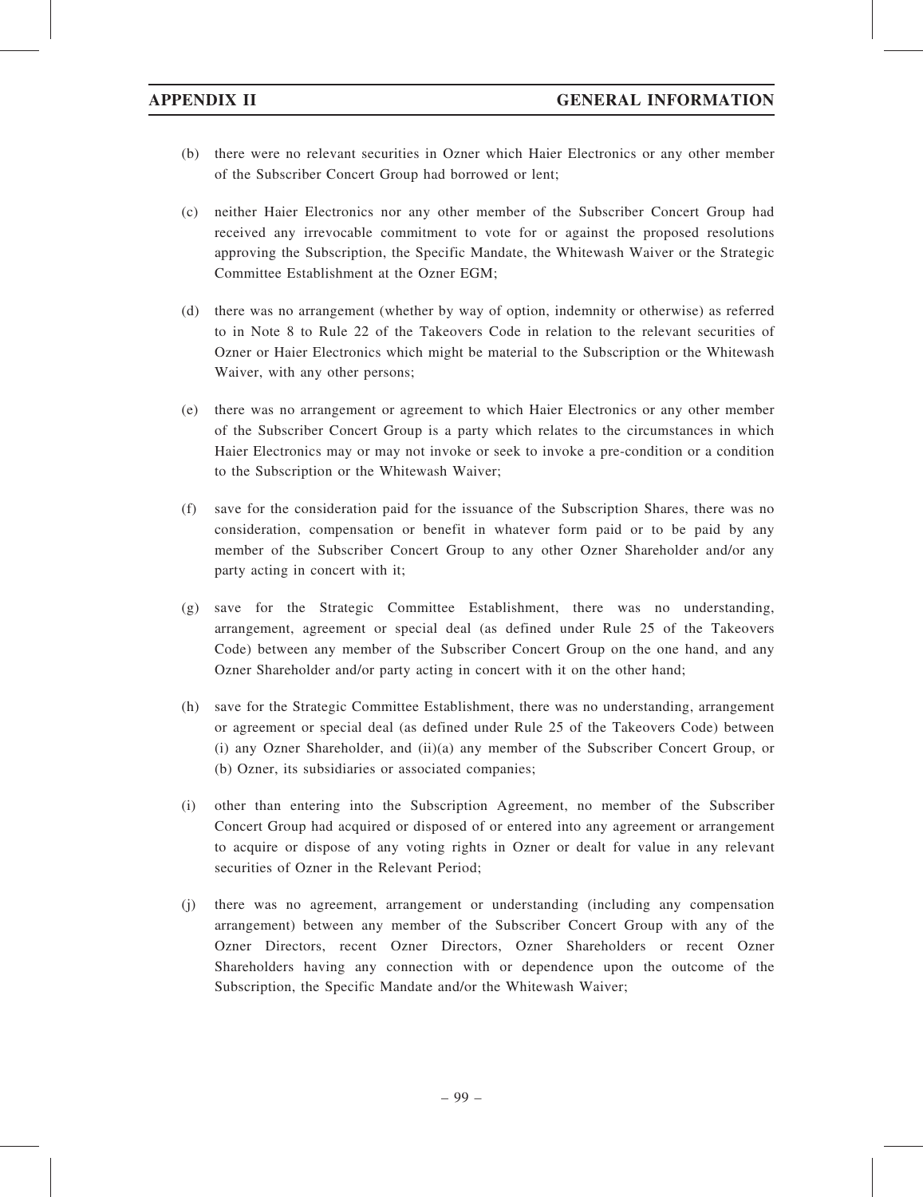- (b) there were no relevant securities in Ozner which Haier Electronics or any other member of the Subscriber Concert Group had borrowed or lent;
- (c) neither Haier Electronics nor any other member of the Subscriber Concert Group had received any irrevocable commitment to vote for or against the proposed resolutions approving the Subscription, the Specific Mandate, the Whitewash Waiver or the Strategic Committee Establishment at the Ozner EGM;
- (d) there was no arrangement (whether by way of option, indemnity or otherwise) as referred to in Note 8 to Rule 22 of the Takeovers Code in relation to the relevant securities of Ozner or Haier Electronics which might be material to the Subscription or the Whitewash Waiver, with any other persons;
- (e) there was no arrangement or agreement to which Haier Electronics or any other member of the Subscriber Concert Group is a party which relates to the circumstances in which Haier Electronics may or may not invoke or seek to invoke a pre-condition or a condition to the Subscription or the Whitewash Waiver;
- (f) save for the consideration paid for the issuance of the Subscription Shares, there was no consideration, compensation or benefit in whatever form paid or to be paid by any member of the Subscriber Concert Group to any other Ozner Shareholder and/or any party acting in concert with it;
- (g) save for the Strategic Committee Establishment, there was no understanding, arrangement, agreement or special deal (as defined under Rule 25 of the Takeovers Code) between any member of the Subscriber Concert Group on the one hand, and any Ozner Shareholder and/or party acting in concert with it on the other hand;
- (h) save for the Strategic Committee Establishment, there was no understanding, arrangement or agreement or special deal (as defined under Rule 25 of the Takeovers Code) between (i) any Ozner Shareholder, and (ii)(a) any member of the Subscriber Concert Group, or (b) Ozner, its subsidiaries or associated companies;
- (i) other than entering into the Subscription Agreement, no member of the Subscriber Concert Group had acquired or disposed of or entered into any agreement or arrangement to acquire or dispose of any voting rights in Ozner or dealt for value in any relevant securities of Ozner in the Relevant Period;
- (j) there was no agreement, arrangement or understanding (including any compensation arrangement) between any member of the Subscriber Concert Group with any of the Ozner Directors, recent Ozner Directors, Ozner Shareholders or recent Ozner Shareholders having any connection with or dependence upon the outcome of the Subscription, the Specific Mandate and/or the Whitewash Waiver;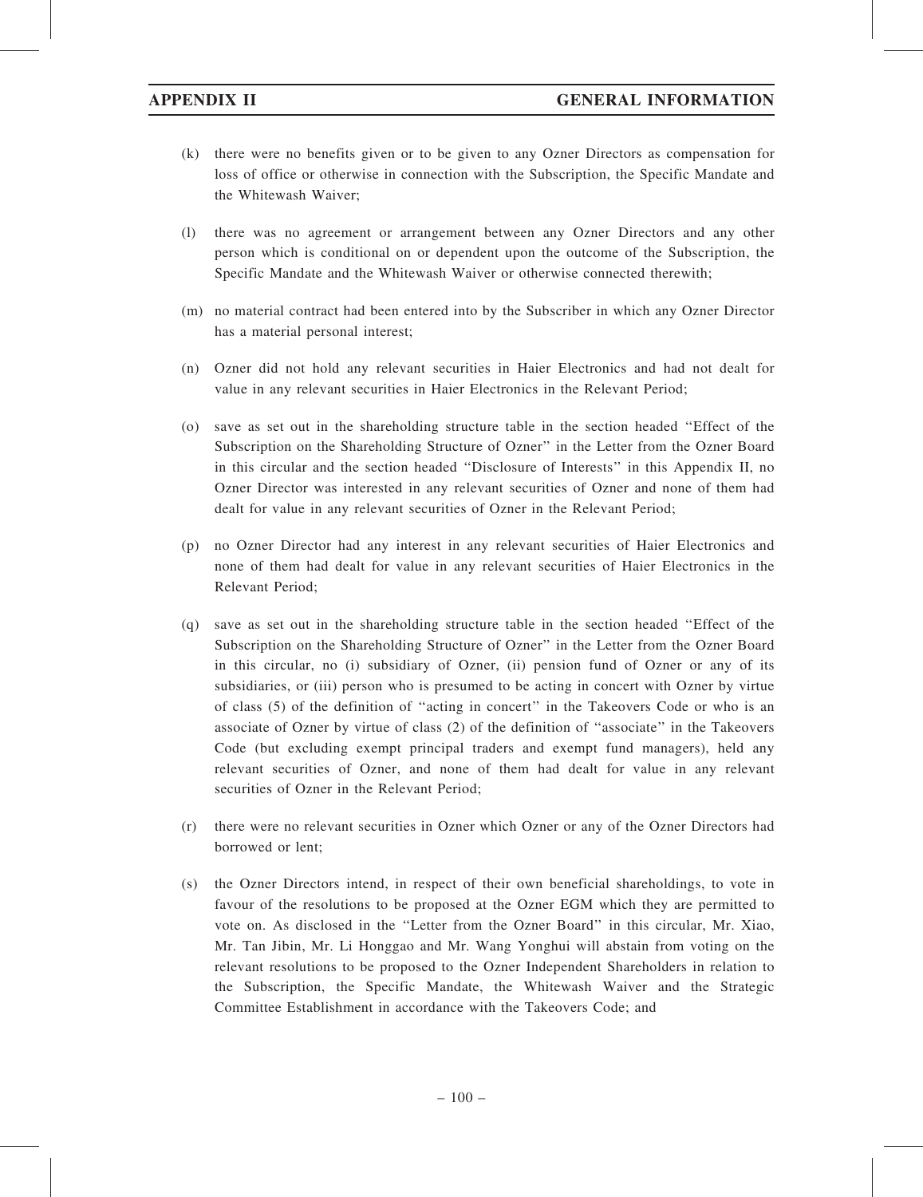- (k) there were no benefits given or to be given to any Ozner Directors as compensation for loss of office or otherwise in connection with the Subscription, the Specific Mandate and the Whitewash Waiver;
- (l) there was no agreement or arrangement between any Ozner Directors and any other person which is conditional on or dependent upon the outcome of the Subscription, the Specific Mandate and the Whitewash Waiver or otherwise connected therewith;
- (m) no material contract had been entered into by the Subscriber in which any Ozner Director has a material personal interest;
- (n) Ozner did not hold any relevant securities in Haier Electronics and had not dealt for value in any relevant securities in Haier Electronics in the Relevant Period;
- (o) save as set out in the shareholding structure table in the section headed ''Effect of the Subscription on the Shareholding Structure of Ozner'' in the Letter from the Ozner Board in this circular and the section headed ''Disclosure of Interests'' in this Appendix II, no Ozner Director was interested in any relevant securities of Ozner and none of them had dealt for value in any relevant securities of Ozner in the Relevant Period;
- (p) no Ozner Director had any interest in any relevant securities of Haier Electronics and none of them had dealt for value in any relevant securities of Haier Electronics in the Relevant Period;
- (q) save as set out in the shareholding structure table in the section headed ''Effect of the Subscription on the Shareholding Structure of Ozner'' in the Letter from the Ozner Board in this circular, no (i) subsidiary of Ozner, (ii) pension fund of Ozner or any of its subsidiaries, or (iii) person who is presumed to be acting in concert with Ozner by virtue of class (5) of the definition of ''acting in concert'' in the Takeovers Code or who is an associate of Ozner by virtue of class (2) of the definition of ''associate'' in the Takeovers Code (but excluding exempt principal traders and exempt fund managers), held any relevant securities of Ozner, and none of them had dealt for value in any relevant securities of Ozner in the Relevant Period:
- (r) there were no relevant securities in Ozner which Ozner or any of the Ozner Directors had borrowed or lent;
- (s) the Ozner Directors intend, in respect of their own beneficial shareholdings, to vote in favour of the resolutions to be proposed at the Ozner EGM which they are permitted to vote on. As disclosed in the ''Letter from the Ozner Board'' in this circular, Mr. Xiao, Mr. Tan Jibin, Mr. Li Honggao and Mr. Wang Yonghui will abstain from voting on the relevant resolutions to be proposed to the Ozner Independent Shareholders in relation to the Subscription, the Specific Mandate, the Whitewash Waiver and the Strategic Committee Establishment in accordance with the Takeovers Code; and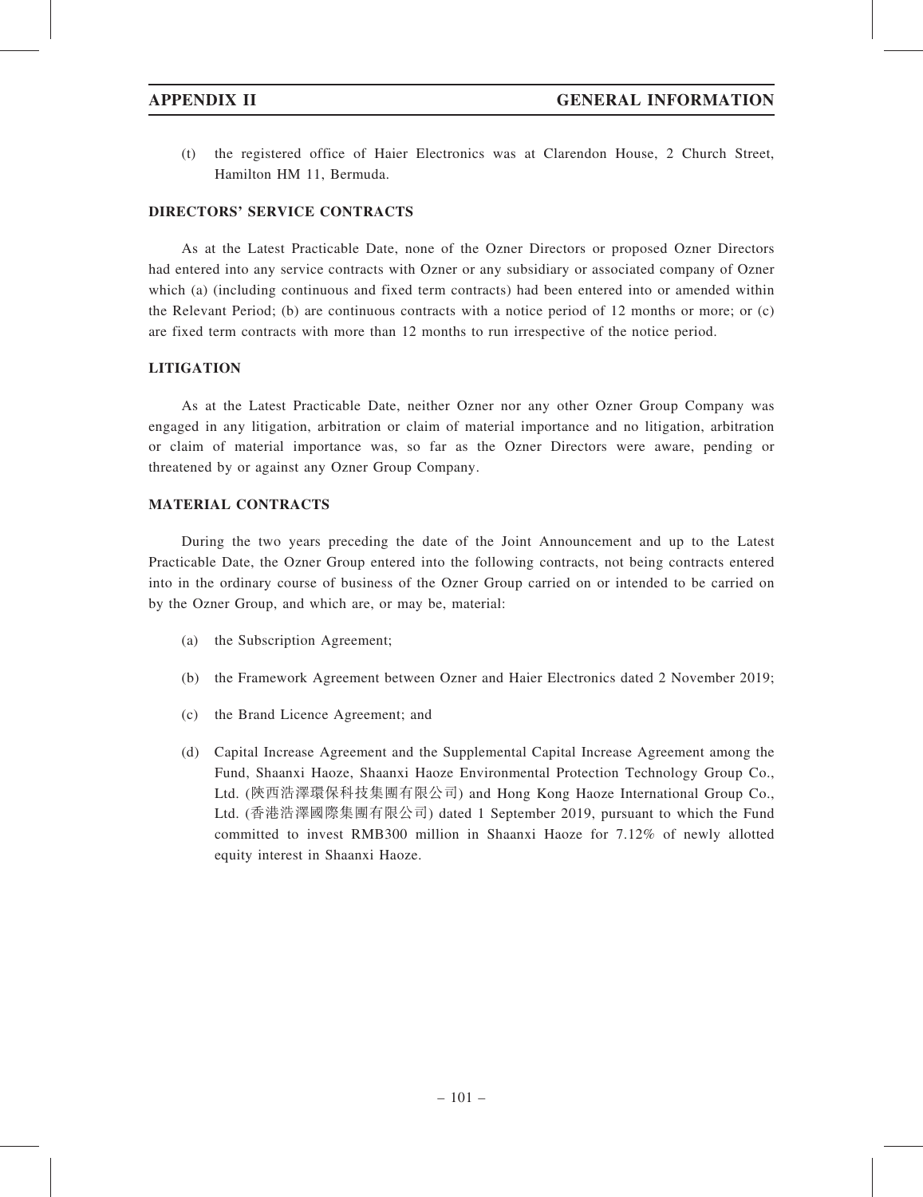(t) the registered office of Haier Electronics was at Clarendon House, 2 Church Street, Hamilton HM 11, Bermuda.

# DIRECTORS' SERVICE CONTRACTS

As at the Latest Practicable Date, none of the Ozner Directors or proposed Ozner Directors had entered into any service contracts with Ozner or any subsidiary or associated company of Ozner which (a) (including continuous and fixed term contracts) had been entered into or amended within the Relevant Period; (b) are continuous contracts with a notice period of 12 months or more; or (c) are fixed term contracts with more than 12 months to run irrespective of the notice period.

# **LITIGATION**

As at the Latest Practicable Date, neither Ozner nor any other Ozner Group Company was engaged in any litigation, arbitration or claim of material importance and no litigation, arbitration or claim of material importance was, so far as the Ozner Directors were aware, pending or threatened by or against any Ozner Group Company.

# MATERIAL CONTRACTS

During the two years preceding the date of the Joint Announcement and up to the Latest Practicable Date, the Ozner Group entered into the following contracts, not being contracts entered into in the ordinary course of business of the Ozner Group carried on or intended to be carried on by the Ozner Group, and which are, or may be, material:

- (a) the Subscription Agreement;
- (b) the Framework Agreement between Ozner and Haier Electronics dated 2 November 2019;
- (c) the Brand Licence Agreement; and
- (d) Capital Increase Agreement and the Supplemental Capital Increase Agreement among the Fund, Shaanxi Haoze, Shaanxi Haoze Environmental Protection Technology Group Co., Ltd. (陝西浩澤環保科技集團有限公司) and Hong Kong Haoze International Group Co., Ltd. (香港浩澤國際集團有限公司) dated 1 September 2019, pursuant to which the Fund committed to invest RMB300 million in Shaanxi Haoze for 7.12% of newly allotted equity interest in Shaanxi Haoze.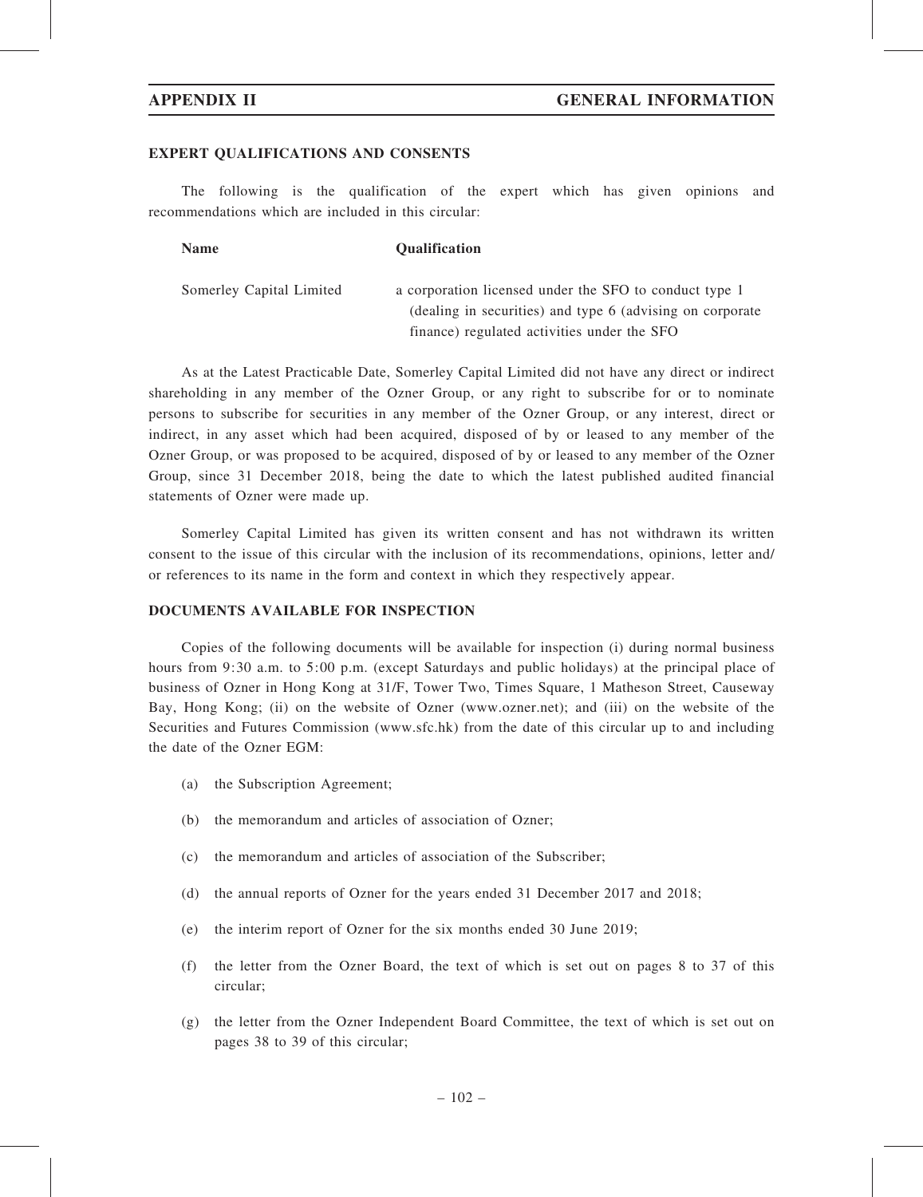### EXPERT QUALIFICATIONS AND CONSENTS

The following is the qualification of the expert which has given opinions and recommendations which are included in this circular:

| <b>Name</b>              | <b>Oualification</b>                                      |
|--------------------------|-----------------------------------------------------------|
| Somerley Capital Limited | a corporation licensed under the SFO to conduct type 1    |
|                          | (dealing in securities) and type 6 (advising on corporate |
|                          | finance) regulated activities under the SFO               |

As at the Latest Practicable Date, Somerley Capital Limited did not have any direct or indirect shareholding in any member of the Ozner Group, or any right to subscribe for or to nominate persons to subscribe for securities in any member of the Ozner Group, or any interest, direct or indirect, in any asset which had been acquired, disposed of by or leased to any member of the Ozner Group, or was proposed to be acquired, disposed of by or leased to any member of the Ozner Group, since 31 December 2018, being the date to which the latest published audited financial statements of Ozner were made up.

Somerley Capital Limited has given its written consent and has not withdrawn its written consent to the issue of this circular with the inclusion of its recommendations, opinions, letter and/ or references to its name in the form and context in which they respectively appear.

# DOCUMENTS AVAILABLE FOR INSPECTION

Copies of the following documents will be available for inspection (i) during normal business hours from 9:30 a.m. to 5:00 p.m. (except Saturdays and public holidays) at the principal place of business of Ozner in Hong Kong at 31/F, Tower Two, Times Square, 1 Matheson Street, Causeway Bay, Hong Kong; (ii) on the website of Ozner (www.ozner.net); and (iii) on the website of the Securities and Futures Commission (www.sfc.hk) from the date of this circular up to and including the date of the Ozner EGM:

- (a) the Subscription Agreement;
- (b) the memorandum and articles of association of Ozner;
- (c) the memorandum and articles of association of the Subscriber;
- (d) the annual reports of Ozner for the years ended 31 December 2017 and 2018;
- (e) the interim report of Ozner for the six months ended 30 June 2019;
- (f) the letter from the Ozner Board, the text of which is set out on pages 8 to 37 of this circular;
- (g) the letter from the Ozner Independent Board Committee, the text of which is set out on pages 38 to 39 of this circular;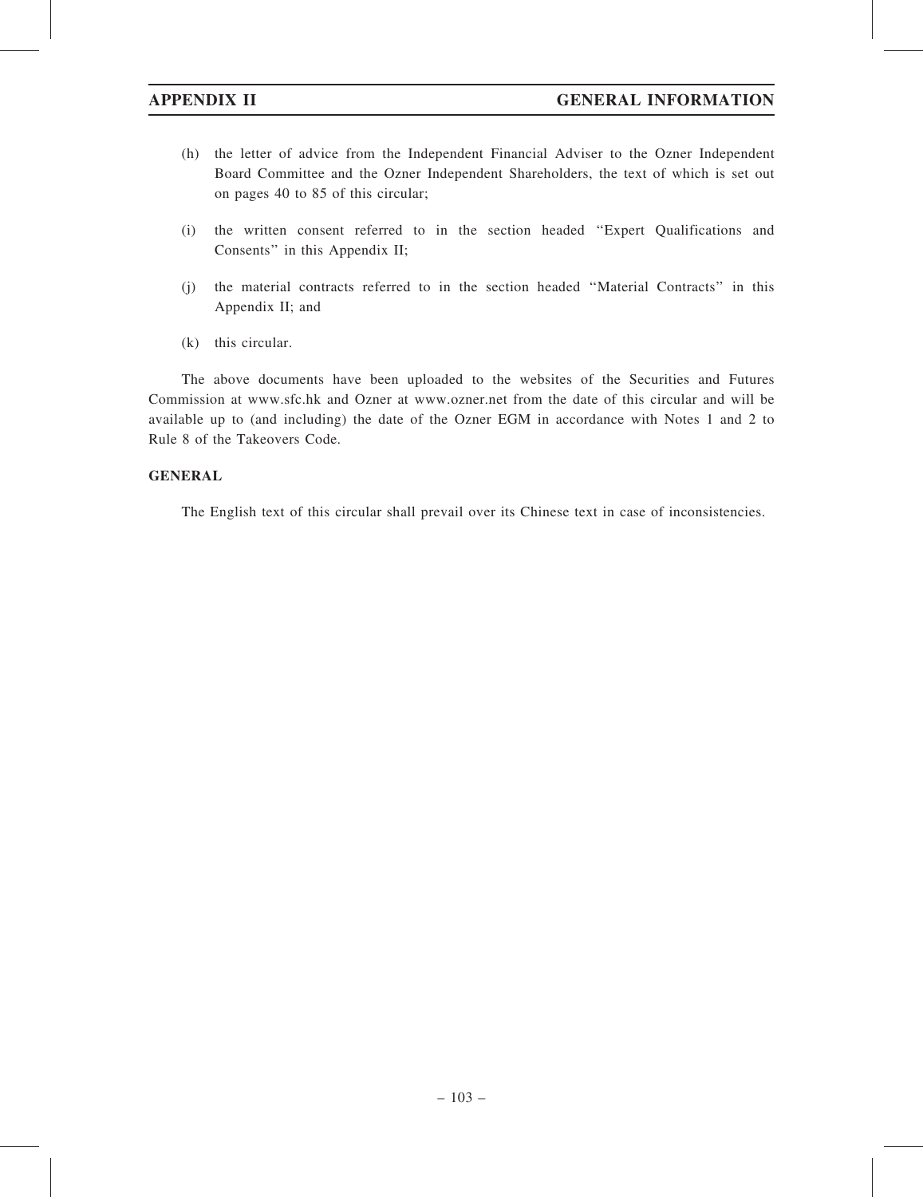- (h) the letter of advice from the Independent Financial Adviser to the Ozner Independent Board Committee and the Ozner Independent Shareholders, the text of which is set out on pages 40 to 85 of this circular;
- (i) the written consent referred to in the section headed ''Expert Qualifications and Consents'' in this Appendix II;
- (j) the material contracts referred to in the section headed ''Material Contracts'' in this Appendix II; and
- (k) this circular.

The above documents have been uploaded to the websites of the Securities and Futures Commission at www.sfc.hk and Ozner at www.ozner.net from the date of this circular and will be available up to (and including) the date of the Ozner EGM in accordance with Notes 1 and 2 to Rule 8 of the Takeovers Code.

# **GENERAL**

The English text of this circular shall prevail over its Chinese text in case of inconsistencies.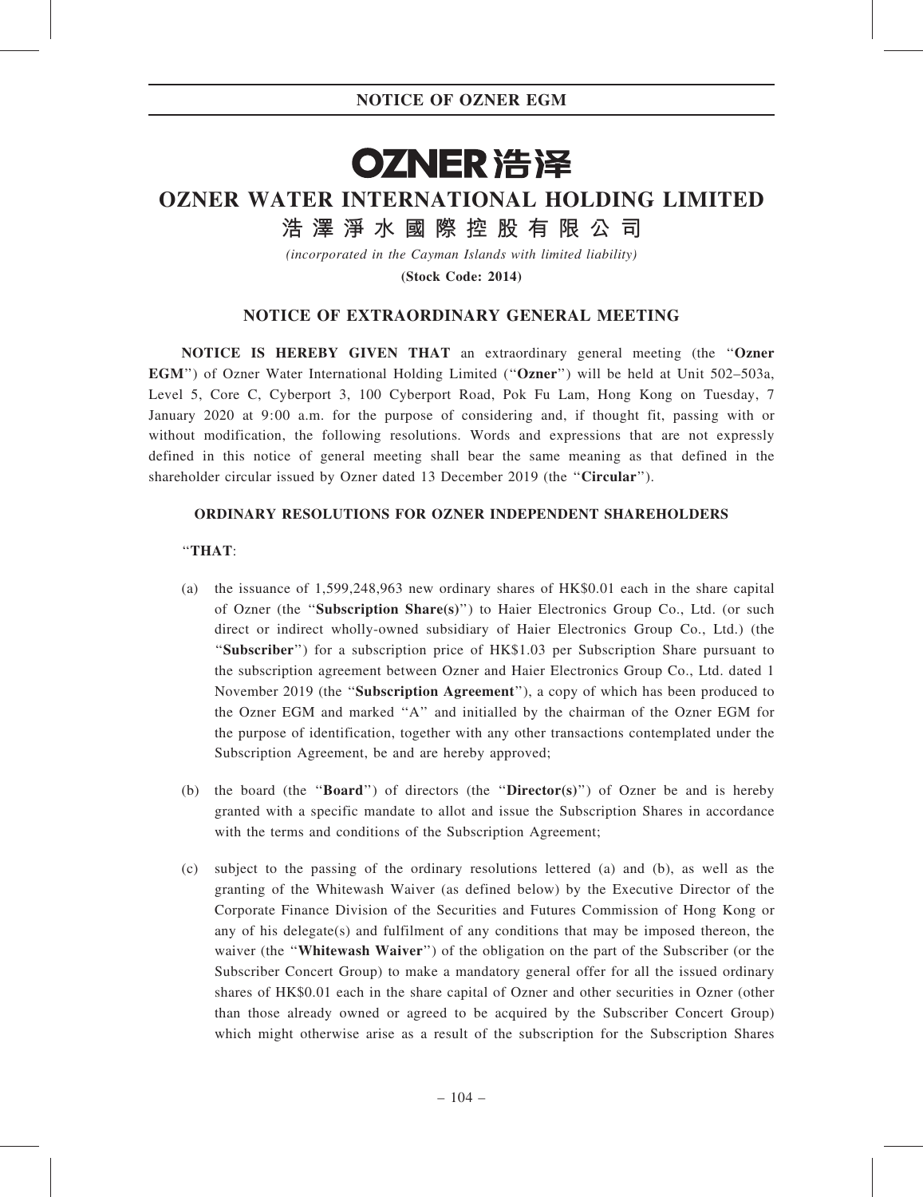# OZNER 浩泽 OZNER WATER INTERNATIONAL HOLDING LIMITED

浩 澤 淨 水 國 際 控 股 有 限 公 司

(incorporated in the Cayman Islands with limited liability)

(Stock Code: 2014)

# NOTICE OF EXTRAORDINARY GENERAL MEETING

NOTICE IS HEREBY GIVEN THAT an extraordinary general meeting (the ''Ozner EGM'') of Ozner Water International Holding Limited (''Ozner'') will be held at Unit 502–503a, Level 5, Core C, Cyberport 3, 100 Cyberport Road, Pok Fu Lam, Hong Kong on Tuesday, 7 January 2020 at 9:00 a.m. for the purpose of considering and, if thought fit, passing with or without modification, the following resolutions. Words and expressions that are not expressly defined in this notice of general meeting shall bear the same meaning as that defined in the shareholder circular issued by Ozner dated 13 December 2019 (the ''Circular'').

# ORDINARY RESOLUTIONS FOR OZNER INDEPENDENT SHAREHOLDERS

# ''THAT:

- (a) the issuance of 1,599,248,963 new ordinary shares of HK\$0.01 each in the share capital of Ozner (the ''Subscription Share(s)'') to Haier Electronics Group Co., Ltd. (or such direct or indirect wholly-owned subsidiary of Haier Electronics Group Co., Ltd.) (the ''Subscriber'') for a subscription price of HK\$1.03 per Subscription Share pursuant to the subscription agreement between Ozner and Haier Electronics Group Co., Ltd. dated 1 November 2019 (the ''Subscription Agreement''), a copy of which has been produced to the Ozner EGM and marked ''A'' and initialled by the chairman of the Ozner EGM for the purpose of identification, together with any other transactions contemplated under the Subscription Agreement, be and are hereby approved;
- (b) the board (the "**Board**") of directors (the "**Director(s)**") of Ozner be and is hereby granted with a specific mandate to allot and issue the Subscription Shares in accordance with the terms and conditions of the Subscription Agreement;
- (c) subject to the passing of the ordinary resolutions lettered (a) and (b), as well as the granting of the Whitewash Waiver (as defined below) by the Executive Director of the Corporate Finance Division of the Securities and Futures Commission of Hong Kong or any of his delegate(s) and fulfilment of any conditions that may be imposed thereon, the waiver (the "Whitewash Waiver") of the obligation on the part of the Subscriber (or the Subscriber Concert Group) to make a mandatory general offer for all the issued ordinary shares of HK\$0.01 each in the share capital of Ozner and other securities in Ozner (other than those already owned or agreed to be acquired by the Subscriber Concert Group) which might otherwise arise as a result of the subscription for the Subscription Shares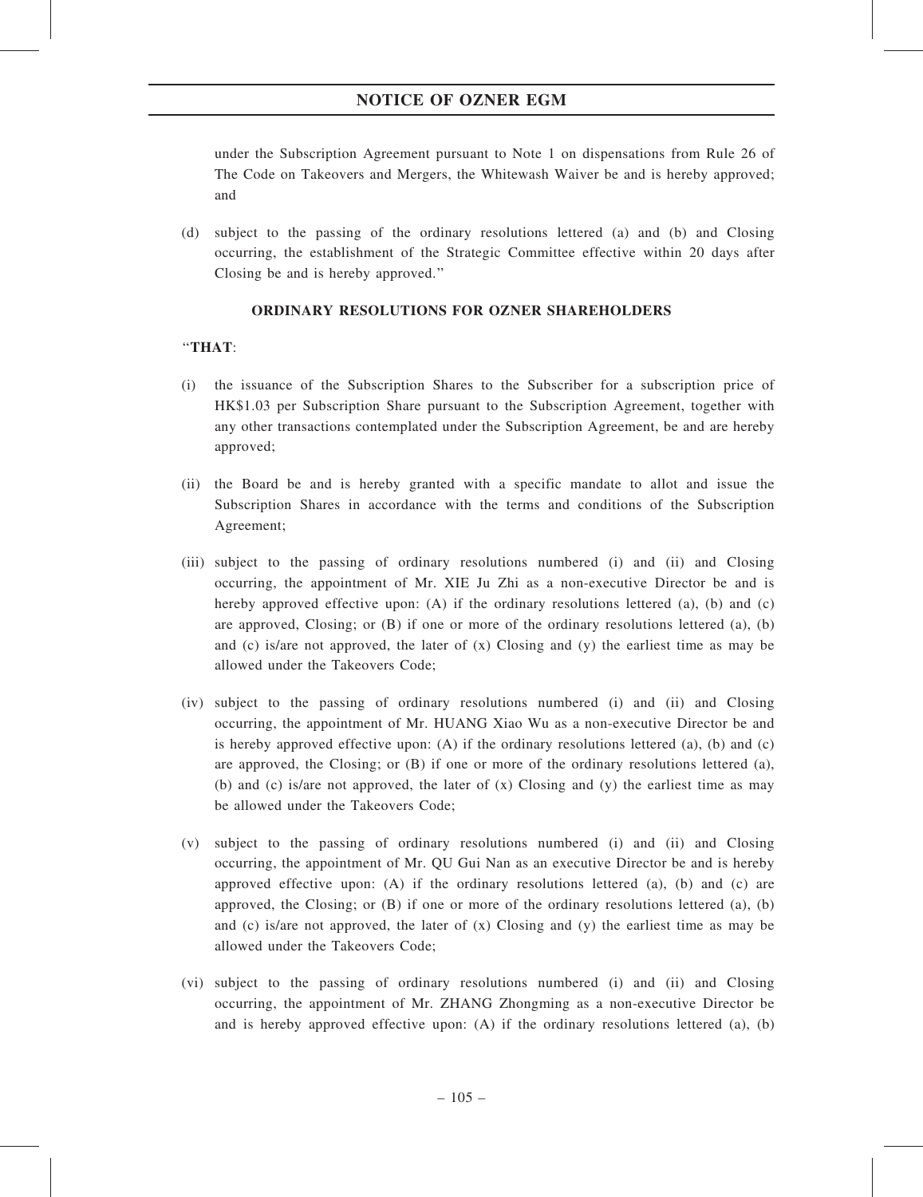# NOTICE OF OZNER EGM

under the Subscription Agreement pursuant to Note 1 on dispensations from Rule 26 of The Code on Takeovers and Mergers, the Whitewash Waiver be and is hereby approved; and

(d) subject to the passing of the ordinary resolutions lettered (a) and (b) and Closing occurring, the establishment of the Strategic Committee effective within 20 days after Closing be and is hereby approved.''

# ORDINARY RESOLUTIONS FOR OZNER SHAREHOLDERS

# ''THAT:

- (i) the issuance of the Subscription Shares to the Subscriber for a subscription price of HK\$1.03 per Subscription Share pursuant to the Subscription Agreement, together with any other transactions contemplated under the Subscription Agreement, be and are hereby approved;
- (ii) the Board be and is hereby granted with a specific mandate to allot and issue the Subscription Shares in accordance with the terms and conditions of the Subscription Agreement;
- (iii) subject to the passing of ordinary resolutions numbered (i) and (ii) and Closing occurring, the appointment of Mr. XIE Ju Zhi as a non-executive Director be and is hereby approved effective upon: (A) if the ordinary resolutions lettered (a), (b) and (c) are approved, Closing; or  $(B)$  if one or more of the ordinary resolutions lettered  $(a)$ ,  $(b)$ and (c) is/are not approved, the later of  $(x)$  Closing and  $(y)$  the earliest time as may be allowed under the Takeovers Code;
- (iv) subject to the passing of ordinary resolutions numbered (i) and (ii) and Closing occurring, the appointment of Mr. HUANG Xiao Wu as a non-executive Director be and is hereby approved effective upon: (A) if the ordinary resolutions lettered (a), (b) and (c) are approved, the Closing; or (B) if one or more of the ordinary resolutions lettered (a), (b) and (c) is/are not approved, the later of  $(x)$  Closing and  $(y)$  the earliest time as may be allowed under the Takeovers Code;
- (v) subject to the passing of ordinary resolutions numbered (i) and (ii) and Closing occurring, the appointment of Mr. QU Gui Nan as an executive Director be and is hereby approved effective upon: (A) if the ordinary resolutions lettered (a), (b) and (c) are approved, the Closing; or  $(B)$  if one or more of the ordinary resolutions lettered  $(a)$ ,  $(b)$ and (c) is/are not approved, the later of (x) Closing and (y) the earliest time as may be allowed under the Takeovers Code;
- (vi) subject to the passing of ordinary resolutions numbered (i) and (ii) and Closing occurring, the appointment of Mr. ZHANG Zhongming as a non-executive Director be and is hereby approved effective upon:  $(A)$  if the ordinary resolutions lettered  $(a)$ ,  $(b)$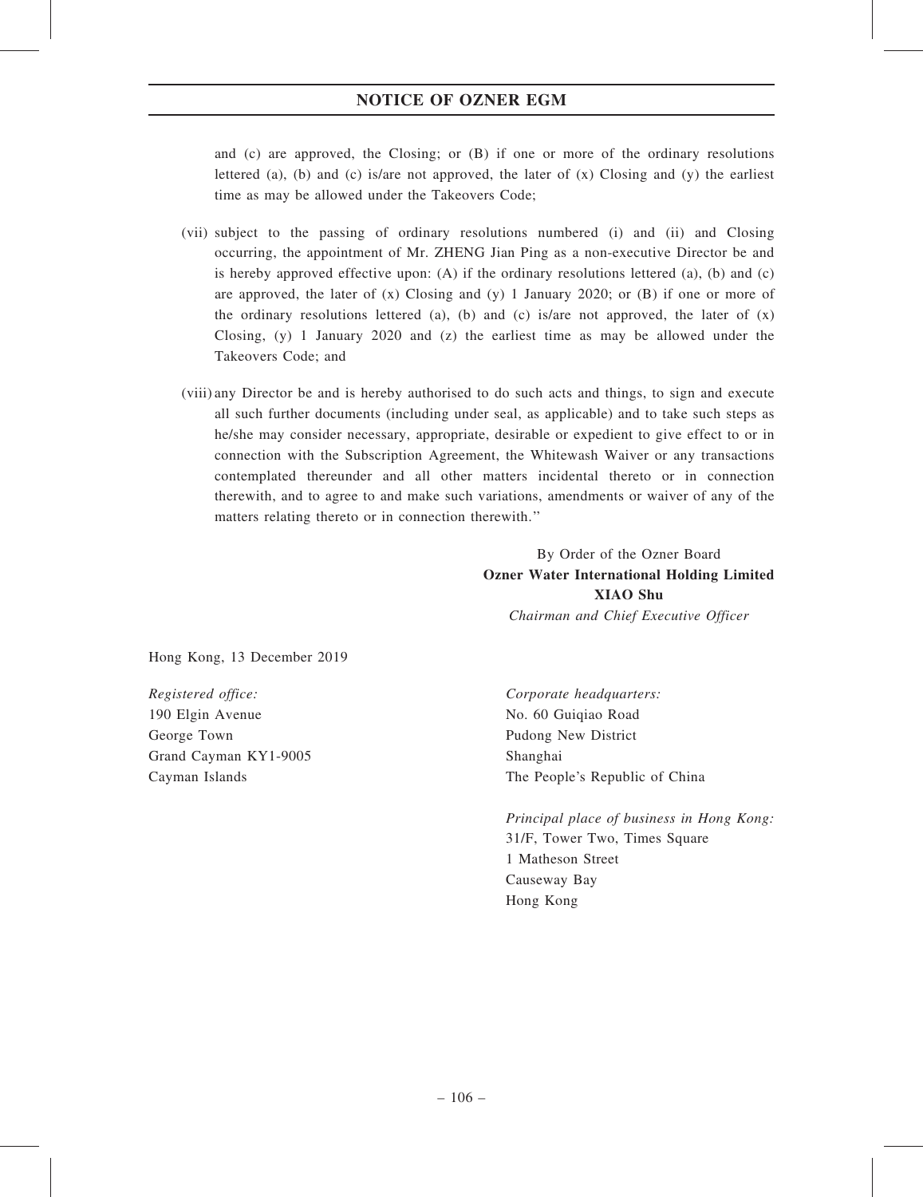# NOTICE OF OZNER EGM

and (c) are approved, the Closing; or (B) if one or more of the ordinary resolutions lettered (a), (b) and (c) is/are not approved, the later of  $(x)$  Closing and  $(y)$  the earliest time as may be allowed under the Takeovers Code;

- (vii) subject to the passing of ordinary resolutions numbered (i) and (ii) and Closing occurring, the appointment of Mr. ZHENG Jian Ping as a non-executive Director be and is hereby approved effective upon: (A) if the ordinary resolutions lettered (a), (b) and (c) are approved, the later of  $(x)$  Closing and  $(y)$  1 January 2020; or  $(B)$  if one or more of the ordinary resolutions lettered (a), (b) and (c) is/are not approved, the later of  $(x)$ Closing, (y) 1 January 2020 and (z) the earliest time as may be allowed under the Takeovers Code; and
- (viii) any Director be and is hereby authorised to do such acts and things, to sign and execute all such further documents (including under seal, as applicable) and to take such steps as he/she may consider necessary, appropriate, desirable or expedient to give effect to or in connection with the Subscription Agreement, the Whitewash Waiver or any transactions contemplated thereunder and all other matters incidental thereto or in connection therewith, and to agree to and make such variations, amendments or waiver of any of the matters relating thereto or in connection therewith.''

By Order of the Ozner Board Ozner Water International Holding Limited XIAO Shu Chairman and Chief Executive Officer

Hong Kong, 13 December 2019

Registered office:  $C$ orporate headquarters: 190 Elgin Avenue George Town Grand Cayman KY1-9005 Cayman Islands

No. 60 Guiqiao Road Pudong New District Shanghai The People's Republic of China

Principal place of business in Hong Kong: 31/F, Tower Two, Times Square 1 Matheson Street Causeway Bay Hong Kong